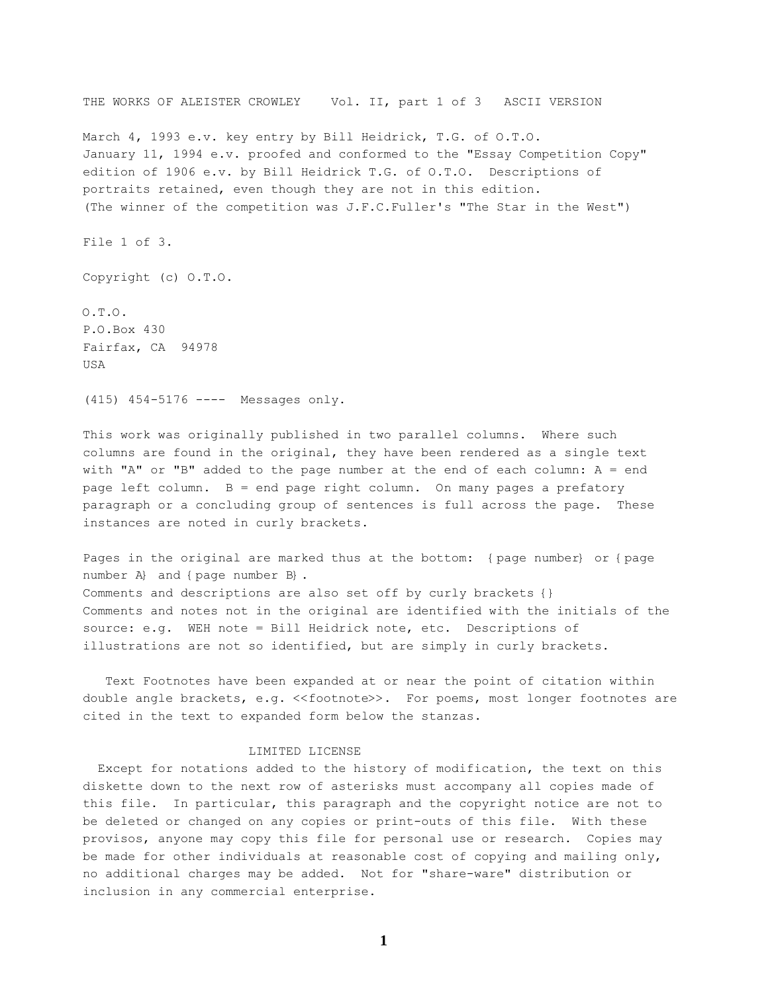THE WORKS OF ALEISTER CROWLEY Vol. II, part 1 of 3 ASCII VERSION March 4, 1993 e.v. key entry by Bill Heidrick, T.G. of O.T.O. January 11, 1994 e.v. proofed and conformed to the "Essay Competition Copy" edition of 1906 e.v. by Bill Heidrick T.G. of O.T.O. Descriptions of portraits retained, even though they are not in this edition. (The winner of the competition was J.F.C.Fuller's "The Star in the West") File 1 of 3. Copyright (c) O.T.O. O.T.O. P.O.Box 430 Fairfax, CA 94978

(415) 454-5176 ---- Messages only.

USA

This work was originally published in two parallel columns. Where such columns are found in the original, they have been rendered as a single text with "A" or "B" added to the page number at the end of each column:  $A = end$ page left column. B = end page right column. On many pages a prefatory paragraph or a concluding group of sentences is full across the page. These instances are noted in curly brackets.

Pages in the original are marked thus at the bottom: { page number} or { page number A} and {page number B}. Comments and descriptions are also set off by curly brackets {} Comments and notes not in the original are identified with the initials of the source: e.g. WEH note = Bill Heidrick note, etc. Descriptions of illustrations are not so identified, but are simply in curly brackets.

 Text Footnotes have been expanded at or near the point of citation within double angle brackets, e.g. << footnote>>. For poems, most longer footnotes are cited in the text to expanded form below the stanzas.

#### LIMITED LICENSE

 Except for notations added to the history of modification, the text on this diskette down to the next row of asterisks must accompany all copies made of this file. In particular, this paragraph and the copyright notice are not to be deleted or changed on any copies or print-outs of this file. With these provisos, anyone may copy this file for personal use or research. Copies may be made for other individuals at reasonable cost of copying and mailing only, no additional charges may be added. Not for "share-ware" distribution or inclusion in any commercial enterprise.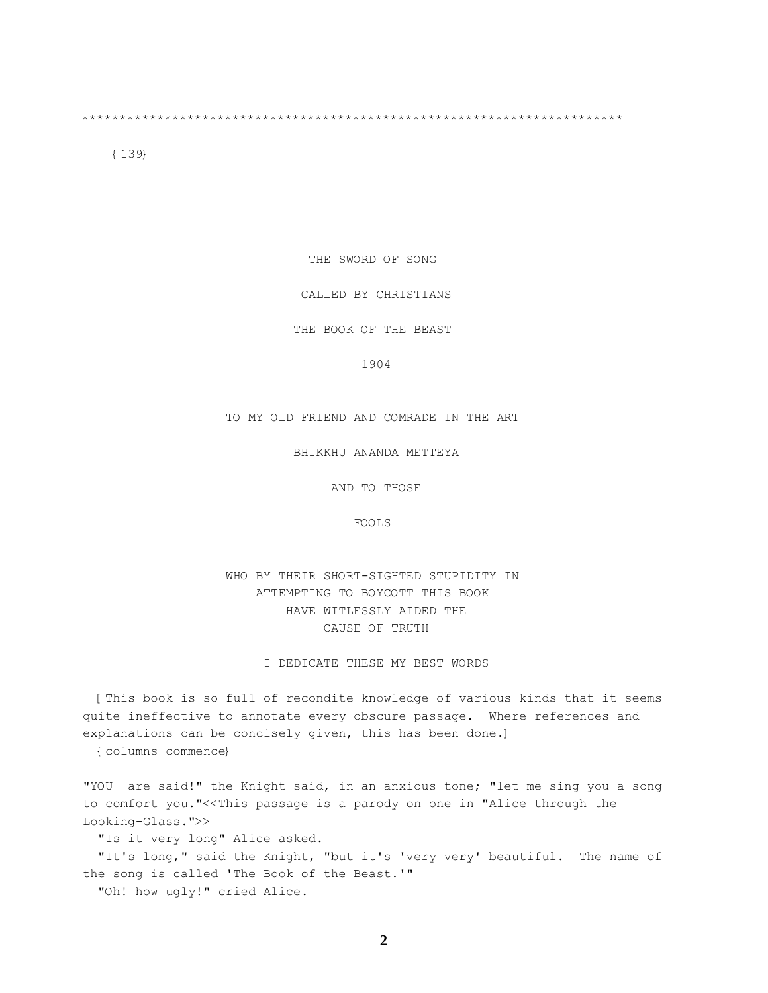\*\*\*\*\*\*\*\*\*\*\*\*\*\*\*\*\*\*\*\*\*\*\*\*\*\*\*\*\*\*\*\*\*\*\*\*\*\*\*\*\*\*\*\*\*\*\*\*\*\*\*\*\*\*\*\*\*\*\*\*\*\*\*\*\*\*\*\*\*\*\*\*

{139}

THE SWORD OF SONG

CALLED BY CHRISTIANS

THE BOOK OF THE BEAST

1904

TO MY OLD FRIEND AND COMRADE IN THE ART

BHIKKHU ANANDA METTEYA

AND TO THOSE

FOOLS

 WHO BY THEIR SHORT-SIGHTED STUPIDITY IN ATTEMPTING TO BOYCOTT THIS BOOK HAVE WITLESSLY AIDED THE CAUSE OF TRUTH

I DEDICATE THESE MY BEST WORDS

 [This book is so full of recondite knowledge of various kinds that it seems quite ineffective to annotate every obscure passage. Where references and explanations can be concisely given, this has been done.]

{columns commence}

"YOU are said!" the Knight said, in an anxious tone; "let me sing you a song to comfort you."<<This passage is a parody on one in "Alice through the Looking-Glass.">>

"Is it very long" Alice asked.

 "It's long," said the Knight, "but it's 'very very' beautiful. The name of the song is called 'The Book of the Beast.'"

"Oh! how ugly!" cried Alice.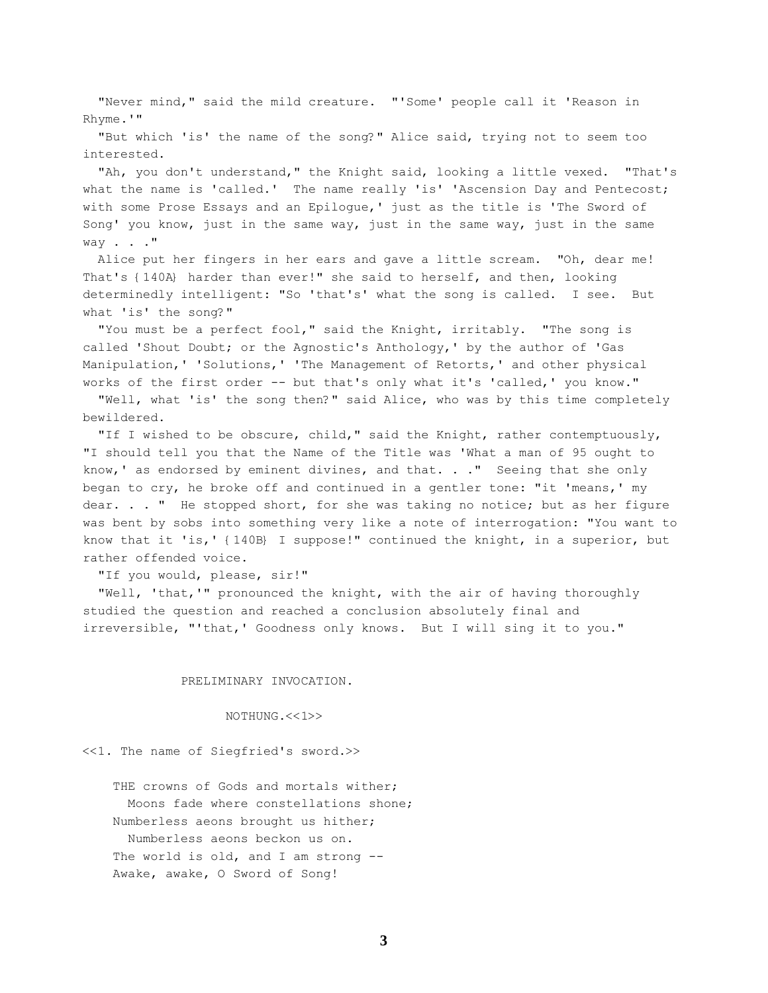"Never mind," said the mild creature. "'Some' people call it 'Reason in Rhyme.'"

 "But which 'is' the name of the song?" Alice said, trying not to seem too interested.

"Ah, you don't understand," the Knight said, looking a little vexed. "That's what the name is 'called.' The name really 'is' 'Ascension Day and Pentecost; with some Prose Essays and an Epilogue,' just as the title is 'The Sword of Song' you know, just in the same way, just in the same way, just in the same way . . ."

 Alice put her fingers in her ears and gave a little scream. "Oh, dear me! That's {140A} harder than ever!" she said to herself, and then, looking determinedly intelligent: "So 'that's' what the song is called. I see. But what 'is' the song?"

 "You must be a perfect fool," said the Knight, irritably. "The song is called 'Shout Doubt; or the Agnostic's Anthology,' by the author of 'Gas Manipulation,' 'Solutions,' 'The Management of Retorts,' and other physical works of the first order -- but that's only what it's 'called,' you know."

 "Well, what 'is' the song then?" said Alice, who was by this time completely bewildered.

 "If I wished to be obscure, child," said the Knight, rather contemptuously, "I should tell you that the Name of the Title was 'What a man of 95 ought to know,' as endorsed by eminent divines, and that.  $\ldots$  " Seeing that she only began to cry, he broke off and continued in a gentler tone: "it 'means,' my dear. . . " He stopped short, for she was taking no notice; but as her figure was bent by sobs into something very like a note of interrogation: "You want to know that it 'is,' {140B} I suppose!" continued the knight, in a superior, but rather offended voice.

"If you would, please, sir!"

 "Well, 'that,'" pronounced the knight, with the air of having thoroughly studied the question and reached a conclusion absolutely final and irreversible, "'that,' Goodness only knows. But I will sing it to you."

PRELIMINARY INVOCATION.

NOTHUNG.<<1>>

<<1. The name of Siegfried's sword.>>

THE crowns of Gods and mortals wither; Moons fade where constellations shone; Numberless aeons brought us hither; Numberless aeons beckon us on. The world is old, and I am strong --Awake, awake, O Sword of Song!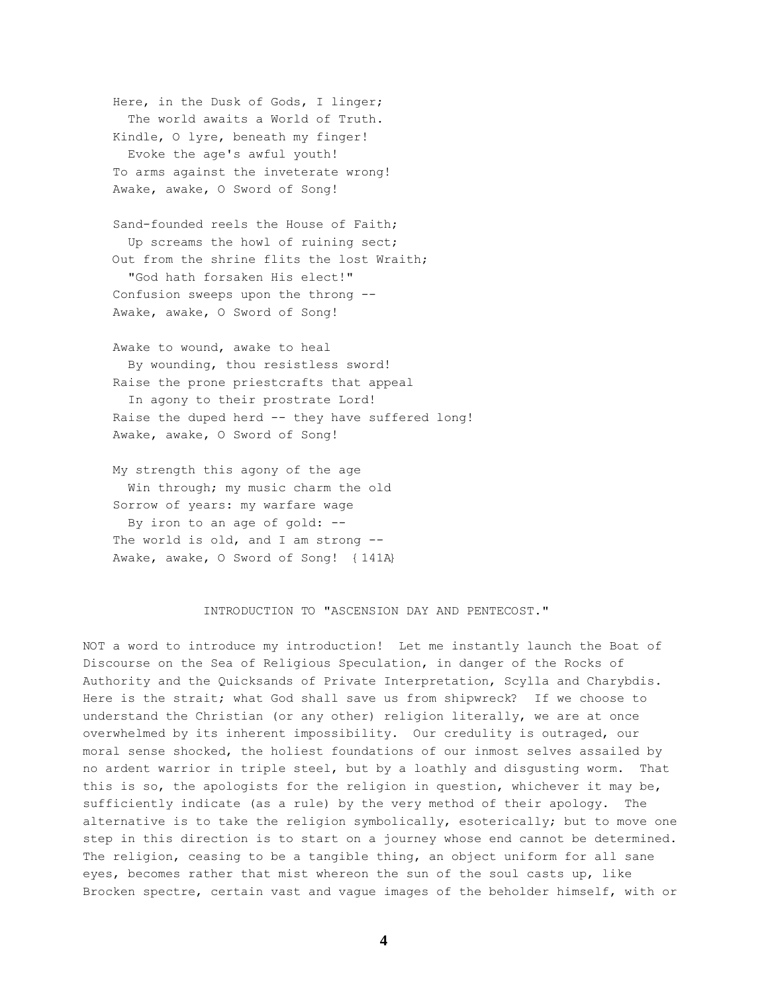Here, in the Dusk of Gods, I linger; The world awaits a World of Truth. Kindle, O lyre, beneath my finger! Evoke the age's awful youth! To arms against the inveterate wrong! Awake, awake, O Sword of Song!

 Sand-founded reels the House of Faith; Up screams the howl of ruining sect; Out from the shrine flits the lost Wraith; "God hath forsaken His elect!" Confusion sweeps upon the throng -- Awake, awake, O Sword of Song!

 Awake to wound, awake to heal By wounding, thou resistless sword! Raise the prone priestcrafts that appeal In agony to their prostrate Lord! Raise the duped herd -- they have suffered long! Awake, awake, O Sword of Song!

 My strength this agony of the age Win through; my music charm the old Sorrow of years: my warfare wage By iron to an age of gold: -- The world is old, and I am strong -- Awake, awake, O Sword of Song! {141A}

### INTRODUCTION TO "ASCENSION DAY AND PENTECOST."

NOT a word to introduce my introduction! Let me instantly launch the Boat of Discourse on the Sea of Religious Speculation, in danger of the Rocks of Authority and the Quicksands of Private Interpretation, Scylla and Charybdis. Here is the strait; what God shall save us from shipwreck? If we choose to understand the Christian (or any other) religion literally, we are at once overwhelmed by its inherent impossibility. Our credulity is outraged, our moral sense shocked, the holiest foundations of our inmost selves assailed by no ardent warrior in triple steel, but by a loathly and disgusting worm. That this is so, the apologists for the religion in question, whichever it may be, sufficiently indicate (as a rule) by the very method of their apology. The alternative is to take the religion symbolically, esoterically; but to move one step in this direction is to start on a journey whose end cannot be determined. The religion, ceasing to be a tangible thing, an object uniform for all sane eyes, becomes rather that mist whereon the sun of the soul casts up, like Brocken spectre, certain vast and vague images of the beholder himself, with or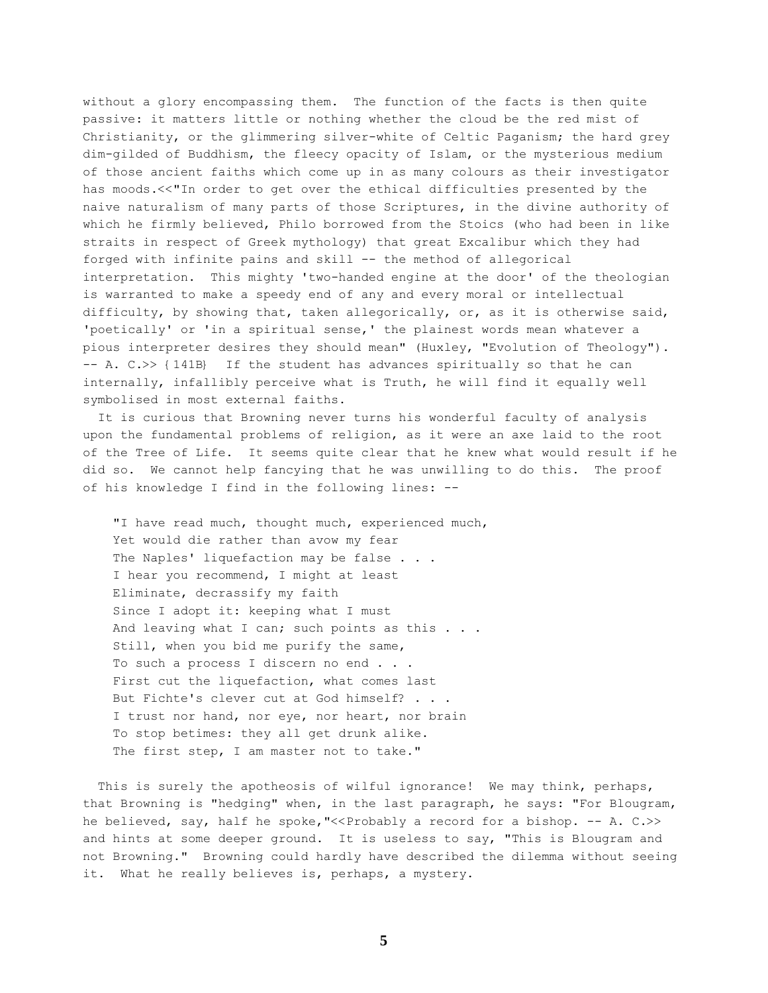without a glory encompassing them. The function of the facts is then quite passive: it matters little or nothing whether the cloud be the red mist of Christianity, or the glimmering silver-white of Celtic Paganism; the hard grey dim-gilded of Buddhism, the fleecy opacity of Islam, or the mysterious medium of those ancient faiths which come up in as many colours as their investigator has moods.<<"In order to get over the ethical difficulties presented by the naive naturalism of many parts of those Scriptures, in the divine authority of which he firmly believed, Philo borrowed from the Stoics (who had been in like straits in respect of Greek mythology) that great Excalibur which they had forged with infinite pains and skill -- the method of allegorical interpretation. This mighty 'two-handed engine at the door' of the theologian is warranted to make a speedy end of any and every moral or intellectual difficulty, by showing that, taken allegorically, or, as it is otherwise said, 'poetically' or 'in a spiritual sense,' the plainest words mean whatever a pious interpreter desires they should mean" (Huxley, "Evolution of Theology"). -- A. C.>> {141B} If the student has advances spiritually so that he can internally, infallibly perceive what is Truth, he will find it equally well symbolised in most external faiths.

 It is curious that Browning never turns his wonderful faculty of analysis upon the fundamental problems of religion, as it were an axe laid to the root of the Tree of Life. It seems quite clear that he knew what would result if he did so. We cannot help fancying that he was unwilling to do this. The proof of his knowledge I find in the following lines: --

 "I have read much, thought much, experienced much, Yet would die rather than avow my fear The Naples' liquefaction may be false . . . I hear you recommend, I might at least Eliminate, decrassify my faith Since I adopt it: keeping what I must And leaving what I can; such points as this . . . Still, when you bid me purify the same, To such a process I discern no end . . . First cut the liquefaction, what comes last But Fichte's clever cut at God himself? . . . I trust nor hand, nor eye, nor heart, nor brain To stop betimes: they all get drunk alike. The first step, I am master not to take."

 This is surely the apotheosis of wilful ignorance! We may think, perhaps, that Browning is "hedging" when, in the last paragraph, he says: "For Blougram, he believed, say, half he spoke, "<<Probably a record for a bishop. -- A. C.>> and hints at some deeper ground. It is useless to say, "This is Blougram and not Browning." Browning could hardly have described the dilemma without seeing it. What he really believes is, perhaps, a mystery.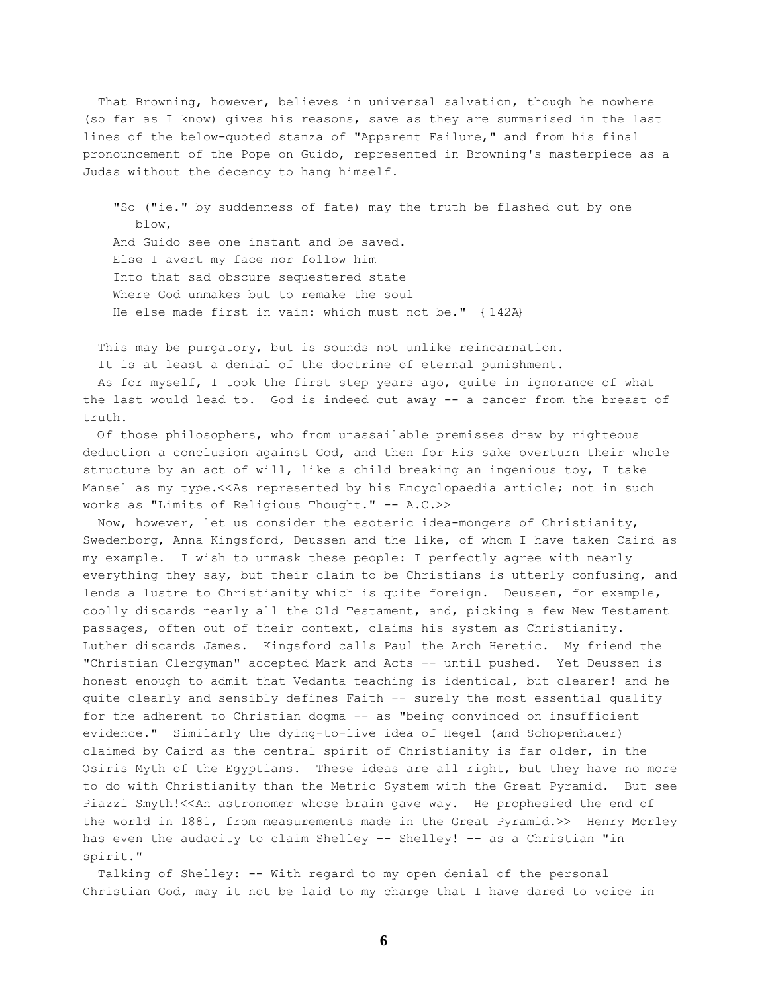That Browning, however, believes in universal salvation, though he nowhere (so far as I know) gives his reasons, save as they are summarised in the last lines of the below-quoted stanza of "Apparent Failure," and from his final pronouncement of the Pope on Guido, represented in Browning's masterpiece as a Judas without the decency to hang himself.

 "So ("ie." by suddenness of fate) may the truth be flashed out by one blow, And Guido see one instant and be saved. Else I avert my face nor follow him Into that sad obscure sequestered state Where God unmakes but to remake the soul He else made first in vain: which must not be." {142A}

 This may be purgatory, but is sounds not unlike reincarnation. It is at least a denial of the doctrine of eternal punishment.

 As for myself, I took the first step years ago, quite in ignorance of what the last would lead to. God is indeed cut away -- a cancer from the breast of truth.

 Of those philosophers, who from unassailable premisses draw by righteous deduction a conclusion against God, and then for His sake overturn their whole structure by an act of will, like a child breaking an ingenious toy, I take Mansel as my type.<<As represented by his Encyclopaedia article; not in such works as "Limits of Religious Thought." -- A.C.>>

 Now, however, let us consider the esoteric idea-mongers of Christianity, Swedenborg, Anna Kingsford, Deussen and the like, of whom I have taken Caird as my example. I wish to unmask these people: I perfectly agree with nearly everything they say, but their claim to be Christians is utterly confusing, and lends a lustre to Christianity which is quite foreign. Deussen, for example, coolly discards nearly all the Old Testament, and, picking a few New Testament passages, often out of their context, claims his system as Christianity. Luther discards James. Kingsford calls Paul the Arch Heretic. My friend the "Christian Clergyman" accepted Mark and Acts -- until pushed. Yet Deussen is honest enough to admit that Vedanta teaching is identical, but clearer! and he quite clearly and sensibly defines Faith -- surely the most essential quality for the adherent to Christian dogma -- as "being convinced on insufficient evidence." Similarly the dying-to-live idea of Hegel (and Schopenhauer) claimed by Caird as the central spirit of Christianity is far older, in the Osiris Myth of the Egyptians. These ideas are all right, but they have no more to do with Christianity than the Metric System with the Great Pyramid. But see Piazzi Smyth!<<An astronomer whose brain gave way. He prophesied the end of the world in 1881, from measurements made in the Great Pyramid.>> Henry Morley has even the audacity to claim Shelley -- Shelley! -- as a Christian "in spirit."

 Talking of Shelley: -- With regard to my open denial of the personal Christian God, may it not be laid to my charge that I have dared to voice in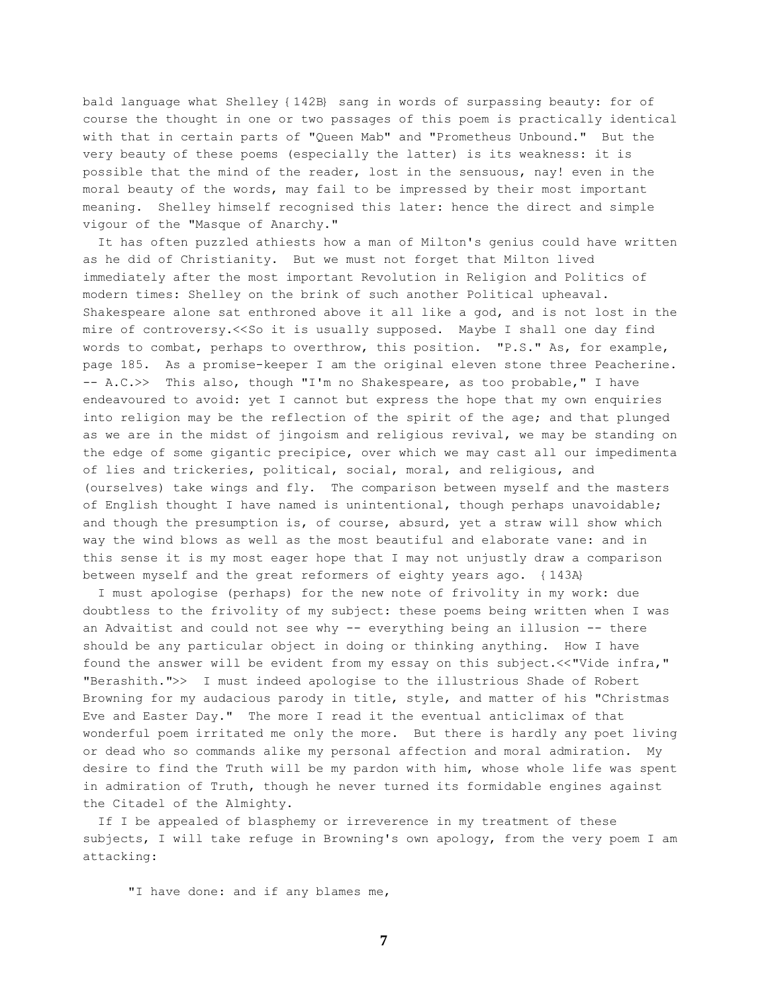bald language what Shelley {142B} sang in words of surpassing beauty: for of course the thought in one or two passages of this poem is practically identical with that in certain parts of "Queen Mab" and "Prometheus Unbound." But the very beauty of these poems (especially the latter) is its weakness: it is possible that the mind of the reader, lost in the sensuous, nay! even in the moral beauty of the words, may fail to be impressed by their most important meaning. Shelley himself recognised this later: hence the direct and simple vigour of the "Masque of Anarchy."

 It has often puzzled athiests how a man of Milton's genius could have written as he did of Christianity. But we must not forget that Milton lived immediately after the most important Revolution in Religion and Politics of modern times: Shelley on the brink of such another Political upheaval. Shakespeare alone sat enthroned above it all like a god, and is not lost in the mire of controversy.<<So it is usually supposed. Maybe I shall one day find words to combat, perhaps to overthrow, this position. "P.S." As, for example, page 185. As a promise-keeper I am the original eleven stone three Peacherine. -- A.C.>> This also, though "I'm no Shakespeare, as too probable," I have endeavoured to avoid: yet I cannot but express the hope that my own enquiries into religion may be the reflection of the spirit of the age; and that plunged as we are in the midst of jingoism and religious revival, we may be standing on the edge of some gigantic precipice, over which we may cast all our impedimenta of lies and trickeries, political, social, moral, and religious, and (ourselves) take wings and fly. The comparison between myself and the masters of English thought I have named is unintentional, though perhaps unavoidable; and though the presumption is, of course, absurd, yet a straw will show which way the wind blows as well as the most beautiful and elaborate vane: and in this sense it is my most eager hope that I may not unjustly draw a comparison between myself and the great reformers of eighty years ago. {143A}

 I must apologise (perhaps) for the new note of frivolity in my work: due doubtless to the frivolity of my subject: these poems being written when I was an Advaitist and could not see why -- everything being an illusion -- there should be any particular object in doing or thinking anything. How I have found the answer will be evident from my essay on this subject. << "Vide infra," "Berashith.">> I must indeed apologise to the illustrious Shade of Robert Browning for my audacious parody in title, style, and matter of his "Christmas Eve and Easter Day." The more I read it the eventual anticlimax of that wonderful poem irritated me only the more. But there is hardly any poet living or dead who so commands alike my personal affection and moral admiration. My desire to find the Truth will be my pardon with him, whose whole life was spent in admiration of Truth, though he never turned its formidable engines against the Citadel of the Almighty.

 If I be appealed of blasphemy or irreverence in my treatment of these subjects, I will take refuge in Browning's own apology, from the very poem I am attacking:

"I have done: and if any blames me,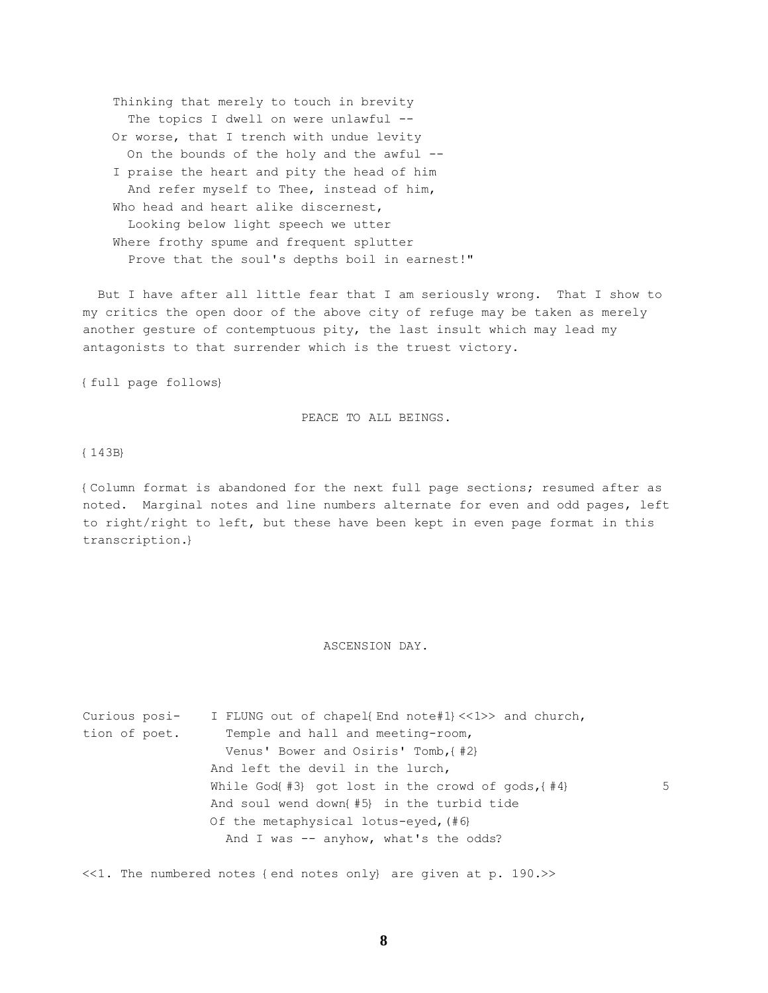Thinking that merely to touch in brevity The topics I dwell on were unlawful -- Or worse, that I trench with undue levity On the bounds of the holy and the awful -- I praise the heart and pity the head of him And refer myself to Thee, instead of him, Who head and heart alike discernest, Looking below light speech we utter Where frothy spume and frequent splutter Prove that the soul's depths boil in earnest!"

 But I have after all little fear that I am seriously wrong. That I show to my critics the open door of the above city of refuge may be taken as merely another gesture of contemptuous pity, the last insult which may lead my antagonists to that surrender which is the truest victory.

{full page follows}

#### PEACE TO ALL BEINGS.

{143B}

{Column format is abandoned for the next full page sections; resumed after as noted. Marginal notes and line numbers alternate for even and odd pages, left to right/right to left, but these have been kept in even page format in this transcription.}

#### ASCENSION DAY.

Curious posi- I FLUNG out of chapel{End note#1}<<1>> and church, tion of poet. Temple and hall and meeting-room, Venus' Bower and Osiris' Tomb,{#2} And left the devil in the lurch, While God{#3} got lost in the crowd of gods,  ${#4}$  5 And soul wend down{#5} in the turbid tide Of the metaphysical lotus-eyed,(#6} And I was -- anyhow, what's the odds?

<<1. The numbered notes {end notes only} are given at p. 190.>>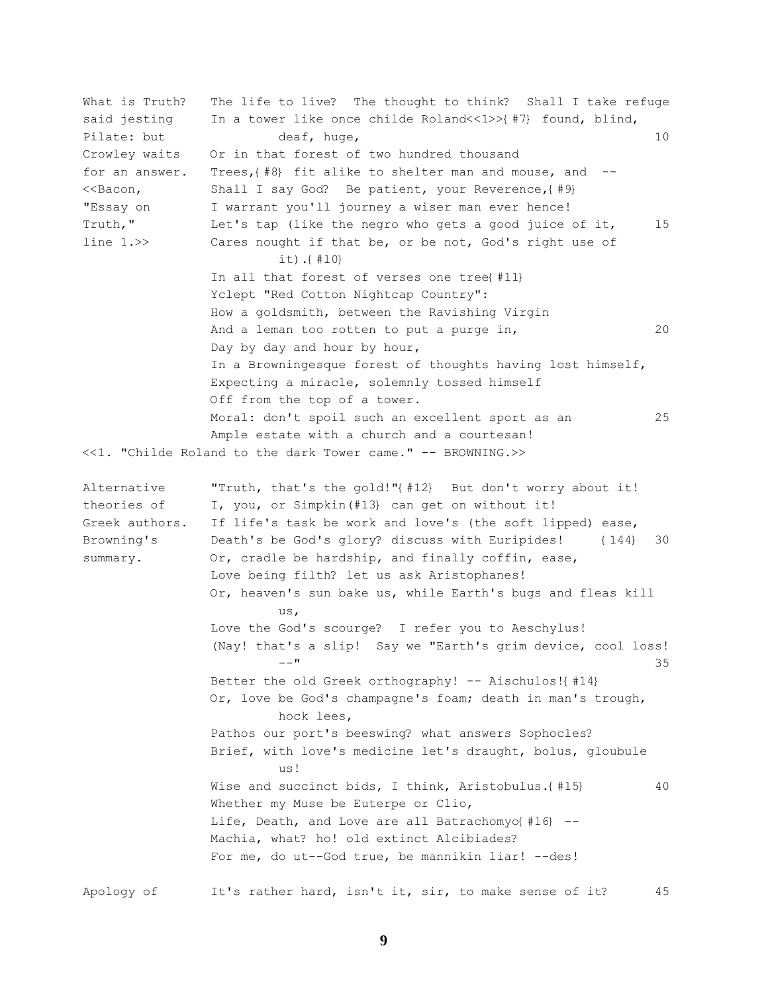What is Truth? The life to live? The thought to think? Shall I take refuge said jesting In a tower like once childe Roland<<1>><1>>>>>>>{#7} found, blind, Pilate: but deaf, huge, 10 Crowley waits Or in that forest of two hundred thousand for an answer. Trees,{#8} fit alike to shelter man and mouse, and -- <<Bacon, Shall I say God? Be patient, your Reverence,{#9} "Essay on I warrant you'll journey a wiser man ever hence! Truth," Let's tap (like the negro who gets a good juice of it, 15 line 1.>> Cares nought if that be, or be not, God's right use of it).{#10} In all that forest of verses one tree{#11} Yclept "Red Cotton Nightcap Country": How a goldsmith, between the Ravishing Virgin And a leman too rotten to put a purge in,  $20$  Day by day and hour by hour, In a Browningesque forest of thoughts having lost himself, Expecting a miracle, solemnly tossed himself Off from the top of a tower. Moral: don't spoil such an excellent sport as an 25 Ample estate with a church and a courtesan! <<1. "Childe Roland to the dark Tower came." -- BROWNING.>> Alternative "Truth, that's the gold!"{#12} But don't worry about it! theories of I, you, or Simpkin(#13} can get on without it! Greek authors. If life's task be work and love's (the soft lipped) ease, Browning's Death's be God's glory? discuss with Euripides! {144} 30 summary. Or, cradle be hardship, and finally coffin, ease, Love being filth? let us ask Aristophanes! Or, heaven's sun bake us, while Earth's bugs and fleas kill us, Love the God's scourge? I refer you to Aeschylus! (Nay! that's a slip! Say we "Earth's grim device, cool loss!  $-$  " 35 Better the old Greek orthography! -- Aischulos! { #14} Or, love be God's champagne's foam; death in man's trough, hock lees, Pathos our port's beeswing? what answers Sophocles? Brief, with love's medicine let's draught, bolus, gloubule us! Wise and succinct bids, I think, Aristobulus. { #15} 40 Whether my Muse be Euterpe or Clio, Life, Death, and Love are all Batrachomyo{ $#16$ } --

 Machia, what? ho! old extinct Alcibiades? For me, do ut--God true, be mannikin liar! --des!

Apology of It's rather hard, isn't it, sir, to make sense of it? 45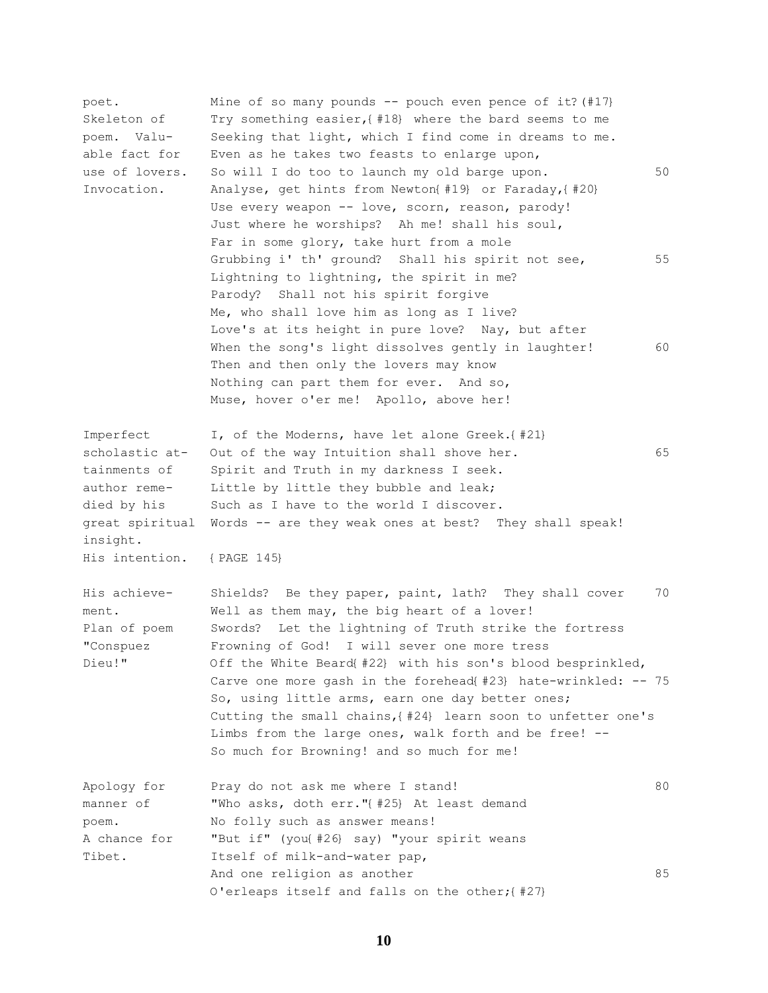| poet.<br>Skeleton of<br>poem. Valu-<br>able fact for                                                      | Mine of so many pounds $--$ pouch even pence of it? (#17}<br>Try something easier, {#18} where the bard seems to me<br>Seeking that light, which I find come in dreams to me.<br>Even as he takes two feasts to enlarge upon,                                                                                                                         |    |
|-----------------------------------------------------------------------------------------------------------|-------------------------------------------------------------------------------------------------------------------------------------------------------------------------------------------------------------------------------------------------------------------------------------------------------------------------------------------------------|----|
| use of lovers.<br>Invocation.                                                                             | So will I do too to launch my old barge upon.<br>Analyse, get hints from Newton{#19} or Faraday, {#20}<br>Use every weapon -- love, scorn, reason, parody!<br>Just where he worships? Ah me! shall his soul,<br>Far in some glory, take hurt from a mole                                                                                              | 50 |
|                                                                                                           | Grubbing i' th' ground? Shall his spirit not see,<br>Lightning to lightning, the spirit in me?<br>Parody? Shall not his spirit forgive<br>Me, who shall love him as long as I live?<br>Love's at its height in pure love? Nay, but after                                                                                                              | 55 |
|                                                                                                           | When the song's light dissolves gently in laughter!<br>Then and then only the lovers may know<br>Nothing can part them for ever. And so,<br>Muse, hover o'er me! Apollo, above her!                                                                                                                                                                   | 60 |
| Imperfect<br>scholastic at-<br>tainments of<br>author reme-<br>died by his<br>great spiritual<br>insight. | I, of the Moderns, have let alone Greek. {#21}<br>Out of the way Intuition shall shove her.<br>Spirit and Truth in my darkness I seek.<br>Little by little they bubble and leak;<br>Such as I have to the world I discover.<br>Words -- are they weak ones at best? They shall speak!                                                                 | 65 |
| His intention.                                                                                            | { PAGE 145}                                                                                                                                                                                                                                                                                                                                           |    |
| His achieve-<br>ment.<br>Plan of poem<br>"Conspuez                                                        | Shields? Be they paper, paint, lath?<br>They shall cover<br>Well as them may, the big heart of a lover!<br>Let the lightning of Truth strike the fortress<br>Swords?<br>Frowning of God! I will sever one more tress                                                                                                                                  | 70 |
| Dieu!"                                                                                                    | Off the White Beard{#22} with his son's blood besprinkled,<br>Carve one more gash in the forehead{#23} hate-wrinkled: -- 75<br>So, using little arms, earn one day better ones;<br>Cutting the small chains, {#24} learn soon to unfetter one's<br>Limbs from the large ones, walk forth and be free! --<br>So much for Browning! and so much for me! |    |
| Apology for<br>manner of<br>poem.<br>A chance for                                                         | Pray do not ask me where I stand!<br>"Who asks, doth err."{#25} At least demand<br>No folly such as answer means!<br>"But if" (you{#26} say) "your spirit weans                                                                                                                                                                                       | 80 |
| Tibet.                                                                                                    | Itself of milk-and-water pap,<br>And one religion as another                                                                                                                                                                                                                                                                                          | 85 |
|                                                                                                           | O'erleaps itself and falls on the other; { #27}                                                                                                                                                                                                                                                                                                       |    |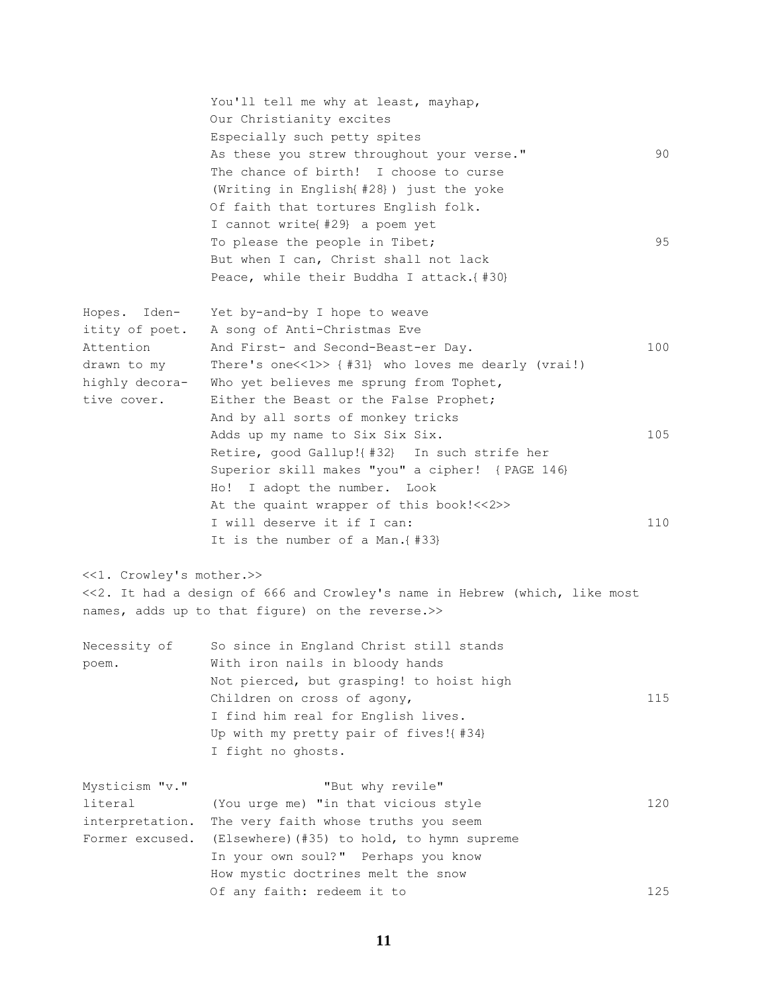|                          | You'll tell me why at least, mayhap,<br>Our Christianity excites<br>Especially such petty spites |     |
|--------------------------|--------------------------------------------------------------------------------------------------|-----|
|                          | As these you strew throughout your verse."<br>The chance of birth! I choose to curse             | 90  |
|                          | (Writing in English #28) ) just the yoke                                                         |     |
|                          | Of faith that tortures English folk.                                                             |     |
|                          | I cannot write (#29) a poem yet                                                                  |     |
|                          | To please the people in Tibet;                                                                   | 95  |
|                          | But when I can, Christ shall not lack                                                            |     |
|                          | Peace, while their Buddha I attack. { #30}                                                       |     |
| Hopes. Iden-             | Yet by-and-by I hope to weave                                                                    |     |
| itity of poet.           | A song of Anti-Christmas Eve                                                                     |     |
| Attention                | And First- and Second-Beast-er Day.                                                              | 100 |
| drawn to my              | There's one<<1>> {#31} who loves me dearly (vrai!)                                               |     |
| highly decora-           | Who yet believes me sprung from Tophet,                                                          |     |
| tive cover.              | Either the Beast or the False Prophet;                                                           |     |
|                          | And by all sorts of monkey tricks                                                                |     |
|                          | Adds up my name to Six Six Six.                                                                  | 105 |
|                          | Retire, good Gallup! $\#32$ } In such strife her                                                 |     |
|                          | Superior skill makes "you" a cipher! { PAGE 146}                                                 |     |
|                          | Ho! I adopt the number. Look                                                                     |     |
|                          | At the quaint wrapper of this book!<<2>>                                                         |     |
|                          | I will deserve it if I can:                                                                      | 110 |
|                          | It is the number of a Man. { #33}                                                                |     |
| <<1. Crowley's mother.>> |                                                                                                  |     |
|                          | <<2. It had a design of 666 and Crowley's name in Hebrew (which, like most                       |     |
|                          | names, adds up to that figure) on the reverse.>>                                                 |     |
| Necessity of             | So since in England Christ still stands                                                          |     |
| poem.                    | With iron nails in bloody hands                                                                  |     |
|                          | Not pierced, but grasping! to hoist high                                                         |     |
|                          | Children on cross of agony,                                                                      | 115 |
|                          | I find him real for English lives.                                                               |     |
|                          | Up with my pretty pair of fives! {#34}<br>I fight no ghosts.                                     |     |
| Mysticism "v."           | "But why revile"                                                                                 |     |
| literal                  | (You urge me) "in that vicious style                                                             | 120 |
| interpretation.          | The very faith whose truths you seem                                                             |     |
| Former excused.          | (Elsewhere) (#35) to hold, to hymn supreme                                                       |     |
|                          | In your own soul?" Perhaps you know                                                              |     |
|                          | How mystic doctrines melt the snow                                                               |     |
|                          | Of any faith: redeem it to                                                                       | 125 |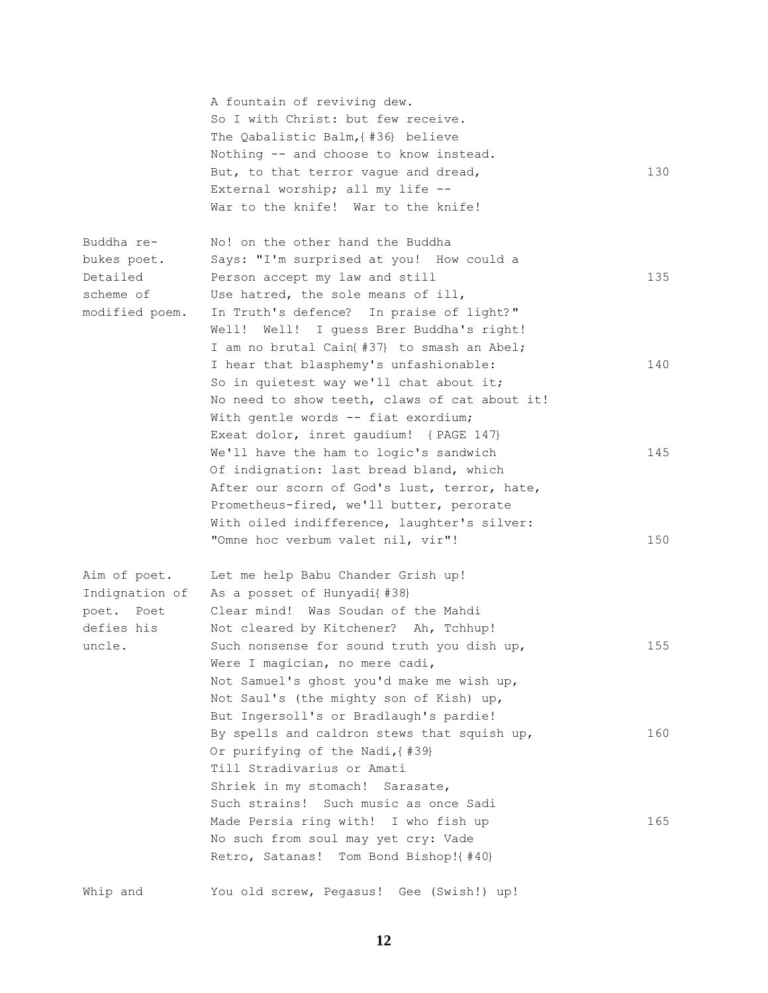|                                                                      | A fountain of reviving dew.<br>So I with Christ: but few receive.<br>The Qabalistic Balm, {#36} believe<br>Nothing -- and choose to know instead.<br>But, to that terror vague and dread,<br>External worship; all my life --<br>War to the knife! War to the knife!                                         | 130        |
|----------------------------------------------------------------------|--------------------------------------------------------------------------------------------------------------------------------------------------------------------------------------------------------------------------------------------------------------------------------------------------------------|------------|
| Buddha re-<br>bukes poet.<br>Detailed<br>scheme of<br>modified poem. | No! on the other hand the Buddha<br>Says: "I'm surprised at you! How could a<br>Person accept my law and still<br>Use hatred, the sole means of ill,<br>In Truth's defence? In praise of light?"<br>Well! Well! I guess Brer Buddha's right!                                                                 | 135        |
|                                                                      | I am no brutal Cain{#37} to smash an Abel;<br>I hear that blasphemy's unfashionable:<br>So in quietest way we'll chat about it;<br>No need to show teeth, claws of cat about it!<br>With gentle words -- fiat exordium;                                                                                      | 140        |
|                                                                      | Exeat dolor, inret gaudium! { PAGE 147}<br>We'll have the ham to logic's sandwich<br>Of indignation: last bread bland, which<br>After our scorn of God's lust, terror, hate,<br>Prometheus-fired, we'll butter, perorate<br>With oiled indifference, laughter's silver:<br>"Omne hoc verbum valet nil, vir"! | 145<br>150 |
| Aim of poet.<br>Indignation of<br>poet. Poet<br>defies his           | Let me help Babu Chander Grish up!<br>As a posset of Hunyadi{#38}<br>Clear mind! Was Soudan of the Mahdi<br>Not cleared by Kitchener? Ah, Tchhup!                                                                                                                                                            |            |
| uncle.                                                               | Such nonsense for sound truth you dish up,<br>Were I magician, no mere cadi,<br>Not Samuel's ghost you'd make me wish up,<br>Not Saul's (the mighty son of Kish) up,<br>But Ingersoll's or Bradlaugh's pardie!                                                                                               | 155        |
|                                                                      | By spells and caldron stews that squish up,<br>Or purifying of the Nadi, {#39}<br>Till Stradivarius or Amati<br>Shriek in my stomach! Sarasate,<br>Such strains! Such music as once Sadi                                                                                                                     | 160        |
|                                                                      | Made Persia ring with! I who fish up<br>No such from soul may yet cry: Vade<br>Retro, Satanas! Tom Bond Bishop! { #40}                                                                                                                                                                                       | 165        |
| Whip and                                                             | You old screw, Pegasus! Gee (Swish!) up!                                                                                                                                                                                                                                                                     |            |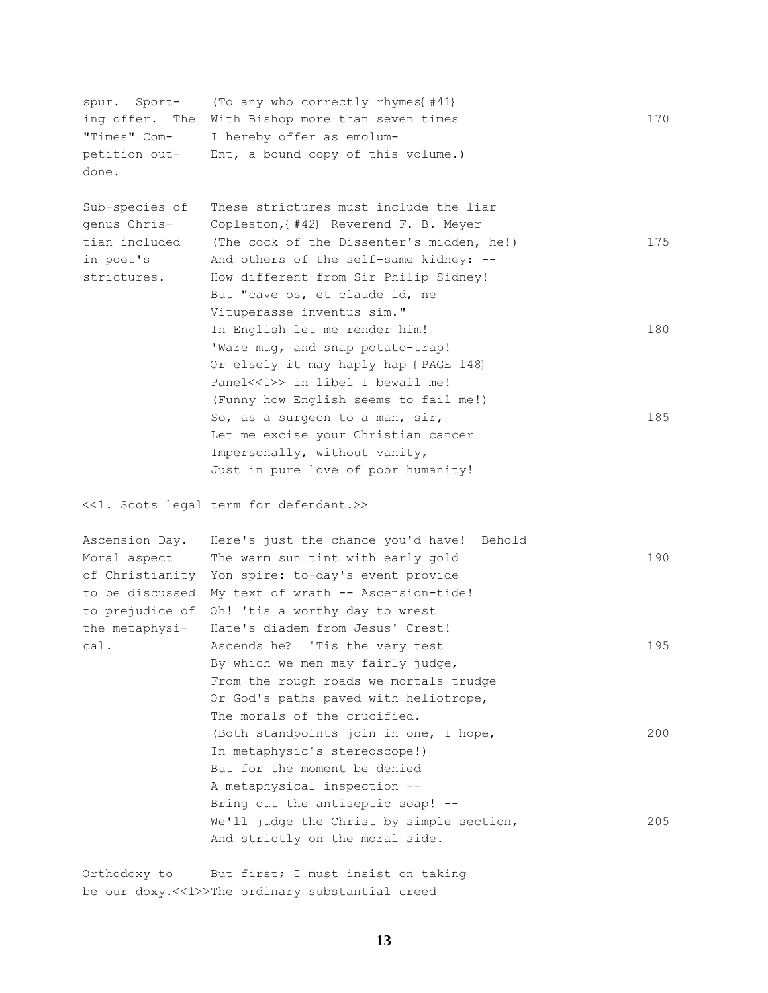| spur.<br>Sport-   | (To any who correctly rhymes{#41}            |     |
|-------------------|----------------------------------------------|-----|
| ing offer.<br>The | With Bishop more than seven times            | 170 |
| "Times" Com-      | I hereby offer as emolum-                    |     |
| petition out-     | Ent, a bound copy of this volume.)           |     |
| done.             |                                              |     |
| Sub-species of    | These strictures must include the liar       |     |
| genus Chris-      | Copleston, { #42} Reverend F. B. Meyer       |     |
| tian included     | (The cock of the Dissenter's midden, he!)    | 175 |
| in poet's         | And others of the self-same kidney: --       |     |
| strictures.       | How different from Sir Philip Sidney!        |     |
|                   | But "cave os, et claude id, ne               |     |
|                   | Vituperasse inventus sim."                   |     |
|                   | In English let me render him!                | 180 |
|                   | 'Ware mug, and snap potato-trap!             |     |
|                   | Or elsely it may haply hap { PAGE 148}       |     |
|                   | Panel<<1>> in libel I bewail me!             |     |
|                   | (Funny how English seems to fail me!)        |     |
|                   | So, as a surgeon to a man, sir,              | 185 |
|                   | Let me excise your Christian cancer          |     |
|                   | Impersonally, without vanity,                |     |
|                   | Just in pure love of poor humanity!          |     |
|                   | <<1. Scots legal term for defendant.>>       |     |
| Ascension Day.    | Here's just the chance you'd have!<br>Behold |     |
| Moral aspect      | The warm sun tint with early gold            | 190 |
| of Christianity   | Yon spire: to-day's event provide            |     |
| to be discussed   | My text of wrath -- Ascension-tide!          |     |
| to prejudice of   | Oh! 'tis a worthy day to wrest               |     |
| the metaphysi-    | Hate's diadem from Jesus' Crest!             |     |
| cal.              | Ascends he? 'Tis the very test               | 195 |
|                   | By which we men may fairly judge,            |     |
|                   | From the rough roads we mortals trudge       |     |
|                   | Or God's paths paved with heliotrope,        |     |
|                   | The morals of the crucified.                 |     |
|                   | (Both standpoints join in one, I hope,       | 200 |
|                   | In metaphysic's stereoscope!)                |     |
|                   | But for the moment be denied                 |     |
|                   | A metaphysical inspection --                 |     |
|                   | Bring out the antiseptic soap! --            |     |
|                   | We'll judge the Christ by simple section,    | 205 |
|                   | And strictly on the moral side.              |     |
| Orthodoxy to      | But first; I must insist on taking           |     |

be our doxy.<<1>>The ordinary substantial creed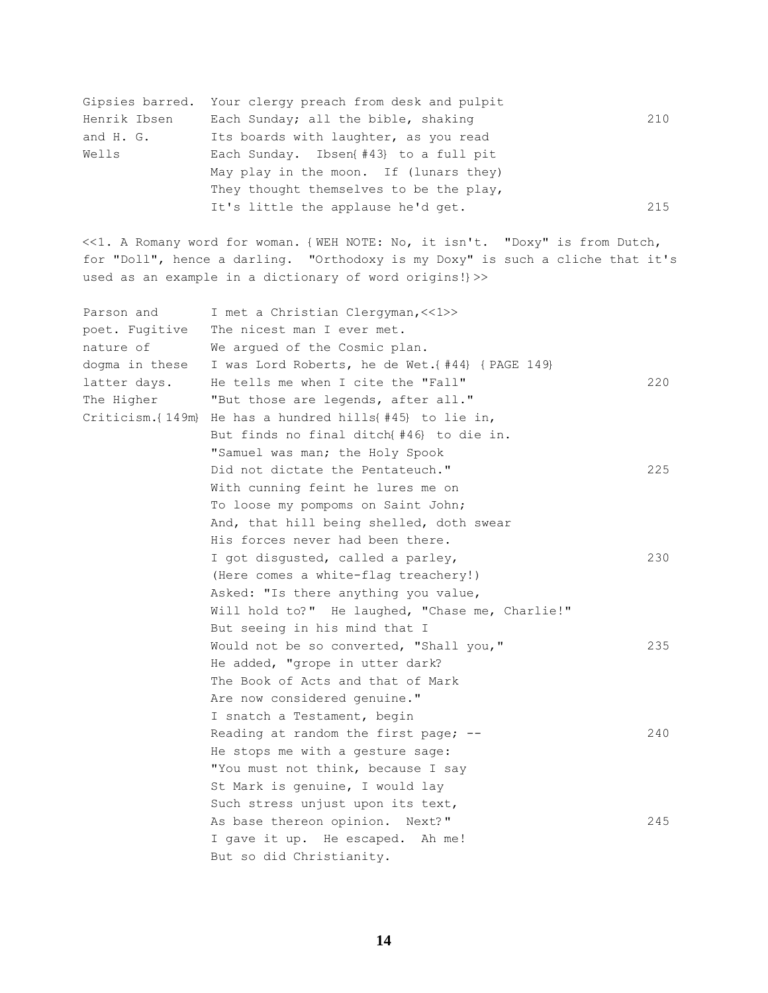|              | Gipsies barred. Your clergy preach from desk and pulpit |     |
|--------------|---------------------------------------------------------|-----|
| Henrik Ibsen | Each Sunday; all the bible, shaking                     | 210 |
| and H. G.    | Its boards with laughter, as you read                   |     |
| Wells        | Each Sunday. Ibsen{#43} to a full pit                   |     |
|              | May play in the moon. If (lunars they)                  |     |
|              | They thought themselves to be the play,                 |     |
|              | It's little the applause he'd get.                      | 215 |

<<1. A Romany word for woman. {WEH NOTE: No, it isn't. "Doxy" is from Dutch, for "Doll", hence a darling. "Orthodoxy is my Doxy" is such a cliche that it's used as an example in a dictionary of word origins!}>>

| Parson and        | I met a Christian Clergyman, << 1>>               |     |
|-------------------|---------------------------------------------------|-----|
| poet. Fugitive    | The nicest man I ever met.                        |     |
| nature of         | We arqued of the Cosmic plan.                     |     |
| dogma in these    | I was Lord Roberts, he de Wet. { #44} { PAGE 149} |     |
| latter days.      | He tells me when I cite the "Fall"                | 220 |
| The Higher        | "But those are legends, after all."               |     |
| Criticism. {149m} | He has a hundred hills $#45$ } to lie in,         |     |
|                   | But finds no final ditch{#46} to die in.          |     |
|                   | "Samuel was man; the Holy Spook                   |     |
|                   | Did not dictate the Pentateuch."                  | 225 |
|                   | With cunning feint he lures me on                 |     |
|                   | To loose my pompoms on Saint John;                |     |
|                   | And, that hill being shelled, doth swear          |     |
|                   | His forces never had been there.                  |     |
|                   | I got disgusted, called a parley,                 | 230 |
|                   | (Here comes a white-flag treachery!)              |     |
|                   | Asked: "Is there anything you value,              |     |
|                   | Will hold to?" He laughed, "Chase me, Charlie!"   |     |
|                   | But seeing in his mind that I                     |     |
|                   | Would not be so converted, "Shall you,"           | 235 |
|                   | He added, "grope in utter dark?                   |     |
|                   | The Book of Acts and that of Mark                 |     |
|                   | Are now considered genuine."                      |     |
|                   | I snatch a Testament, begin                       |     |
|                   | Reading at random the first page; --              | 240 |
|                   | He stops me with a gesture sage:                  |     |
|                   | "You must not think, because I say                |     |
|                   | St Mark is genuine, I would lay                   |     |
|                   | Such stress unjust upon its text,                 |     |
|                   | As base thereon opinion. Next?"                   | 245 |
|                   | I gave it up. He escaped. Ah me!                  |     |
|                   | But so did Christianity.                          |     |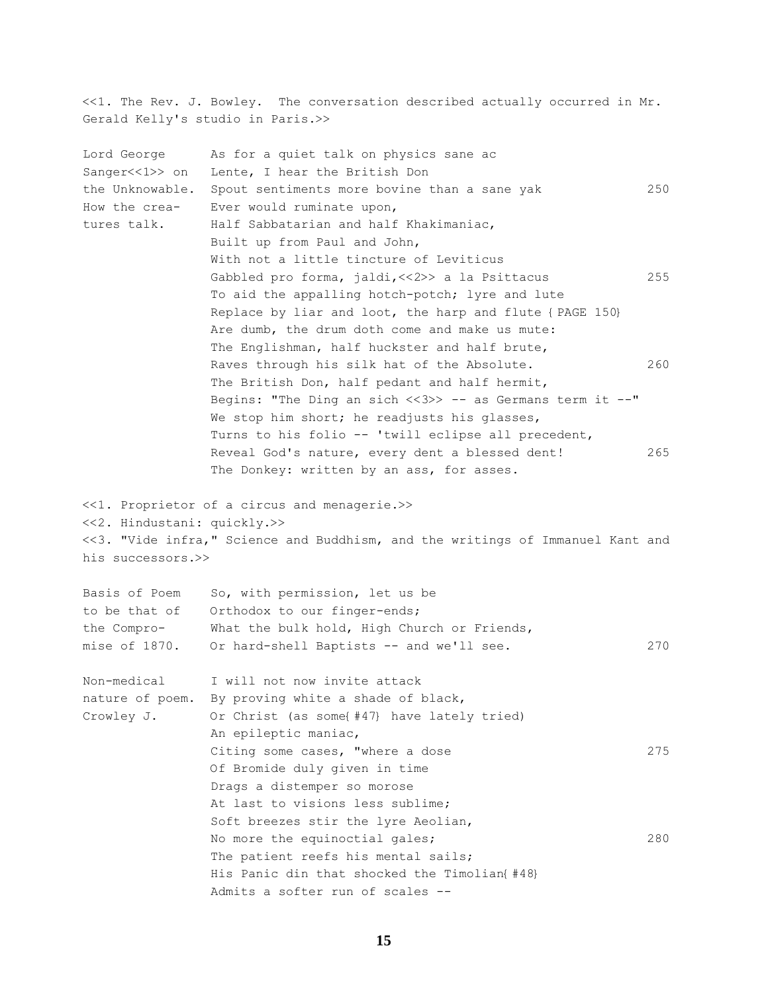<<1. The Rev. J. Bowley. The conversation described actually occurred in Mr. Gerald Kelly's studio in Paris.>>

| Lord George         | As for a quiet talk on physics sane ac                                                 |     |
|---------------------|----------------------------------------------------------------------------------------|-----|
| Sanger $\lt$ 1>> on | Lente, I hear the British Don                                                          |     |
| the Unknowable.     | Spout sentiments more bovine than a sane yak                                           | 250 |
| How the crea-       | Ever would ruminate upon,                                                              |     |
| tures talk.         | Half Sabbatarian and half Khakimaniac,                                                 |     |
|                     | Built up from Paul and John,                                                           |     |
|                     | With not a little tincture of Leviticus                                                |     |
|                     | Gabbled pro forma, jaldi, << 2>> a la Psittacus                                        | 255 |
|                     | To aid the appalling hotch-potch; lyre and lute                                        |     |
|                     | Replace by liar and loot, the harp and flute { PAGE 150}                               |     |
|                     | Are dumb, the drum doth come and make us mute:                                         |     |
|                     | The Englishman, half huckster and half brute,                                          |     |
|                     | Raves through his silk hat of the Absolute.                                            | 260 |
|                     | The British Don, half pedant and half hermit,                                          |     |
|                     | Begins: "The Ding an sich $\langle\langle 3 \rangle \rangle$ -- as Germans term it --" |     |
|                     | We stop him short; he readjusts his glasses,                                           |     |
|                     | Turns to his folio -- 'twill eclipse all precedent,                                    |     |
|                     | Reveal God's nature, every dent a blessed dent!                                        | 265 |
|                     | The Donkey: written by an ass, for asses.                                              |     |
| his successors.>>   |                                                                                        |     |
| Basis of Poem       | So, with permission, let us be                                                         |     |
| to be that of       | Orthodox to our finger-ends;                                                           |     |
| the Compro-         | What the bulk hold, High Church or Friends,                                            |     |
| mise of 1870.       | Or hard-shell Baptists -- and we'll see.                                               | 270 |
| Non-medical         | I will not now invite attack                                                           |     |
| nature of poem.     | By proving white a shade of black,                                                     |     |
| Crowley J.          | Or Christ (as some {#47} have lately tried)                                            |     |
|                     | An epileptic maniac,                                                                   |     |
|                     | Citing some cases, "where a dose                                                       | 275 |
|                     | Of Bromide duly given in time                                                          |     |
|                     | Drags a distemper so morose                                                            |     |
|                     | At last to visions less sublime;                                                       |     |
|                     | Soft breezes stir the lyre Aeolian,                                                    |     |
|                     | No more the equinoctial gales;                                                         | 280 |
|                     | The patient reefs his mental sails;                                                    |     |
|                     | His Panic din that shocked the Timolian{#48}                                           |     |
|                     | Admits a softer run of scales --                                                       |     |
|                     |                                                                                        |     |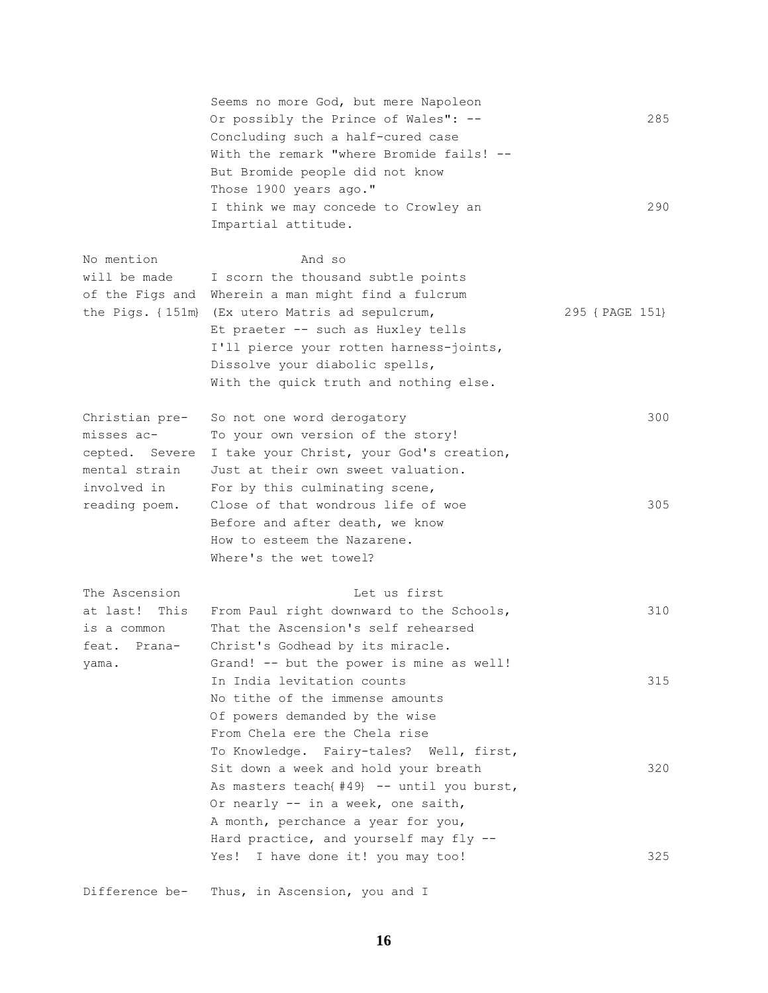|                                                                                | Seems no more God, but mere Napoleon<br>Or possibly the Prince of Wales": --<br>Concluding such a half-cured case<br>With the remark "where Bromide fails! --<br>But Bromide people did not know<br>Those 1900 years ago."<br>I think we may concede to Crowley an<br>Impartial attitude.                          | 285<br>290      |
|--------------------------------------------------------------------------------|--------------------------------------------------------------------------------------------------------------------------------------------------------------------------------------------------------------------------------------------------------------------------------------------------------------------|-----------------|
| No mention<br>will be made                                                     | And so<br>I scorn the thousand subtle points<br>of the Figs and Wherein a man might find a fulcrum<br>the Pigs. {151m} (Ex utero Matris ad sepulcrum,<br>Et praeter -- such as Huxley tells<br>I'll pierce your rotten harness-joints,<br>Dissolve your diabolic spells,<br>With the quick truth and nothing else. | 295 { PAGE 151} |
| Christian pre-<br>misses ac-<br>cepted. Severe<br>mental strain<br>involved in | So not one word derogatory<br>To your own version of the story!<br>I take your Christ, your God's creation,<br>Just at their own sweet valuation.                                                                                                                                                                  | 300             |
| reading poem.                                                                  | For by this culminating scene,<br>Close of that wondrous life of woe<br>Before and after death, we know<br>How to esteem the Nazarene.<br>Where's the wet towel?                                                                                                                                                   | 305             |
| The Ascension<br>at last!<br>This<br>is a common<br>feat. Prana-               | Let us first<br>From Paul right downward to the Schools,<br>That the Ascension's self rehearsed<br>Christ's Godhead by its miracle.                                                                                                                                                                                | 310             |
| yama.                                                                          | Grand! -- but the power is mine as well!<br>In India levitation counts<br>No tithe of the immense amounts<br>Of powers demanded by the wise<br>From Chela ere the Chela rise<br>To Knowledge. Fairy-tales? Well, first,                                                                                            | 315             |
|                                                                                | Sit down a week and hold your breath<br>As masters teach{#49} -- until you burst,<br>Or nearly -- in a week, one saith,<br>A month, perchance a year for you,<br>Hard practice, and yourself may fly --                                                                                                            | 320             |
|                                                                                | Yes! I have done it! you may too!                                                                                                                                                                                                                                                                                  | 325             |

Difference be- Thus, in Ascension, you and I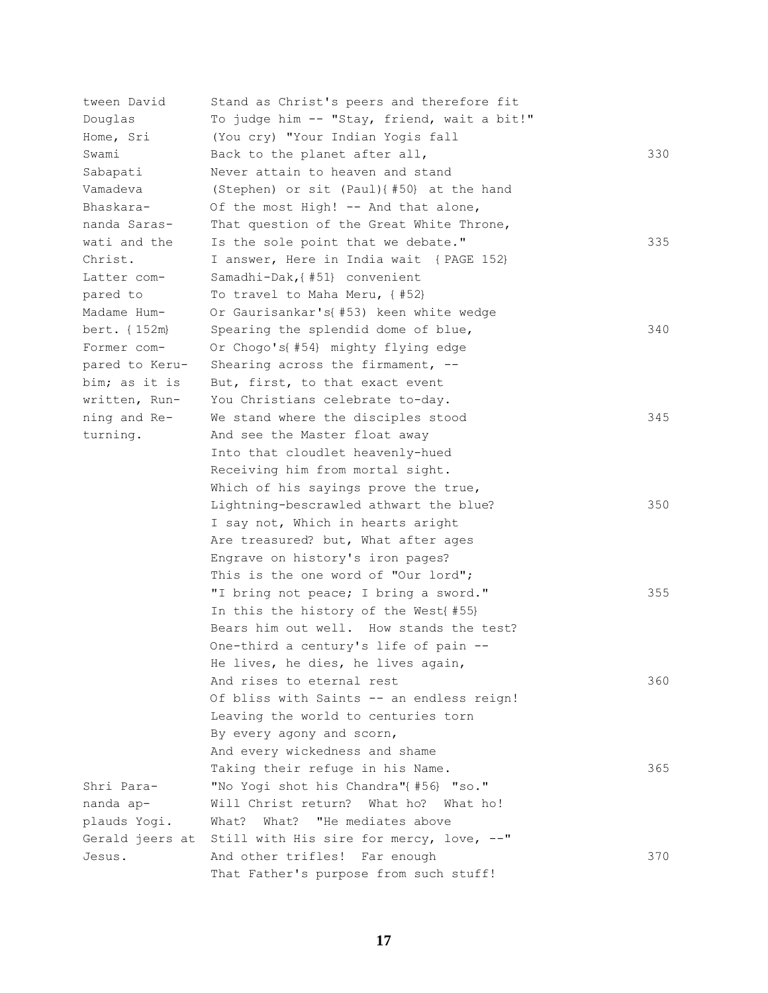| tween David     | Stand as Christ's peers and therefore fit   |     |
|-----------------|---------------------------------------------|-----|
| Douglas         | To judge him -- "Stay, friend, wait a bit!" |     |
| Home, Sri       | (You cry) "Your Indian Yogis fall           |     |
| Swami           | Back to the planet after all,               | 330 |
| Sabapati        | Never attain to heaven and stand            |     |
| Vamadeva        | (Stephen) or sit (Paul){#50} at the hand    |     |
| Bhaskara-       | Of the most High! -- And that alone,        |     |
| nanda Saras-    | That question of the Great White Throne,    |     |
| wati and the    | Is the sole point that we debate."          | 335 |
| Christ.         | I answer, Here in India wait { PAGE 152}    |     |
| Latter com-     | Samadhi-Dak, { #51} convenient              |     |
| pared to        | To travel to Maha Meru, {#52}               |     |
| Madame Hum-     | Or Gaurisankar's { #53) keen white wedge    |     |
| bert. {152m}    | Spearing the splendid dome of blue,         | 340 |
| Former com-     | Or Chogo's{#54} mighty flying edge          |     |
| pared to Keru-  | Shearing across the firmament, $-$ -        |     |
| bim; as it is   | But, first, to that exact event             |     |
| written, Run-   | You Christians celebrate to-day.            |     |
| ning and Re-    | We stand where the disciples stood          | 345 |
| turning.        | And see the Master float away               |     |
|                 | Into that cloudlet heavenly-hued            |     |
|                 | Receiving him from mortal sight.            |     |
|                 | Which of his sayings prove the true,        |     |
|                 | Lightning-bescrawled athwart the blue?      | 350 |
|                 | I say not, Which in hearts aright           |     |
|                 | Are treasured? but, What after ages         |     |
|                 | Engrave on history's iron pages?            |     |
|                 | This is the one word of "Our lord";         |     |
|                 | "I bring not peace; I bring a sword."       | 355 |
|                 | In this the history of the West{#55}        |     |
|                 | Bears him out well. How stands the test?    |     |
|                 | One-third a century's life of pain --       |     |
|                 | He lives, he dies, he lives again,          |     |
|                 | And rises to eternal rest                   | 360 |
|                 | Of bliss with Saints -- an endless reign!   |     |
|                 | Leaving the world to centuries torn         |     |
|                 | By every agony and scorn,                   |     |
|                 | And every wickedness and shame              |     |
|                 | Taking their refuge in his Name.            | 365 |
| Shri Para-      | "No Yogi shot his Chandra" { #56} "so."     |     |
| nanda ap-       | Will Christ return? What ho? What ho!       |     |
| plauds Yogi.    | What? "He mediates above<br>What?           |     |
| Gerald jeers at | Still with His sire for mercy, love, --"    |     |
| Jesus.          | And other trifles! Far enough               | 370 |
|                 | That Father's purpose from such stuff!      |     |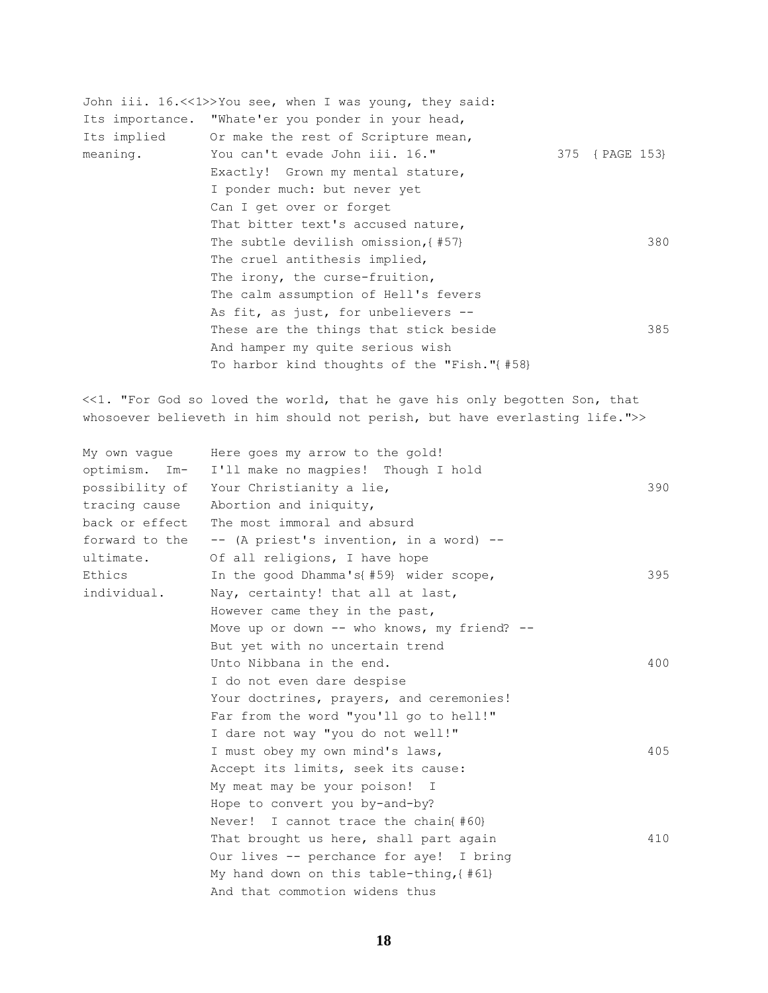|             | John iii. $16 \times 1$ >You see, when I was young, they said: |                 |     |
|-------------|----------------------------------------------------------------|-----------------|-----|
|             | Its importance. "Whate'er you ponder in your head,             |                 |     |
| Its implied | Or make the rest of Scripture mean,                            |                 |     |
| meaning.    | You can't evade John iii. 16."                                 | 375 { PAGE 153} |     |
|             | Exactly! Grown my mental stature,                              |                 |     |
|             | I ponder much: but never yet                                   |                 |     |
|             | Can I get over or forget                                       |                 |     |
|             | That bitter text's accused nature,                             |                 |     |
|             | The subtle devilish omission, {#57}                            |                 | 380 |
|             | The cruel antithesis implied,                                  |                 |     |
|             | The irony, the curse-fruition,                                 |                 |     |
|             | The calm assumption of Hell's fevers                           |                 |     |
|             | As fit, as just, for unbelievers --                            |                 |     |
|             | These are the things that stick beside                         |                 | 385 |
|             | And hamper my quite serious wish                               |                 |     |
|             | To harbor kind thoughts of the "Fish." {#58}                   |                 |     |
|             |                                                                |                 |     |

<<1. "For God so loved the world, that he gave his only begotten Son, that whosoever believeth in him should not perish, but have everlasting life.">>

| My own vaque   | Here goes my arrow to the gold!                  |     |
|----------------|--------------------------------------------------|-----|
| optimism. Im-  | I'll make no magpies! Though I hold              |     |
| possibility of | Your Christianity a lie,                         | 390 |
| tracing cause  | Abortion and iniquity,                           |     |
| back or effect | The most immoral and absurd                      |     |
| forward to the | -- (A priest's invention, in a word) --          |     |
| ultimate.      | Of all religions, I have hope                    |     |
| Ethics         | In the good Dhamma's #59} wider scope,           | 395 |
| individual.    | Nay, certainty! that all at last,                |     |
|                | However came they in the past,                   |     |
|                | Move up or down $--$ who knows, my friend? $--$  |     |
|                | But yet with no uncertain trend                  |     |
|                | Unto Nibbana in the end.                         | 400 |
|                | I do not even dare despise                       |     |
|                | Your doctrines, prayers, and ceremonies!         |     |
|                | Far from the word "you'll go to hell!"           |     |
|                | I dare not way "you do not well!"                |     |
|                | I must obey my own mind's laws,                  | 405 |
|                | Accept its limits, seek its cause:               |     |
|                | My meat may be your poison! I                    |     |
|                | Hope to convert you by-and-by?                   |     |
|                | Never! I cannot trace the chain #60}             |     |
|                | That brought us here, shall part again           | 410 |
|                | Our lives -- perchance for aye! I bring          |     |
|                | My hand down on this table-thing, $\{ \pm 61 \}$ |     |
|                | And that commotion widens thus                   |     |
|                |                                                  |     |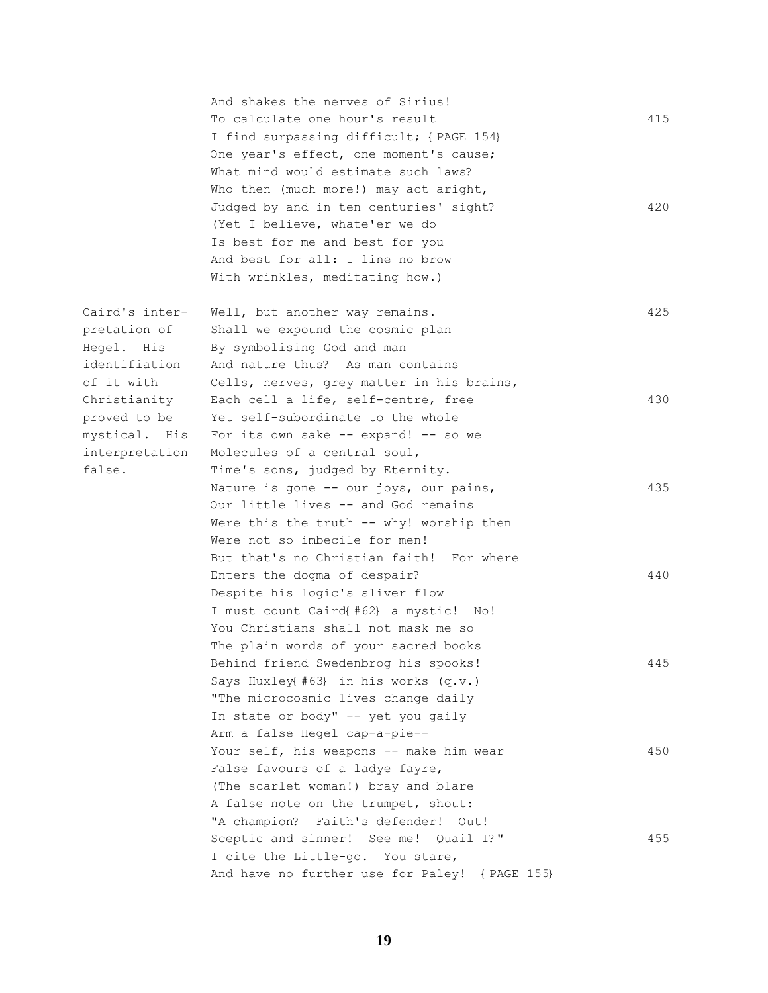|                | And shakes the nerves of Sirius!               |     |
|----------------|------------------------------------------------|-----|
|                | To calculate one hour's result                 | 415 |
|                | I find surpassing difficult; { PAGE 154}       |     |
|                | One year's effect, one moment's cause;         |     |
|                | What mind would estimate such laws?            |     |
|                | Who then (much more!) may act aright,          |     |
|                | Judged by and in ten centuries' sight?         | 420 |
|                | (Yet I believe, whate'er we do                 |     |
|                | Is best for me and best for you                |     |
|                | And best for all: I line no brow               |     |
|                | With wrinkles, meditating how.)                |     |
| Caird's inter- | Well, but another way remains.                 | 425 |
| pretation of   | Shall we expound the cosmic plan               |     |
| Hegel. His     | By symbolising God and man                     |     |
| identifiation  | And nature thus? As man contains               |     |
| of it with     | Cells, nerves, grey matter in his brains,      |     |
| Christianity   | Each cell a life, self-centre, free            | 430 |
| proved to be   | Yet self-subordinate to the whole              |     |
| mystical. His  | For its own sake -- expand! -- so we           |     |
| interpretation | Molecules of a central soul,                   |     |
| false.         | Time's sons, judged by Eternity.               |     |
|                | Nature is gone -- our joys, our pains,         | 435 |
|                | Our little lives -- and God remains            |     |
|                | Were this the truth -- why! worship then       |     |
|                | Were not so imbecile for men!                  |     |
|                | But that's no Christian faith! For where       |     |
|                | Enters the dogma of despair?                   | 440 |
|                | Despite his logic's sliver flow                |     |
|                | I must count Caird{#62} a mystic!<br>No!       |     |
|                | You Christians shall not mask me so            |     |
|                | The plain words of your sacred books           |     |
|                | Behind friend Swedenbrog his spooks!           | 445 |
|                | Says Huxley{#63} in his works (q.v.)           |     |
|                | "The microcosmic lives change daily            |     |
|                | In state or body" -- yet you gaily             |     |
|                | Arm a false Hegel cap-a-pie--                  |     |
|                | Your self, his weapons -- make him wear        | 450 |
|                | False favours of a ladye fayre,                |     |
|                | (The scarlet woman!) bray and blare            |     |
|                | A false note on the trumpet, shout:            |     |
|                | "A champion? Faith's defender! Out!            |     |
|                | Sceptic and sinner! See me! Quail I?"          | 455 |
|                | I cite the Little-go. You stare,               |     |
|                | And have no further use for Paley! { PAGE 155} |     |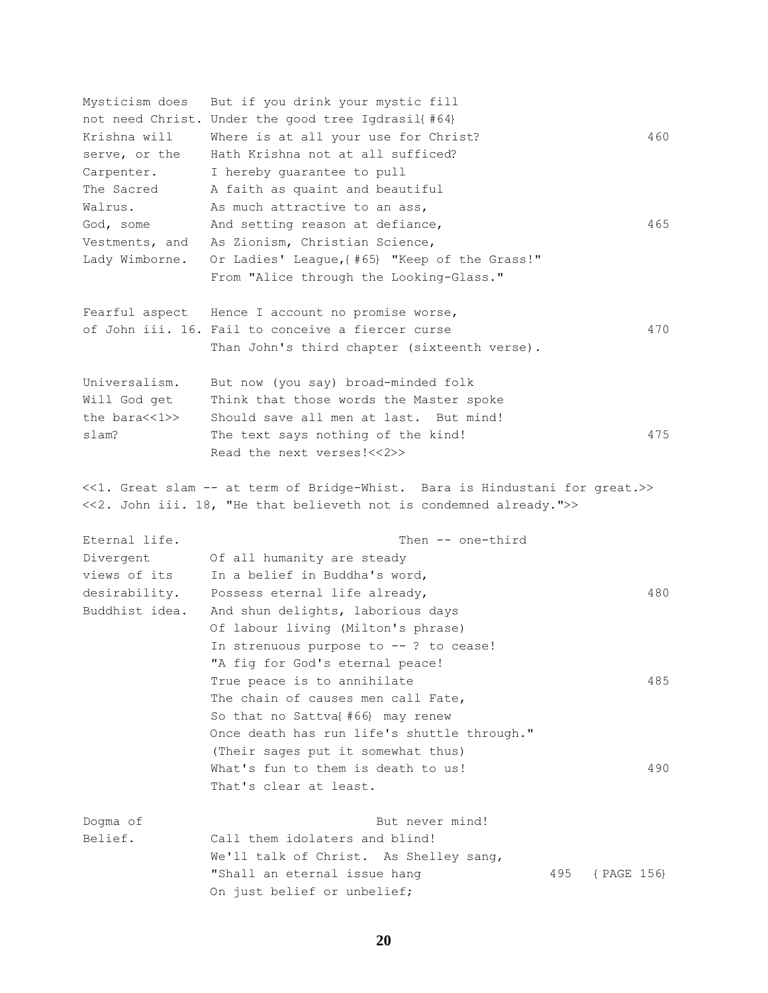| Mysticism does<br>Krishna will                          | But if you drink your mystic fill<br>not need Christ. Under the good tree Igdrasil{#64}<br>Where is at all your use for Christ?                                                            |     |             | 460 |
|---------------------------------------------------------|--------------------------------------------------------------------------------------------------------------------------------------------------------------------------------------------|-----|-------------|-----|
| serve, or the<br>Carpenter.<br>The Sacred<br>Walrus.    | Hath Krishna not at all sufficed?<br>I hereby guarantee to pull<br>A faith as quaint and beautiful<br>As much attractive to an ass,                                                        |     |             |     |
| God, some<br>Vestments, and<br>Lady Wimborne.           | And setting reason at defiance,<br>As Zionism, Christian Science,<br>Or Ladies' League, {#65} "Keep of the Grass!"<br>From "Alice through the Looking-Glass."                              |     |             | 465 |
| Fearful aspect                                          | Hence I account no promise worse,<br>of John iii. 16. Fail to conceive a fiercer curse<br>Than John's third chapter (sixteenth verse).                                                     |     |             | 470 |
| Universalism.<br>Will God get<br>the bara<<1>><br>slam? | But now (you say) broad-minded folk<br>Think that those words the Master spoke<br>Should save all men at last. But mind!<br>The text says nothing of the kind!                             |     |             | 475 |
|                                                         | Read the next verses!<<2>>                                                                                                                                                                 |     |             |     |
|                                                         | <<1. Great slam -- at term of Bridge-Whist. Bara is Hindustani for great.>><br><<2. John iii. 18, "He that believeth not is condemned already.">>                                          |     |             |     |
| Eternal life.                                           | Then -- one-third                                                                                                                                                                          |     |             |     |
| Divergent<br>views of its                               | Of all humanity are steady<br>In a belief in Buddha's word,                                                                                                                                |     |             |     |
| desirability.<br>Buddhist idea.                         | Possess eternal life already,<br>And shun delights, laborious days<br>Of labour living (Milton's phrase)<br>In strenuous purpose to --? to cease!<br>"A fig for God's eternal peace!       |     |             | 480 |
|                                                         | True peace is to annihilate<br>The chain of causes men call Fate,<br>So that no Sattva{#66} may renew<br>Once death has run life's shuttle through."<br>(Their sages put it somewhat thus) |     |             | 485 |
|                                                         | What's fun to them is death to us!<br>That's clear at least.                                                                                                                               |     |             | 490 |
| Dogma of<br>Belief.                                     | But never mind!<br>Call them idolaters and blind!<br>We'll talk of Christ. As Shelley sang,                                                                                                |     |             |     |
|                                                         | "Shall an eternal issue hang<br>On just belief or unbelief;                                                                                                                                | 495 | { PAGE 156} |     |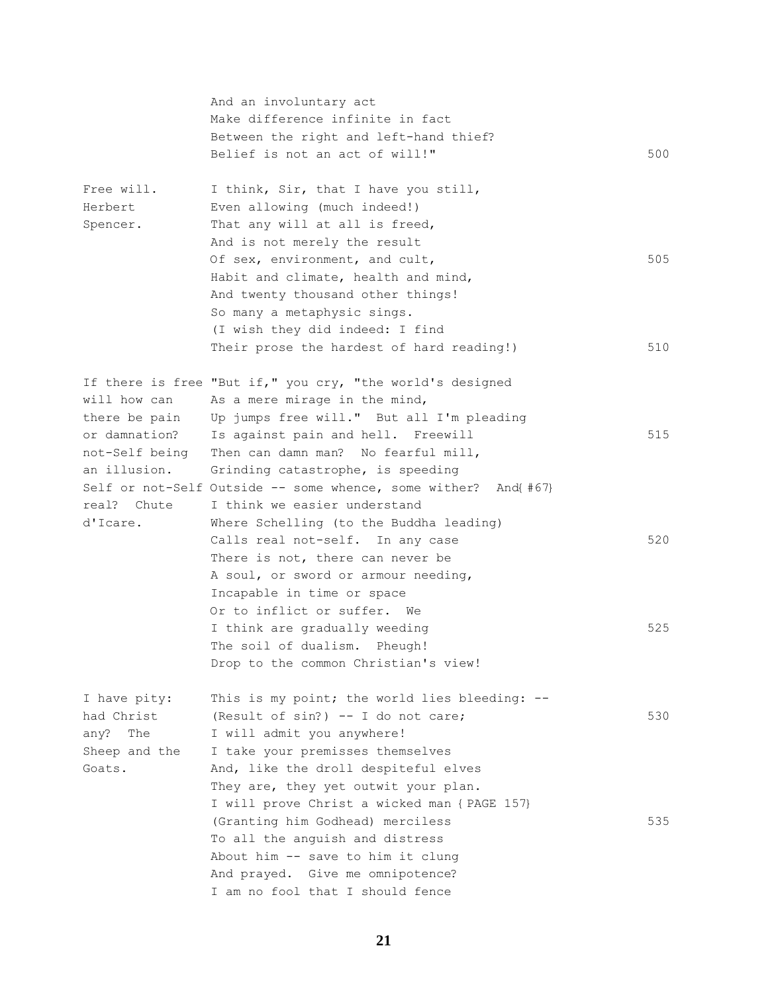|                       | And an involuntary act<br>Make difference infinite in fact<br>Between the right and left-hand thief? |     |
|-----------------------|------------------------------------------------------------------------------------------------------|-----|
|                       | Belief is not an act of will!"                                                                       | 500 |
| Free will.<br>Herbert | I think, Sir, that I have you still,<br>Even allowing (much indeed!)                                 |     |
| Spencer.              | That any will at all is freed,                                                                       |     |
|                       | And is not merely the result                                                                         |     |
|                       | Of sex, environment, and cult,                                                                       | 505 |
|                       | Habit and climate, health and mind,                                                                  |     |
|                       | And twenty thousand other things!                                                                    |     |
|                       | So many a metaphysic sings.                                                                          |     |
|                       | (I wish they did indeed: I find                                                                      |     |
|                       | Their prose the hardest of hard reading!)                                                            | 510 |
|                       | If there is free "But if," you cry, "the world's designed                                            |     |
| will how can          | As a mere mirage in the mind,                                                                        |     |
| there be pain         | Up jumps free will." But all I'm pleading                                                            |     |
| or damnation?         | Is against pain and hell. Freewill                                                                   | 515 |
| not-Self being        | Then can damn man? No fearful mill,                                                                  |     |
| an illusion.          | Grinding catastrophe, is speeding                                                                    |     |
|                       | Self or not-Self Outside -- some whence, some wither? And{#67}                                       |     |
| real? Chute           | I think we easier understand                                                                         |     |
| d'Icare.              | Where Schelling (to the Buddha leading)                                                              |     |
|                       | Calls real not-self. In any case                                                                     | 520 |
|                       | There is not, there can never be                                                                     |     |
|                       | A soul, or sword or armour needing,                                                                  |     |
|                       | Incapable in time or space                                                                           |     |
|                       | Or to inflict or suffer. We                                                                          |     |
|                       | I think are gradually weeding                                                                        | 525 |
|                       | The soil of dualism. Pheugh!                                                                         |     |
|                       | Drop to the common Christian's view!                                                                 |     |
| I have pity:          | This is my point; the world lies bleeding: --                                                        |     |
| had Christ            | (Result of sin?) -- I do not care;                                                                   | 530 |
| any?<br>The           | I will admit you anywhere!                                                                           |     |
| Sheep and the         | I take your premisses themselves                                                                     |     |
| Goats.                | And, like the droll despiteful elves                                                                 |     |
|                       | They are, they yet outwit your plan.                                                                 |     |
|                       | I will prove Christ a wicked man { PAGE 157}                                                         |     |
|                       | (Granting him Godhead) merciless                                                                     | 535 |
|                       | To all the anguish and distress                                                                      |     |
|                       | About him -- save to him it clung                                                                    |     |
|                       | And prayed. Give me omnipotence?                                                                     |     |
|                       | I am no fool that I should fence                                                                     |     |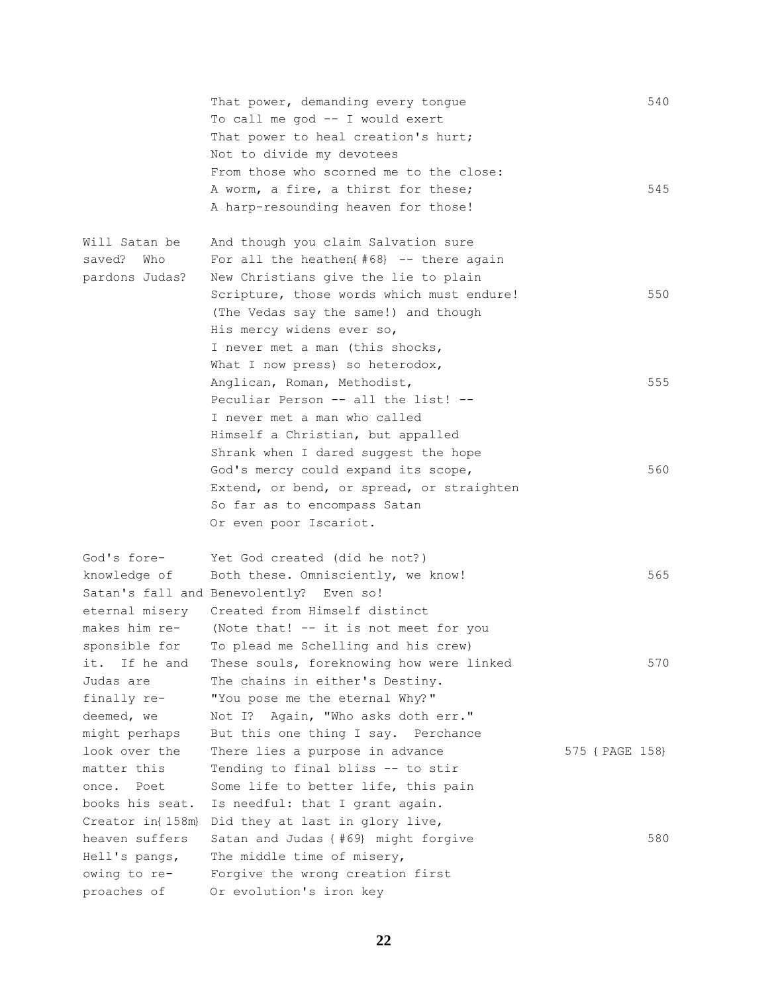|                                                                                                       | That power, demanding every tongue<br>To call me god -- I would exert<br>That power to heal creation's hurt;<br>Not to divide my devotees<br>From those who scorned me to the close:<br>A worm, a fire, a thirst for these;<br>A harp-resounding heaven for those!                 | 540<br>545      |
|-------------------------------------------------------------------------------------------------------|------------------------------------------------------------------------------------------------------------------------------------------------------------------------------------------------------------------------------------------------------------------------------------|-----------------|
| Will Satan be<br>saved?<br>Who<br>pardons Judas?                                                      | And though you claim Salvation sure<br>For all the heathen $\{ 468 \}$ -- there again<br>New Christians give the lie to plain<br>Scripture, those words which must endure!<br>(The Vedas say the same!) and though<br>His mercy widens ever so,<br>I never met a man (this shocks, | 550             |
|                                                                                                       | What I now press) so heterodox,<br>Anglican, Roman, Methodist,<br>Peculiar Person -- all the list! --<br>I never met a man who called                                                                                                                                              | 555             |
|                                                                                                       | Himself a Christian, but appalled<br>Shrank when I dared suggest the hope<br>God's mercy could expand its scope,<br>Extend, or bend, or spread, or straighten<br>So far as to encompass Satan<br>Or even poor Iscariot.                                                            | 560             |
| God's fore-<br>knowledge of                                                                           | Yet God created (did he not?)<br>Both these. Omnisciently, we know!<br>Satan's fall and Benevolently? Even so!                                                                                                                                                                     | 565             |
| eternal misery<br>makes him re-<br>sponsible for<br>it. If he and<br>Judas are<br>finally re-         | Created from Himself distinct<br>(Note that! $--$ it is not meet for you<br>To plead me Schelling and his crew)<br>These souls, foreknowing how were linked<br>The chains in either's Destiny.<br>"You pose me the eternal Why?"                                                   | 570             |
| deemed, we<br>might perhaps<br>look over the<br>matter this<br>Poet<br>once.                          | Not I? Again, "Who asks doth err."<br>But this one thing I say. Perchance<br>There lies a purpose in advance<br>Tending to final bliss -- to stir<br>Some life to better life, this pain                                                                                           | 575 { PAGE 158} |
| books his seat.<br>Creator in{158m}<br>heaven suffers<br>Hell's pangs,<br>owing to re-<br>proaches of | Is needful: that I grant again.<br>Did they at last in glory live,<br>Satan and Judas {#69} might forgive<br>The middle time of misery,<br>Forgive the wrong creation first<br>Or evolution's iron key                                                                             | 580             |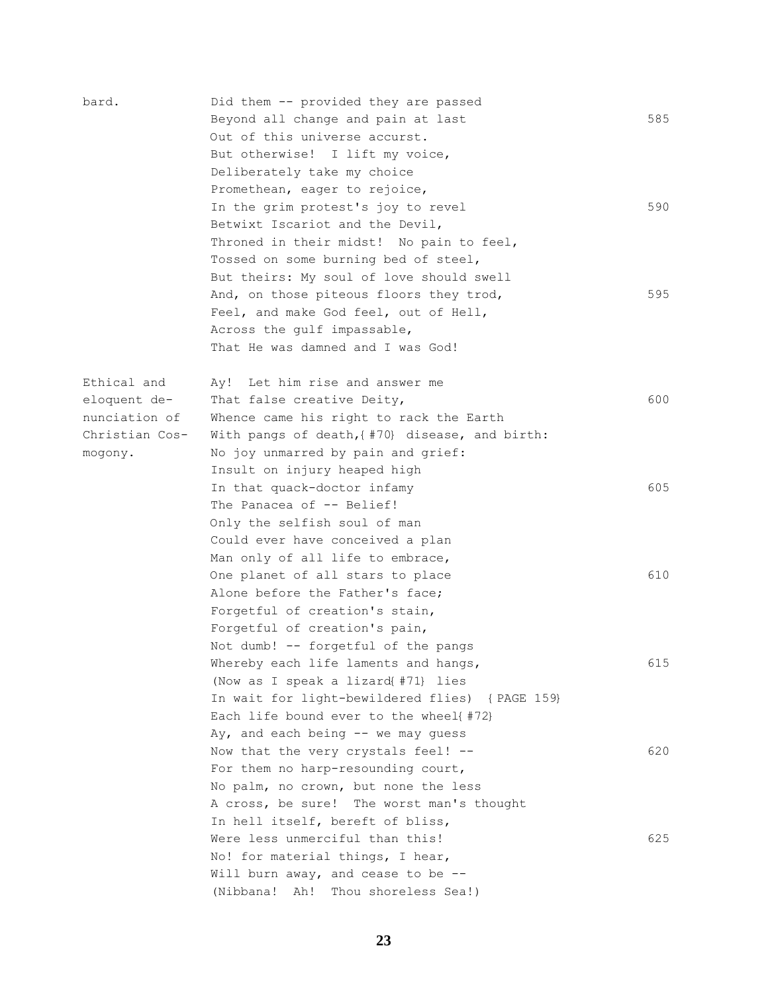| bard.          | Did them -- provided they are passed            |     |
|----------------|-------------------------------------------------|-----|
|                | Beyond all change and pain at last              | 585 |
|                | Out of this universe accurst.                   |     |
|                | But otherwise! I lift my voice,                 |     |
|                | Deliberately take my choice                     |     |
|                | Promethean, eager to rejoice,                   |     |
|                | In the grim protest's joy to revel              | 590 |
|                | Betwixt Iscariot and the Devil,                 |     |
|                | Throned in their midst! No pain to feel,        |     |
|                | Tossed on some burning bed of steel,            |     |
|                | But theirs: My soul of love should swell        |     |
|                | And, on those piteous floors they trod,         | 595 |
|                | Feel, and make God feel, out of Hell,           |     |
|                |                                                 |     |
|                | Across the gulf impassable,                     |     |
|                | That He was damned and I was God!               |     |
| Ethical and    | Ay! Let him rise and answer me                  |     |
| eloquent de-   | That false creative Deity,                      | 600 |
| nunciation of  | Whence came his right to rack the Earth         |     |
| Christian Cos- |                                                 |     |
|                | With pangs of death, {#70} disease, and birth:  |     |
| mogony.        | No joy unmarred by pain and grief:              |     |
|                | Insult on injury heaped high                    |     |
|                | In that quack-doctor infamy                     | 605 |
|                | The Panacea of -- Belief!                       |     |
|                | Only the selfish soul of man                    |     |
|                | Could ever have conceived a plan                |     |
|                | Man only of all life to embrace,                |     |
|                | One planet of all stars to place                | 610 |
|                | Alone before the Father's face;                 |     |
|                | Forgetful of creation's stain,                  |     |
|                | Forgetful of creation's pain,                   |     |
|                | Not dumb! -- forgetful of the pangs             |     |
|                | Whereby each life laments and hangs,            | 615 |
|                | (Now as I speak a lizard{#71} lies              |     |
|                | In wait for light-bewildered flies) { PAGE 159} |     |
|                | Each life bound ever to the wheel [#72]         |     |
|                | Ay, and each being -- we may guess              |     |
|                | Now that the very crystals feel! --             | 620 |
|                | For them no harp-resounding court,              |     |
|                | No palm, no crown, but none the less            |     |
|                | A cross, be sure! The worst man's thought       |     |
|                | In hell itself, bereft of bliss,                |     |
|                | Were less unmerciful than this!                 | 625 |
|                | No! for material things, I hear,                |     |
|                | Will burn away, and cease to be $-$ -           |     |
|                | (Nibbana! Ah!<br>Thou shoreless Sea!)           |     |
|                |                                                 |     |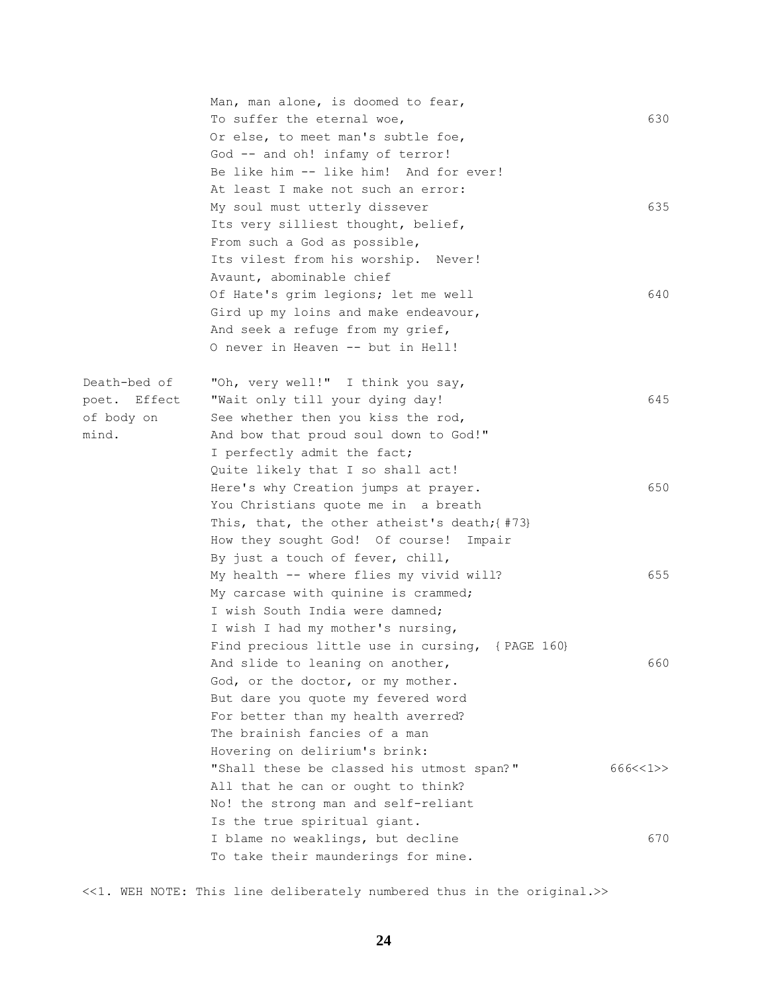|                                                     | Man, man alone, is doomed to fear,<br>To suffer the eternal woe,<br>Or else, to meet man's subtle foe,<br>God -- and oh! infamy of terror!<br>Be like him -- like him! And for ever!<br>At least I make not such an error:<br>My soul must utterly dissever<br>Its very silliest thought, belief,<br>From such a God as possible,<br>Its vilest from his worship. Never!<br>Avaunt, abominable chief<br>Of Hate's grim legions; let me well<br>Gird up my loins and make endeavour,<br>And seek a refuge from my grief,<br>O never in Heaven -- but in Hell! | 630<br>635<br>640 |
|-----------------------------------------------------|--------------------------------------------------------------------------------------------------------------------------------------------------------------------------------------------------------------------------------------------------------------------------------------------------------------------------------------------------------------------------------------------------------------------------------------------------------------------------------------------------------------------------------------------------------------|-------------------|
| Death-bed of<br>poet. Effect<br>of body on<br>mind. | "Oh, very well!" I think you say,<br>"Wait only till your dying day!<br>See whether then you kiss the rod,<br>And bow that proud soul down to God!"<br>I perfectly admit the fact;                                                                                                                                                                                                                                                                                                                                                                           | 645               |
|                                                     | Quite likely that I so shall act!<br>Here's why Creation jumps at prayer.<br>You Christians quote me in a breath<br>This, that, the other atheist's death; {#73}<br>How they sought God! Of course!<br>Impair                                                                                                                                                                                                                                                                                                                                                | 650               |
|                                                     | By just a touch of fever, chill,<br>My health -- where flies my vivid will?<br>My carcase with quinine is crammed;<br>I wish South India were damned;<br>I wish I had my mother's nursing,<br>Find precious little use in cursing, { PAGE 160}                                                                                                                                                                                                                                                                                                               | 655               |
|                                                     | And slide to leaning on another,<br>God, or the doctor, or my mother.<br>But dare you quote my fevered word<br>For better than my health averred?<br>The brainish fancies of a man<br>Hovering on delirium's brink:                                                                                                                                                                                                                                                                                                                                          | 660               |
|                                                     | "Shall these be classed his utmost span?"<br>All that he can or ought to think?<br>No! the strong man and self-reliant<br>Is the true spiritual giant.                                                                                                                                                                                                                                                                                                                                                                                                       | 666 < 1>>         |
|                                                     | I blame no weaklings, but decline<br>To take their maunderings for mine.                                                                                                                                                                                                                                                                                                                                                                                                                                                                                     | 670               |

<<1. WEH NOTE: This line deliberately numbered thus in the original.>>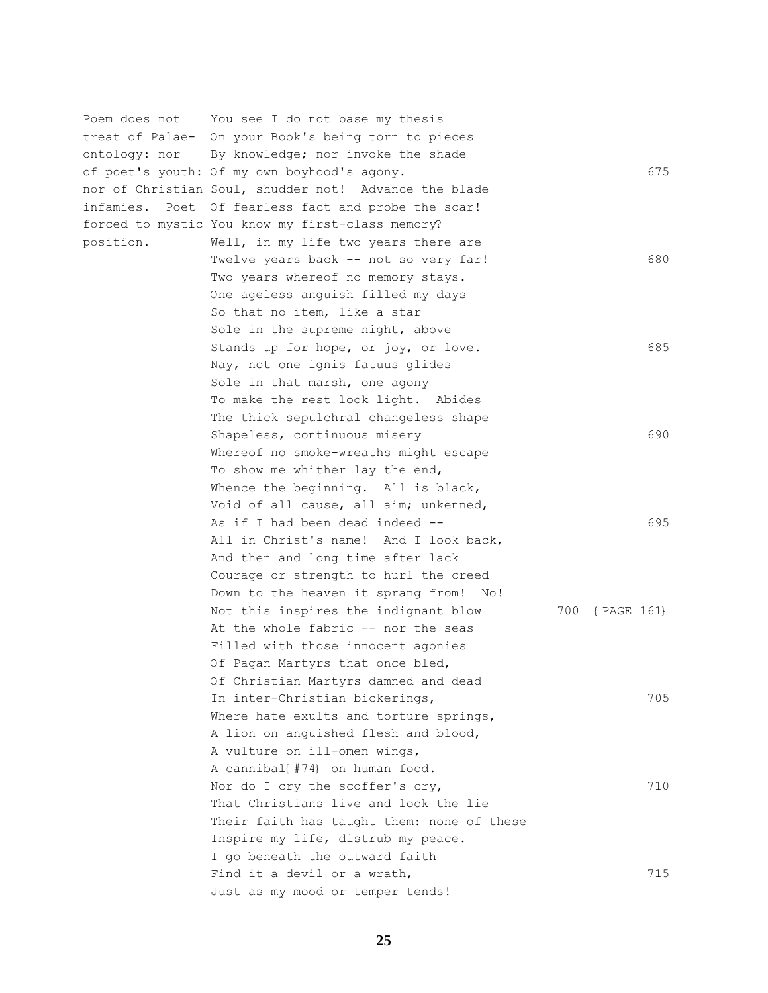| Poem does not | You see I do not base my thesis                       |                 |
|---------------|-------------------------------------------------------|-----------------|
|               | treat of Palae- On your Book's being torn to pieces   |                 |
| ontology: nor | By knowledge; nor invoke the shade                    |                 |
|               | of poet's youth: Of my own boyhood's agony.           | 675             |
|               | nor of Christian Soul, shudder not! Advance the blade |                 |
|               | infamies. Poet Of fearless fact and probe the scar!   |                 |
|               | forced to mystic You know my first-class memory?      |                 |
| position.     | Well, in my life two years there are                  |                 |
|               | Twelve years back -- not so very far!                 | 680             |
|               | Two years whereof no memory stays.                    |                 |
|               | One ageless anguish filled my days                    |                 |
|               | So that no item, like a star                          |                 |
|               | Sole in the supreme night, above                      |                 |
|               | Stands up for hope, or joy, or love.                  | 685             |
|               | Nay, not one ignis fatuus glides                      |                 |
|               | Sole in that marsh, one agony                         |                 |
|               | To make the rest look light. Abides                   |                 |
|               | The thick sepulchral changeless shape                 |                 |
|               | Shapeless, continuous misery                          | 690             |
|               | Whereof no smoke-wreaths might escape                 |                 |
|               | To show me whither lay the end,                       |                 |
|               | Whence the beginning. All is black,                   |                 |
|               | Void of all cause, all aim; unkenned,                 |                 |
|               | As if I had been dead indeed --                       | 695             |
|               | All in Christ's name! And I look back,                |                 |
|               | And then and long time after lack                     |                 |
|               | Courage or strength to hurl the creed                 |                 |
|               | Down to the heaven it sprang from! No!                |                 |
|               | Not this inspires the indignant blow                  | 700 { PAGE 161} |
|               | At the whole fabric -- nor the seas                   |                 |
|               | Filled with those innocent agonies                    |                 |
|               | Of Pagan Martyrs that once bled,                      |                 |
|               | Of Christian Martyrs damned and dead                  |                 |
|               | In inter-Christian bickerings,                        | 705             |
|               | Where hate exults and torture springs,                |                 |
|               | A lion on anguished flesh and blood,                  |                 |
|               | A vulture on ill-omen wings,                          |                 |
|               | A cannibal{#74} on human food.                        |                 |
|               | Nor do I cry the scoffer's cry,                       | 710             |
|               | That Christians live and look the lie                 |                 |
|               | Their faith has taught them: none of these            |                 |
|               | Inspire my life, distrub my peace.                    |                 |
|               | I go beneath the outward faith                        |                 |
|               | Find it a devil or a wrath,                           | 715             |
|               | Just as my mood or temper tends!                      |                 |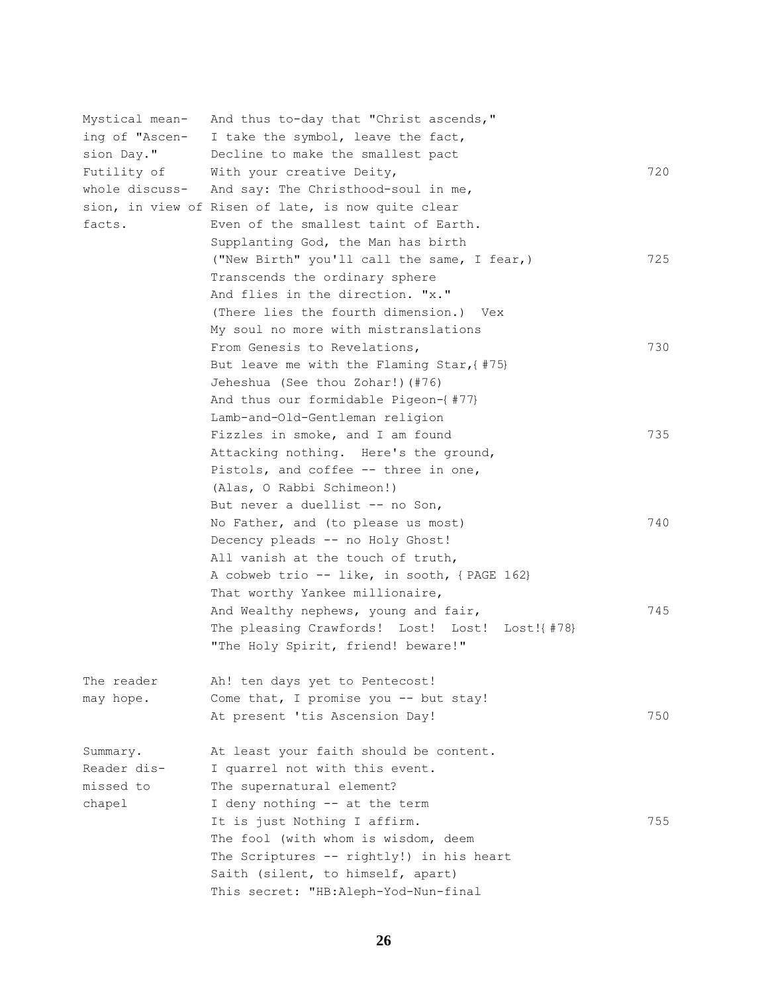|                | Mystical mean- And thus to-day that "Christ ascends,"  |     |
|----------------|--------------------------------------------------------|-----|
| ing of "Ascen- | I take the symbol, leave the fact,                     |     |
| sion Day."     | Decline to make the smallest pact                      |     |
| Futility of    | With your creative Deity,                              | 720 |
| whole discuss- | And say: The Christhood-soul in me,                    |     |
|                | sion, in view of Risen of late, is now quite clear     |     |
| facts.         | Even of the smallest taint of Earth.                   |     |
|                | Supplanting God, the Man has birth                     |     |
|                | ("New Birth" you'll call the same, I fear,)            | 725 |
|                | Transcends the ordinary sphere                         |     |
|                | And flies in the direction. "x."                       |     |
|                | (There lies the fourth dimension.) Vex                 |     |
|                | My soul no more with mistranslations                   |     |
|                | From Genesis to Revelations,                           | 730 |
|                | But leave me with the Flaming Star, {#75}              |     |
|                | Jeheshua (See thou Zohar!) (#76)                       |     |
|                | And thus our formidable Pigeon-{#77}                   |     |
|                | Lamb-and-Old-Gentleman religion                        |     |
|                | Fizzles in smoke, and I am found                       | 735 |
|                | Attacking nothing. Here's the ground,                  |     |
|                | Pistols, and coffee -- three in one,                   |     |
|                | (Alas, O Rabbi Schimeon!)                              |     |
|                | But never a duellist -- no Son,                        |     |
|                | No Father, and (to please us most)                     | 740 |
|                | Decency pleads -- no Holy Ghost!                       |     |
|                | All vanish at the touch of truth,                      |     |
|                | A cobweb trio -- like, in sooth, { PAGE 162}           |     |
|                | That worthy Yankee millionaire,                        |     |
|                | And Wealthy nephews, young and fair,                   | 745 |
|                | The pleasing Crawfords! Lost! Lost!<br>Lost! $\{478\}$ |     |
|                | "The Holy Spirit, friend! beware!"                     |     |
| The reader     | Ah! ten days yet to Pentecost!                         |     |
| may hope.      | Come that, I promise you -- but stay!                  |     |
|                | At present 'tis Ascension Day!                         | 750 |
| Summary.       | At least your faith should be content.                 |     |
| Reader dis-    | I quarrel not with this event.                         |     |
| missed to      | The supernatural element?                              |     |
| chapel         | I deny nothing -- at the term                          |     |
|                | It is just Nothing I affirm.                           | 755 |
|                | The fool (with whom is wisdom, deem                    |     |
|                | The Scriptures -- rightly!) in his heart               |     |
|                | Saith (silent, to himself, apart)                      |     |
|                | This secret: "HB:Aleph-Yod-Nun-final                   |     |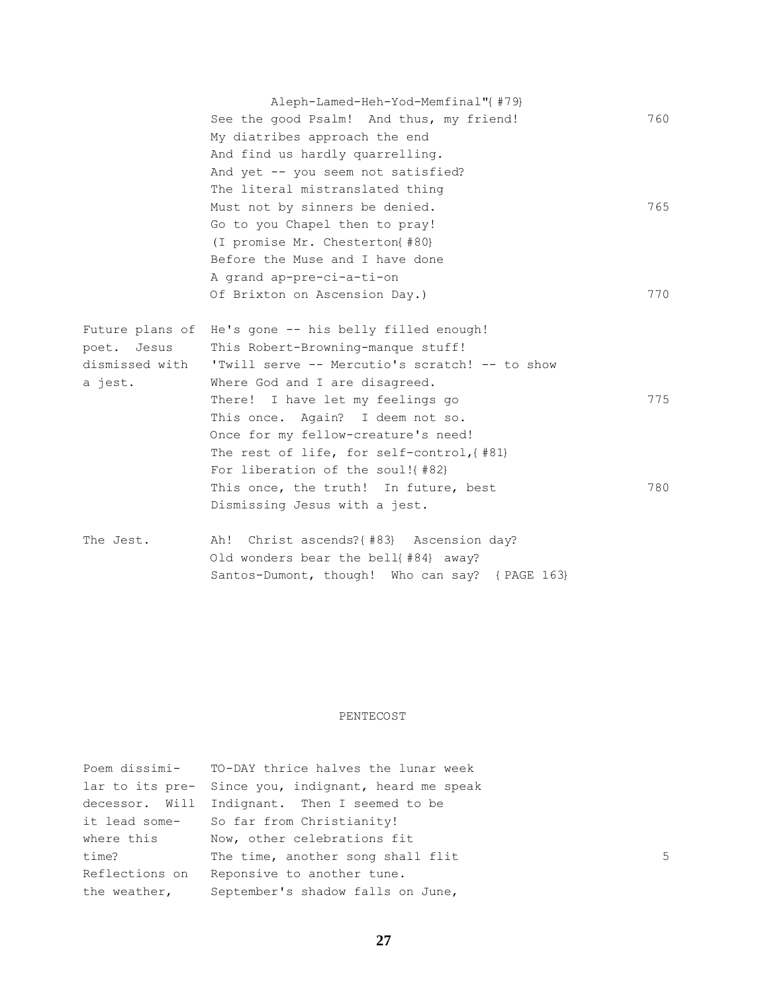| Aleph-Lamed-Heh-Yod-Memfinal"{#79}        |                                                                                                                                                                   |
|-------------------------------------------|-------------------------------------------------------------------------------------------------------------------------------------------------------------------|
| See the good Psalm! And thus, my friend!  | 760                                                                                                                                                               |
| My diatribes approach the end             |                                                                                                                                                                   |
| And find us hardly quarrelling.           |                                                                                                                                                                   |
| And yet -- you seem not satisfied?        |                                                                                                                                                                   |
| The literal mistranslated thing           |                                                                                                                                                                   |
| Must not by sinners be denied.            | 765                                                                                                                                                               |
| Go to you Chapel then to pray!            |                                                                                                                                                                   |
| (I promise Mr. Chesterton{#80}            |                                                                                                                                                                   |
| Before the Muse and I have done           |                                                                                                                                                                   |
| A grand ap-pre-ci-a-ti-on                 |                                                                                                                                                                   |
| Of Brixton on Ascension Day.)             | 770                                                                                                                                                               |
|                                           |                                                                                                                                                                   |
|                                           |                                                                                                                                                                   |
|                                           |                                                                                                                                                                   |
| Where God and I are disagreed.            |                                                                                                                                                                   |
|                                           | 775                                                                                                                                                               |
| This once. Again? I deem not so.          |                                                                                                                                                                   |
| Once for my fellow-creature's need!       |                                                                                                                                                                   |
| The rest of life, for self-control, {#81} |                                                                                                                                                                   |
| For liberation of the soul! {#82}         |                                                                                                                                                                   |
| This once, the truth! In future, best     | 780                                                                                                                                                               |
| Dismissing Jesus with a jest.             |                                                                                                                                                                   |
|                                           |                                                                                                                                                                   |
| Ah! Christ ascends? { #83} Ascension day? |                                                                                                                                                                   |
|                                           | He's gone -- his belly filled enough!<br>This Robert-Browning-manque stuff!<br>'Twill serve -- Mercutio's scratch! -- to show<br>There! I have let my feelings go |

# Santos-Dumont, though! Who can say? {PAGE 163}

## PENTECOST

|                | Poem dissimi- TO-DAY thrice halves the lunar week    |   |
|----------------|------------------------------------------------------|---|
|                | lar to its pre- Since you, indignant, heard me speak |   |
|                | decessor. Will Indignant. Then I seemed to be        |   |
|                | it lead some- So far from Christianity!              |   |
| where this     | Now, other celebrations fit                          |   |
| time?          | The time, another song shall flit                    | 5 |
| Reflections on | Reponsive to another tune.                           |   |
| the weather,   | September's shadow falls on June,                    |   |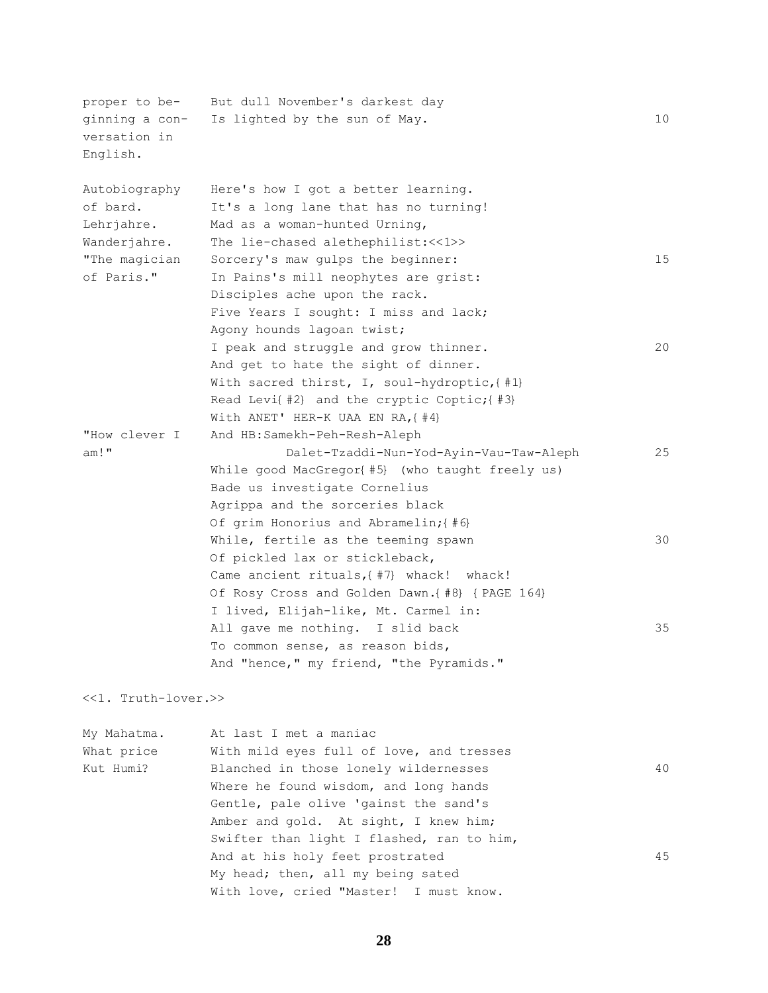| proper to be-                              | But dull November's darkest day                                                                               |    |
|--------------------------------------------|---------------------------------------------------------------------------------------------------------------|----|
| ginning a con-<br>versation in<br>English. | Is lighted by the sun of May.                                                                                 | 10 |
| Autobiography<br>of bard.<br>Lehrjahre.    | Here's how I got a better learning.<br>It's a long lane that has no turning!<br>Mad as a woman-hunted Urning, |    |
| Wanderjahre.                               | The lie-chased alethephilist: << 1>>                                                                          |    |
| "The magician                              | Sorcery's maw gulps the beginner:                                                                             | 15 |
| of Paris."                                 | In Pains's mill neophytes are grist:                                                                          |    |
|                                            | Disciples ache upon the rack.                                                                                 |    |
|                                            | Five Years I sought: I miss and lack;                                                                         |    |
|                                            |                                                                                                               |    |
|                                            | Agony hounds lagoan twist;                                                                                    |    |
|                                            | I peak and struggle and grow thinner.                                                                         | 20 |
|                                            | And get to hate the sight of dinner.                                                                          |    |
|                                            | With sacred thirst, I, soul-hydroptic, {#1}                                                                   |    |
|                                            | Read Levi{#2} and the cryptic Coptic; {#3}                                                                    |    |
|                                            | With ANET' HER-K UAA EN RA, $\{$ #4}                                                                          |    |
| "How clever I                              | And HB: Samekh-Peh-Resh-Aleph                                                                                 |    |
| $am!$ "                                    | Dalet-Tzaddi-Nun-Yod-Ayin-Vau-Taw-Aleph                                                                       | 25 |
|                                            | While good MacGregor{#5} (who taught freely us)                                                               |    |
|                                            | Bade us investigate Cornelius                                                                                 |    |
|                                            | Agrippa and the sorceries black                                                                               |    |
|                                            | Of grim Honorius and Abramelin; { #6}                                                                         |    |
|                                            | While, fertile as the teeming spawn                                                                           | 30 |
|                                            | Of pickled lax or stickleback,                                                                                |    |
|                                            | Came ancient rituals, {#7} whack! whack!                                                                      |    |
|                                            | Of Rosy Cross and Golden Dawn. {#8} { PAGE 164}                                                               |    |
|                                            | I lived, Elijah-like, Mt. Carmel in:                                                                          |    |
|                                            | All gave me nothing. I slid back                                                                              | 35 |
|                                            | To common sense, as reason bids,                                                                              |    |
|                                            | And "hence," my friend, "the Pyramids."                                                                       |    |
| <<1. Truth-lover.>>                        |                                                                                                               |    |
|                                            | At last I met a maniac                                                                                        |    |
| My Mahatma.<br>What price                  |                                                                                                               |    |
| Kut Humi?                                  | With mild eyes full of love, and tresses<br>Blanched in those lonely wildernesses                             | 40 |
|                                            | Where he found wisdom, and long hands                                                                         |    |
|                                            |                                                                                                               |    |
|                                            | Gentle, pale olive 'gainst the sand's                                                                         |    |
|                                            | Amber and gold. At sight, I knew him;                                                                         |    |
|                                            | Swifter than light I flashed, ran to him,                                                                     | 45 |
|                                            | And at his holy feet prostrated                                                                               |    |
|                                            | My head; then, all my being sated                                                                             |    |
|                                            | With love, cried "Master! I must know.                                                                        |    |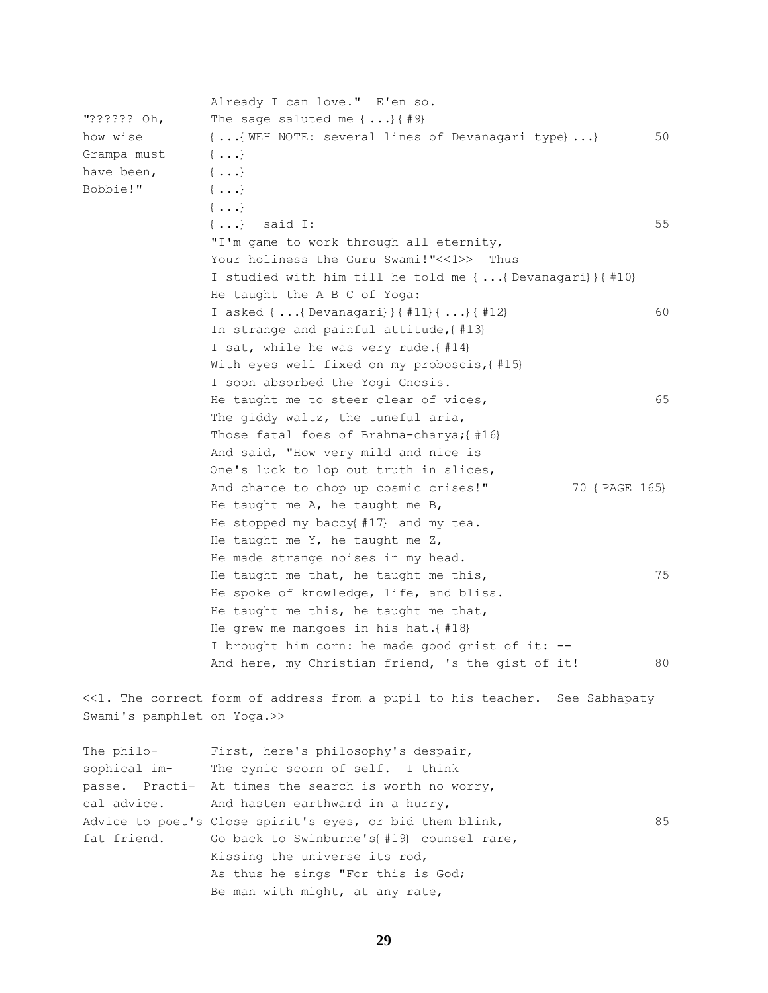|                             | Already I can love." E'en so.                                               |    |
|-----------------------------|-----------------------------------------------------------------------------|----|
| "?????? Oh,                 | The sage saluted me $\{ \ldots \} \{ #9\}$                                  |    |
| how wise                    | { { WEH NOTE: several lines of Devanagari type}}                            | 50 |
| Grampa must                 | $\{ \ldots \}$                                                              |    |
| have been,                  | $\{\ldots\}$                                                                |    |
| Bobbie!"                    | $\{\ldots\}$                                                                |    |
|                             | $\{\ldots\}$                                                                |    |
|                             | $\{ \ldots \}$<br>said I:                                                   | 55 |
|                             | "I'm game to work through all eternity,                                     |    |
|                             | Your holiness the Guru Swami!"<<1>> Thus                                    |    |
|                             | I studied with him till he told me {{ Devanagari} } { #10}                  |    |
|                             | He taught the A B C of Yoga:                                                |    |
|                             | I asked {  { Devanagari} } { #11} {  } { #12}                               | 60 |
|                             | In strange and painful attitude, {#13}                                      |    |
|                             | I sat, while he was very rude. {#14}                                        |    |
|                             | With eyes well fixed on my proboscis, { #15}                                |    |
|                             | I soon absorbed the Yogi Gnosis.                                            |    |
|                             | He taught me to steer clear of vices,                                       | 65 |
|                             | The giddy waltz, the tuneful aria,                                          |    |
|                             | Those fatal foes of Brahma-charya; { #16}                                   |    |
|                             | And said, "How very mild and nice is                                        |    |
|                             | One's luck to lop out truth in slices,                                      |    |
|                             | 70 { PAGE 165}<br>And chance to chop up cosmic crises!"                     |    |
|                             | He taught me A, he taught me B,                                             |    |
|                             | He stopped my baccy $#17$ and my tea.                                       |    |
|                             | He taught me $Y$ , he taught me $Z$ ,                                       |    |
|                             | He made strange noises in my head.                                          |    |
|                             | He taught me that, he taught me this,                                       | 75 |
|                             | He spoke of knowledge, life, and bliss.                                     |    |
|                             | He taught me this, he taught me that,                                       |    |
|                             | He grew me mangoes in his hat. ${#18}$                                      |    |
|                             | I brought him corn: he made good grist of it: --                            |    |
|                             | And here, my Christian friend, 's the gist of it!                           | 80 |
|                             | <<1. The correct form of address from a pupil to his teacher. See Sabhapaty |    |
| Swami's pamphlet on Yoga.>> |                                                                             |    |
| The philo-                  | First, here's philosophy's despair,                                         |    |
| sophical im-                | The cynic scorn of self. I think                                            |    |
|                             | passe. Practi- At times the search is worth no worry,                       |    |
| cal advice.                 | And hasten earthward in a hurry,                                            |    |
|                             | Advice to poet's Close spirit's eyes, or bid them blink,                    | 85 |
| fat friend.                 | Go back to Swinburne's {#19} counsel rare,                                  |    |
|                             | Kissing the universe its rod,                                               |    |
|                             | As thus he sings "For this is God;                                          |    |
|                             | Be man with might, at any rate,                                             |    |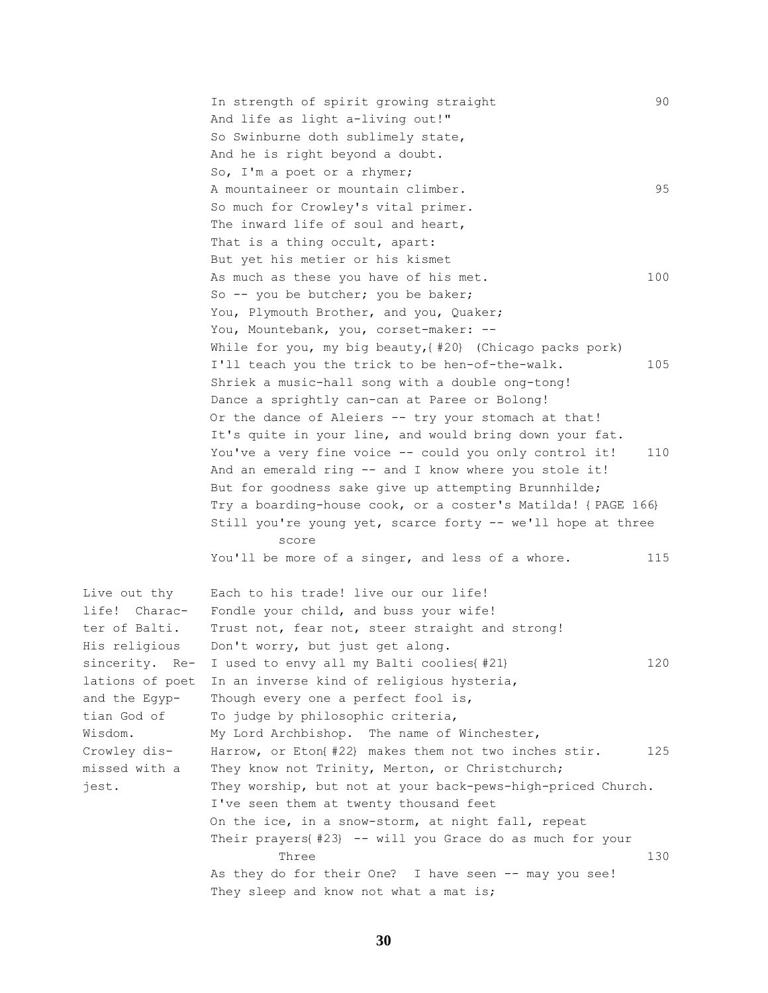In strength of spirit growing straight 90 And life as light a-living out!" So Swinburne doth sublimely state, And he is right beyond a doubt. So, I'm a poet or a rhymer; A mountaineer or mountain climber. 95 So much for Crowley's vital primer. The inward life of soul and heart, That is a thing occult, apart: But yet his metier or his kismet As much as these you have of his met. 100 So -- you be butcher; you be baker; You, Plymouth Brother, and you, Quaker; You, Mountebank, you, corset-maker: --While for you, my big beauty, {#20} (Chicago packs pork) I'll teach you the trick to be hen-of-the-walk. 105 Shriek a music-hall song with a double ong-tong! Dance a sprightly can-can at Paree or Bolong! Or the dance of Aleiers -- try your stomach at that! It's quite in your line, and would bring down your fat. You've a very fine voice -- could you only control it! 110 And an emerald ring -- and I know where you stole it! But for goodness sake give up attempting Brunnhilde; Try a boarding-house cook, or a coster's Matilda! {PAGE 166} Still you're young yet, scarce forty -- we'll hope at three score You'll be more of a singer, and less of a whore. 115 Live out thy Each to his trade! live our our life! life! Charac- Fondle your child, and buss your wife! ter of Balti. Trust not, fear not, steer straight and strong! His religious Don't worry, but just get along. sincerity. Re- I used to envy all my Balti coolies{#21} 120 lations of poet In an inverse kind of religious hysteria, and the Egyp- Though every one a perfect fool is, tian God of To judge by philosophic criteria, Wisdom. My Lord Archbishop. The name of Winchester, Crowley dis- Harrow, or Eton{#22} makes them not two inches stir. 125 missed with a They know not Trinity, Merton, or Christchurch; jest. They worship, but not at your back-pews-high-priced Church. I've seen them at twenty thousand feet On the ice, in a snow-storm, at night fall, repeat Their prayers{#23} -- will you Grace do as much for your Three the contract of the contract of the contract of the contract of the contract of the contract of the contract of the contract of the contract of the contract of the contract of the contract of the contract of the cont As they do for their One? I have seen -- may you see! They sleep and know not what a mat is;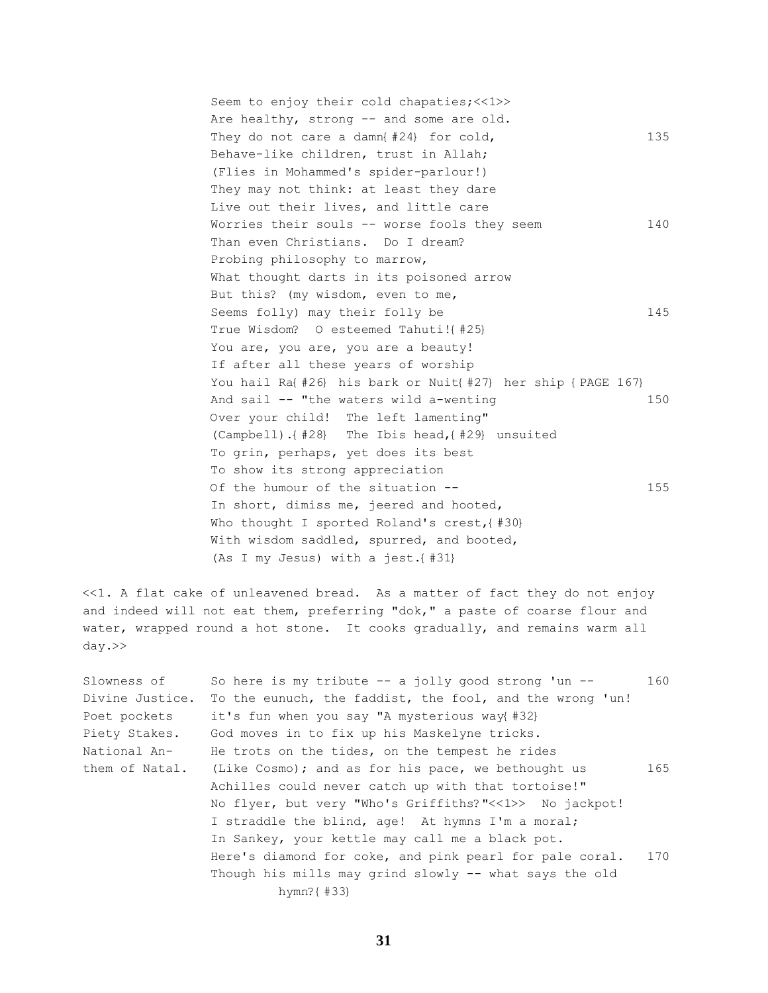Seem to enjoy their cold chapaties;<<1>> Are healthy, strong -- and some are old. They do not care a damn{ $#24$ } for cold, 135 Behave-like children, trust in Allah; (Flies in Mohammed's spider-parlour!) They may not think: at least they dare Live out their lives, and little care Worries their souls -- worse fools they seem 140 Than even Christians. Do I dream? Probing philosophy to marrow, What thought darts in its poisoned arrow But this? (my wisdom, even to me, Seems folly) may their folly be 145 True Wisdom? O esteemed Tahuti!{#25} You are, you are, you are a beauty! If after all these years of worship You hail Ra{#26} his bark or Nuit{#27} her ship {PAGE 167} And sail -- "the waters wild a-wenting 150 Over your child! The left lamenting" (Campbell).{#28} The Ibis head,{#29} unsuited To grin, perhaps, yet does its best To show its strong appreciation Of the humour of the situation -- 155 In short, dimiss me, jeered and hooted, Who thought I sported Roland's crest, { #30} With wisdom saddled, spurred, and booted, (As I my Jesus) with a jest.{#31}

<<1. A flat cake of unleavened bread. As a matter of fact they do not enjoy and indeed will not eat them, preferring "dok," a paste of coarse flour and water, wrapped round a hot stone. It cooks gradually, and remains warm all day.>>

| Slowness of     | So here is my tribute $--$ a jolly good strong 'un $--$  | 160 |
|-----------------|----------------------------------------------------------|-----|
| Divine Justice. | To the eunuch, the faddist, the fool, and the wrong 'un! |     |
| Poet pockets    | it's fun when you say "A mysterious way #32}             |     |
| Piety Stakes.   | God moves in to fix up his Maskelyne tricks.             |     |
| National An-    | He trots on the tides, on the tempest he rides           |     |
| them of Natal.  | (Like Cosmo); and as for his pace, we bethought us       | 165 |
|                 | Achilles could never catch up with that tortoise!"       |     |
|                 | No flyer, but very "Who's Griffiths?"<<1>> No jackpot!   |     |
|                 | I straddle the blind, age! At hymns I'm a moral;         |     |
|                 | In Sankey, your kettle may call me a black pot.          |     |
|                 | Here's diamond for coke, and pink pearl for pale coral.  | 170 |
|                 | Though his mills may grind slowly -- what says the old   |     |
|                 | $hvmn? { #33}$                                           |     |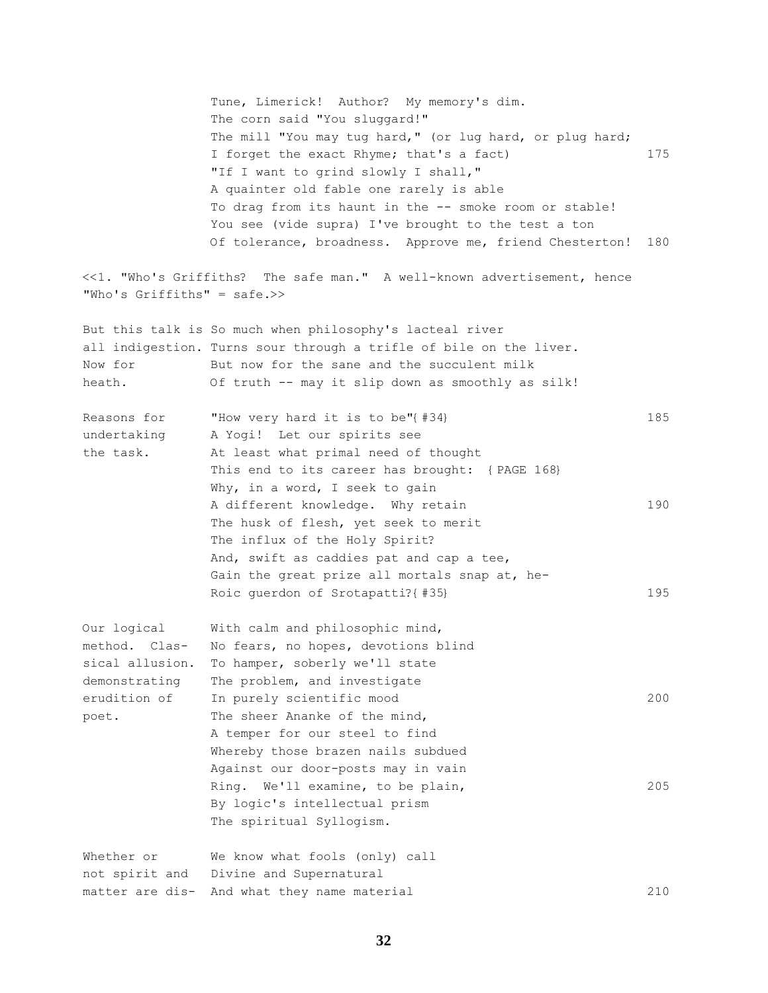Tune, Limerick! Author? My memory's dim. The corn said "You sluggard!" The mill "You may tug hard," (or lug hard, or plug hard; I forget the exact Rhyme; that's a fact) 175 "If I want to grind slowly I shall," A quainter old fable one rarely is able To drag from its haunt in the -- smoke room or stable! You see (vide supra) I've brought to the test a ton Of tolerance, broadness. Approve me, friend Chesterton! 180 <<1. "Who's Griffiths? The safe man." A well-known advertisement, hence "Who's Griffiths" = safe.>> But this talk is So much when philosophy's lacteal river all indigestion. Turns sour through a trifle of bile on the liver. Now for But now for the sane and the succulent milk heath. Of truth -- may it slip down as smoothly as silk! Reasons for "How very hard it is to be"{#34} 185 undertaking A Yogi! Let our spirits see the task. At least what primal need of thought This end to its career has brought: {PAGE 168} Why, in a word, I seek to gain A different knowledge. Why retain 190 The husk of flesh, yet seek to merit The influx of the Holy Spirit? And, swift as caddies pat and cap a tee, Gain the great prize all mortals snap at, he- Roic guerdon of Srotapatti? (#35) 195 Our logical With calm and philosophic mind, method. Clas- No fears, no hopes, devotions blind sical allusion. To hamper, soberly we'll state demonstrating The problem, and investigate erudition of In purely scientific mood 200 poet. The sheer Ananke of the mind, A temper for our steel to find Whereby those brazen nails subdued Against our door-posts may in vain Ring. We'll examine, to be plain, 205 By logic's intellectual prism The spiritual Syllogism. Whether or We know what fools (only) call not spirit and Divine and Supernatural matter are dis- And what they name material  $210$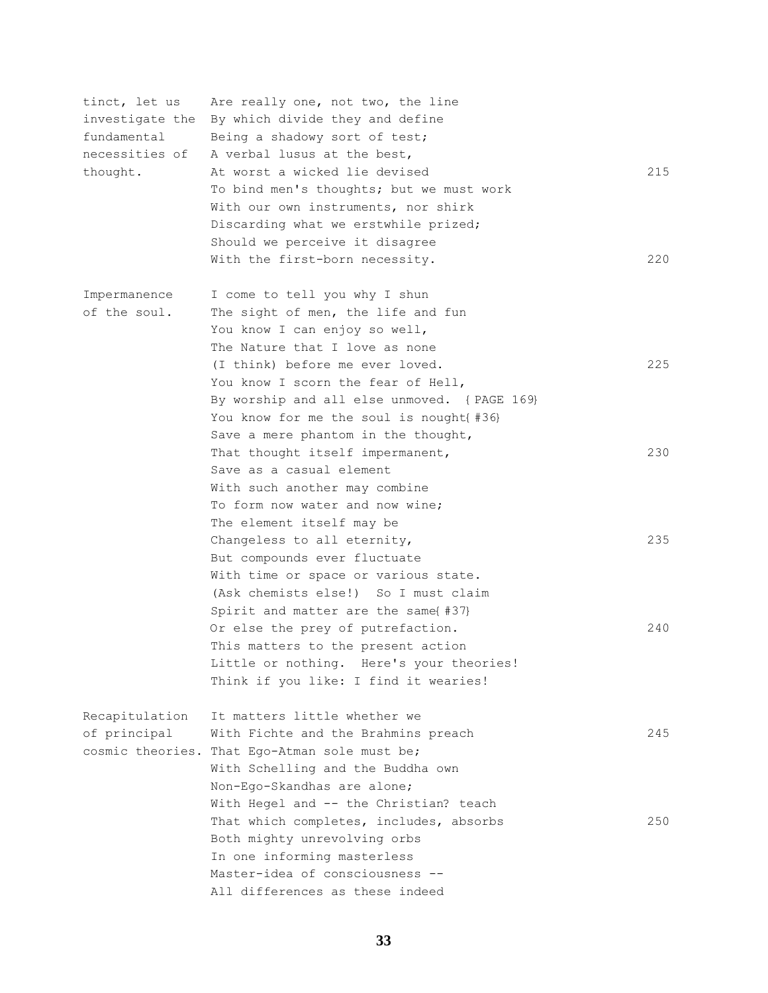| tinct, let us   | Are really one, not two, the line             |     |
|-----------------|-----------------------------------------------|-----|
| investigate the | By which divide they and define               |     |
| fundamental     | Being a shadowy sort of test;                 |     |
| necessities of  | A verbal lusus at the best,                   |     |
| thought.        | At worst a wicked lie devised                 | 215 |
|                 | To bind men's thoughts; but we must work      |     |
|                 | With our own instruments, nor shirk           |     |
|                 | Discarding what we erstwhile prized;          |     |
|                 | Should we perceive it disagree                |     |
|                 | With the first-born necessity.                | 220 |
|                 |                                               |     |
| Impermanence    | I come to tell you why I shun                 |     |
| of the soul.    | The sight of men, the life and fun            |     |
|                 | You know I can enjoy so well,                 |     |
|                 | The Nature that I love as none                |     |
|                 | (I think) before me ever loved.               | 225 |
|                 | You know I scorn the fear of Hell,            |     |
|                 | By worship and all else unmoved. { PAGE 169}  |     |
|                 | You know for me the soul is nought{#36}       |     |
|                 | Save a mere phantom in the thought,           |     |
|                 | That thought itself impermanent,              | 230 |
|                 | Save as a casual element                      |     |
|                 |                                               |     |
|                 | With such another may combine                 |     |
|                 | To form now water and now wine;               |     |
|                 | The element itself may be                     |     |
|                 | Changeless to all eternity,                   | 235 |
|                 | But compounds ever fluctuate                  |     |
|                 | With time or space or various state.          |     |
|                 | (Ask chemists else!) So I must claim          |     |
|                 | Spirit and matter are the same [#37]          |     |
|                 | Or else the prey of putrefaction.             | 240 |
|                 | This matters to the present action            |     |
|                 | Little or nothing. Here's your theories!      |     |
|                 | Think if you like: I find it wearies!         |     |
|                 |                                               |     |
| Recapitulation  | It matters little whether we                  |     |
| of principal    | With Fichte and the Brahmins preach           | 245 |
|                 | cosmic theories. That Ego-Atman sole must be; |     |
|                 | With Schelling and the Buddha own             |     |
|                 | Non-Ego-Skandhas are alone;                   |     |
|                 | With Hegel and -- the Christian? teach        |     |
|                 | That which completes, includes, absorbs       | 250 |
|                 | Both mighty unrevolving orbs                  |     |
|                 | In one informing masterless                   |     |
|                 | Master-idea of consciousness --               |     |
|                 | All differences as these indeed               |     |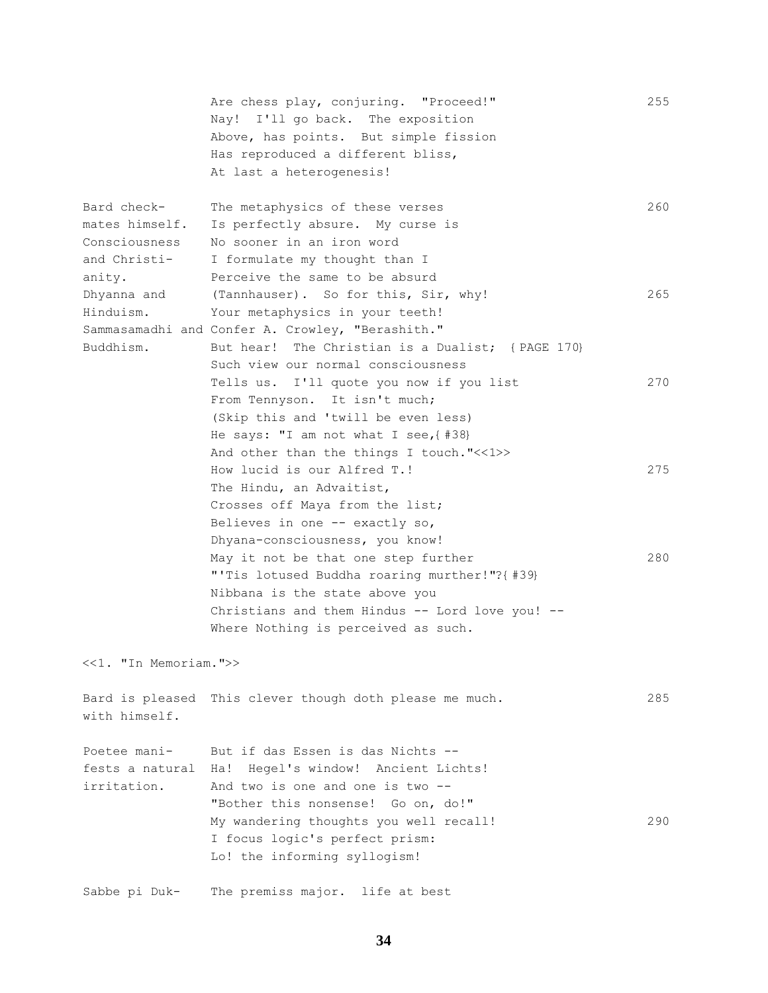|                                                                          | Are chess play, conjuring. "Proceed!"<br>Nay! I'll go back. The exposition<br>Above, has points. But simple fission<br>Has reproduced a different bliss,<br>At last a heterogenesis!                                           | 255 |
|--------------------------------------------------------------------------|--------------------------------------------------------------------------------------------------------------------------------------------------------------------------------------------------------------------------------|-----|
| Bard check-<br>mates himself.<br>Consciousness<br>and Christi-<br>anity. | The metaphysics of these verses<br>Is perfectly absure. My curse is<br>No sooner in an iron word<br>I formulate my thought than I<br>Perceive the same to be absurd                                                            | 260 |
| Dhyanna and<br>Hinduism.<br>Buddhism.                                    | (Tannhauser). So for this, Sir, why!<br>Your metaphysics in your teeth!<br>Sammasamadhi and Confer A. Crowley, "Berashith."<br>But hear! The Christian is a Dualist; { PAGE 170}<br>Such view our normal consciousness         | 265 |
|                                                                          | Tells us. I'll quote you now if you list<br>From Tennyson. It isn't much;<br>(Skip this and 'twill be even less)<br>He says: "I am not what I see, { #38}<br>And other than the things I touch. "<<1>>                         | 270 |
|                                                                          | How lucid is our Alfred T.!<br>The Hindu, an Advaitist,<br>Crosses off Maya from the list;<br>Believes in one -- exactly so,<br>Dhyana-consciousness, you know!                                                                | 275 |
|                                                                          | May it not be that one step further<br>"'Tis lotused Buddha roaring murther!"?{#39}<br>Nibbana is the state above you<br>Christians and them Hindus -- Lord love you! --<br>Where Nothing is perceived as such.                | 280 |
| <<1. "In Memoriam.">>                                                    |                                                                                                                                                                                                                                |     |
| Bard is pleased<br>with himself.                                         | This clever though doth please me much.                                                                                                                                                                                        | 285 |
| Poetee mani-<br>fests a natural<br>irritation.                           | But if das Essen is das Nichts --<br>Ha! Hegel's window! Ancient Lichts!<br>And two is one and one is two --<br>"Bother this nonsense! Go on, do!"<br>My wandering thoughts you well recall!<br>I focus logic's perfect prism: | 290 |
| Sabbe pi Duk-                                                            | Lo! the informing syllogism!<br>The premiss major. life at best                                                                                                                                                                |     |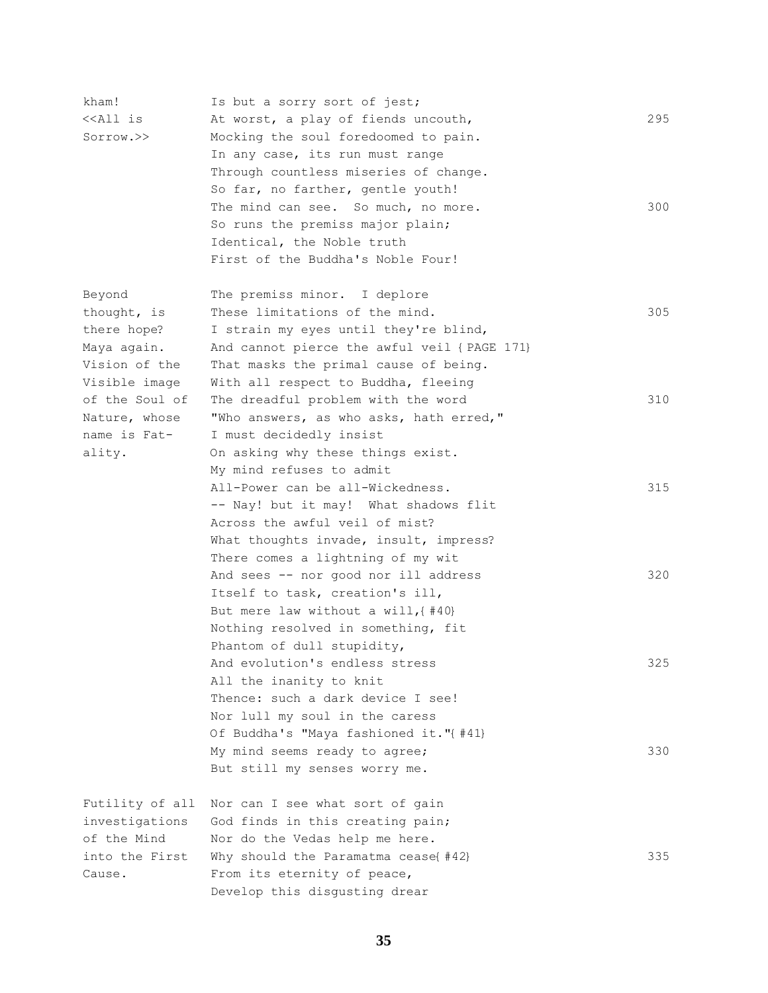| kham!                                                                              | Is but a sorry sort of jest;                 |     |
|------------------------------------------------------------------------------------|----------------------------------------------|-----|
| < <all is<="" td=""><td>At worst, a play of fiends uncouth,</td><td>295</td></all> | At worst, a play of fiends uncouth,          | 295 |
| Sorrow.                                                                            | Mocking the soul foredoomed to pain.         |     |
|                                                                                    | In any case, its run must range              |     |
|                                                                                    | Through countless miseries of change.        |     |
|                                                                                    | So far, no farther, gentle youth!            |     |
|                                                                                    | The mind can see. So much, no more.          | 300 |
|                                                                                    | So runs the premiss major plain;             |     |
|                                                                                    | Identical, the Noble truth                   |     |
|                                                                                    | First of the Buddha's Noble Four!            |     |
|                                                                                    |                                              |     |
| Beyond                                                                             | The premiss minor. I deplore                 |     |
| thought, is                                                                        | These limitations of the mind.               | 305 |
| there hope?                                                                        | I strain my eyes until they're blind,        |     |
| Maya again.                                                                        | And cannot pierce the awful veil { PAGE 171} |     |
| Vision of the                                                                      | That masks the primal cause of being.        |     |
| Visible image                                                                      | With all respect to Buddha, fleeing          |     |
| of the Soul of                                                                     | The dreadful problem with the word           | 310 |
| Nature, whose                                                                      | "Who answers, as who asks, hath erred,"      |     |
| name is Fat-                                                                       | I must decidedly insist                      |     |
| ality.                                                                             | On asking why these things exist.            |     |
|                                                                                    | My mind refuses to admit                     |     |
|                                                                                    | All-Power can be all-Wickedness.             | 315 |
|                                                                                    | -- Nay! but it may! What shadows flit        |     |
|                                                                                    | Across the awful veil of mist?               |     |
|                                                                                    |                                              |     |
|                                                                                    | What thoughts invade, insult, impress?       |     |
|                                                                                    | There comes a lightning of my wit            |     |
|                                                                                    | And sees -- nor good nor ill address         | 320 |
|                                                                                    | Itself to task, creation's ill,              |     |
|                                                                                    | But mere law without a will, ${40}$          |     |
|                                                                                    | Nothing resolved in something, fit           |     |
|                                                                                    | Phantom of dull stupidity,                   |     |
|                                                                                    | And evolution's endless stress               | 325 |
|                                                                                    | All the inanity to knit                      |     |
|                                                                                    | Thence: such a dark device I see!            |     |
|                                                                                    | Nor lull my soul in the caress               |     |
|                                                                                    | Of Buddha's "Maya fashioned it." { #41}      |     |
|                                                                                    | My mind seems ready to agree;                | 330 |
|                                                                                    | But still my senses worry me.                |     |
|                                                                                    |                                              |     |
| Futility of all                                                                    | Nor can I see what sort of gain              |     |
| investigations                                                                     | God finds in this creating pain;             |     |
| of the Mind                                                                        | Nor do the Vedas help me here.               |     |
| into the First                                                                     | Why should the Paramatma cease{ #42}         | 335 |
| Cause.                                                                             | From its eternity of peace,                  |     |
|                                                                                    | Develop this disgusting drear                |     |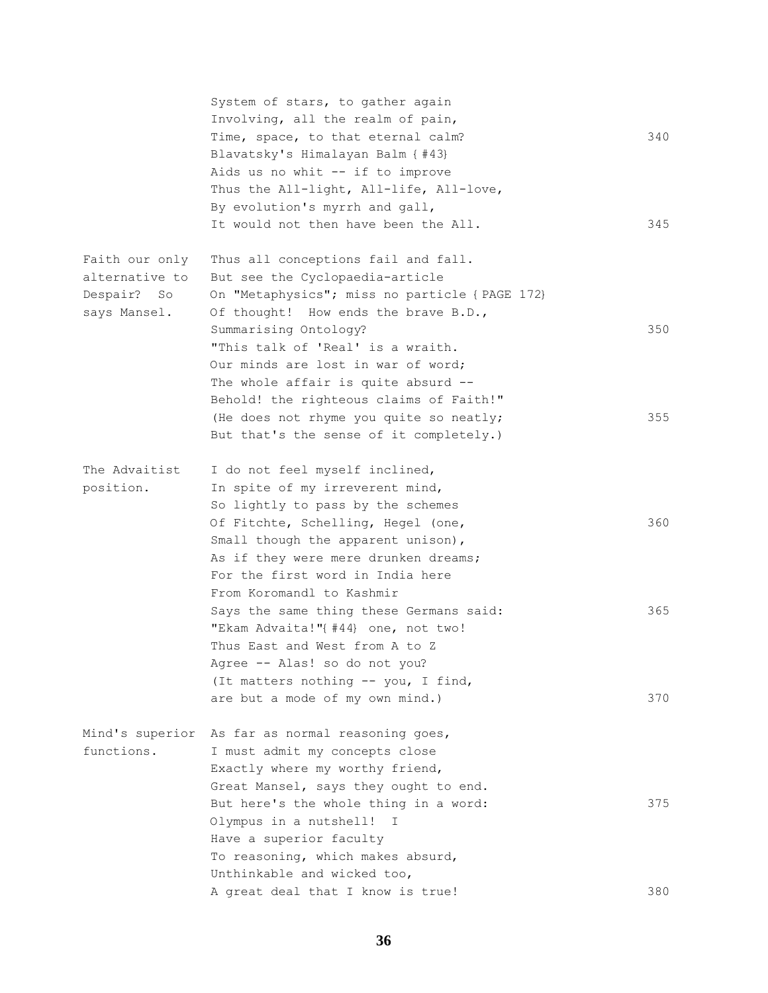|                                                                 | System of stars, to gather again<br>Involving, all the realm of pain,<br>Time, space, to that eternal calm?<br>Blavatsky's Himalayan Balm {#43}<br>Aids us no whit $--$ if to improve<br>Thus the All-light, All-life, All-love,<br>By evolution's myrrh and gall,<br>It would not then have been the All. | 340<br>345 |
|-----------------------------------------------------------------|------------------------------------------------------------------------------------------------------------------------------------------------------------------------------------------------------------------------------------------------------------------------------------------------------------|------------|
| Faith our only<br>alternative to<br>Despair? So<br>says Mansel. | Thus all conceptions fail and fall.<br>But see the Cyclopaedia-article<br>On "Metaphysics"; miss no particle { PAGE 172}<br>Of thought! How ends the brave B.D.,                                                                                                                                           |            |
|                                                                 | Summarising Ontology?<br>"This talk of 'Real' is a wraith.<br>Our minds are lost in war of word:<br>The whole affair is quite absurd --<br>Behold! the righteous claims of Faith!"                                                                                                                         | 350        |
|                                                                 | (He does not rhyme you quite so neatly;<br>But that's the sense of it completely.)                                                                                                                                                                                                                         | 355        |
| The Advaitist<br>position.                                      | I do not feel myself inclined,<br>In spite of my irreverent mind,<br>So lightly to pass by the schemes                                                                                                                                                                                                     |            |
|                                                                 | Of Fitchte, Schelling, Hegel (one,<br>Small though the apparent unison),<br>As if they were mere drunken dreams;<br>For the first word in India here<br>From Koromandl to Kashmir                                                                                                                          | 360        |
|                                                                 | Says the same thing these Germans said:<br>"Ekam Advaita!"{#44} one, not two!<br>Thus East and West from A to Z<br>Agree -- Alas! so do not you?<br>(It matters nothing -- you, I find,                                                                                                                    | 365        |
|                                                                 | are but a mode of my own mind.)                                                                                                                                                                                                                                                                            | 370        |
| Mind's superior<br>functions.                                   | As far as normal reasoning goes,<br>I must admit my concepts close<br>Exactly where my worthy friend,<br>Great Mansel, says they ought to end.                                                                                                                                                             |            |
|                                                                 | But here's the whole thing in a word:<br>Olympus in a nutshell! I<br>Have a superior faculty<br>To reasoning, which makes absurd,                                                                                                                                                                          | 375        |
|                                                                 | Unthinkable and wicked too,<br>A great deal that I know is true!                                                                                                                                                                                                                                           | 380        |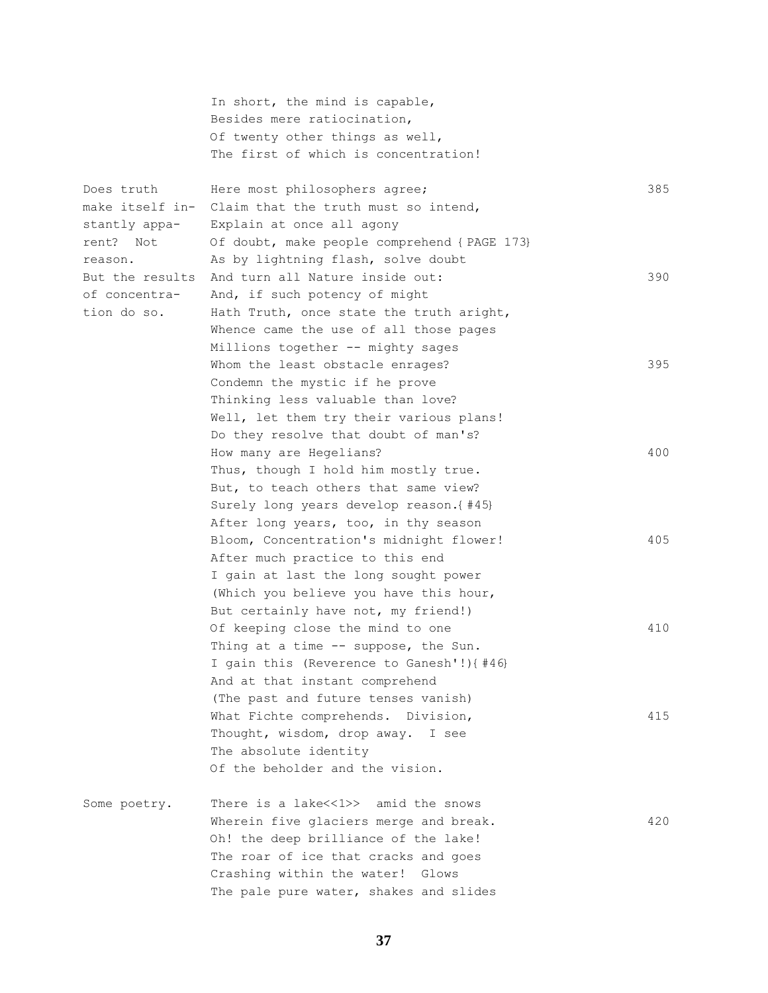|                                                                | In short, the mind is capable,<br>Besides mere ratiocination,<br>Of twenty other things as well,<br>The first of which is concentration!                                                                                                    |     |
|----------------------------------------------------------------|---------------------------------------------------------------------------------------------------------------------------------------------------------------------------------------------------------------------------------------------|-----|
| Does truth<br>make itself in-<br>stantly appa-<br>rent?<br>Not | Here most philosophers agree;<br>Claim that the truth must so intend,<br>Explain at once all agony<br>Of doubt, make people comprehend { PAGE 173}                                                                                          | 385 |
| reason.<br>But the results<br>of concentra-<br>tion do so.     | As by lightning flash, solve doubt<br>And turn all Nature inside out:<br>And, if such potency of might<br>Hath Truth, once state the truth aright,<br>Whence came the use of all those pages                                                | 390 |
|                                                                | Millions together -- mighty sages<br>Whom the least obstacle enrages?<br>Condemn the mystic if he prove<br>Thinking less valuable than love?<br>Well, let them try their various plans!                                                     | 395 |
|                                                                | Do they resolve that doubt of man's?<br>How many are Hegelians?<br>Thus, though I hold him mostly true.<br>But, to teach others that same view?<br>Surely long years develop reason. { #45}<br>After long years, too, in thy season         | 400 |
|                                                                | Bloom, Concentration's midnight flower!<br>After much practice to this end<br>I gain at last the long sought power<br>(Which you believe you have this hour,<br>But certainly have not, my friend!)                                         | 405 |
|                                                                | Of keeping close the mind to one<br>Thing at a time -- suppose, the Sun.<br>I gain this (Reverence to Ganesh'!) { #46}<br>And at that instant comprehend<br>(The past and future tenses vanish)                                             | 410 |
|                                                                | What Fichte comprehends. Division,<br>Thought, wisdom, drop away. I see<br>The absolute identity<br>Of the beholder and the vision.                                                                                                         | 415 |
| Some poetry.                                                   | There is a lake<<1>> amid the snows<br>Wherein five glaciers merge and break.<br>Oh! the deep brilliance of the lake!<br>The roar of ice that cracks and goes<br>Crashing within the water! Glows<br>The pale pure water, shakes and slides | 420 |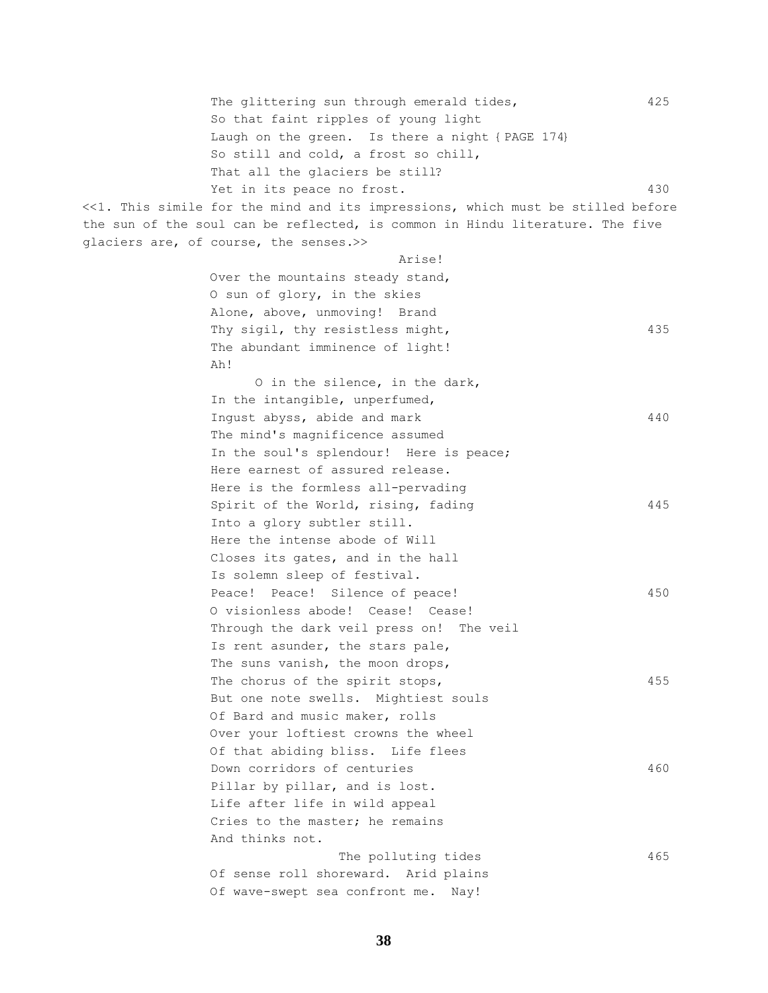The glittering sun through emerald tides,  $425$  So that faint ripples of young light Laugh on the green. Is there a night {PAGE 174} So still and cold, a frost so chill, That all the glaciers be still? Yet in its peace no frost. 430 <<1. This simile for the mind and its impressions, which must be stilled before the sun of the soul can be reflected, is common in Hindu literature. The five glaciers are, of course, the senses.>> Arise! Over the mountains steady stand, O sun of glory, in the skies Alone, above, unmoving! Brand Thy sigil, thy resistless might, 435 The abundant imminence of light! Ah! O in the silence, in the dark, In the intangible, unperfumed, Ingust abyss, abide and mark 440 The mind's magnificence assumed In the soul's splendour! Here is peace; Here earnest of assured release. Here is the formless all-pervading Spirit of the World, rising, fading 445 Into a glory subtler still. Here the intense abode of Will Closes its gates, and in the hall Is solemn sleep of festival. Peace! Peace! Silence of peace! 450 O visionless abode! Cease! Cease! Through the dark veil press on! The veil Is rent asunder, the stars pale, The suns vanish, the moon drops, The chorus of the spirit stops,  $455$  But one note swells. Mightiest souls Of Bard and music maker, rolls Over your loftiest crowns the wheel Of that abiding bliss. Life flees Down corridors of centuries 460 Pillar by pillar, and is lost. Life after life in wild appeal Cries to the master; he remains And thinks not. The polluting tides 465 Of sense roll shoreward. Arid plains Of wave-swept sea confront me. Nay!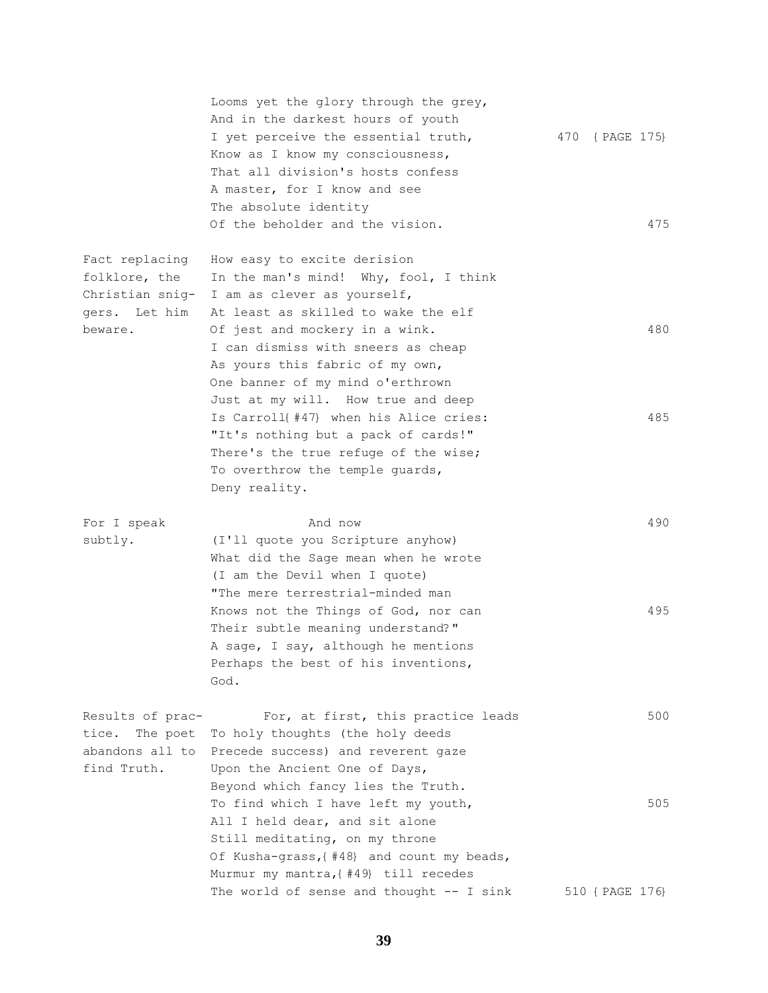|                                                                         | Looms yet the glory through the grey,<br>And in the darkest hours of youth<br>I yet perceive the essential truth,<br>Know as I know my consciousness,<br>That all division's hosts confess<br>A master, for I know and see<br>The absolute identity<br>Of the beholder and the vision. | 470 { PAGE 175} | 475 |
|-------------------------------------------------------------------------|----------------------------------------------------------------------------------------------------------------------------------------------------------------------------------------------------------------------------------------------------------------------------------------|-----------------|-----|
| Fact replacing<br>folklore, the<br>Christian snig-<br>gers. Let him     | How easy to excite derision<br>In the man's mind! Why, fool, I think<br>I am as clever as yourself,<br>At least as skilled to wake the elf                                                                                                                                             |                 |     |
| beware.                                                                 | Of jest and mockery in a wink.<br>I can dismiss with sneers as cheap<br>As yours this fabric of my own,<br>One banner of my mind o'erthrown<br>Just at my will. How true and deep                                                                                                      |                 | 480 |
|                                                                         | Is Carroll{#47} when his Alice cries:<br>"It's nothing but a pack of cards!"<br>There's the true refuge of the wise;<br>To overthrow the temple guards,<br>Deny reality.                                                                                                               |                 | 485 |
| For I speak<br>subtly.                                                  | And now<br>(I'll quote you Scripture anyhow)<br>What did the Sage mean when he wrote<br>(I am the Devil when I quote)<br>"The mere terrestrial-minded man                                                                                                                              |                 | 490 |
|                                                                         | Knows not the Things of God, nor can<br>Their subtle meaning understand?"<br>A sage, I say, although he mentions<br>Perhaps the best of his inventions,<br>God.                                                                                                                        |                 | 495 |
| Results of prac-<br>tice.<br>The poet<br>abandons all to<br>find Truth. | For, at first, this practice leads<br>To holy thoughts (the holy deeds<br>Precede success) and reverent gaze<br>Upon the Ancient One of Days,                                                                                                                                          |                 | 500 |
|                                                                         | Beyond which fancy lies the Truth.<br>To find which I have left my youth,<br>All I held dear, and sit alone<br>Still meditating, on my throne<br>Of Kusha-grass, { #48} and count my beads,<br>Murmur my mantra, { #49} till recedes                                                   |                 | 505 |
|                                                                         | The world of sense and thought $--$ I sink                                                                                                                                                                                                                                             | 510 { PAGE 176} |     |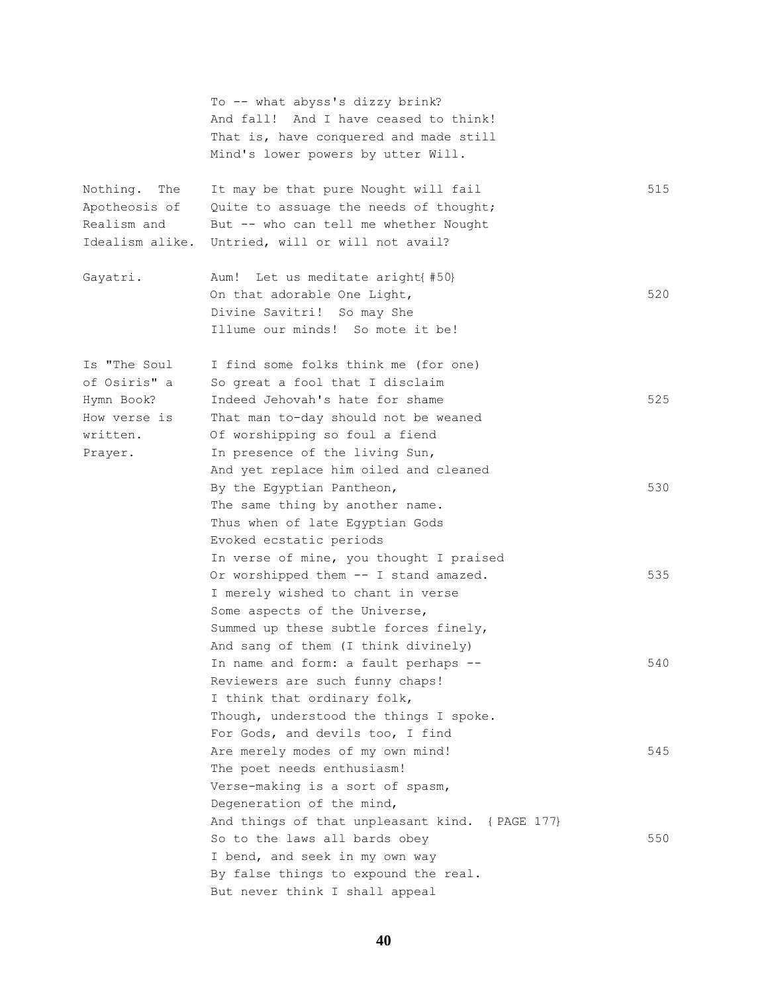|                                                                        | To -- what abyss's dizzy brink?<br>And fall! And I have ceased to think!<br>That is, have conquered and made still<br>Mind's lower powers by utter Will.                                                                  |     |
|------------------------------------------------------------------------|---------------------------------------------------------------------------------------------------------------------------------------------------------------------------------------------------------------------------|-----|
| Nothing. The<br>Apotheosis of<br>Realism and<br>Idealism alike.        | It may be that pure Nought will fail<br>Quite to assuage the needs of thought;<br>But -- who can tell me whether Nought<br>Untried, will or will not avail?                                                               | 515 |
| Gayatri.                                                               | Let us meditate aright{#50}<br>Aum!<br>On that adorable One Light,<br>Divine Savitri! So may She<br>Illume our minds! So mote it be!                                                                                      | 520 |
| Is "The Soul<br>of Osiris" a<br>Hymn Book?<br>How verse is<br>written. | I find some folks think me (for one)<br>So great a fool that I disclaim<br>Indeed Jehovah's hate for shame<br>That man to-day should not be weaned<br>Of worshipping so foul a fiend                                      | 525 |
| Prayer.                                                                | In presence of the living Sun,<br>And yet replace him oiled and cleaned<br>By the Egyptian Pantheon,<br>The same thing by another name.<br>Thus when of late Egyptian Gods                                                | 530 |
|                                                                        | Evoked ecstatic periods<br>In verse of mine, you thought I praised<br>Or worshipped them -- I stand amazed.<br>I merely wished to chant in verse<br>Some aspects of the Universe,                                         | 535 |
|                                                                        | Summed up these subtle forces finely,<br>And sang of them (I think divinely)<br>In name and form: a fault perhaps --<br>Reviewers are such funny chaps!<br>I think that ordinary folk,                                    | 540 |
|                                                                        | Though, understood the things I spoke.<br>For Gods, and devils too, I find<br>Are merely modes of my own mind!<br>The poet needs enthusiasm!<br>Verse-making is a sort of spasm,                                          | 545 |
|                                                                        | Degeneration of the mind,<br>And things of that unpleasant kind. { PAGE 177}<br>So to the laws all bards obey<br>I bend, and seek in my own way<br>By false things to expound the real.<br>But never think I shall appeal | 550 |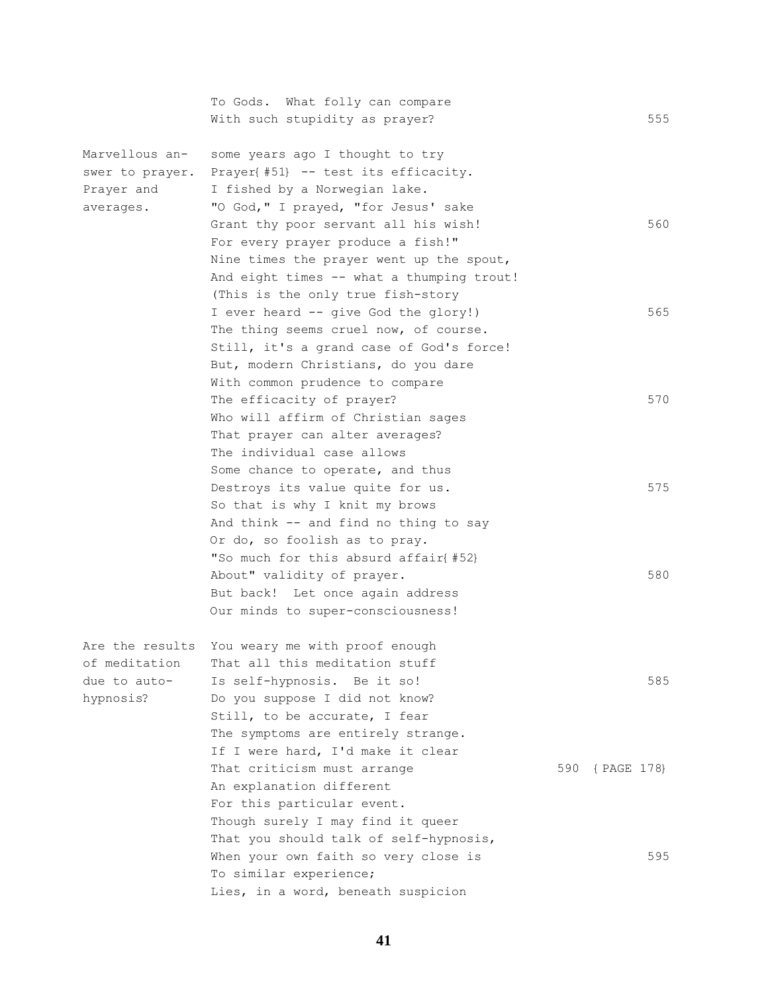|                                                 | To Gods. What folly can compare<br>With such stupidity as prayer?                                       |     |             | 555 |
|-------------------------------------------------|---------------------------------------------------------------------------------------------------------|-----|-------------|-----|
| Marvellous an-<br>swer to prayer.<br>Prayer and | some years ago I thought to try<br>Prayer{#51} -- test its efficacity.<br>I fished by a Norwegian lake. |     |             |     |
| averages.                                       | "O God, " I prayed, "for Jesus' sake                                                                    |     |             |     |
|                                                 | Grant thy poor servant all his wish!                                                                    |     |             | 560 |
|                                                 | For every prayer produce a fish!"                                                                       |     |             |     |
|                                                 | Nine times the prayer went up the spout,                                                                |     |             |     |
|                                                 | And eight times -- what a thumping trout!                                                               |     |             |     |
|                                                 | (This is the only true fish-story                                                                       |     |             |     |
|                                                 | I ever heard -- give God the glory!)                                                                    |     |             | 565 |
|                                                 | The thing seems cruel now, of course.                                                                   |     |             |     |
|                                                 | Still, it's a grand case of God's force!                                                                |     |             |     |
|                                                 | But, modern Christians, do you dare                                                                     |     |             |     |
|                                                 | With common prudence to compare                                                                         |     |             |     |
|                                                 | The efficacity of prayer?                                                                               |     |             | 570 |
|                                                 | Who will affirm of Christian sages                                                                      |     |             |     |
|                                                 | That prayer can alter averages?                                                                         |     |             |     |
|                                                 | The individual case allows                                                                              |     |             |     |
|                                                 | Some chance to operate, and thus                                                                        |     |             |     |
|                                                 | Destroys its value quite for us.                                                                        |     |             | 575 |
|                                                 | So that is why I knit my brows                                                                          |     |             |     |
|                                                 | And think -- and find no thing to say                                                                   |     |             |     |
|                                                 | Or do, so foolish as to pray.                                                                           |     |             |     |
|                                                 | "So much for this absurd affair{#52}                                                                    |     |             |     |
|                                                 | About" validity of prayer.                                                                              |     |             | 580 |
|                                                 | But back! Let once again address                                                                        |     |             |     |
|                                                 | Our minds to super-consciousness!                                                                       |     |             |     |
| Are the results                                 | You weary me with proof enough                                                                          |     |             |     |
| of meditation                                   | That all this meditation stuff                                                                          |     |             |     |
| due to auto-                                    | Is self-hypnosis. Be it so!                                                                             |     |             | 585 |
| hypnosis?                                       | Do you suppose I did not know?                                                                          |     |             |     |
|                                                 | Still, to be accurate, I fear                                                                           |     |             |     |
|                                                 | The symptoms are entirely strange.                                                                      |     |             |     |
|                                                 | If I were hard, I'd make it clear                                                                       |     |             |     |
|                                                 | That criticism must arrange                                                                             | 590 | { PAGE 178} |     |
|                                                 | An explanation different                                                                                |     |             |     |
|                                                 | For this particular event.                                                                              |     |             |     |
|                                                 | Though surely I may find it queer                                                                       |     |             |     |
|                                                 | That you should talk of self-hypnosis,                                                                  |     |             |     |
|                                                 | When your own faith so very close is                                                                    |     |             | 595 |
|                                                 | To similar experience;                                                                                  |     |             |     |
|                                                 | Lies, in a word, beneath suspicion                                                                      |     |             |     |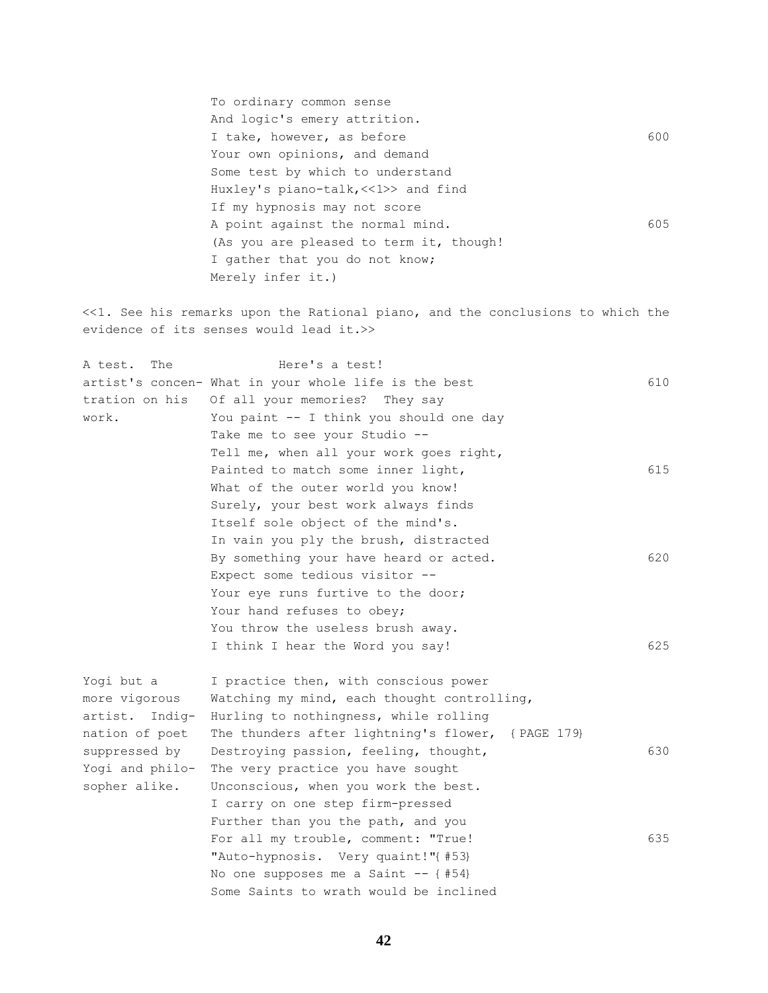To ordinary common sense And logic's emery attrition. I take, however, as before 600 Your own opinions, and demand Some test by which to understand Huxley's piano-talk,<<1>> and find If my hypnosis may not score A point against the normal mind. 605 (As you are pleased to term it, though! I gather that you do not know; Merely infer it.)

<<1. See his remarks upon the Rational piano, and the conclusions to which the evidence of its senses would lead it.>>

| A test.<br>The  | Here's a test!                                       |     |
|-----------------|------------------------------------------------------|-----|
|                 | artist's concen- What in your whole life is the best | 610 |
| tration on his  | Of all your memories? They say                       |     |
| work.           | You paint -- I think you should one day              |     |
|                 | Take me to see your Studio --                        |     |
|                 | Tell me, when all your work goes right,              |     |
|                 | Painted to match some inner light,                   | 615 |
|                 | What of the outer world you know!                    |     |
|                 | Surely, your best work always finds                  |     |
|                 | Itself sole object of the mind's.                    |     |
|                 | In vain you ply the brush, distracted                |     |
|                 | By something your have heard or acted.               | 620 |
|                 | Expect some tedious visitor --                       |     |
|                 | Your eye runs furtive to the door;                   |     |
|                 | Your hand refuses to obey;                           |     |
|                 | You throw the useless brush away.                    |     |
|                 | I think I hear the Word you say!                     | 625 |
| Yogi but a      | I practice then, with conscious power                |     |
| more vigorous   | Watching my mind, each thought controlling,          |     |
| artist. Indig-  | Hurling to nothingness, while rolling                |     |
| nation of poet  | The thunders after lightning's flower, { PAGE 179}   |     |
| suppressed by   | Destroying passion, feeling, thought,                | 630 |
| Yogi and philo- | The very practice you have sought                    |     |
| sopher alike.   | Unconscious, when you work the best.                 |     |
|                 | I carry on one step firm-pressed                     |     |
|                 | Further than you the path, and you                   |     |
|                 | For all my trouble, comment: "True!                  | 635 |
|                 | "Auto-hypnosis. Very quaint!" { #53}                 |     |
|                 | No one supposes me a Saint $--$ {#54}                |     |
|                 | Some Saints to wrath would be inclined               |     |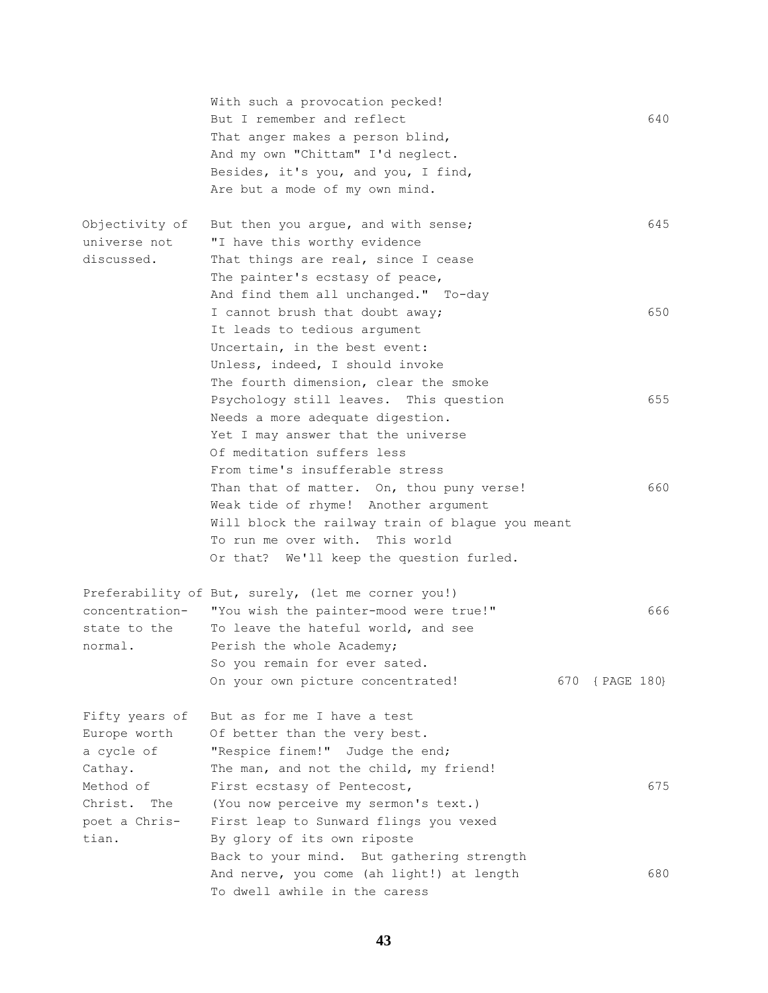|                                                               | With such a provocation pecked!<br>But I remember and reflect<br>That anger makes a person blind,<br>And my own "Chittam" I'd neglect.<br>Besides, it's you, and you, I find,<br>Are but a mode of my own mind.                        |                 | 640 |
|---------------------------------------------------------------|----------------------------------------------------------------------------------------------------------------------------------------------------------------------------------------------------------------------------------------|-----------------|-----|
| Objectivity of<br>universe not<br>discussed.                  | But then you argue, and with sense;<br>"I have this worthy evidence<br>That things are real, since I cease<br>The painter's ecstasy of peace,<br>And find them all unchanged." To-day                                                  |                 | 645 |
|                                                               | I cannot brush that doubt away;<br>It leads to tedious argument<br>Uncertain, in the best event:<br>Unless, indeed, I should invoke<br>The fourth dimension, clear the smoke                                                           |                 | 650 |
|                                                               | Psychology still leaves. This question<br>Needs a more adequate digestion.<br>Yet I may answer that the universe<br>Of meditation suffers less<br>From time's insufferable stress                                                      |                 | 655 |
|                                                               | Than that of matter. On, thou puny verse!<br>Weak tide of rhyme! Another argument<br>Will block the railway train of blague you meant<br>To run me over with. This world<br>Or that? We'll keep the question furled.                   |                 | 660 |
| concentration-<br>state to the<br>normal.                     | Preferability of But, surely, (let me corner you!)<br>"You wish the painter-mood were true!"<br>To leave the hateful world, and see<br>Perish the whole Academy;<br>So you remain for ever sated.<br>On your own picture concentrated! | 670 { PAGE 180} | 666 |
| Fifty years of<br>Europe worth<br>a cycle of                  | But as for me I have a test<br>Of better than the very best.<br>"Respice finem!" Judge the end;                                                                                                                                        |                 |     |
| Cathay.<br>Method of<br>Christ. The<br>poet a Chris-<br>tian. | The man, and not the child, my friend!<br>First ecstasy of Pentecost,<br>(You now perceive my sermon's text.)<br>First leap to Sunward flings you vexed<br>By glory of its own riposte                                                 |                 | 675 |
|                                                               | Back to your mind. But gathering strength<br>And nerve, you come (ah light!) at length<br>To dwell awhile in the caress                                                                                                                |                 | 680 |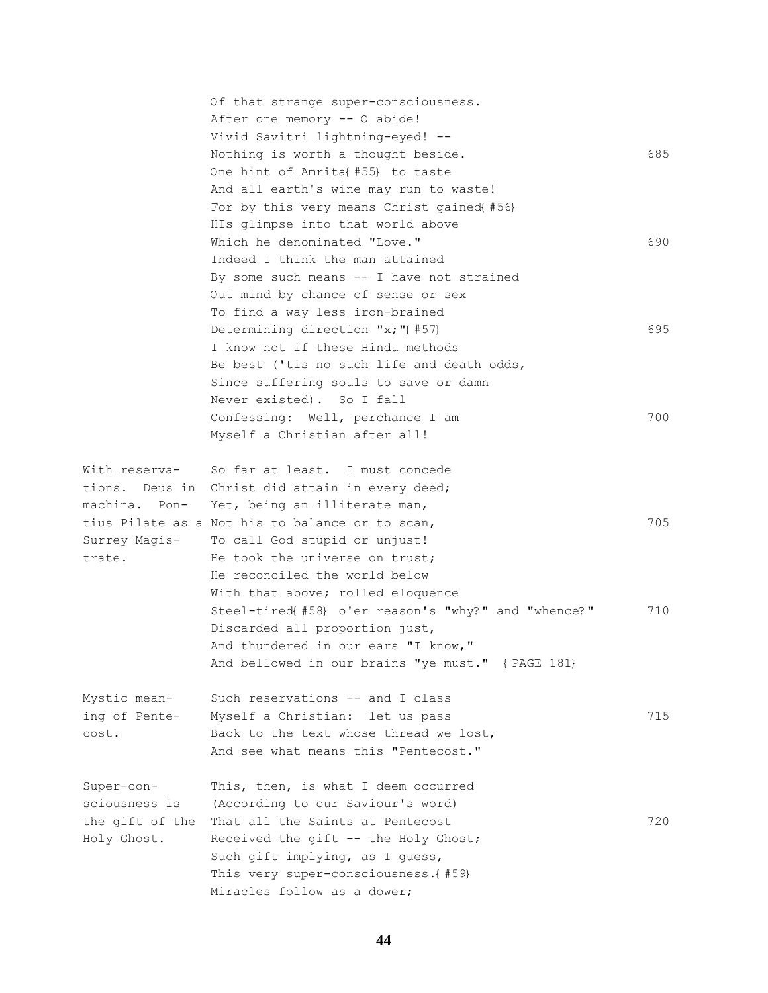|                 | Of that strange super-consciousness.                             |     |
|-----------------|------------------------------------------------------------------|-----|
|                 | After one memory -- O abide!<br>Vivid Savitri lightning-eyed! -- |     |
|                 |                                                                  | 685 |
|                 | Nothing is worth a thought beside.                               |     |
|                 | One hint of Amrita{#55} to taste                                 |     |
|                 | And all earth's wine may run to waste!                           |     |
|                 | For by this very means Christ gained (#56)                       |     |
|                 | HIs glimpse into that world above                                |     |
|                 | Which he denominated "Love."                                     | 690 |
|                 | Indeed I think the man attained                                  |     |
|                 | By some such means $--$ I have not strained                      |     |
|                 | Out mind by chance of sense or sex                               |     |
|                 | To find a way less iron-brained                                  |     |
|                 | Determining direction "x; "{ #57}                                | 695 |
|                 | I know not if these Hindu methods                                |     |
|                 | Be best ('tis no such life and death odds,                       |     |
|                 | Since suffering souls to save or damn                            |     |
|                 | Never existed). So I fall                                        |     |
|                 | Confessing: Well, perchance I am                                 | 700 |
|                 | Myself a Christian after all!                                    |     |
|                 |                                                                  |     |
| With reserva-   | So far at least. I must concede                                  |     |
| tions. Deus in  | Christ did attain in every deed;                                 |     |
| machina. Pon-   | Yet, being an illiterate man,                                    |     |
|                 | tius Pilate as a Not his to balance or to scan,                  | 705 |
| Surrey Magis-   | To call God stupid or unjust!                                    |     |
| trate.          | He took the universe on trust;                                   |     |
|                 | He reconciled the world below                                    |     |
|                 | With that above; rolled eloquence                                |     |
|                 | Steel-tired{#58} o'er reason's "why?" and "whence?"              | 710 |
|                 | Discarded all proportion just,                                   |     |
|                 | And thundered in our ears "I know,"                              |     |
|                 | And bellowed in our brains "ye must." { PAGE 181}                |     |
| Mystic mean-    | Such reservations -- and I class                                 |     |
| ing of Pente-   | Myself a Christian: let us pass                                  | 715 |
| cost.           | Back to the text whose thread we lost,                           |     |
|                 | And see what means this "Pentecost."                             |     |
|                 |                                                                  |     |
| Super-con-      | This, then, is what I deem occurred                              |     |
| sciousness is   | (According to our Saviour's word)                                |     |
| the gift of the | That all the Saints at Pentecost                                 | 720 |
| Holy Ghost.     | Received the gift -- the Holy Ghost;                             |     |
|                 | Such gift implying, as I guess,                                  |     |
|                 | This very super-consciousness. { #59}                            |     |
|                 | Miracles follow as a dower;                                      |     |
|                 |                                                                  |     |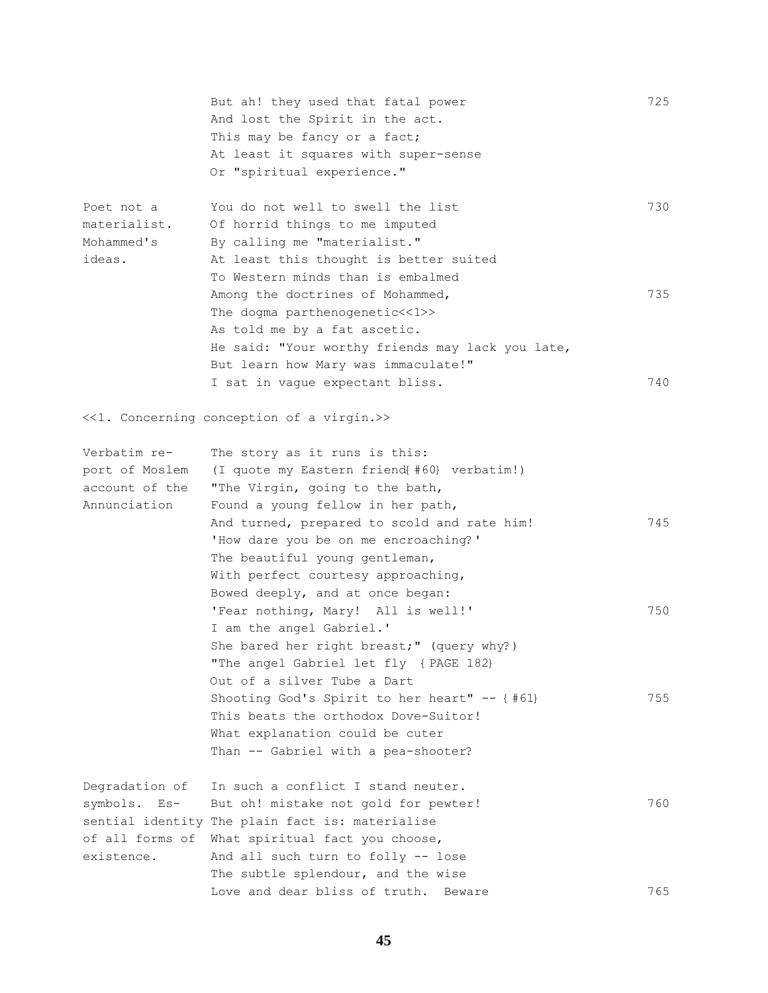|                                                    | But ah! they used that fatal power<br>And lost the Spirit in the act.<br>This may be fancy or a fact;<br>At least it squares with super-sense<br>Or "spiritual experience."                                                          | 725 |
|----------------------------------------------------|--------------------------------------------------------------------------------------------------------------------------------------------------------------------------------------------------------------------------------------|-----|
| Poet not a<br>materialist.<br>Mohammed's<br>ideas. | You do not well to swell the list<br>Of horrid things to me imputed<br>By calling me "materialist."<br>At least this thought is better suited<br>To Western minds than is embalmed                                                   | 730 |
|                                                    | Among the doctrines of Mohammed,<br>The dogma parthenogenetic<<1>><br>As told me by a fat ascetic.<br>He said: "Your worthy friends may lack you late,<br>But learn how Mary was immaculate!"                                        | 735 |
|                                                    | I sat in vague expectant bliss.                                                                                                                                                                                                      | 740 |
|                                                    | <<1. Concerning conception of a virgin.>>                                                                                                                                                                                            |     |
| Verbatim re-<br>port of Moslem<br>account of the   | The story as it runs is this:<br>(I quote my Eastern friend #60} verbatim!)<br>"The Virgin, going to the bath,                                                                                                                       |     |
| Annunciation                                       | Found a young fellow in her path,<br>And turned, prepared to scold and rate him!<br>'How dare you be on me encroaching?'<br>The beautiful young gentleman,<br>With perfect courtesy approaching,<br>Bowed deeply, and at once began: | 745 |
|                                                    | 'Fear nothing, Mary! All is well!'<br>I am the angel Gabriel.'<br>She bared her right breast;" (query why?)<br>"The angel Gabriel let fly { PAGE 182}<br>Out of a silver Tube a Dart                                                 | 750 |
|                                                    | Shooting God's Spirit to her heart" $--$ {#61}<br>This beats the orthodox Dove-Suitor!<br>What explanation could be cuter<br>Than -- Gabriel with a pea-shooter?                                                                     | 755 |
| Degradation of<br>symbols. Es-<br>existence.       | In such a conflict I stand neuter.<br>But oh! mistake not gold for pewter!<br>sential identity The plain fact is: materialise<br>of all forms of What spiritual fact you choose,<br>And all such turn to folly -- lose               | 760 |
|                                                    | The subtle splendour, and the wise<br>Love and dear bliss of truth.<br>Beware                                                                                                                                                        | 765 |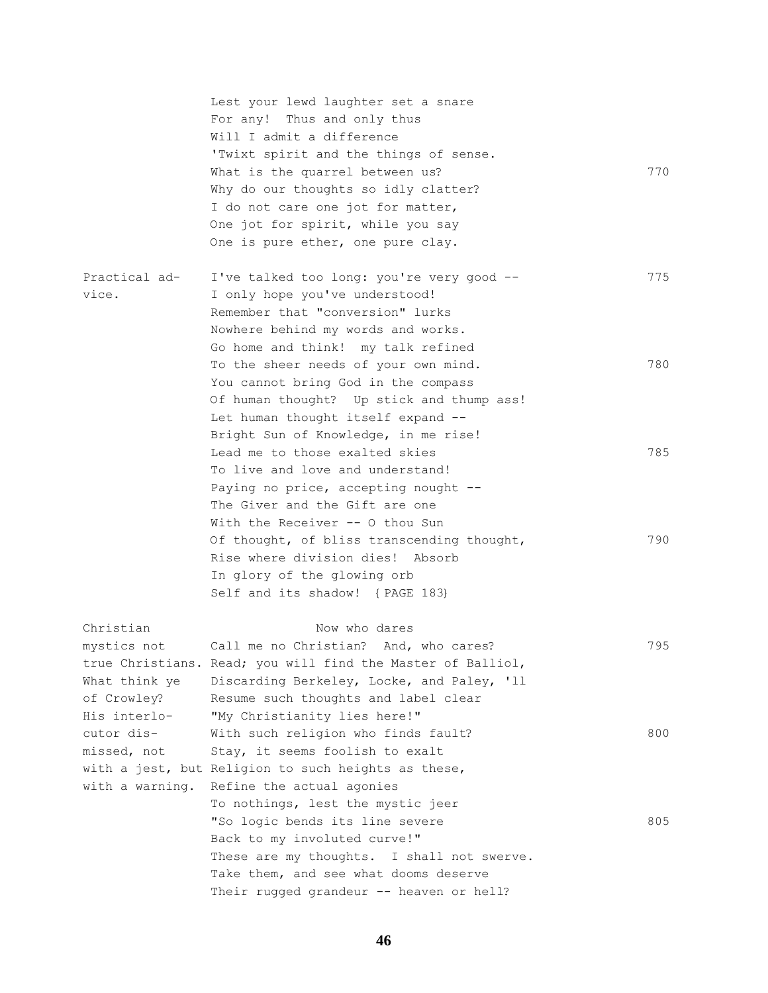|                                                                          | Lest your lewd laughter set a snare<br>For any! Thus and only thus<br>Will I admit a difference<br>'Twixt spirit and the things of sense.<br>What is the quarrel between us?<br>Why do our thoughts so idly clatter?<br>I do not care one jot for matter,<br>One jot for spirit, while you say<br>One is pure ether, one pure clay. | 770 |
|--------------------------------------------------------------------------|-------------------------------------------------------------------------------------------------------------------------------------------------------------------------------------------------------------------------------------------------------------------------------------------------------------------------------------|-----|
| Practical ad-<br>vice.                                                   | I've talked too long: you're very good --<br>I only hope you've understood!<br>Remember that "conversion" lurks<br>Nowhere behind my words and works.                                                                                                                                                                               | 775 |
|                                                                          | Go home and think! my talk refined<br>To the sheer needs of your own mind.<br>You cannot bring God in the compass<br>Of human thought? Up stick and thump ass!<br>Let human thought itself expand --<br>Bright Sun of Knowledge, in me rise!                                                                                        | 780 |
|                                                                          | Lead me to those exalted skies<br>To live and love and understand!<br>Paying no price, accepting nought --<br>The Giver and the Gift are one<br>With the Receiver $-$ 0 thou Sun                                                                                                                                                    | 785 |
|                                                                          | Of thought, of bliss transcending thought,<br>Rise where division dies! Absorb<br>In glory of the glowing orb<br>Self and its shadow! { PAGE 183}                                                                                                                                                                                   | 790 |
| Christian<br>mystics not<br>What think ye<br>of Crowley?<br>His interlo- | Now who dares<br>Call me no Christian? And, who cares?<br>true Christians. Read; you will find the Master of Balliol,<br>Discarding Berkeley, Locke, and Paley, 'll<br>Resume such thoughts and label clear<br>"My Christianity lies here!"                                                                                         | 795 |
| cutor dis-<br>missed, not<br>with a warning.                             | With such religion who finds fault?<br>Stay, it seems foolish to exalt<br>with a jest, but Religion to such heights as these,<br>Refine the actual agonies<br>To nothings, lest the mystic jeer                                                                                                                                     | 800 |
|                                                                          | "So logic bends its line severe<br>Back to my involuted curve!"<br>These are my thoughts. I shall not swerve.<br>Take them, and see what dooms deserve<br>Their rugged grandeur -- heaven or hell?                                                                                                                                  | 805 |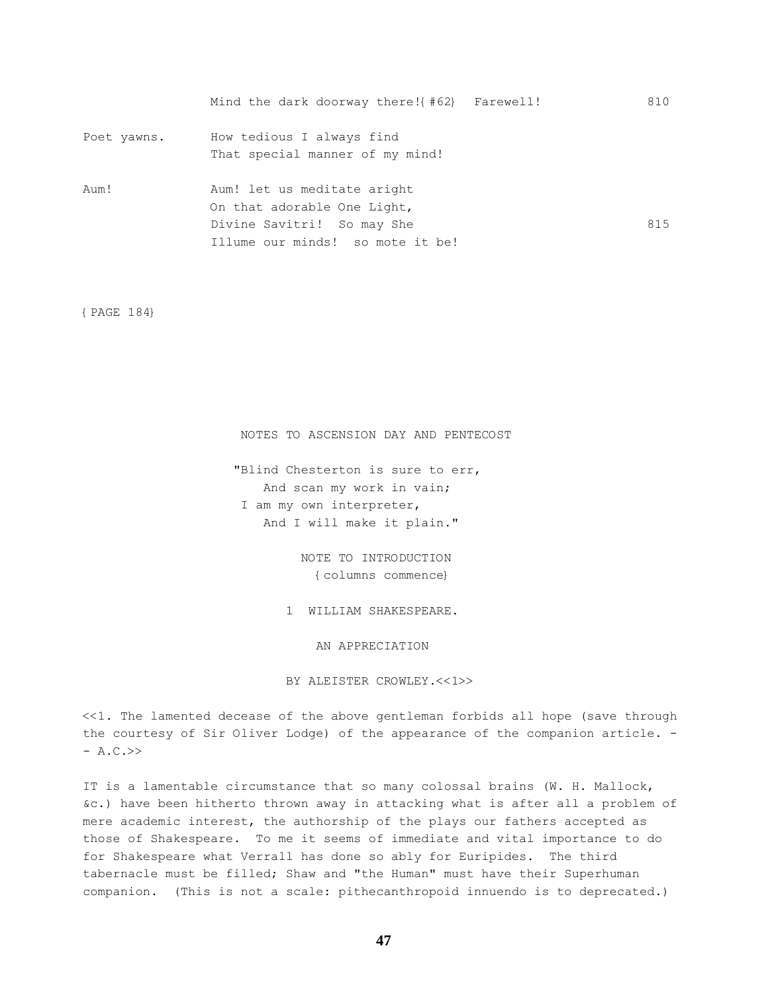|             | Mind the dark doorway there! { #62} Farewell!                  | 810 |
|-------------|----------------------------------------------------------------|-----|
| Poet yawns. | How tedious I always find<br>That special manner of my mind!   |     |
| Aum!        | Aum! let us meditate aright<br>On that adorable One Light,     |     |
|             | Divine Savitri! So may She<br>Illume our minds! so mote it be! | 815 |

{PAGE 184}

NOTES TO ASCENSION DAY AND PENTECOST

 "Blind Chesterton is sure to err, And scan my work in vain; I am my own interpreter, And I will make it plain."

> NOTE TO INTRODUCTION {columns commence}

1 WILLIAM SHAKESPEARE.

AN APPRECIATION

BY ALEISTER CROWLEY.<<1>>

<<1. The lamented decease of the above gentleman forbids all hope (save through the courtesy of Sir Oliver Lodge) of the appearance of the companion article. -  $- A.C.>>$ 

IT is a lamentable circumstance that so many colossal brains (W. H. Mallock, &c.) have been hitherto thrown away in attacking what is after all a problem of mere academic interest, the authorship of the plays our fathers accepted as those of Shakespeare. To me it seems of immediate and vital importance to do for Shakespeare what Verrall has done so ably for Euripides. The third tabernacle must be filled; Shaw and "the Human" must have their Superhuman companion. (This is not a scale: pithecanthropoid innuendo is to deprecated.)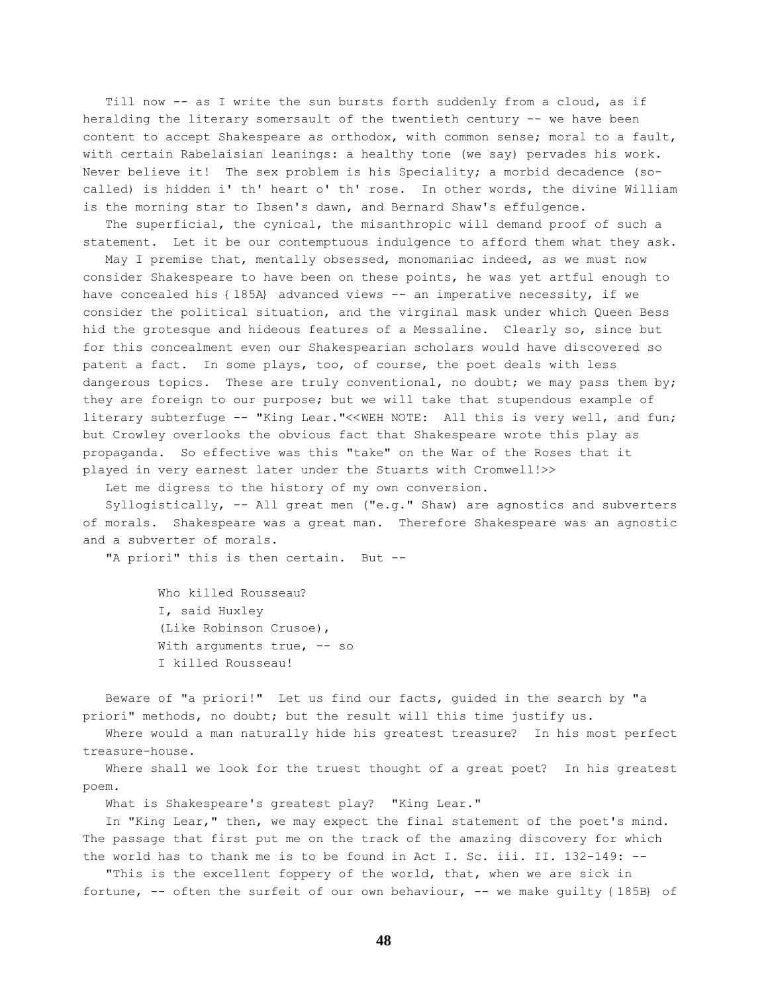Till now -- as I write the sun bursts forth suddenly from a cloud, as if heralding the literary somersault of the twentieth century -- we have been content to accept Shakespeare as orthodox, with common sense; moral to a fault, with certain Rabelaisian leanings: a healthy tone (we say) pervades his work. Never believe it! The sex problem is his Speciality; a morbid decadence (socalled) is hidden i' th' heart o' th' rose. In other words, the divine William is the morning star to Ibsen's dawn, and Bernard Shaw's effulgence.

 The superficial, the cynical, the misanthropic will demand proof of such a statement. Let it be our contemptuous indulgence to afford them what they ask.

 May I premise that, mentally obsessed, monomaniac indeed, as we must now consider Shakespeare to have been on these points, he was yet artful enough to have concealed his {185A} advanced views -- an imperative necessity, if we consider the political situation, and the virginal mask under which Queen Bess hid the grotesque and hideous features of a Messaline. Clearly so, since but for this concealment even our Shakespearian scholars would have discovered so patent a fact. In some plays, too, of course, the poet deals with less dangerous topics. These are truly conventional, no doubt; we may pass them by; they are foreign to our purpose; but we will take that stupendous example of literary subterfuge -- "King Lear."<<WEH NOTE: All this is very well, and fun; but Crowley overlooks the obvious fact that Shakespeare wrote this play as propaganda. So effective was this "take" on the War of the Roses that it played in very earnest later under the Stuarts with Cromwell!>>

Let me digress to the history of my own conversion.

 Syllogistically, -- All great men ("e.g." Shaw) are agnostics and subverters of morals. Shakespeare was a great man. Therefore Shakespeare was an agnostic and a subverter of morals.

"A priori" this is then certain. But --

 Who killed Rousseau? I, said Huxley (Like Robinson Crusoe), With arguments true, -- so I killed Rousseau!

 Beware of "a priori!" Let us find our facts, guided in the search by "a priori" methods, no doubt; but the result will this time justify us.

 Where would a man naturally hide his greatest treasure? In his most perfect treasure-house.

Where shall we look for the truest thought of a great poet? In his greatest poem.

What is Shakespeare's greatest play? "King Lear."

 In "King Lear," then, we may expect the final statement of the poet's mind. The passage that first put me on the track of the amazing discovery for which the world has to thank me is to be found in Act I. Sc. iii. II. 132-149: --

 "This is the excellent foppery of the world, that, when we are sick in fortune, -- often the surfeit of our own behaviour, -- we make guilty {185B} of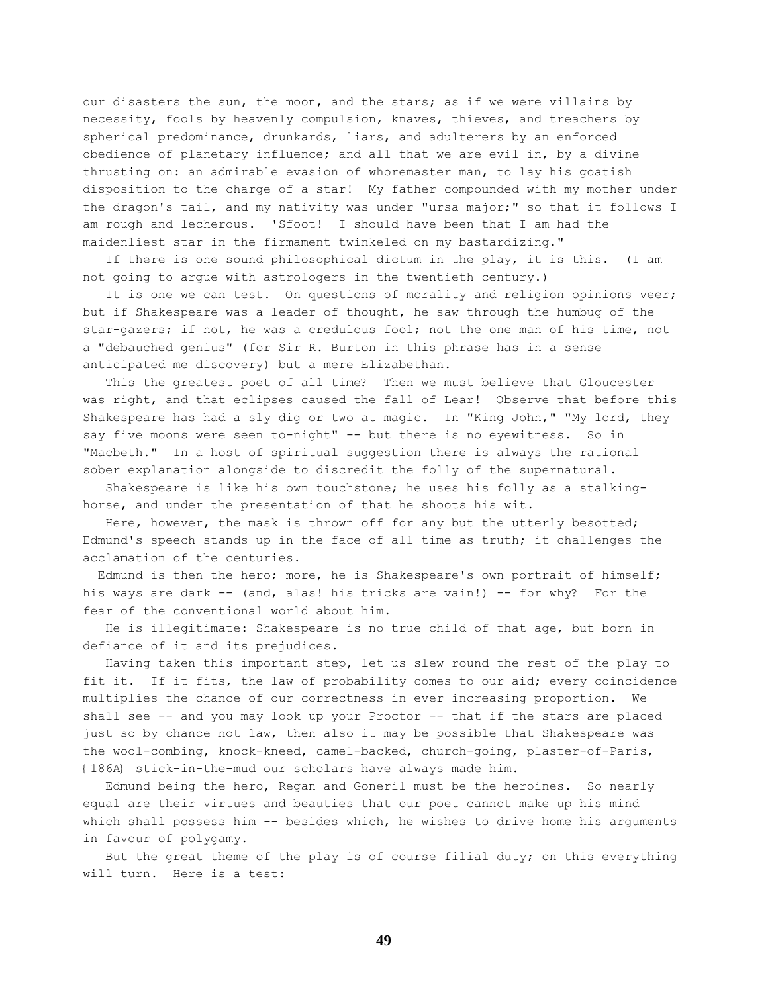our disasters the sun, the moon, and the stars; as if we were villains by necessity, fools by heavenly compulsion, knaves, thieves, and treachers by spherical predominance, drunkards, liars, and adulterers by an enforced obedience of planetary influence; and all that we are evil in, by a divine thrusting on: an admirable evasion of whoremaster man, to lay his goatish disposition to the charge of a star! My father compounded with my mother under the dragon's tail, and my nativity was under "ursa major;" so that it follows I am rough and lecherous. 'Sfoot! I should have been that I am had the maidenliest star in the firmament twinkeled on my bastardizing."

 If there is one sound philosophical dictum in the play, it is this. (I am not going to argue with astrologers in the twentieth century.)

It is one we can test. On questions of morality and religion opinions veer; but if Shakespeare was a leader of thought, he saw through the humbug of the star-gazers; if not, he was a credulous fool; not the one man of his time, not a "debauched genius" (for Sir R. Burton in this phrase has in a sense anticipated me discovery) but a mere Elizabethan.

 This the greatest poet of all time? Then we must believe that Gloucester was right, and that eclipses caused the fall of Lear! Observe that before this Shakespeare has had a sly dig or two at magic. In "King John," "My lord, they say five moons were seen to-night" -- but there is no eyewitness. So in "Macbeth." In a host of spiritual suggestion there is always the rational sober explanation alongside to discredit the folly of the supernatural.

 Shakespeare is like his own touchstone; he uses his folly as a stalkinghorse, and under the presentation of that he shoots his wit.

Here, however, the mask is thrown off for any but the utterly besotted; Edmund's speech stands up in the face of all time as truth; it challenges the acclamation of the centuries.

 Edmund is then the hero; more, he is Shakespeare's own portrait of himself; his ways are dark -- (and, alas! his tricks are vain!) -- for why? For the fear of the conventional world about him.

 He is illegitimate: Shakespeare is no true child of that age, but born in defiance of it and its prejudices.

 Having taken this important step, let us slew round the rest of the play to fit it. If it fits, the law of probability comes to our aid; every coincidence multiplies the chance of our correctness in ever increasing proportion. We shall see -- and you may look up your Proctor -- that if the stars are placed just so by chance not law, then also it may be possible that Shakespeare was the wool-combing, knock-kneed, camel-backed, church-going, plaster-of-Paris, {186A} stick-in-the-mud our scholars have always made him.

 Edmund being the hero, Regan and Goneril must be the heroines. So nearly equal are their virtues and beauties that our poet cannot make up his mind which shall possess him -- besides which, he wishes to drive home his arguments in favour of polygamy.

 But the great theme of the play is of course filial duty; on this everything will turn. Here is a test: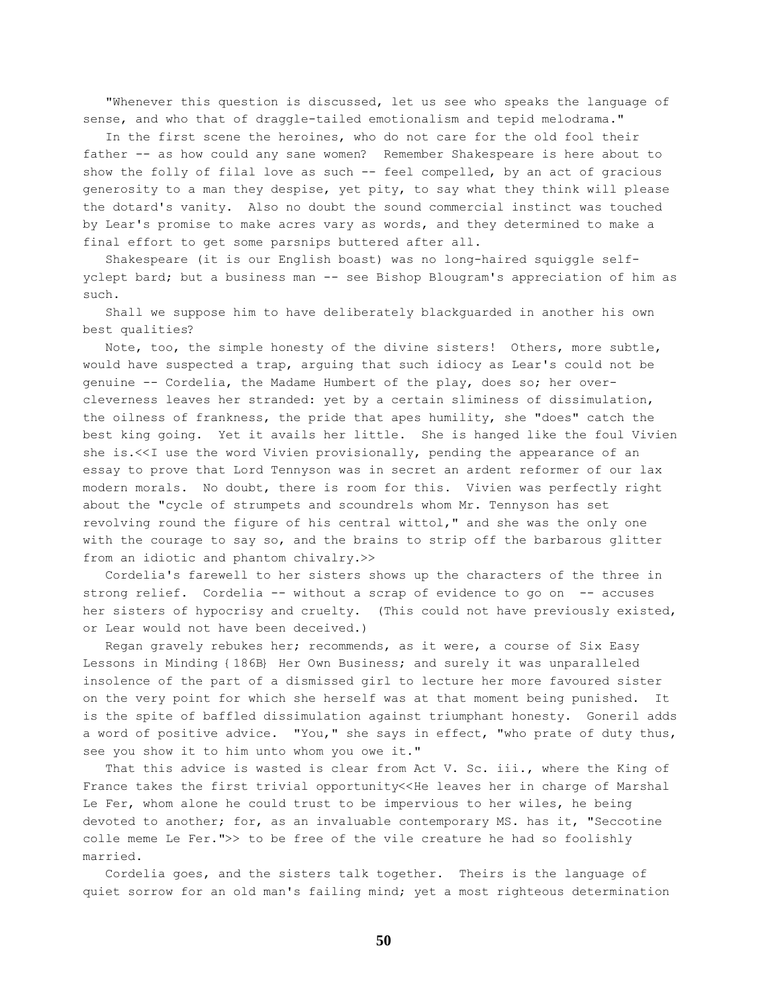"Whenever this question is discussed, let us see who speaks the language of sense, and who that of draggle-tailed emotionalism and tepid melodrama."

 In the first scene the heroines, who do not care for the old fool their father -- as how could any sane women? Remember Shakespeare is here about to show the folly of filal love as such -- feel compelled, by an act of gracious generosity to a man they despise, yet pity, to say what they think will please the dotard's vanity. Also no doubt the sound commercial instinct was touched by Lear's promise to make acres vary as words, and they determined to make a final effort to get some parsnips buttered after all.

 Shakespeare (it is our English boast) was no long-haired squiggle selfyclept bard; but a business man -- see Bishop Blougram's appreciation of him as such.

 Shall we suppose him to have deliberately blackguarded in another his own best qualities?

 Note, too, the simple honesty of the divine sisters! Others, more subtle, would have suspected a trap, arguing that such idiocy as Lear's could not be genuine -- Cordelia, the Madame Humbert of the play, does so; her overcleverness leaves her stranded: yet by a certain sliminess of dissimulation, the oilness of frankness, the pride that apes humility, she "does" catch the best king going. Yet it avails her little. She is hanged like the foul Vivien she is.<<I use the word Vivien provisionally, pending the appearance of an essay to prove that Lord Tennyson was in secret an ardent reformer of our lax modern morals. No doubt, there is room for this. Vivien was perfectly right about the "cycle of strumpets and scoundrels whom Mr. Tennyson has set revolving round the figure of his central wittol," and she was the only one with the courage to say so, and the brains to strip off the barbarous glitter from an idiotic and phantom chivalry.>>

 Cordelia's farewell to her sisters shows up the characters of the three in strong relief. Cordelia -- without a scrap of evidence to go on -- accuses her sisters of hypocrisy and cruelty. (This could not have previously existed, or Lear would not have been deceived.)

 Regan gravely rebukes her; recommends, as it were, a course of Six Easy Lessons in Minding {186B} Her Own Business; and surely it was unparalleled insolence of the part of a dismissed girl to lecture her more favoured sister on the very point for which she herself was at that moment being punished. It is the spite of baffled dissimulation against triumphant honesty. Goneril adds a word of positive advice. "You," she says in effect, "who prate of duty thus, see you show it to him unto whom you owe it."

That this advice is wasted is clear from Act V. Sc. iii., where the King of France takes the first trivial opportunity<<He leaves her in charge of Marshal Le Fer, whom alone he could trust to be impervious to her wiles, he being devoted to another; for, as an invaluable contemporary MS. has it, "Seccotine colle meme Le Fer.">> to be free of the vile creature he had so foolishly married.

 Cordelia goes, and the sisters talk together. Theirs is the language of quiet sorrow for an old man's failing mind; yet a most righteous determination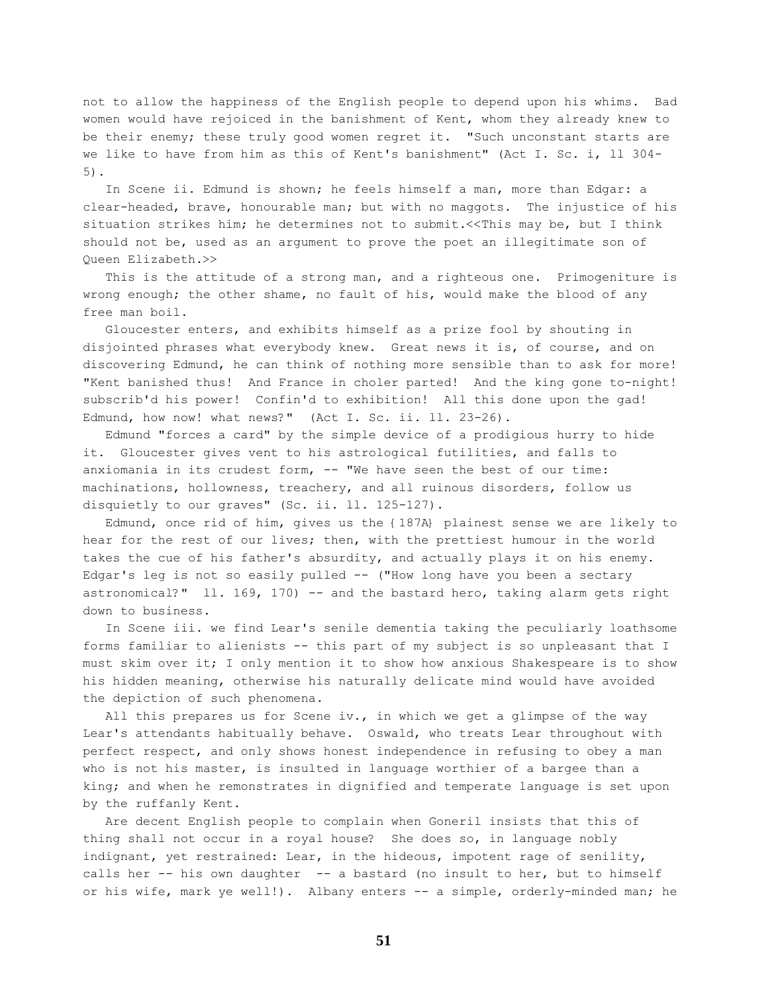not to allow the happiness of the English people to depend upon his whims. Bad women would have rejoiced in the banishment of Kent, whom they already knew to be their enemy; these truly good women regret it. "Such unconstant starts are we like to have from him as this of Kent's banishment" (Act I. Sc. i, ll 304- 5).

 In Scene ii. Edmund is shown; he feels himself a man, more than Edgar: a clear-headed, brave, honourable man; but with no maggots. The injustice of his situation strikes him; he determines not to submit.<<This may be, but I think should not be, used as an argument to prove the poet an illegitimate son of Queen Elizabeth.>>

 This is the attitude of a strong man, and a righteous one. Primogeniture is wrong enough; the other shame, no fault of his, would make the blood of any free man boil.

 Gloucester enters, and exhibits himself as a prize fool by shouting in disjointed phrases what everybody knew. Great news it is, of course, and on discovering Edmund, he can think of nothing more sensible than to ask for more! "Kent banished thus! And France in choler parted! And the king gone to-night! subscrib'd his power! Confin'd to exhibition! All this done upon the gad! Edmund, how now! what news?" (Act I. Sc. ii. 11. 23-26).

 Edmund "forces a card" by the simple device of a prodigious hurry to hide it. Gloucester gives vent to his astrological futilities, and falls to anxiomania in its crudest form, -- "We have seen the best of our time: machinations, hollowness, treachery, and all ruinous disorders, follow us disquietly to our graves" (Sc. ii. ll. 125-127).

 Edmund, once rid of him, gives us the {187A} plainest sense we are likely to hear for the rest of our lives; then, with the prettiest humour in the world takes the cue of his father's absurdity, and actually plays it on his enemy. Edgar's leg is not so easily pulled -- ("How long have you been a sectary astronomical?" ll. 169, 170) -- and the bastard hero, taking alarm gets right down to business.

 In Scene iii. we find Lear's senile dementia taking the peculiarly loathsome forms familiar to alienists -- this part of my subject is so unpleasant that I must skim over it; I only mention it to show how anxious Shakespeare is to show his hidden meaning, otherwise his naturally delicate mind would have avoided the depiction of such phenomena.

All this prepares us for Scene iv., in which we get a glimpse of the way Lear's attendants habitually behave. Oswald, who treats Lear throughout with perfect respect, and only shows honest independence in refusing to obey a man who is not his master, is insulted in language worthier of a bargee than a king; and when he remonstrates in dignified and temperate language is set upon by the ruffanly Kent.

 Are decent English people to complain when Goneril insists that this of thing shall not occur in a royal house? She does so, in language nobly indignant, yet restrained: Lear, in the hideous, impotent rage of senility, calls her -- his own daughter -- a bastard (no insult to her, but to himself or his wife, mark ye well!). Albany enters -- a simple, orderly-minded man; he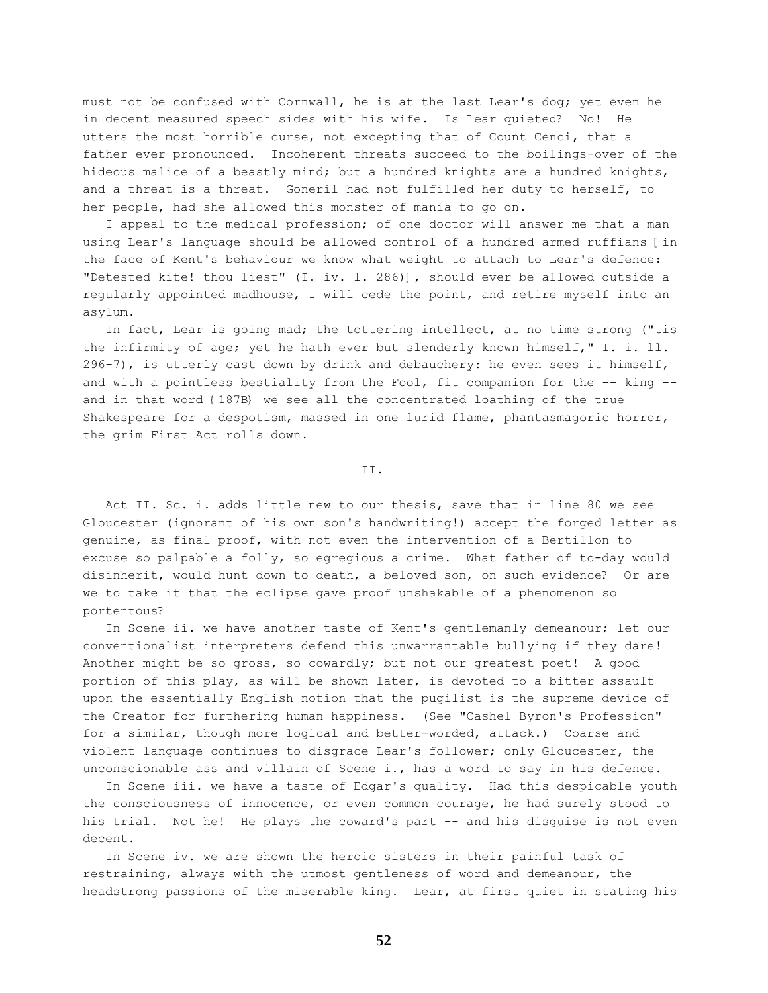must not be confused with Cornwall, he is at the last Lear's dog; yet even he in decent measured speech sides with his wife. Is Lear quieted? No! He utters the most horrible curse, not excepting that of Count Cenci, that a father ever pronounced. Incoherent threats succeed to the boilings-over of the hideous malice of a beastly mind; but a hundred knights are a hundred knights, and a threat is a threat. Goneril had not fulfilled her duty to herself, to her people, had she allowed this monster of mania to go on.

 I appeal to the medical profession; of one doctor will answer me that a man using Lear's language should be allowed control of a hundred armed ruffians [in the face of Kent's behaviour we know what weight to attach to Lear's defence: "Detested kite! thou liest" (I. iv. l. 286)], should ever be allowed outside a regularly appointed madhouse, I will cede the point, and retire myself into an asylum.

 In fact, Lear is going mad; the tottering intellect, at no time strong ("tis the infirmity of age; yet he hath ever but slenderly known himself," I. i. ll. 296-7), is utterly cast down by drink and debauchery: he even sees it himself, and with a pointless bestiality from the Fool, fit companion for the -- king - and in that word {187B} we see all the concentrated loathing of the true Shakespeare for a despotism, massed in one lurid flame, phantasmagoric horror, the grim First Act rolls down.

II.

 Act II. Sc. i. adds little new to our thesis, save that in line 80 we see Gloucester (ignorant of his own son's handwriting!) accept the forged letter as genuine, as final proof, with not even the intervention of a Bertillon to excuse so palpable a folly, so egregious a crime. What father of to-day would disinherit, would hunt down to death, a beloved son, on such evidence? Or are we to take it that the eclipse gave proof unshakable of a phenomenon so portentous?

 In Scene ii. we have another taste of Kent's gentlemanly demeanour; let our conventionalist interpreters defend this unwarrantable bullying if they dare! Another might be so gross, so cowardly; but not our greatest poet! A good portion of this play, as will be shown later, is devoted to a bitter assault upon the essentially English notion that the pugilist is the supreme device of the Creator for furthering human happiness. (See "Cashel Byron's Profession" for a similar, though more logical and better-worded, attack.) Coarse and violent language continues to disgrace Lear's follower; only Gloucester, the unconscionable ass and villain of Scene i., has a word to say in his defence.

 In Scene iii. we have a taste of Edgar's quality. Had this despicable youth the consciousness of innocence, or even common courage, he had surely stood to his trial. Not he! He plays the coward's part -- and his disguise is not even decent.

 In Scene iv. we are shown the heroic sisters in their painful task of restraining, always with the utmost gentleness of word and demeanour, the headstrong passions of the miserable king. Lear, at first quiet in stating his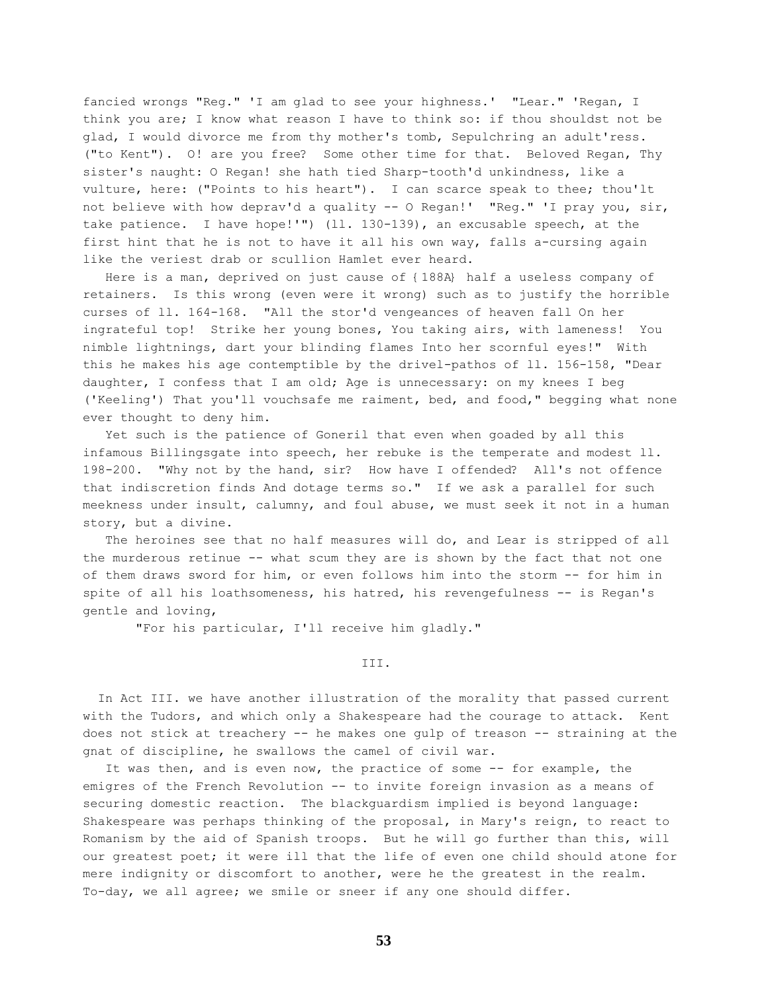fancied wrongs "Reg." 'I am glad to see your highness.' "Lear." 'Regan, I think you are; I know what reason I have to think so: if thou shouldst not be glad, I would divorce me from thy mother's tomb, Sepulchring an adult'ress. ("to Kent"). O! are you free? Some other time for that. Beloved Regan, Thy sister's naught: O Regan! she hath tied Sharp-tooth'd unkindness, like a vulture, here: ("Points to his heart"). I can scarce speak to thee; thou'lt not believe with how deprav'd a quality -- O Regan!' "Reg." 'I pray you, sir, take patience. I have hope!'") (ll. 130-139), an excusable speech, at the first hint that he is not to have it all his own way, falls a-cursing again like the veriest drab or scullion Hamlet ever heard.

 Here is a man, deprived on just cause of {188A} half a useless company of retainers. Is this wrong (even were it wrong) such as to justify the horrible curses of ll. 164-168. "All the stor'd vengeances of heaven fall On her ingrateful top! Strike her young bones, You taking airs, with lameness! You nimble lightnings, dart your blinding flames Into her scornful eyes!" With this he makes his age contemptible by the drivel-pathos of ll. 156-158, "Dear daughter, I confess that I am old; Age is unnecessary: on my knees I beg ('Keeling') That you'll vouchsafe me raiment, bed, and food," begging what none ever thought to deny him.

 Yet such is the patience of Goneril that even when goaded by all this infamous Billingsgate into speech, her rebuke is the temperate and modest ll. 198-200. "Why not by the hand, sir? How have I offended? All's not offence that indiscretion finds And dotage terms so." If we ask a parallel for such meekness under insult, calumny, and foul abuse, we must seek it not in a human story, but a divine.

 The heroines see that no half measures will do, and Lear is stripped of all the murderous retinue -- what scum they are is shown by the fact that not one of them draws sword for him, or even follows him into the storm -- for him in spite of all his loathsomeness, his hatred, his revengefulness -- is Regan's gentle and loving,

"For his particular, I'll receive him gladly."

III.

 In Act III. we have another illustration of the morality that passed current with the Tudors, and which only a Shakespeare had the courage to attack. Kent does not stick at treachery -- he makes one gulp of treason -- straining at the gnat of discipline, he swallows the camel of civil war.

It was then, and is even now, the practice of some -- for example, the emigres of the French Revolution -- to invite foreign invasion as a means of securing domestic reaction. The blackguardism implied is beyond language: Shakespeare was perhaps thinking of the proposal, in Mary's reign, to react to Romanism by the aid of Spanish troops. But he will go further than this, will our greatest poet; it were ill that the life of even one child should atone for mere indignity or discomfort to another, were he the greatest in the realm. To-day, we all agree; we smile or sneer if any one should differ.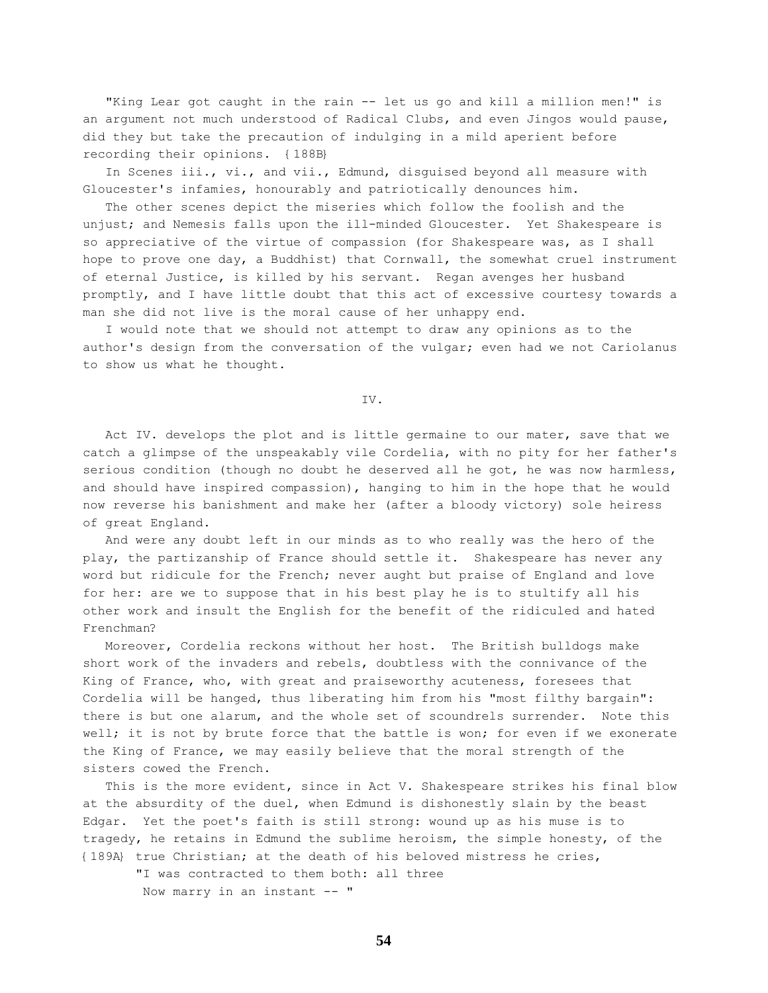"King Lear got caught in the rain -- let us go and kill a million men!" is an argument not much understood of Radical Clubs, and even Jingos would pause, did they but take the precaution of indulging in a mild aperient before recording their opinions. {188B}

 In Scenes iii., vi., and vii., Edmund, disguised beyond all measure with Gloucester's infamies, honourably and patriotically denounces him.

 The other scenes depict the miseries which follow the foolish and the unjust; and Nemesis falls upon the ill-minded Gloucester. Yet Shakespeare is so appreciative of the virtue of compassion (for Shakespeare was, as I shall hope to prove one day, a Buddhist) that Cornwall, the somewhat cruel instrument of eternal Justice, is killed by his servant. Regan avenges her husband promptly, and I have little doubt that this act of excessive courtesy towards a man she did not live is the moral cause of her unhappy end.

 I would note that we should not attempt to draw any opinions as to the author's design from the conversation of the vulgar; even had we not Cariolanus to show us what he thought.

IV.

 Act IV. develops the plot and is little germaine to our mater, save that we catch a glimpse of the unspeakably vile Cordelia, with no pity for her father's serious condition (though no doubt he deserved all he got, he was now harmless, and should have inspired compassion), hanging to him in the hope that he would now reverse his banishment and make her (after a bloody victory) sole heiress of great England.

 And were any doubt left in our minds as to who really was the hero of the play, the partizanship of France should settle it. Shakespeare has never any word but ridicule for the French; never aught but praise of England and love for her: are we to suppose that in his best play he is to stultify all his other work and insult the English for the benefit of the ridiculed and hated Frenchman?

 Moreover, Cordelia reckons without her host. The British bulldogs make short work of the invaders and rebels, doubtless with the connivance of the King of France, who, with great and praiseworthy acuteness, foresees that Cordelia will be hanged, thus liberating him from his "most filthy bargain": there is but one alarum, and the whole set of scoundrels surrender. Note this well; it is not by brute force that the battle is won; for even if we exonerate the King of France, we may easily believe that the moral strength of the sisters cowed the French.

 This is the more evident, since in Act V. Shakespeare strikes his final blow at the absurdity of the duel, when Edmund is dishonestly slain by the beast Edgar. Yet the poet's faith is still strong: wound up as his muse is to tragedy, he retains in Edmund the sublime heroism, the simple honesty, of the {189A} true Christian; at the death of his beloved mistress he cries,

 "I was contracted to them both: all three Now marry in an instant -- "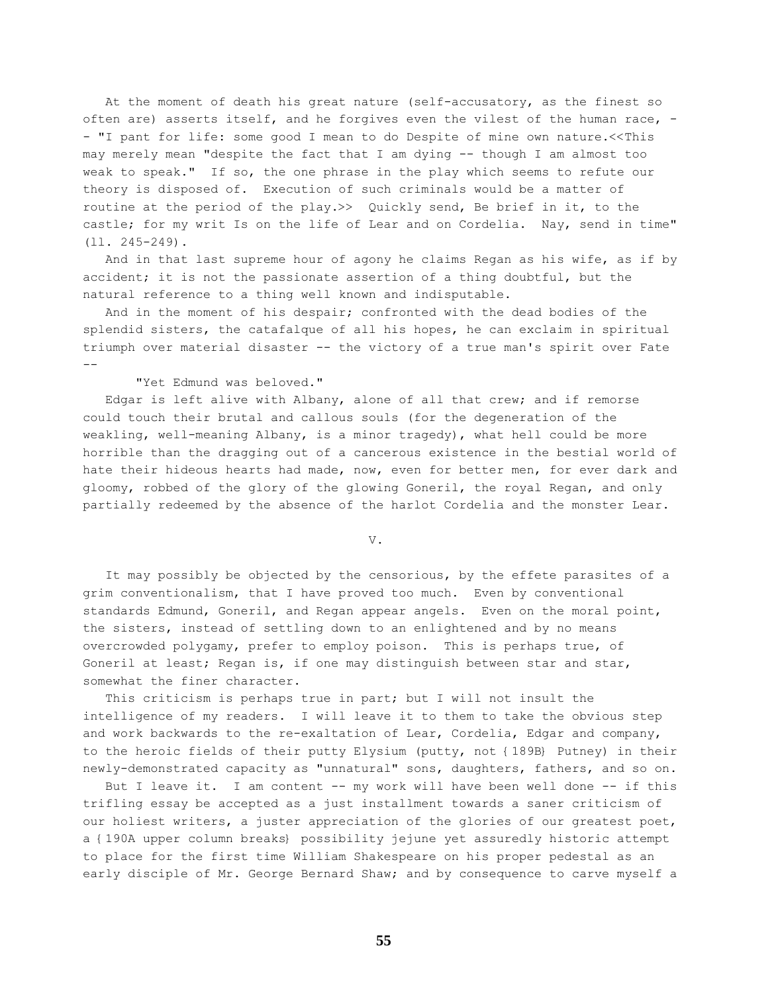At the moment of death his great nature (self-accusatory, as the finest so often are) asserts itself, and he forgives even the vilest of the human race, -- "I pant for life: some good I mean to do Despite of mine own nature.<<This may merely mean "despite the fact that I am dying -- though I am almost too weak to speak." If so, the one phrase in the play which seems to refute our theory is disposed of. Execution of such criminals would be a matter of routine at the period of the play.>> Quickly send, Be brief in it, to the castle; for my writ Is on the life of Lear and on Cordelia. Nay, send in time" (ll. 245-249).

 And in that last supreme hour of agony he claims Regan as his wife, as if by accident; it is not the passionate assertion of a thing doubtful, but the natural reference to a thing well known and indisputable.

 And in the moment of his despair; confronted with the dead bodies of the splendid sisters, the catafalque of all his hopes, he can exclaim in spiritual triumph over material disaster -- the victory of a true man's spirit over Fate --

"Yet Edmund was beloved."

 Edgar is left alive with Albany, alone of all that crew; and if remorse could touch their brutal and callous souls (for the degeneration of the weakling, well-meaning Albany, is a minor tragedy), what hell could be more horrible than the dragging out of a cancerous existence in the bestial world of hate their hideous hearts had made, now, even for better men, for ever dark and gloomy, robbed of the glory of the glowing Goneril, the royal Regan, and only partially redeemed by the absence of the harlot Cordelia and the monster Lear.

V.

 It may possibly be objected by the censorious, by the effete parasites of a grim conventionalism, that I have proved too much. Even by conventional standards Edmund, Goneril, and Regan appear angels. Even on the moral point, the sisters, instead of settling down to an enlightened and by no means overcrowded polygamy, prefer to employ poison. This is perhaps true, of Goneril at least; Regan is, if one may distinguish between star and star, somewhat the finer character.

 This criticism is perhaps true in part; but I will not insult the intelligence of my readers. I will leave it to them to take the obvious step and work backwards to the re-exaltation of Lear, Cordelia, Edgar and company, to the heroic fields of their putty Elysium (putty, not {189B} Putney) in their newly-demonstrated capacity as "unnatural" sons, daughters, fathers, and so on.

 But I leave it. I am content -- my work will have been well done -- if this trifling essay be accepted as a just installment towards a saner criticism of our holiest writers, a juster appreciation of the glories of our greatest poet, a {190A upper column breaks} possibility jejune yet assuredly historic attempt to place for the first time William Shakespeare on his proper pedestal as an early disciple of Mr. George Bernard Shaw; and by consequence to carve myself a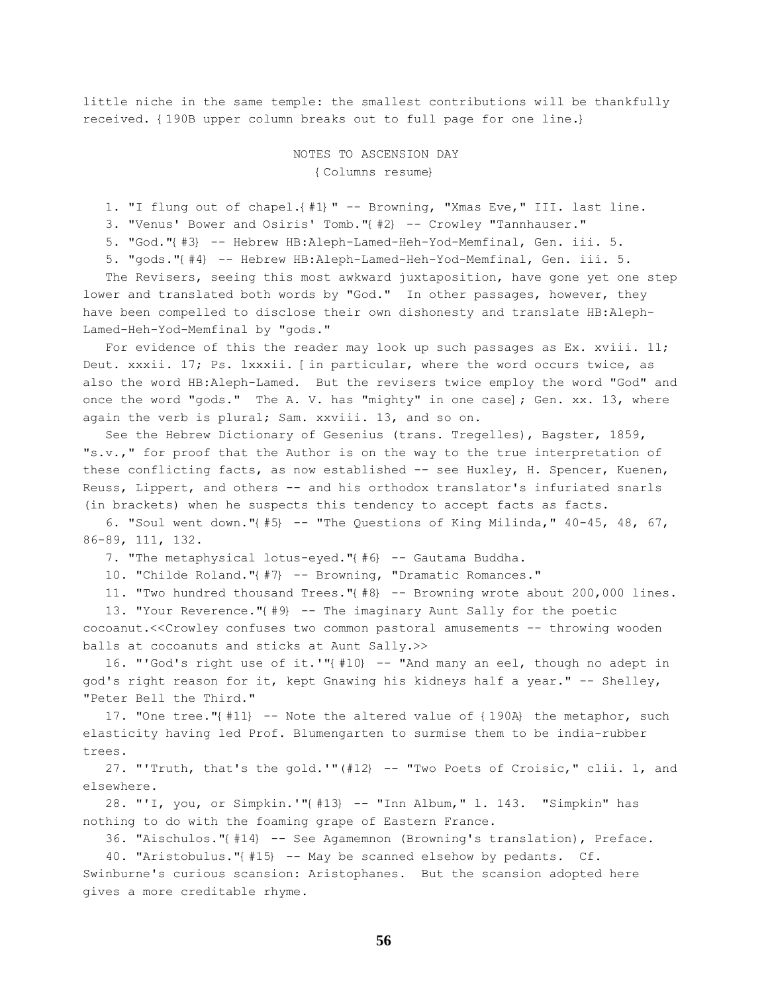little niche in the same temple: the smallest contributions will be thankfully received. {190B upper column breaks out to full page for one line.}

# NOTES TO ASCENSION DAY {Columns resume}

1. "I flung out of chapel.{#1}" -- Browning, "Xmas Eve," III. last line.

3. "Venus' Bower and Osiris' Tomb."{#2} -- Crowley "Tannhauser."

5. "God."{#3} -- Hebrew HB:Aleph-Lamed-Heh-Yod-Memfinal, Gen. iii. 5.

5. "gods."{#4} -- Hebrew HB:Aleph-Lamed-Heh-Yod-Memfinal, Gen. iii. 5.

 The Revisers, seeing this most awkward juxtaposition, have gone yet one step lower and translated both words by "God." In other passages, however, they have been compelled to disclose their own dishonesty and translate HB:Aleph-Lamed-Heh-Yod-Memfinal by "gods."

For evidence of this the reader may look up such passages as Ex. xviii.  $11$ ; Deut. xxxii. 17; Ps. lxxxii. [in particular, where the word occurs twice, as also the word HB:Aleph-Lamed. But the revisers twice employ the word "God" and once the word "gods." The A. V. has "mighty" in one case]; Gen. xx. 13, where again the verb is plural; Sam. xxviii. 13, and so on.

 See the Hebrew Dictionary of Gesenius (trans. Tregelles), Bagster, 1859, "s.v.," for proof that the Author is on the way to the true interpretation of these conflicting facts, as now established -- see Huxley, H. Spencer, Kuenen, Reuss, Lippert, and others -- and his orthodox translator's infuriated snarls (in brackets) when he suspects this tendency to accept facts as facts.

 6. "Soul went down."{#5} -- "The Questions of King Milinda," 40-45, 48, 67, 86-89, 111, 132.

7. "The metaphysical lotus-eyed."{#6} -- Gautama Buddha.

10. "Childe Roland."{#7} -- Browning, "Dramatic Romances."

11. "Two hundred thousand Trees."{#8} -- Browning wrote about 200,000 lines.

 13. "Your Reverence."{#9} -- The imaginary Aunt Sally for the poetic cocoanut.<<Crowley confuses two common pastoral amusements -- throwing wooden balls at cocoanuts and sticks at Aunt Sally.>>

 16. "'God's right use of it.'"{#10} -- "And many an eel, though no adept in god's right reason for it, kept Gnawing his kidneys half a year." -- Shelley, "Peter Bell the Third."

 17. "One tree."{#11} -- Note the altered value of {190A} the metaphor, such elasticity having led Prof. Blumengarten to surmise them to be india-rubber trees.

 27. "'Truth, that's the gold.'"(#12} -- "Two Poets of Croisic," clii. 1, and elsewhere.

 28. "'I, you, or Simpkin.'"{#13} -- "Inn Album," l. 143. "Simpkin" has nothing to do with the foaming grape of Eastern France.

36. "Aischulos."{#14} -- See Agamemnon (Browning's translation), Preface.

 40. "Aristobulus."{#15} -- May be scanned elsehow by pedants. Cf. Swinburne's curious scansion: Aristophanes. But the scansion adopted here gives a more creditable rhyme.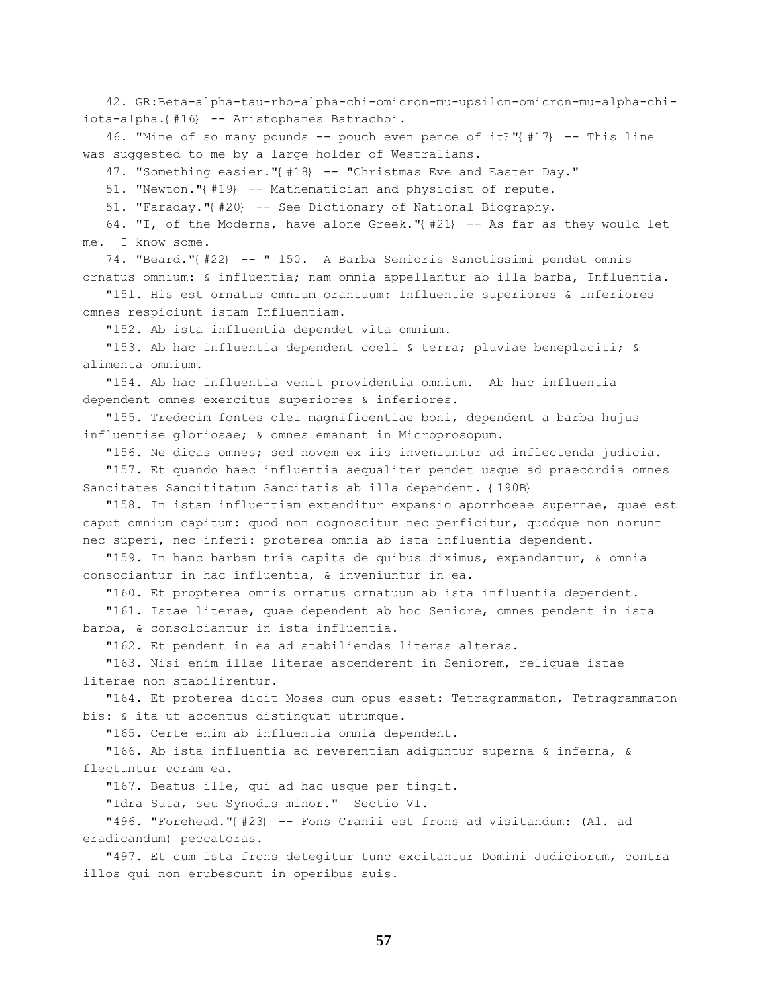42. GR:Beta-alpha-tau-rho-alpha-chi-omicron-mu-upsilon-omicron-mu-alpha-chiiota-alpha.{#16} -- Aristophanes Batrachoi.

 46. "Mine of so many pounds -- pouch even pence of it?"{#17} -- This line was suggested to me by a large holder of Westralians.

47. "Something easier."{ #18} -- "Christmas Eve and Easter Day."

51. "Newton."{#19} -- Mathematician and physicist of repute.

51. "Faraday."{#20} -- See Dictionary of National Biography.

 64. "I, of the Moderns, have alone Greek."{#21} -- As far as they would let me. I know some.

 74. "Beard."{#22} -- " 150. A Barba Senioris Sanctissimi pendet omnis ornatus omnium: & influentia; nam omnia appellantur ab illa barba, Influentia.

 "151. His est ornatus omnium orantuum: Influentie superiores & inferiores omnes respiciunt istam Influentiam.

"152. Ab ista influentia dependet vita omnium.

 "153. Ab hac influentia dependent coeli & terra; pluviae beneplaciti; & alimenta omnium.

 "154. Ab hac influentia venit providentia omnium. Ab hac influentia dependent omnes exercitus superiores & inferiores.

 "155. Tredecim fontes olei magnificentiae boni, dependent a barba hujus influentiae gloriosae; & omnes emanant in Microprosopum.

"156. Ne dicas omnes; sed novem ex iis inveniuntur ad inflectenda judicia.

 "157. Et quando haec influentia aequaliter pendet usque ad praecordia omnes Sancitates Sancititatum Sancitatis ab illa dependent. {190B}

 "158. In istam influentiam extenditur expansio aporrhoeae supernae, quae est caput omnium capitum: quod non cognoscitur nec perficitur, quodque non norunt nec superi, nec inferi: proterea omnia ab ista influentia dependent.

 "159. In hanc barbam tria capita de quibus diximus, expandantur, & omnia consociantur in hac influentia, & inveniuntur in ea.

"160. Et propterea omnis ornatus ornatuum ab ista influentia dependent.

 "161. Istae literae, quae dependent ab hoc Seniore, omnes pendent in ista barba, & consolciantur in ista influentia.

"162. Et pendent in ea ad stabiliendas literas alteras.

 "163. Nisi enim illae literae ascenderent in Seniorem, reliquae istae literae non stabilirentur.

 "164. Et proterea dicit Moses cum opus esset: Tetragrammaton, Tetragrammaton bis: & ita ut accentus distinguat utrumque.

"165. Certe enim ab influentia omnia dependent.

 "166. Ab ista influentia ad reverentiam adiguntur superna & inferna, & flectuntur coram ea.

"167. Beatus ille, qui ad hac usque per tingit.

"Idra Suta, seu Synodus minor." Sectio VI.

 "496. "Forehead."{#23} -- Fons Cranii est frons ad visitandum: (Al. ad eradicandum) peccatoras.

 "497. Et cum ista frons detegitur tunc excitantur Domini Judiciorum, contra illos qui non erubescunt in operibus suis.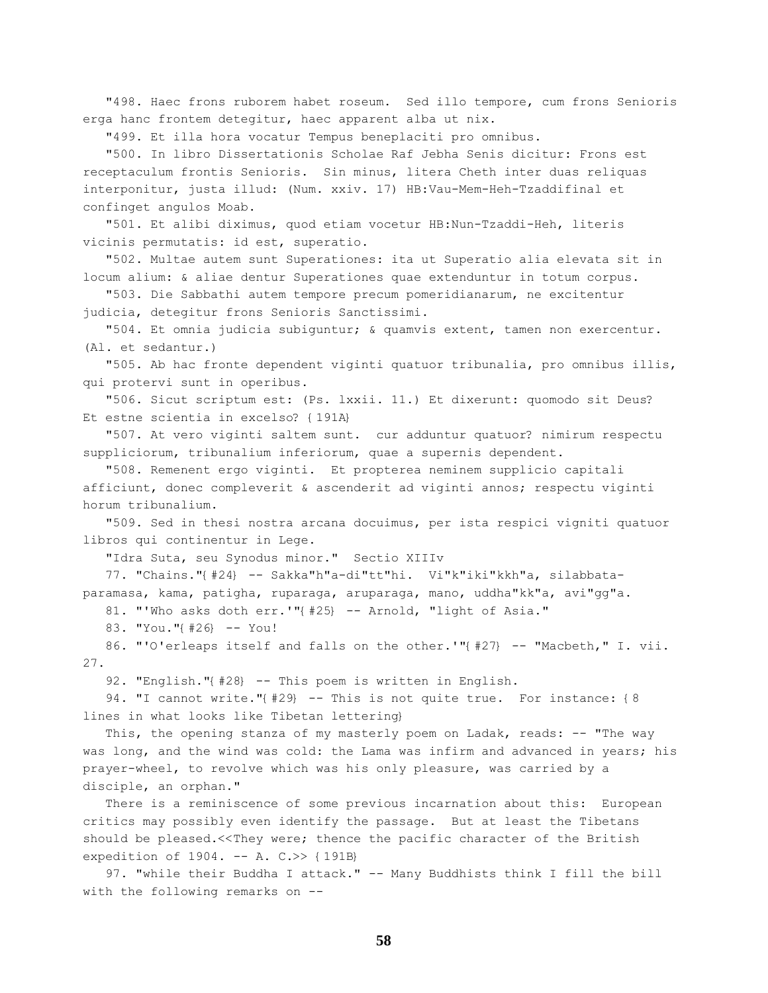"498. Haec frons ruborem habet roseum. Sed illo tempore, cum frons Senioris erga hanc frontem detegitur, haec apparent alba ut nix.

"499. Et illa hora vocatur Tempus beneplaciti pro omnibus.

 "500. In libro Dissertationis Scholae Raf Jebha Senis dicitur: Frons est receptaculum frontis Senioris. Sin minus, litera Cheth inter duas reliquas interponitur, justa illud: (Num. xxiv. 17) HB:Vau-Mem-Heh-Tzaddifinal et confinget angulos Moab.

 "501. Et alibi diximus, quod etiam vocetur HB:Nun-Tzaddi-Heh, literis vicinis permutatis: id est, superatio.

 "502. Multae autem sunt Superationes: ita ut Superatio alia elevata sit in locum alium: & aliae dentur Superationes quae extenduntur in totum corpus.

 "503. Die Sabbathi autem tempore precum pomeridianarum, ne excitentur judicia, detegitur frons Senioris Sanctissimi.

 "504. Et omnia judicia subiguntur; & quamvis extent, tamen non exercentur. (Al. et sedantur.)

 "505. Ab hac fronte dependent viginti quatuor tribunalia, pro omnibus illis, qui protervi sunt in operibus.

 "506. Sicut scriptum est: (Ps. lxxii. 11.) Et dixerunt: quomodo sit Deus? Et estne scientia in excelso? {191A}

 "507. At vero viginti saltem sunt. cur adduntur quatuor? nimirum respectu suppliciorum, tribunalium inferiorum, quae a supernis dependent.

 "508. Remenent ergo viginti. Et propterea neminem supplicio capitali afficiunt, donec compleverit & ascenderit ad viginti annos; respectu viginti horum tribunalium.

 "509. Sed in thesi nostra arcana docuimus, per ista respici vigniti quatuor libros qui continentur in Lege.

"Idra Suta, seu Synodus minor." Sectio XIIIv

77. "Chains."{#24} -- Sakka"h"a-di"tt"hi. Vi"k"iki"kkh"a, silabbata-

paramasa, kama, patigha, ruparaga, aruparaga, mano, uddha"kk"a, avi"gg"a.

81. "'Who asks doth err.'"{ #25} -- Arnold, "light of Asia."

83. "You."{#26} -- You!

86. "'O'erleaps itself and falls on the other.'"{#27} -- "Macbeth," I. vii. 27.

92. "English."{#28} -- This poem is written in English.

 94. "I cannot write."{#29} -- This is not quite true. For instance: {8 lines in what looks like Tibetan lettering}

This, the opening stanza of my masterly poem on Ladak, reads: -- "The way was long, and the wind was cold: the Lama was infirm and advanced in years; his prayer-wheel, to revolve which was his only pleasure, was carried by a disciple, an orphan."

 There is a reminiscence of some previous incarnation about this: European critics may possibly even identify the passage. But at least the Tibetans should be pleased.<<They were; thence the pacific character of the British expedition of 1904. -- A. C.>> {191B}

 97. "while their Buddha I attack." -- Many Buddhists think I fill the bill with the following remarks on --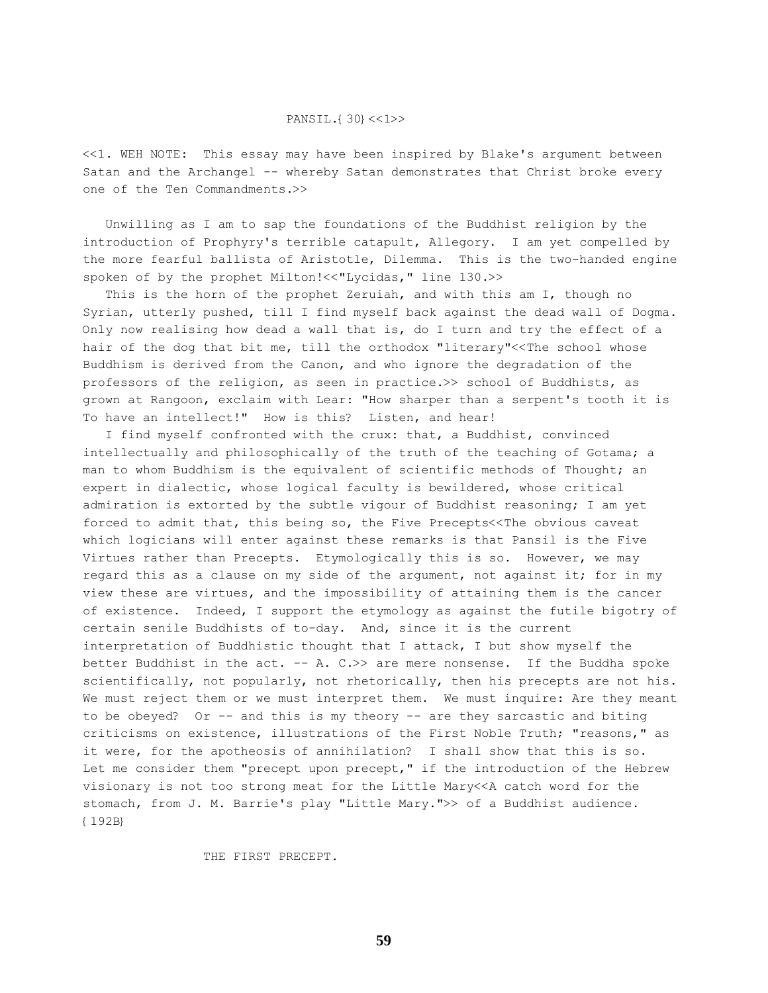#### PANSIL.{30}<<1>>

<<1. WEH NOTE: This essay may have been inspired by Blake's argument between Satan and the Archangel -- whereby Satan demonstrates that Christ broke every one of the Ten Commandments.>>

 Unwilling as I am to sap the foundations of the Buddhist religion by the introduction of Prophyry's terrible catapult, Allegory. I am yet compelled by the more fearful ballista of Aristotle, Dilemma. This is the two-handed engine spoken of by the prophet Milton!<<"Lycidas," line 130.>>

This is the horn of the prophet Zeruiah, and with this am I, though no Syrian, utterly pushed, till I find myself back against the dead wall of Dogma. Only now realising how dead a wall that is, do I turn and try the effect of a hair of the dog that bit me, till the orthodox "literary"<<The school whose Buddhism is derived from the Canon, and who ignore the degradation of the professors of the religion, as seen in practice.>> school of Buddhists, as grown at Rangoon, exclaim with Lear: "How sharper than a serpent's tooth it is To have an intellect!" How is this? Listen, and hear!

 I find myself confronted with the crux: that, a Buddhist, convinced intellectually and philosophically of the truth of the teaching of Gotama; a man to whom Buddhism is the equivalent of scientific methods of Thought; an expert in dialectic, whose logical faculty is bewildered, whose critical admiration is extorted by the subtle vigour of Buddhist reasoning; I am yet forced to admit that, this being so, the Five Precepts<<The obvious caveat which logicians will enter against these remarks is that Pansil is the Five Virtues rather than Precepts. Etymologically this is so. However, we may regard this as a clause on my side of the argument, not against it; for in my view these are virtues, and the impossibility of attaining them is the cancer of existence. Indeed, I support the etymology as against the futile bigotry of certain senile Buddhists of to-day. And, since it is the current interpretation of Buddhistic thought that I attack, I but show myself the better Buddhist in the act.  $--$  A. C. $>>$  are mere nonsense. If the Buddha spoke scientifically, not popularly, not rhetorically, then his precepts are not his. We must reject them or we must interpret them. We must inquire: Are they meant to be obeyed? Or -- and this is my theory -- are they sarcastic and biting criticisms on existence, illustrations of the First Noble Truth; "reasons," as it were, for the apotheosis of annihilation? I shall show that this is so. Let me consider them "precept upon precept," if the introduction of the Hebrew visionary is not too strong meat for the Little Mary<<A catch word for the stomach, from J. M. Barrie's play "Little Mary.">> of a Buddhist audience. {192B}

THE FIRST PRECEPT.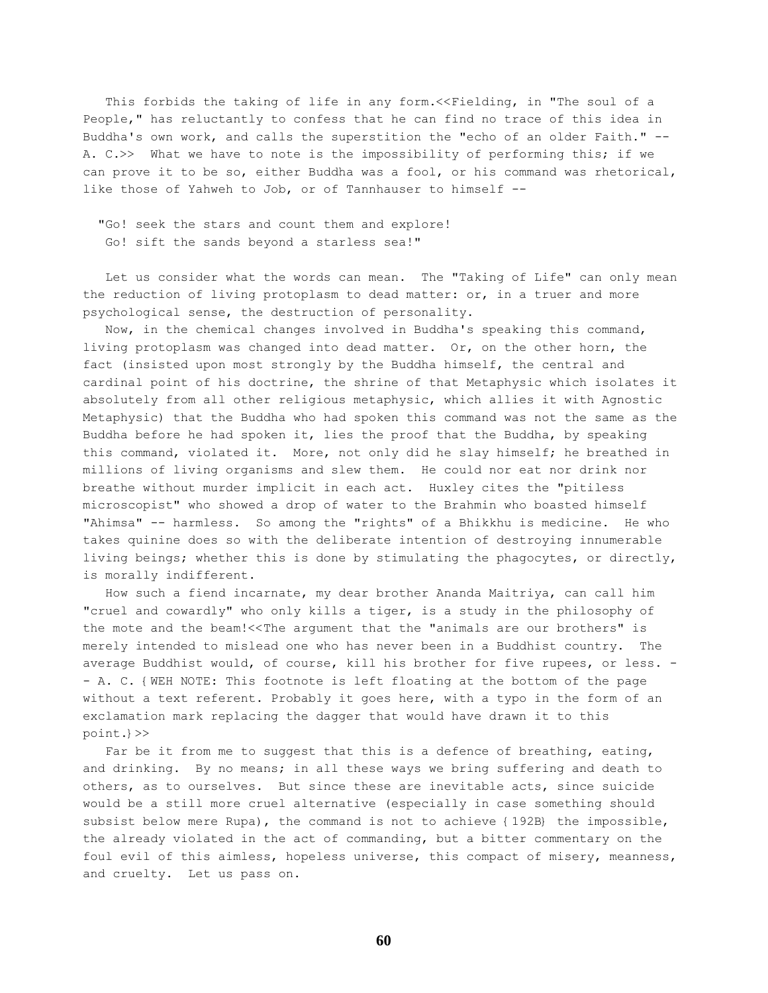This forbids the taking of life in any form.<<Fielding, in "The soul of a People," has reluctantly to confess that he can find no trace of this idea in Buddha's own work, and calls the superstition the "echo of an older Faith." -- A. C.>> What we have to note is the impossibility of performing this; if we can prove it to be so, either Buddha was a fool, or his command was rhetorical, like those of Yahweh to Job, or of Tannhauser to himself --

 "Go! seek the stars and count them and explore! Go! sift the sands beyond a starless sea!"

 Let us consider what the words can mean. The "Taking of Life" can only mean the reduction of living protoplasm to dead matter: or, in a truer and more psychological sense, the destruction of personality.

 Now, in the chemical changes involved in Buddha's speaking this command, living protoplasm was changed into dead matter. Or, on the other horn, the fact (insisted upon most strongly by the Buddha himself, the central and cardinal point of his doctrine, the shrine of that Metaphysic which isolates it absolutely from all other religious metaphysic, which allies it with Agnostic Metaphysic) that the Buddha who had spoken this command was not the same as the Buddha before he had spoken it, lies the proof that the Buddha, by speaking this command, violated it. More, not only did he slay himself; he breathed in millions of living organisms and slew them. He could nor eat nor drink nor breathe without murder implicit in each act. Huxley cites the "pitiless microscopist" who showed a drop of water to the Brahmin who boasted himself "Ahimsa" -- harmless. So among the "rights" of a Bhikkhu is medicine. He who takes quinine does so with the deliberate intention of destroying innumerable living beings; whether this is done by stimulating the phagocytes, or directly, is morally indifferent.

 How such a fiend incarnate, my dear brother Ananda Maitriya, can call him "cruel and cowardly" who only kills a tiger, is a study in the philosophy of the mote and the beam!<<The argument that the "animals are our brothers" is merely intended to mislead one who has never been in a Buddhist country. The average Buddhist would, of course, kill his brother for five rupees, or less. - - A. C. {WEH NOTE: This footnote is left floating at the bottom of the page without a text referent. Probably it goes here, with a typo in the form of an exclamation mark replacing the dagger that would have drawn it to this point.}>>

 Far be it from me to suggest that this is a defence of breathing, eating, and drinking. By no means; in all these ways we bring suffering and death to others, as to ourselves. But since these are inevitable acts, since suicide would be a still more cruel alternative (especially in case something should subsist below mere Rupa), the command is not to achieve {192B} the impossible, the already violated in the act of commanding, but a bitter commentary on the foul evil of this aimless, hopeless universe, this compact of misery, meanness, and cruelty. Let us pass on.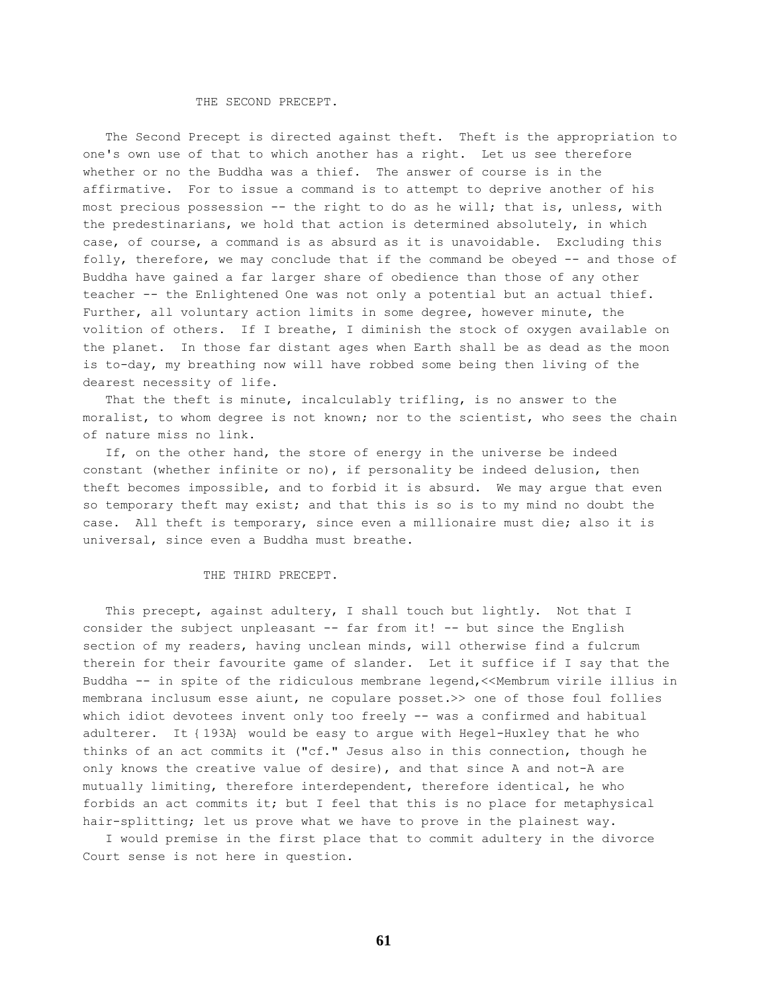#### THE SECOND PRECEPT.

 The Second Precept is directed against theft. Theft is the appropriation to one's own use of that to which another has a right. Let us see therefore whether or no the Buddha was a thief. The answer of course is in the affirmative. For to issue a command is to attempt to deprive another of his most precious possession -- the right to do as he will; that is, unless, with the predestinarians, we hold that action is determined absolutely, in which case, of course, a command is as absurd as it is unavoidable. Excluding this folly, therefore, we may conclude that if the command be obeyed -- and those of Buddha have gained a far larger share of obedience than those of any other teacher -- the Enlightened One was not only a potential but an actual thief. Further, all voluntary action limits in some degree, however minute, the volition of others. If I breathe, I diminish the stock of oxygen available on the planet. In those far distant ages when Earth shall be as dead as the moon is to-day, my breathing now will have robbed some being then living of the dearest necessity of life.

That the theft is minute, incalculably trifling, is no answer to the moralist, to whom degree is not known; nor to the scientist, who sees the chain of nature miss no link.

 If, on the other hand, the store of energy in the universe be indeed constant (whether infinite or no), if personality be indeed delusion, then theft becomes impossible, and to forbid it is absurd. We may argue that even so temporary theft may exist; and that this is so is to my mind no doubt the case. All theft is temporary, since even a millionaire must die; also it is universal, since even a Buddha must breathe.

## THE THIRD PRECEPT.

This precept, against adultery, I shall touch but lightly. Not that I consider the subject unpleasant -- far from it! -- but since the English section of my readers, having unclean minds, will otherwise find a fulcrum therein for their favourite game of slander. Let it suffice if I say that the Buddha -- in spite of the ridiculous membrane legend,<<Membrum virile illius in membrana inclusum esse aiunt, ne copulare posset.>> one of those foul follies which idiot devotees invent only too freely -- was a confirmed and habitual adulterer. It {193A} would be easy to argue with Hegel-Huxley that he who thinks of an act commits it ("cf." Jesus also in this connection, though he only knows the creative value of desire), and that since A and not-A are mutually limiting, therefore interdependent, therefore identical, he who forbids an act commits it; but I feel that this is no place for metaphysical hair-splitting; let us prove what we have to prove in the plainest way.

 I would premise in the first place that to commit adultery in the divorce Court sense is not here in question.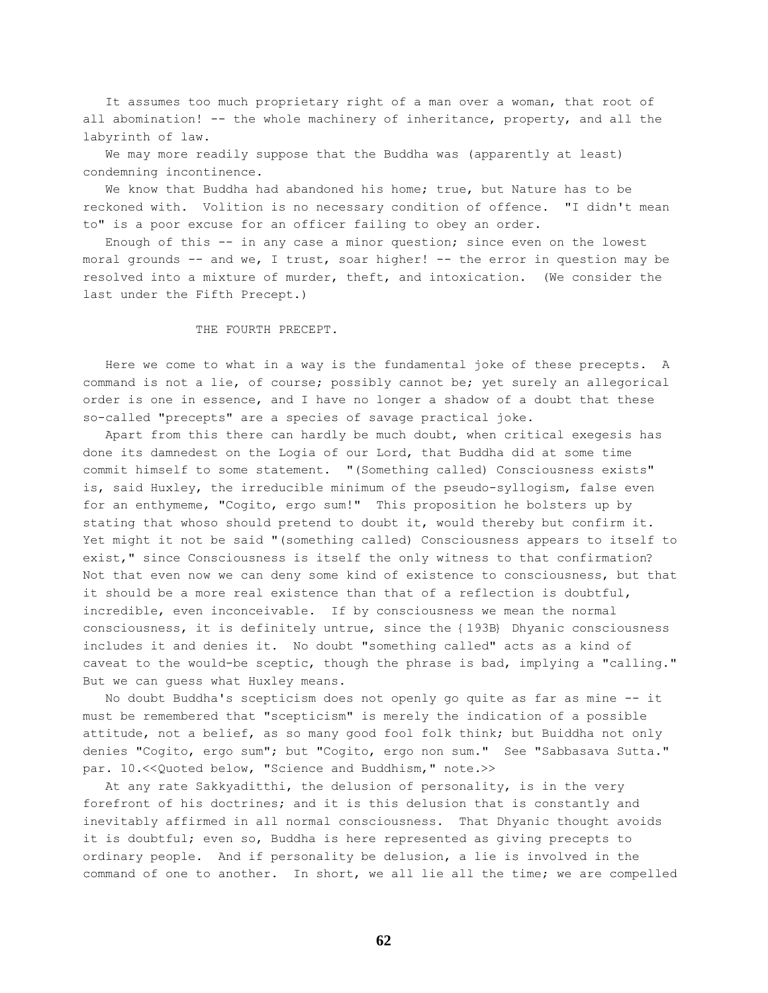It assumes too much proprietary right of a man over a woman, that root of all abomination! -- the whole machinery of inheritance, property, and all the labyrinth of law.

 We may more readily suppose that the Buddha was (apparently at least) condemning incontinence.

We know that Buddha had abandoned his home; true, but Nature has to be reckoned with. Volition is no necessary condition of offence. "I didn't mean to" is a poor excuse for an officer failing to obey an order.

 Enough of this -- in any case a minor question; since even on the lowest moral grounds -- and we, I trust, soar higher! -- the error in question may be resolved into a mixture of murder, theft, and intoxication. (We consider the last under the Fifth Precept.)

## THE FOURTH PRECEPT.

 Here we come to what in a way is the fundamental joke of these precepts. A command is not a lie, of course; possibly cannot be; yet surely an allegorical order is one in essence, and I have no longer a shadow of a doubt that these so-called "precepts" are a species of savage practical joke.

Apart from this there can hardly be much doubt, when critical exegesis has done its damnedest on the Logia of our Lord, that Buddha did at some time commit himself to some statement. "(Something called) Consciousness exists" is, said Huxley, the irreducible minimum of the pseudo-syllogism, false even for an enthymeme, "Cogito, ergo sum!" This proposition he bolsters up by stating that whoso should pretend to doubt it, would thereby but confirm it. Yet might it not be said "(something called) Consciousness appears to itself to exist," since Consciousness is itself the only witness to that confirmation? Not that even now we can deny some kind of existence to consciousness, but that it should be a more real existence than that of a reflection is doubtful, incredible, even inconceivable. If by consciousness we mean the normal consciousness, it is definitely untrue, since the {193B} Dhyanic consciousness includes it and denies it. No doubt "something called" acts as a kind of caveat to the would-be sceptic, though the phrase is bad, implying a "calling." But we can guess what Huxley means.

 No doubt Buddha's scepticism does not openly go quite as far as mine -- it must be remembered that "scepticism" is merely the indication of a possible attitude, not a belief, as so many good fool folk think; but Buiddha not only denies "Cogito, ergo sum"; but "Cogito, ergo non sum." See "Sabbasava Sutta." par. 10.<<Quoted below, "Science and Buddhism," note.>>

 At any rate Sakkyaditthi, the delusion of personality, is in the very forefront of his doctrines; and it is this delusion that is constantly and inevitably affirmed in all normal consciousness. That Dhyanic thought avoids it is doubtful; even so, Buddha is here represented as giving precepts to ordinary people. And if personality be delusion, a lie is involved in the command of one to another. In short, we all lie all the time; we are compelled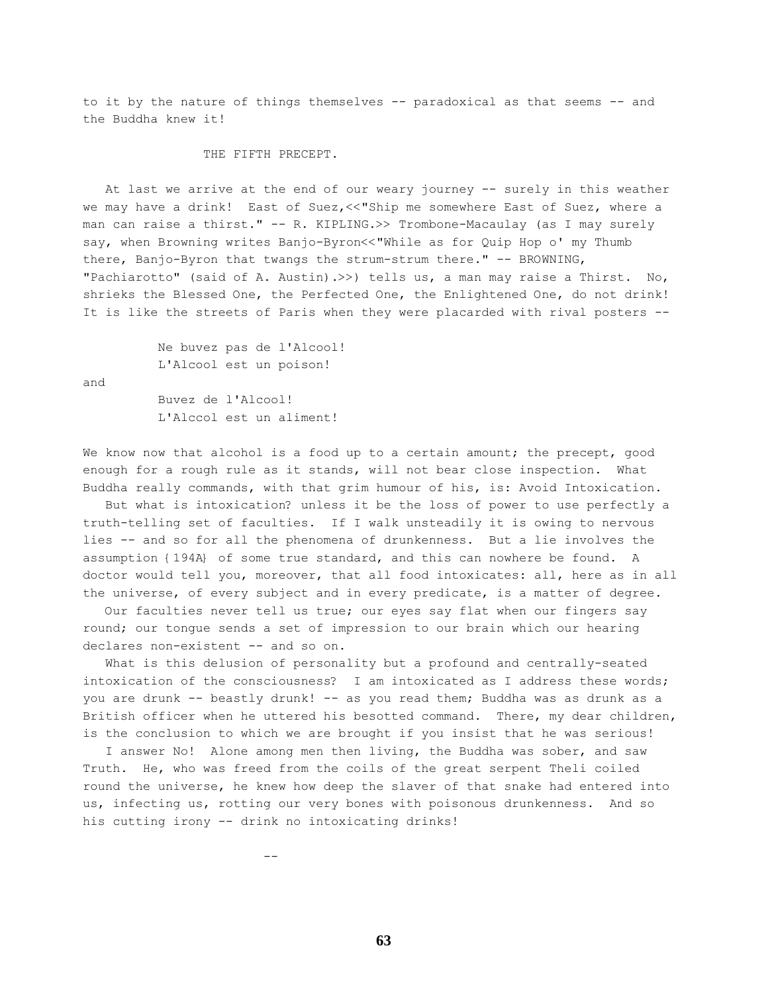to it by the nature of things themselves -- paradoxical as that seems -- and the Buddha knew it!

## THE FIFTH PRECEPT.

 At last we arrive at the end of our weary journey -- surely in this weather we may have a drink! East of Suez, << "Ship me somewhere East of Suez, where a man can raise a thirst." -- R. KIPLING.>> Trombone-Macaulay (as I may surely say, when Browning writes Banjo-Byron<<"While as for Quip Hop o' my Thumb there, Banjo-Byron that twangs the strum-strum there." -- BROWNING, "Pachiarotto" (said of A. Austin).>>) tells us, a man may raise a Thirst. No, shrieks the Blessed One, the Perfected One, the Enlightened One, do not drink! It is like the streets of Paris when they were placarded with rival posters --

> Ne buvez pas de l'Alcool! L'Alcool est un poison!

and

 Buvez de l'Alcool! L'Alccol est un aliment!

--

We know now that alcohol is a food up to a certain amount; the precept, good enough for a rough rule as it stands, will not bear close inspection. What Buddha really commands, with that grim humour of his, is: Avoid Intoxication.

 But what is intoxication? unless it be the loss of power to use perfectly a truth-telling set of faculties. If I walk unsteadily it is owing to nervous lies -- and so for all the phenomena of drunkenness. But a lie involves the assumption {194A} of some true standard, and this can nowhere be found. A doctor would tell you, moreover, that all food intoxicates: all, here as in all the universe, of every subject and in every predicate, is a matter of degree.

 Our faculties never tell us true; our eyes say flat when our fingers say round; our tongue sends a set of impression to our brain which our hearing declares non-existent -- and so on.

 What is this delusion of personality but a profound and centrally-seated intoxication of the consciousness? I am intoxicated as I address these words; you are drunk -- beastly drunk! -- as you read them; Buddha was as drunk as a British officer when he uttered his besotted command. There, my dear children, is the conclusion to which we are brought if you insist that he was serious!

 I answer No! Alone among men then living, the Buddha was sober, and saw Truth. He, who was freed from the coils of the great serpent Theli coiled round the universe, he knew how deep the slaver of that snake had entered into us, infecting us, rotting our very bones with poisonous drunkenness. And so his cutting irony -- drink no intoxicating drinks!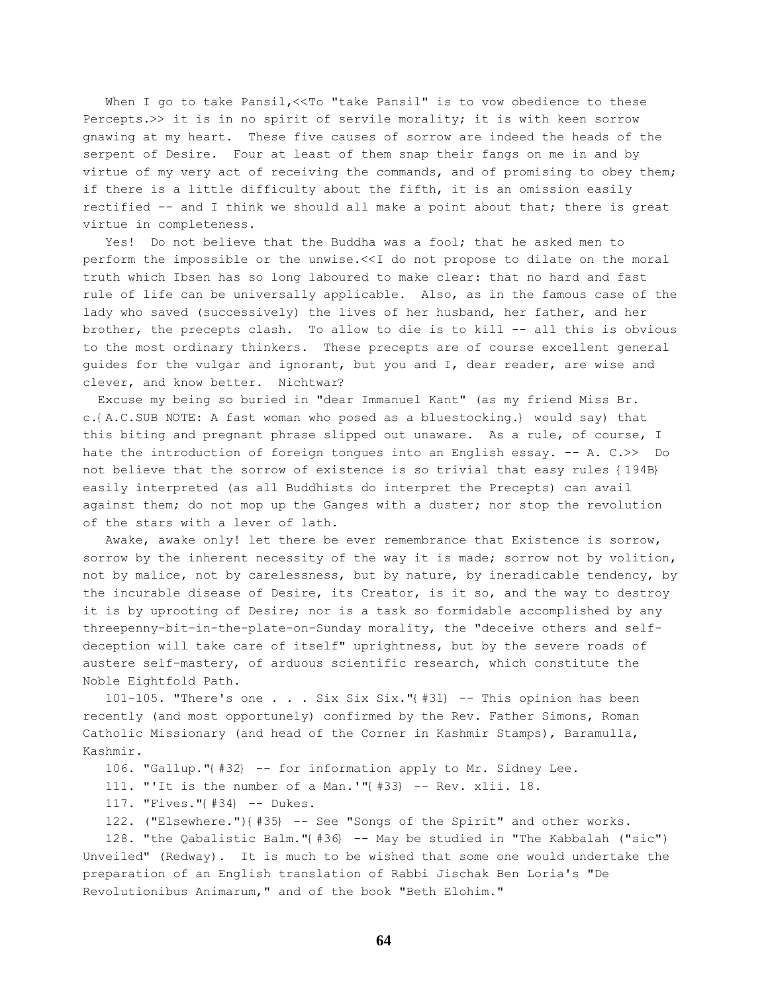When I go to take Pansil, << To "take Pansil" is to vow obedience to these Percepts.>> it is in no spirit of servile morality; it is with keen sorrow gnawing at my heart. These five causes of sorrow are indeed the heads of the serpent of Desire. Four at least of them snap their fangs on me in and by virtue of my very act of receiving the commands, and of promising to obey them; if there is a little difficulty about the fifth, it is an omission easily rectified -- and I think we should all make a point about that; there is great virtue in completeness.

 Yes! Do not believe that the Buddha was a fool; that he asked men to perform the impossible or the unwise.<<I do not propose to dilate on the moral truth which Ibsen has so long laboured to make clear: that no hard and fast rule of life can be universally applicable. Also, as in the famous case of the lady who saved (successively) the lives of her husband, her father, and her brother, the precepts clash. To allow to die is to kill -- all this is obvious to the most ordinary thinkers. These precepts are of course excellent general guides for the vulgar and ignorant, but you and I, dear reader, are wise and clever, and know better. Nichtwar?

 Excuse my being so buried in "dear Immanuel Kant" (as my friend Miss Br. c.{A.C.SUB NOTE: A fast woman who posed as a bluestocking.} would say) that this biting and pregnant phrase slipped out unaware. As a rule, of course, I hate the introduction of foreign tongues into an English essay. -- A. C.>> Do not believe that the sorrow of existence is so trivial that easy rules {194B} easily interpreted (as all Buddhists do interpret the Precepts) can avail against them; do not mop up the Ganges with a duster; nor stop the revolution of the stars with a lever of lath.

 Awake, awake only! let there be ever remembrance that Existence is sorrow, sorrow by the inherent necessity of the way it is made; sorrow not by volition, not by malice, not by carelessness, but by nature, by ineradicable tendency, by the incurable disease of Desire, its Creator, is it so, and the way to destroy it is by uprooting of Desire; nor is a task so formidable accomplished by any threepenny-bit-in-the-plate-on-Sunday morality, the "deceive others and selfdeception will take care of itself" uprightness, but by the severe roads of austere self-mastery, of arduous scientific research, which constitute the Noble Eightfold Path.

 101-105. "There's one . . . Six Six Six."{#31} -- This opinion has been recently (and most opportunely) confirmed by the Rev. Father Simons, Roman Catholic Missionary (and head of the Corner in Kashmir Stamps), Baramulla, Kashmir.

106. "Gallup."{#32} -- for information apply to Mr. Sidney Lee.

111. "'It is the number of a Man.'"{#33} -- Rev. xlii. 18.

117. "Fives."{#34} -- Dukes.

122. ("Elsewhere."){#35} -- See "Songs of the Spirit" and other works.

 128. "the Qabalistic Balm."{#36} -- May be studied in "The Kabbalah ("sic") Unveiled" (Redway). It is much to be wished that some one would undertake the preparation of an English translation of Rabbi Jischak Ben Loria's "De Revolutionibus Animarum," and of the book "Beth Elohim."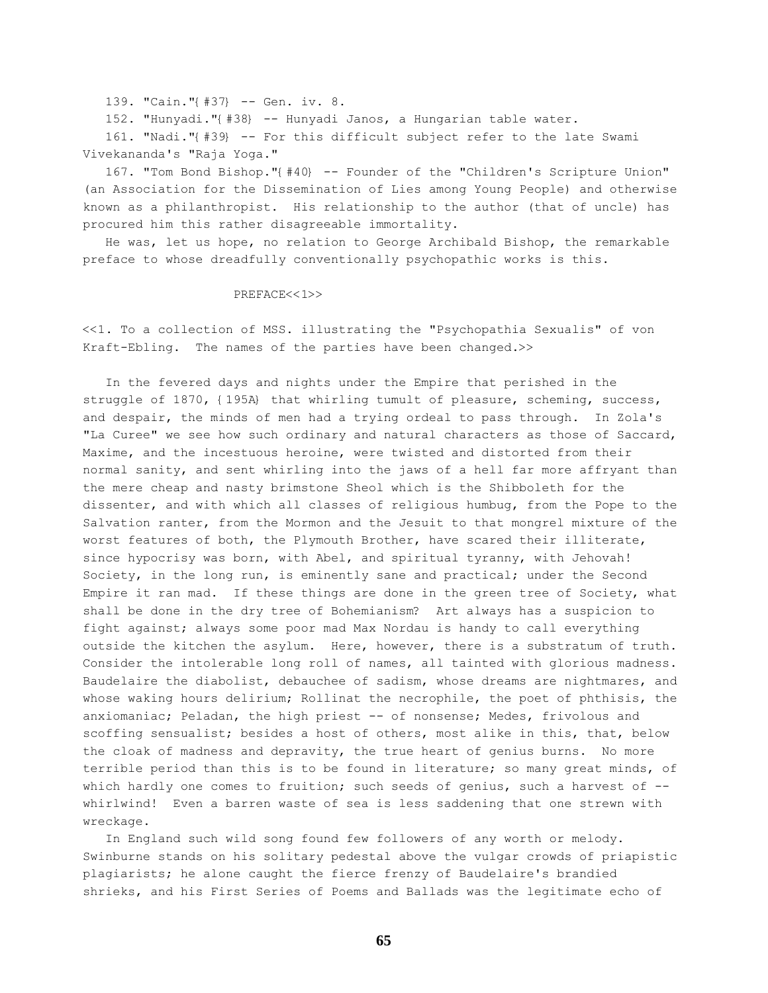139. "Cain."{#37} -- Gen. iv. 8.

152. "Hunyadi."{#38} -- Hunyadi Janos, a Hungarian table water.

 161. "Nadi."{#39} -- For this difficult subject refer to the late Swami Vivekananda's "Raja Yoga."

 167. "Tom Bond Bishop."{#40} -- Founder of the "Children's Scripture Union" (an Association for the Dissemination of Lies among Young People) and otherwise known as a philanthropist. His relationship to the author (that of uncle) has procured him this rather disagreeable immortality.

 He was, let us hope, no relation to George Archibald Bishop, the remarkable preface to whose dreadfully conventionally psychopathic works is this.

### PREFACE<<1>>

<<1. To a collection of MSS. illustrating the "Psychopathia Sexualis" of von Kraft-Ebling. The names of the parties have been changed.>>

 In the fevered days and nights under the Empire that perished in the struggle of 1870, {195A} that whirling tumult of pleasure, scheming, success, and despair, the minds of men had a trying ordeal to pass through. In Zola's "La Curee" we see how such ordinary and natural characters as those of Saccard, Maxime, and the incestuous heroine, were twisted and distorted from their normal sanity, and sent whirling into the jaws of a hell far more affryant than the mere cheap and nasty brimstone Sheol which is the Shibboleth for the dissenter, and with which all classes of religious humbug, from the Pope to the Salvation ranter, from the Mormon and the Jesuit to that mongrel mixture of the worst features of both, the Plymouth Brother, have scared their illiterate, since hypocrisy was born, with Abel, and spiritual tyranny, with Jehovah! Society, in the long run, is eminently sane and practical; under the Second Empire it ran mad. If these things are done in the green tree of Society, what shall be done in the dry tree of Bohemianism? Art always has a suspicion to fight against; always some poor mad Max Nordau is handy to call everything outside the kitchen the asylum. Here, however, there is a substratum of truth. Consider the intolerable long roll of names, all tainted with glorious madness. Baudelaire the diabolist, debauchee of sadism, whose dreams are nightmares, and whose waking hours delirium; Rollinat the necrophile, the poet of phthisis, the anxiomaniac; Peladan, the high priest -- of nonsense; Medes, frivolous and scoffing sensualist; besides a host of others, most alike in this, that, below the cloak of madness and depravity, the true heart of genius burns. No more terrible period than this is to be found in literature; so many great minds, of which hardly one comes to fruition; such seeds of genius, such a harvest of -whirlwind! Even a barren waste of sea is less saddening that one strewn with wreckage.

 In England such wild song found few followers of any worth or melody. Swinburne stands on his solitary pedestal above the vulgar crowds of priapistic plagiarists; he alone caught the fierce frenzy of Baudelaire's brandied shrieks, and his First Series of Poems and Ballads was the legitimate echo of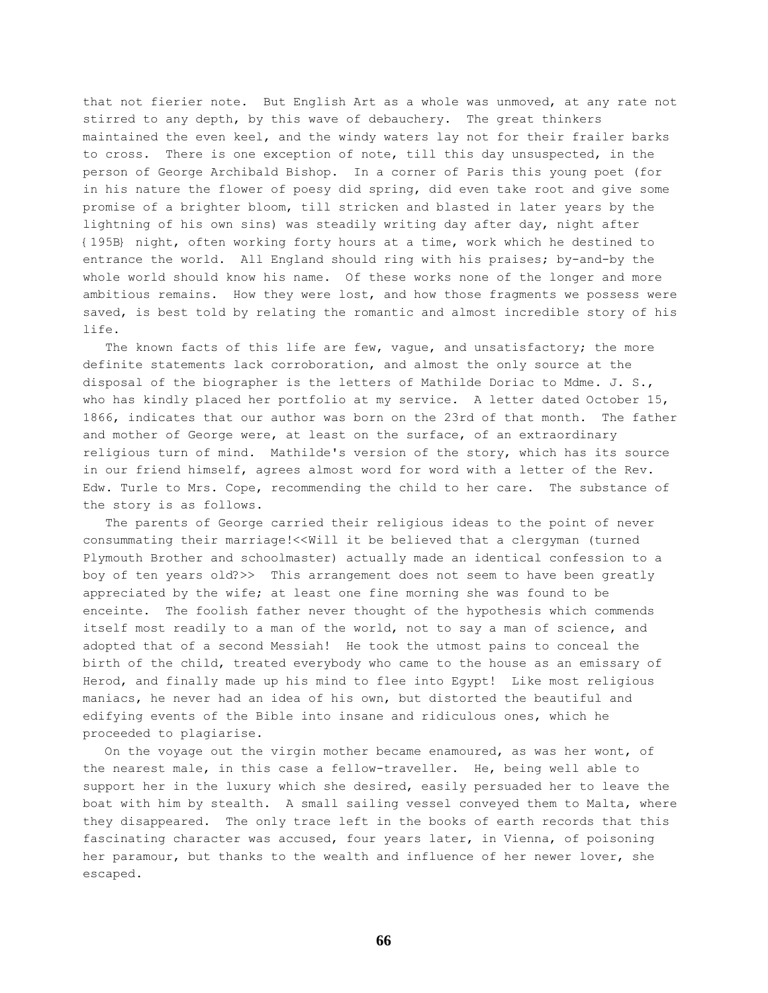that not fierier note. But English Art as a whole was unmoved, at any rate not stirred to any depth, by this wave of debauchery. The great thinkers maintained the even keel, and the windy waters lay not for their frailer barks to cross. There is one exception of note, till this day unsuspected, in the person of George Archibald Bishop. In a corner of Paris this young poet (for in his nature the flower of poesy did spring, did even take root and give some promise of a brighter bloom, till stricken and blasted in later years by the lightning of his own sins) was steadily writing day after day, night after {195B} night, often working forty hours at a time, work which he destined to entrance the world. All England should ring with his praises; by-and-by the whole world should know his name. Of these works none of the longer and more ambitious remains. How they were lost, and how those fragments we possess were saved, is best told by relating the romantic and almost incredible story of his life.

 The known facts of this life are few, vague, and unsatisfactory; the more definite statements lack corroboration, and almost the only source at the disposal of the biographer is the letters of Mathilde Doriac to Mdme. J. S., who has kindly placed her portfolio at my service. A letter dated October 15, 1866, indicates that our author was born on the 23rd of that month. The father and mother of George were, at least on the surface, of an extraordinary religious turn of mind. Mathilde's version of the story, which has its source in our friend himself, agrees almost word for word with a letter of the Rev. Edw. Turle to Mrs. Cope, recommending the child to her care. The substance of the story is as follows.

 The parents of George carried their religious ideas to the point of never consummating their marriage!<<Will it be believed that a clergyman (turned Plymouth Brother and schoolmaster) actually made an identical confession to a boy of ten years old?>> This arrangement does not seem to have been greatly appreciated by the wife; at least one fine morning she was found to be enceinte. The foolish father never thought of the hypothesis which commends itself most readily to a man of the world, not to say a man of science, and adopted that of a second Messiah! He took the utmost pains to conceal the birth of the child, treated everybody who came to the house as an emissary of Herod, and finally made up his mind to flee into Egypt! Like most religious maniacs, he never had an idea of his own, but distorted the beautiful and edifying events of the Bible into insane and ridiculous ones, which he proceeded to plagiarise.

 On the voyage out the virgin mother became enamoured, as was her wont, of the nearest male, in this case a fellow-traveller. He, being well able to support her in the luxury which she desired, easily persuaded her to leave the boat with him by stealth. A small sailing vessel conveyed them to Malta, where they disappeared. The only trace left in the books of earth records that this fascinating character was accused, four years later, in Vienna, of poisoning her paramour, but thanks to the wealth and influence of her newer lover, she escaped.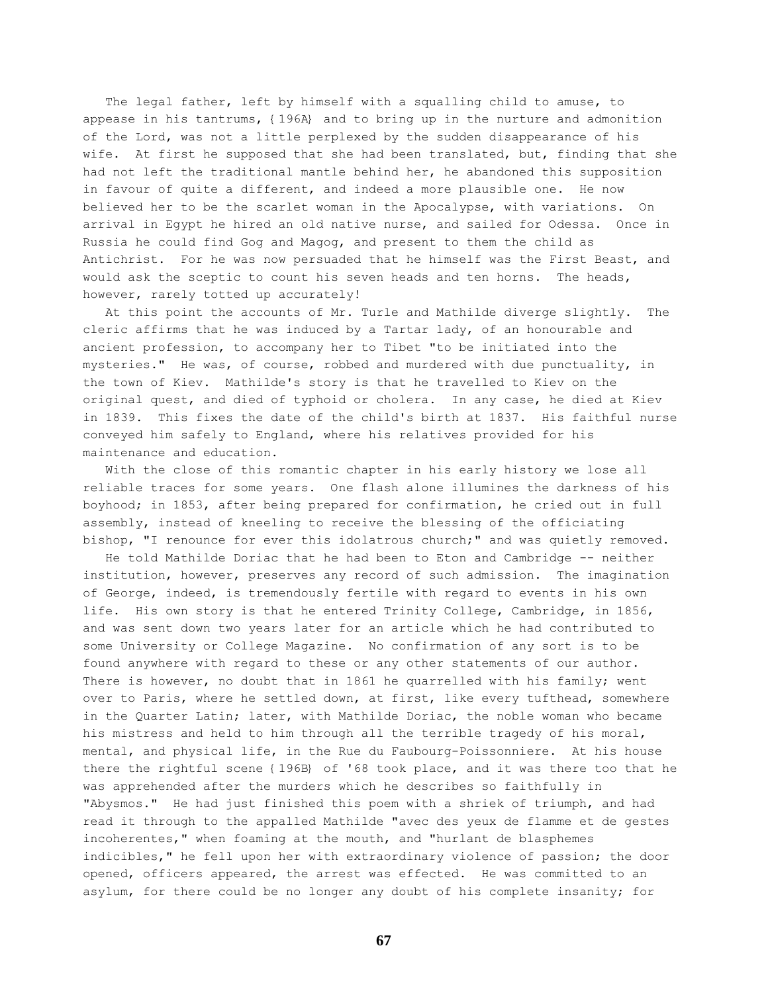The legal father, left by himself with a squalling child to amuse, to appease in his tantrums, {196A} and to bring up in the nurture and admonition of the Lord, was not a little perplexed by the sudden disappearance of his wife. At first he supposed that she had been translated, but, finding that she had not left the traditional mantle behind her, he abandoned this supposition in favour of quite a different, and indeed a more plausible one. He now believed her to be the scarlet woman in the Apocalypse, with variations. On arrival in Egypt he hired an old native nurse, and sailed for Odessa. Once in Russia he could find Gog and Magog, and present to them the child as Antichrist. For he was now persuaded that he himself was the First Beast, and would ask the sceptic to count his seven heads and ten horns. The heads, however, rarely totted up accurately!

 At this point the accounts of Mr. Turle and Mathilde diverge slightly. The cleric affirms that he was induced by a Tartar lady, of an honourable and ancient profession, to accompany her to Tibet "to be initiated into the mysteries." He was, of course, robbed and murdered with due punctuality, in the town of Kiev. Mathilde's story is that he travelled to Kiev on the original quest, and died of typhoid or cholera. In any case, he died at Kiev in 1839. This fixes the date of the child's birth at 1837. His faithful nurse conveyed him safely to England, where his relatives provided for his maintenance and education.

 With the close of this romantic chapter in his early history we lose all reliable traces for some years. One flash alone illumines the darkness of his boyhood; in 1853, after being prepared for confirmation, he cried out in full assembly, instead of kneeling to receive the blessing of the officiating bishop, "I renounce for ever this idolatrous church;" and was quietly removed.

 He told Mathilde Doriac that he had been to Eton and Cambridge -- neither institution, however, preserves any record of such admission. The imagination of George, indeed, is tremendously fertile with regard to events in his own life. His own story is that he entered Trinity College, Cambridge, in 1856, and was sent down two years later for an article which he had contributed to some University or College Magazine. No confirmation of any sort is to be found anywhere with regard to these or any other statements of our author. There is however, no doubt that in 1861 he quarrelled with his family; went over to Paris, where he settled down, at first, like every tufthead, somewhere in the Quarter Latin; later, with Mathilde Doriac, the noble woman who became his mistress and held to him through all the terrible tragedy of his moral, mental, and physical life, in the Rue du Faubourg-Poissonniere. At his house there the rightful scene {196B} of '68 took place, and it was there too that he was apprehended after the murders which he describes so faithfully in "Abysmos." He had just finished this poem with a shriek of triumph, and had read it through to the appalled Mathilde "avec des yeux de flamme et de gestes incoherentes," when foaming at the mouth, and "hurlant de blasphemes indicibles," he fell upon her with extraordinary violence of passion; the door opened, officers appeared, the arrest was effected. He was committed to an asylum, for there could be no longer any doubt of his complete insanity; for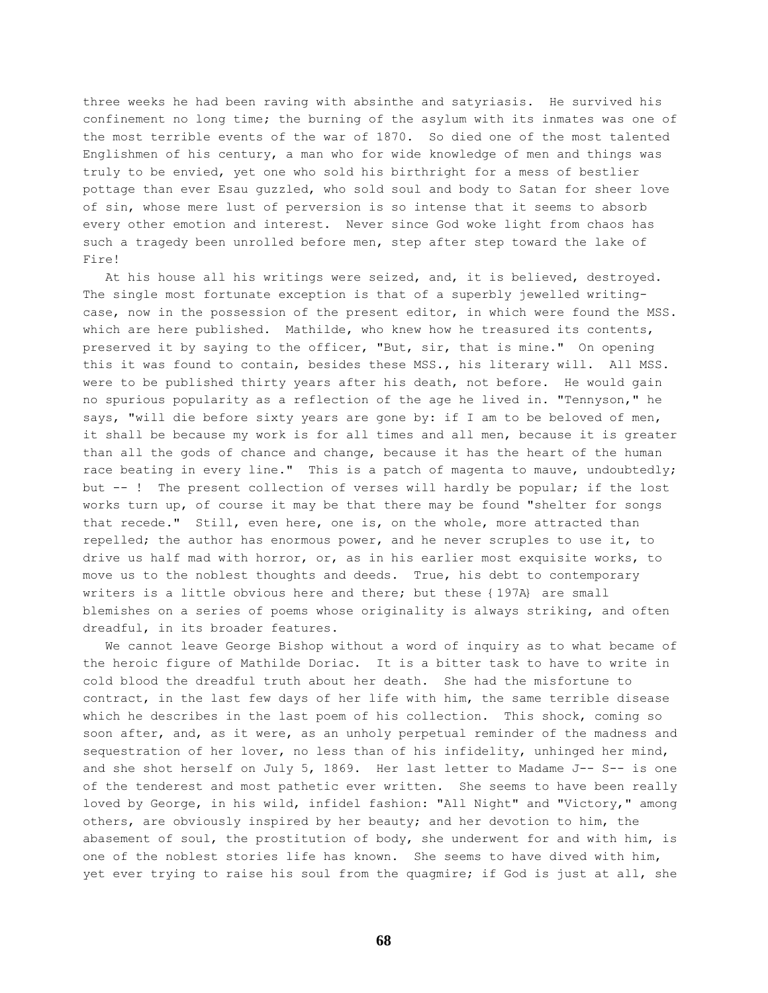three weeks he had been raving with absinthe and satyriasis. He survived his confinement no long time; the burning of the asylum with its inmates was one of the most terrible events of the war of 1870. So died one of the most talented Englishmen of his century, a man who for wide knowledge of men and things was truly to be envied, yet one who sold his birthright for a mess of bestlier pottage than ever Esau guzzled, who sold soul and body to Satan for sheer love of sin, whose mere lust of perversion is so intense that it seems to absorb every other emotion and interest. Never since God woke light from chaos has such a tragedy been unrolled before men, step after step toward the lake of Fire!

 At his house all his writings were seized, and, it is believed, destroyed. The single most fortunate exception is that of a superbly jewelled writingcase, now in the possession of the present editor, in which were found the MSS. which are here published. Mathilde, who knew how he treasured its contents, preserved it by saying to the officer, "But, sir, that is mine." On opening this it was found to contain, besides these MSS., his literary will. All MSS. were to be published thirty years after his death, not before. He would gain no spurious popularity as a reflection of the age he lived in. "Tennyson," he says, "will die before sixty years are gone by: if I am to be beloved of men, it shall be because my work is for all times and all men, because it is greater than all the gods of chance and change, because it has the heart of the human race beating in every line." This is a patch of magenta to mauve, undoubtedly; but -- ! The present collection of verses will hardly be popular; if the lost works turn up, of course it may be that there may be found "shelter for songs that recede." Still, even here, one is, on the whole, more attracted than repelled; the author has enormous power, and he never scruples to use it, to drive us half mad with horror, or, as in his earlier most exquisite works, to move us to the noblest thoughts and deeds. True, his debt to contemporary writers is a little obvious here and there; but these {197A} are small blemishes on a series of poems whose originality is always striking, and often dreadful, in its broader features.

 We cannot leave George Bishop without a word of inquiry as to what became of the heroic figure of Mathilde Doriac. It is a bitter task to have to write in cold blood the dreadful truth about her death. She had the misfortune to contract, in the last few days of her life with him, the same terrible disease which he describes in the last poem of his collection. This shock, coming so soon after, and, as it were, as an unholy perpetual reminder of the madness and sequestration of her lover, no less than of his infidelity, unhinged her mind, and she shot herself on July 5, 1869. Her last letter to Madame J-- S-- is one of the tenderest and most pathetic ever written. She seems to have been really loved by George, in his wild, infidel fashion: "All Night" and "Victory," among others, are obviously inspired by her beauty; and her devotion to him, the abasement of soul, the prostitution of body, she underwent for and with him, is one of the noblest stories life has known. She seems to have dived with him, yet ever trying to raise his soul from the quagmire; if God is just at all, she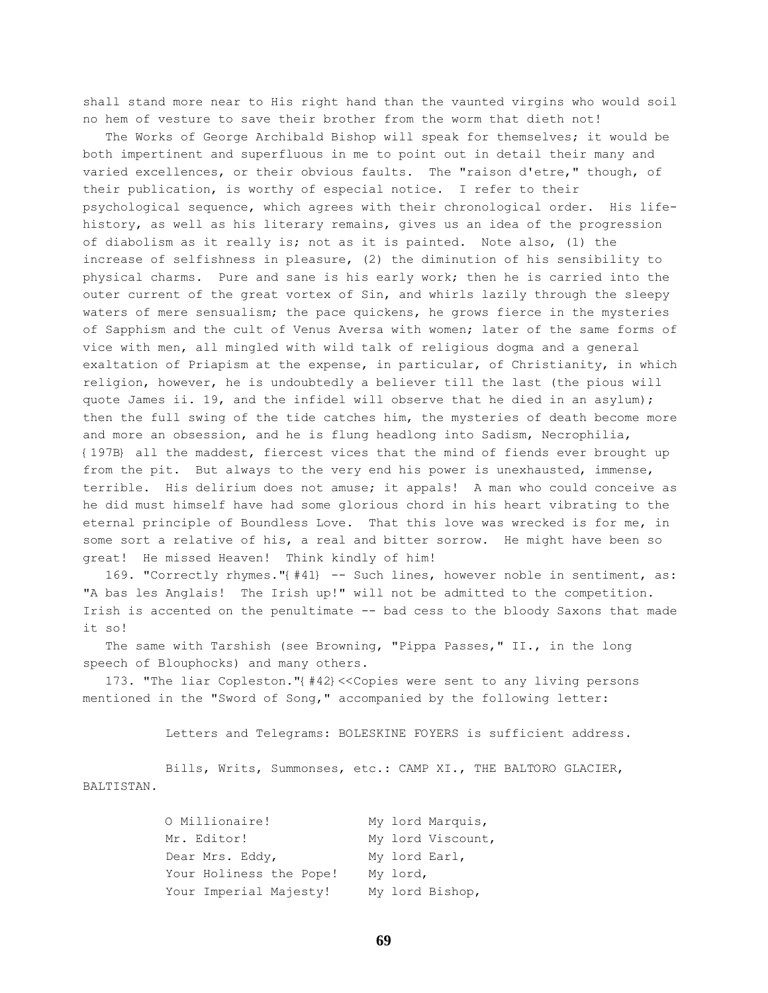shall stand more near to His right hand than the vaunted virgins who would soil no hem of vesture to save their brother from the worm that dieth not!

 The Works of George Archibald Bishop will speak for themselves; it would be both impertinent and superfluous in me to point out in detail their many and varied excellences, or their obvious faults. The "raison d'etre," though, of their publication, is worthy of especial notice. I refer to their psychological sequence, which agrees with their chronological order. His lifehistory, as well as his literary remains, gives us an idea of the progression of diabolism as it really is; not as it is painted. Note also, (1) the increase of selfishness in pleasure, (2) the diminution of his sensibility to physical charms. Pure and sane is his early work; then he is carried into the outer current of the great vortex of Sin, and whirls lazily through the sleepy waters of mere sensualism; the pace quickens, he grows fierce in the mysteries of Sapphism and the cult of Venus Aversa with women; later of the same forms of vice with men, all mingled with wild talk of religious dogma and a general exaltation of Priapism at the expense, in particular, of Christianity, in which religion, however, he is undoubtedly a believer till the last (the pious will quote James ii. 19, and the infidel will observe that he died in an asylum); then the full swing of the tide catches him, the mysteries of death become more and more an obsession, and he is flung headlong into Sadism, Necrophilia, {197B} all the maddest, fiercest vices that the mind of fiends ever brought up from the pit. But always to the very end his power is unexhausted, immense, terrible. His delirium does not amuse; it appals! A man who could conceive as he did must himself have had some glorious chord in his heart vibrating to the eternal principle of Boundless Love. That this love was wrecked is for me, in some sort a relative of his, a real and bitter sorrow. He might have been so great! He missed Heaven! Think kindly of him!

 169. "Correctly rhymes."{#41} -- Such lines, however noble in sentiment, as: "A bas les Anglais! The Irish up!" will not be admitted to the competition. Irish is accented on the penultimate -- bad cess to the bloody Saxons that made it so!

 The same with Tarshish (see Browning, "Pippa Passes," II., in the long speech of Blouphocks) and many others.

 173. "The liar Copleston."{#42}<<Copies were sent to any living persons mentioned in the "Sword of Song," accompanied by the following letter:

Letters and Telegrams: BOLESKINE FOYERS is sufficient address.

 Bills, Writs, Summonses, etc.: CAMP XI., THE BALTORO GLACIER, BALTISTAN.

| O Millionaire!          | My lord Marquis,  |  |
|-------------------------|-------------------|--|
| Mr. Editor!             | My lord Viscount, |  |
| Dear Mrs. Eddy,         | My lord Earl,     |  |
| Your Holiness the Pope! | My lord,          |  |
| Your Imperial Majesty!  | My lord Bishop,   |  |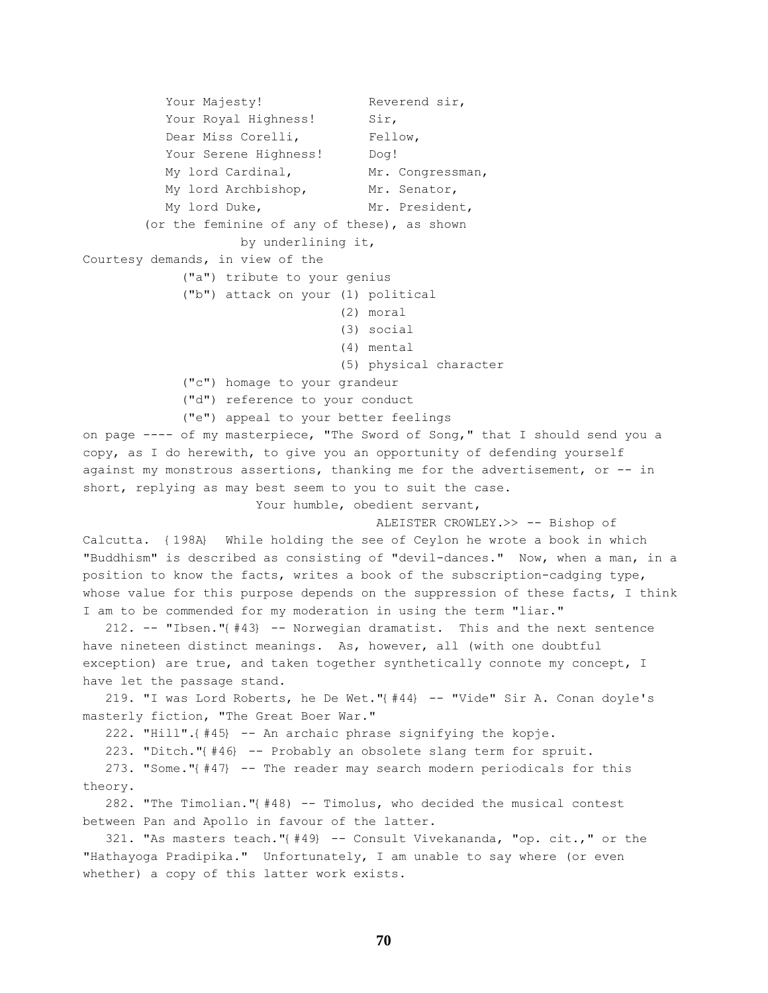```
Your Majesty! Reverend sir,
          Your Royal Highness! Sir,
          Dear Miss Corelli, Fellow,
          Your Serene Highness! Dog!
          My lord Cardinal, Mr. Congressman,
          My lord Archbishop, Mr. Senator,
          My lord Duke, Mr. President,
         (or the feminine of any of these), as shown
                     by underlining it,
Courtesy demands, in view of the
              ("a") tribute to your genius
              ("b") attack on your (1) political
                                  (2) moral
                                  (3) social
                                  (4) mental
                                  (5) physical character
              ("c") homage to your grandeur
              ("d") reference to your conduct
              ("e") appeal to your better feelings
on page ---- of my masterpiece, "The Sword of Song," that I should send you a
copy, as I do herewith, to give you an opportunity of defending yourself
against my monstrous assertions, thanking me for the advertisement, or -- in
short, replying as may best seem to you to suit the case.
                      Your humble, obedient servant,
                                       ALEISTER CROWLEY.>> -- Bishop of
Calcutta. {198A} While holding the see of Ceylon he wrote a book in which
"Buddhism" is described as consisting of "devil-dances." Now, when a man, in a
position to know the facts, writes a book of the subscription-cadging type,
whose value for this purpose depends on the suppression of these facts, I think
I am to be commended for my moderation in using the term "liar."
   212. -- "Ibsen."{#43} -- Norwegian dramatist. This and the next sentence
have nineteen distinct meanings. As, however, all (with one doubtful
exception) are true, and taken together synthetically connote my concept, I
have let the passage stand.
  219. "I was Lord Roberts, he De Wet."{#44} -- "Vide" Sir A. Conan doyle's
masterly fiction, "The Great Boer War."
   222. "Hill".{#45} -- An archaic phrase signifying the kopje.
```
223. "Ditch."{#46} -- Probably an obsolete slang term for spruit.

 273. "Some."{#47} -- The reader may search modern periodicals for this theory.

 282. "The Timolian."{#48) -- Timolus, who decided the musical contest between Pan and Apollo in favour of the latter.

 321. "As masters teach."{#49} -- Consult Vivekananda, "op. cit.," or the "Hathayoga Pradipika." Unfortunately, I am unable to say where (or even whether) a copy of this latter work exists.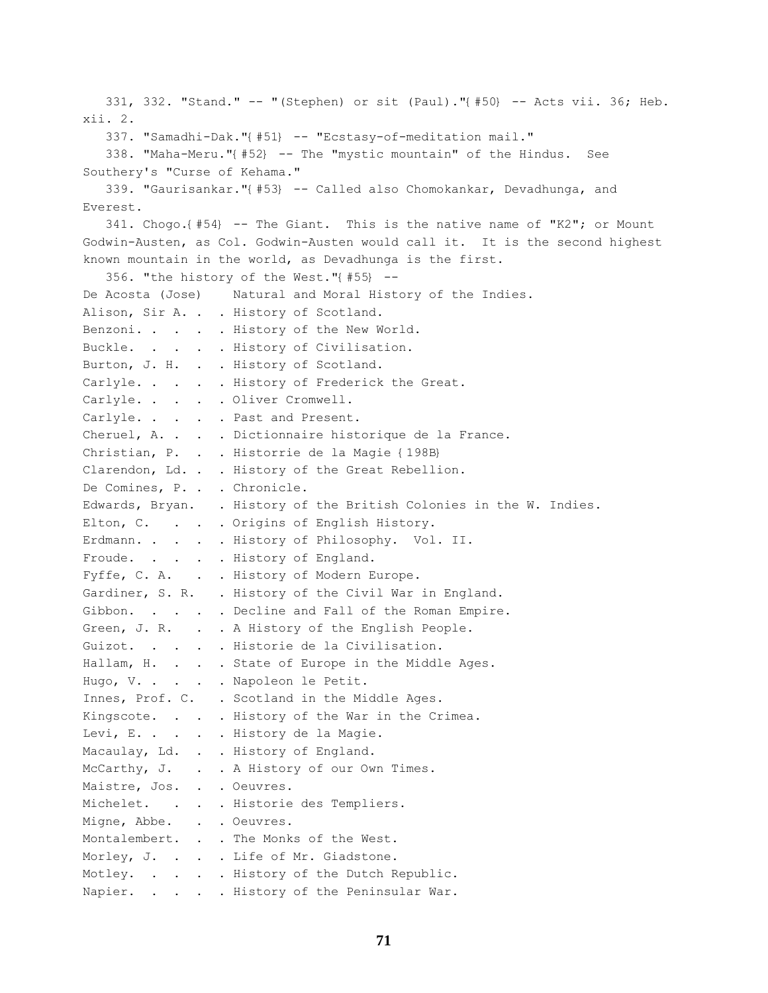331, 332. "Stand." -- "(Stephen) or sit (Paul)."{#50} -- Acts vii. 36; Heb. xii. 2. 337. "Samadhi-Dak."{#51} -- "Ecstasy-of-meditation mail." 338. "Maha-Meru."{#52} -- The "mystic mountain" of the Hindus. See Southery's "Curse of Kehama." 339. "Gaurisankar."{#53} -- Called also Chomokankar, Devadhunga, and Everest. 341. Chogo.{#54} -- The Giant. This is the native name of "K2"; or Mount Godwin-Austen, as Col. Godwin-Austen would call it. It is the second highest known mountain in the world, as Devadhunga is the first. 356. "the history of the West."{#55} -- De Acosta (Jose) Natural and Moral History of the Indies. Alison, Sir A. . . History of Scotland. Benzoni. . . . . History of the New World. Buckle. . . . . History of Civilisation. Burton, J. H. . . History of Scotland. Carlyle. . . . . History of Frederick the Great. Carlyle. . . . Oliver Cromwell. Carlyle. . . . Past and Present. Cheruel, A. . . . Dictionnaire historique de la France. Christian, P. . . Historrie de la Magie {198B} Clarendon, Ld. . . History of the Great Rebellion. De Comines, P. . . Chronicle. Edwards, Bryan. . History of the British Colonies in the W. Indies. Elton, C. . . . Origins of English History. Erdmann. . . . . History of Philosophy. Vol. II. Froude. . . . . History of England. Fyffe, C. A. . . History of Modern Europe. Gardiner, S. R. . History of the Civil War in England. Gibbon. . . . Decline and Fall of the Roman Empire. Green, J. R. . . A History of the English People. Guizot. . . . . Historie de la Civilisation. Hallam, H. . . . State of Europe in the Middle Ages. Hugo, V. . . . . Napoleon le Petit. Innes, Prof. C. . Scotland in the Middle Ages. Kingscote. . . . History of the War in the Crimea. Levi, E. . . . History de la Magie. Macaulay, Ld. . . History of England. McCarthy, J. . . A History of our Own Times. Maistre, Jos. . . Oeuvres. Michelet. . . . Historie des Templiers. Migne, Abbe. . . Oeuvres. Montalembert. . . The Monks of the West. Morley, J. . . . Life of Mr. Giadstone. Motley. . . . . History of the Dutch Republic. Napier. . . . History of the Peninsular War.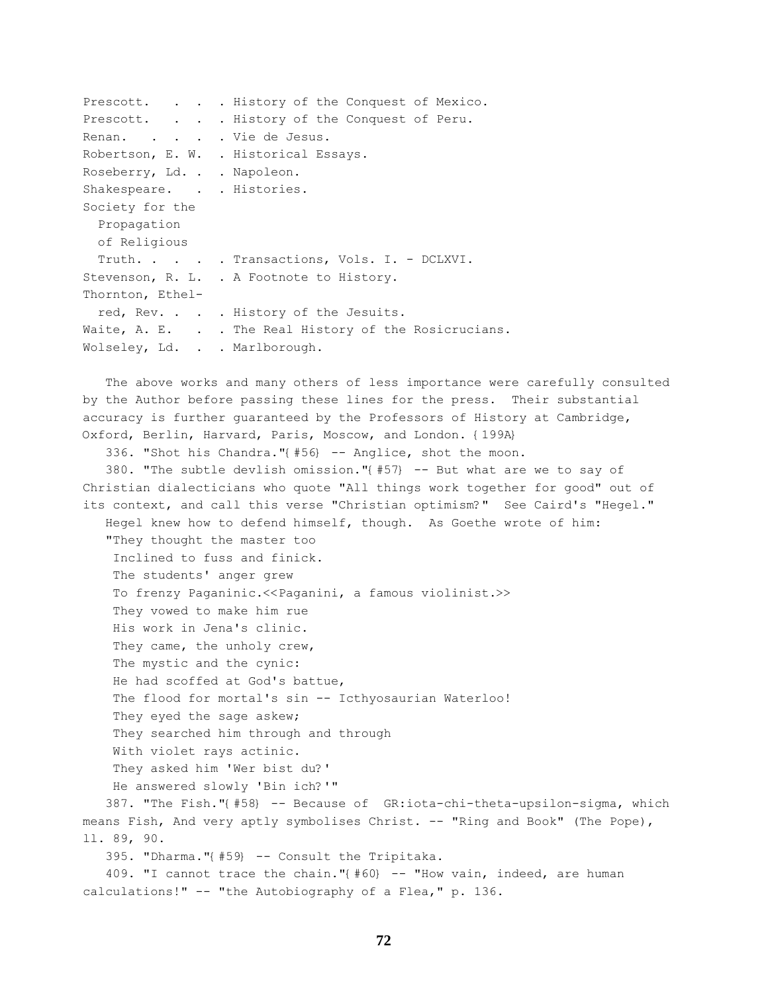```
Prescott. . . . History of the Conquest of Mexico.
Prescott. . . . History of the Conquest of Peru.
Renan. . . . . Vie de Jesus.
Robertson, E. W. . Historical Essays.
Roseberry, Ld. . . Napoleon.
Shakespeare. . . Histories.
Society for the
  Propagation
  of Religious
  Truth. . . . . Transactions, Vols. I. - DCLXVI.
Stevenson, R. L. . A Footnote to History.
Thornton, Ethel-
 red, Rev. . . . History of the Jesuits.
Waite, A. E. . . The Real History of the Rosicrucians.
Wolseley, Ld. . . Marlborough.
```
 The above works and many others of less importance were carefully consulted by the Author before passing these lines for the press. Their substantial accuracy is further guaranteed by the Professors of History at Cambridge, Oxford, Berlin, Harvard, Paris, Moscow, and London. {199A} 336. "Shot his Chandra."{#56} -- Anglice, shot the moon. 380. "The subtle devlish omission."{#57} -- But what are we to say of Christian dialecticians who quote "All things work together for good" out of its context, and call this verse "Christian optimism?" See Caird's "Hegel." Hegel knew how to defend himself, though. As Goethe wrote of him: "They thought the master too Inclined to fuss and finick. The students' anger grew To frenzy Paganinic.<<Paganini, a famous violinist.>> They vowed to make him rue His work in Jena's clinic. They came, the unholy crew, The mystic and the cynic: He had scoffed at God's battue, The flood for mortal's sin -- Icthyosaurian Waterloo! They eyed the sage askew; They searched him through and through With violet rays actinic. They asked him 'Wer bist du?' He answered slowly 'Bin ich?'" 387. "The Fish."{#58} -- Because of GR:iota-chi-theta-upsilon-sigma, which

means Fish, And very aptly symbolises Christ. -- "Ring and Book" (The Pope), ll. 89, 90.

395. "Dharma."{#59} -- Consult the Tripitaka.

409. "I cannot trace the chain." ${460}$  -- "How vain, indeed, are human calculations!" -- "the Autobiography of a Flea," p. 136.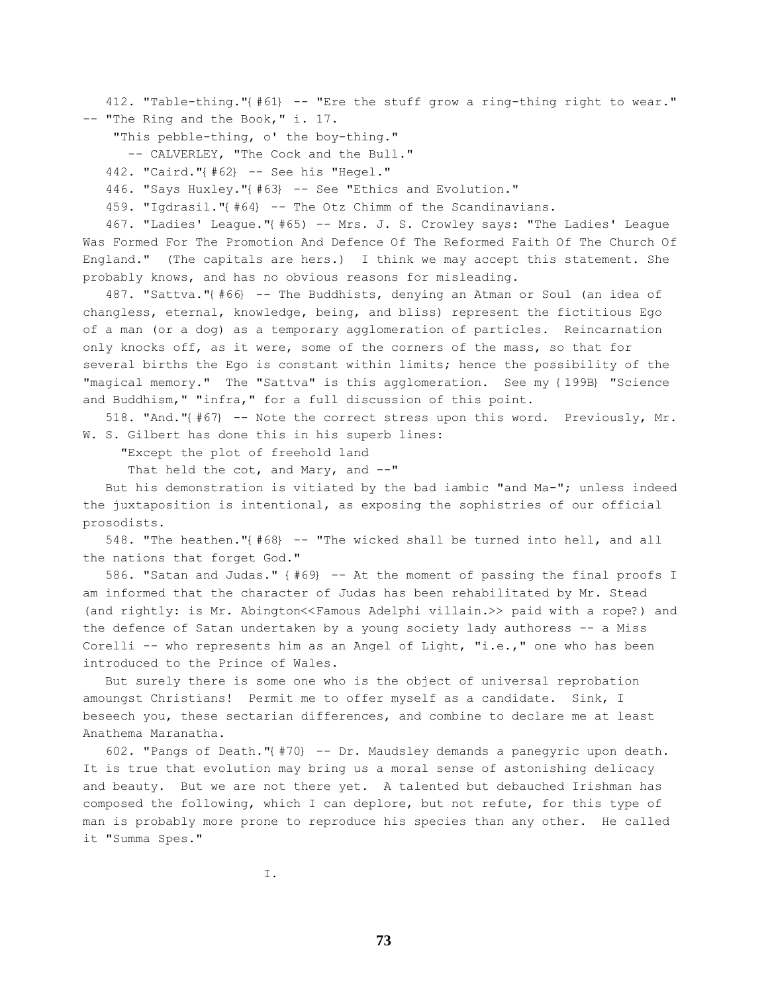412. "Table-thing."{#61} -- "Ere the stuff grow a ring-thing right to wear." -- "The Ring and the Book," i. 17.

"This pebble-thing, o' the boy-thing."

-- CALVERLEY, "The Cock and the Bull."

442. "Caird."{#62} -- See his "Hegel."

446. "Says Huxley."{#63} -- See "Ethics and Evolution."

459. "Igdrasil."{#64} -- The Otz Chimm of the Scandinavians.

 467. "Ladies' League."{#65) -- Mrs. J. S. Crowley says: "The Ladies' League Was Formed For The Promotion And Defence Of The Reformed Faith Of The Church Of England." (The capitals are hers.) I think we may accept this statement. She probably knows, and has no obvious reasons for misleading.

 487. "Sattva."{#66} -- The Buddhists, denying an Atman or Soul (an idea of changless, eternal, knowledge, being, and bliss) represent the fictitious Ego of a man (or a dog) as a temporary agglomeration of particles. Reincarnation only knocks off, as it were, some of the corners of the mass, so that for several births the Ego is constant within limits; hence the possibility of the "magical memory." The "Sattva" is this agglomeration. See my {199B} "Science and Buddhism," "infra," for a full discussion of this point.

 518. "And."{#67} -- Note the correct stress upon this word. Previously, Mr. W. S. Gilbert has done this in his superb lines:

"Except the plot of freehold land

That held the cot, and Mary, and --"

 But his demonstration is vitiated by the bad iambic "and Ma-"; unless indeed the juxtaposition is intentional, as exposing the sophistries of our official prosodists.

 548. "The heathen."{#68} -- "The wicked shall be turned into hell, and all the nations that forget God."

 586. "Satan and Judas." {#69} -- At the moment of passing the final proofs I am informed that the character of Judas has been rehabilitated by Mr. Stead (and rightly: is Mr. Abington<<Famous Adelphi villain.>> paid with a rope?) and the defence of Satan undertaken by a young society lady authoress -- a Miss Corelli -- who represents him as an Angel of Light, "i.e.," one who has been introduced to the Prince of Wales.

 But surely there is some one who is the object of universal reprobation amoungst Christians! Permit me to offer myself as a candidate. Sink, I beseech you, these sectarian differences, and combine to declare me at least Anathema Maranatha.

 602. "Pangs of Death."{#70} -- Dr. Maudsley demands a panegyric upon death. It is true that evolution may bring us a moral sense of astonishing delicacy and beauty. But we are not there yet. A talented but debauched Irishman has composed the following, which I can deplore, but not refute, for this type of man is probably more prone to reproduce his species than any other. He called it "Summa Spes."

I.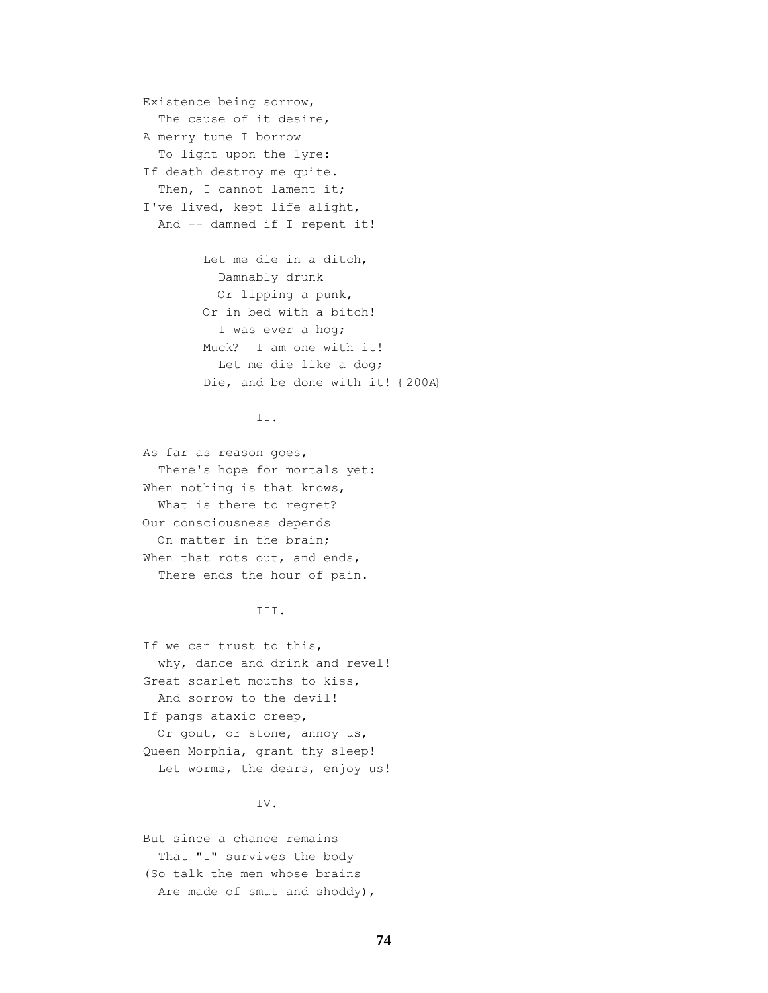Existence being sorrow, The cause of it desire, A merry tune I borrow To light upon the lyre: If death destroy me quite. Then, I cannot lament it; I've lived, kept life alight, And -- damned if I repent it!

> Let me die in a ditch, Damnably drunk Or lipping a punk, Or in bed with a bitch! I was ever a hog; Muck? I am one with it! Let me die like a dog; Die, and be done with it! {200A}

## II.

 As far as reason goes, There's hope for mortals yet: When nothing is that knows, What is there to regret? Our consciousness depends On matter in the brain; When that rots out, and ends, There ends the hour of pain.

### III.

 If we can trust to this, why, dance and drink and revel! Great scarlet mouths to kiss, And sorrow to the devil! If pangs ataxic creep, Or gout, or stone, annoy us, Queen Morphia, grant thy sleep! Let worms, the dears, enjoy us!

## IV.

 But since a chance remains That "I" survives the body (So talk the men whose brains Are made of smut and shoddy),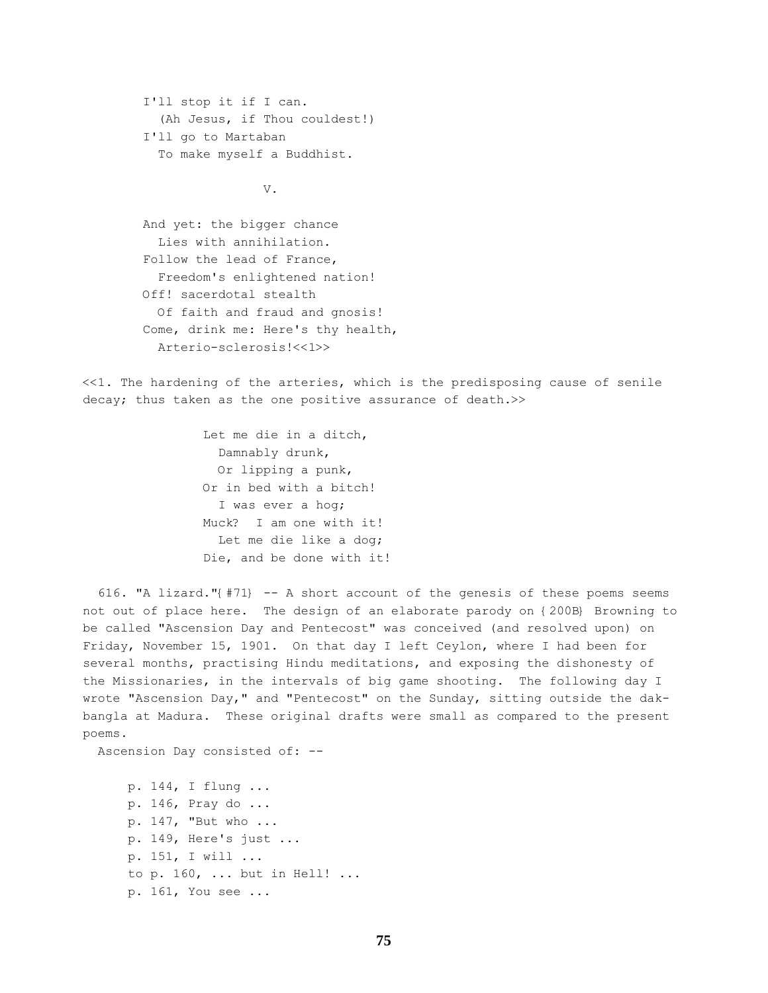I'll stop it if I can. (Ah Jesus, if Thou couldest!) I'll go to Martaban To make myself a Buddhist.

V.

 And yet: the bigger chance Lies with annihilation. Follow the lead of France, Freedom's enlightened nation! Off! sacerdotal stealth Of faith and fraud and gnosis! Come, drink me: Here's thy health, Arterio-sclerosis!<<1>>

<<1. The hardening of the arteries, which is the predisposing cause of senile decay; thus taken as the one positive assurance of death.>>

> Let me die in a ditch, Damnably drunk, Or lipping a punk, Or in bed with a bitch! I was ever a hog; Muck? I am one with it! Let me die like a dog; Die, and be done with it!

 616. "A lizard."{#71} -- A short account of the genesis of these poems seems not out of place here. The design of an elaborate parody on {200B} Browning to be called "Ascension Day and Pentecost" was conceived (and resolved upon) on Friday, November 15, 1901. On that day I left Ceylon, where I had been for several months, practising Hindu meditations, and exposing the dishonesty of the Missionaries, in the intervals of big game shooting. The following day I wrote "Ascension Day," and "Pentecost" on the Sunday, sitting outside the dakbangla at Madura. These original drafts were small as compared to the present poems.

Ascension Day consisted of: --

 p. 144, I flung ... p. 146, Pray do ... p. 147, "But who ... p. 149, Here's just ... p. 151, I will ... to p. 160, ... but in Hell! ... p. 161, You see ...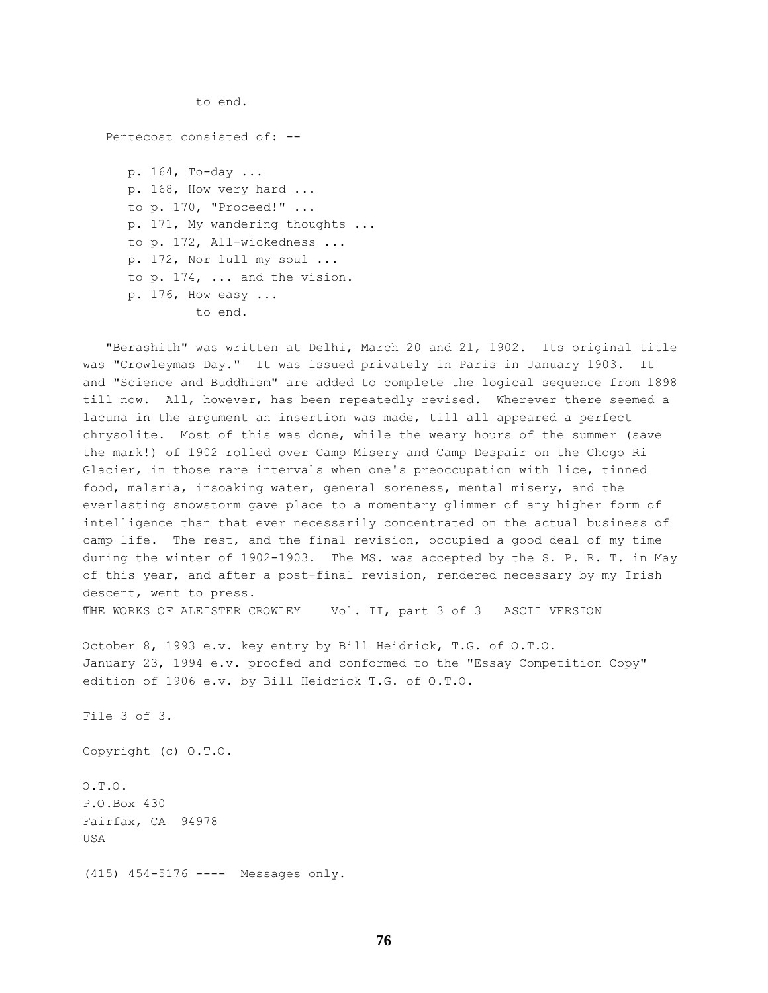to end. Pentecost consisted of: - p. 164, To-day ... p. 168, How very hard ... to p. 170, "Proceed!" ... p. 171, My wandering thoughts ... to p. 172, All-wickedness ... p. 172, Nor lull my soul ... to p. 174, ... and the vision. p. 176, How easy ... to end.

 "Berashith" was written at Delhi, March 20 and 21, 1902. Its original title was "Crowleymas Day." It was issued privately in Paris in January 1903. It and "Science and Buddhism" are added to complete the logical sequence from 1898 till now. All, however, has been repeatedly revised. Wherever there seemed a lacuna in the argument an insertion was made, till all appeared a perfect chrysolite. Most of this was done, while the weary hours of the summer (save the mark!) of 1902 rolled over Camp Misery and Camp Despair on the Chogo Ri Glacier, in those rare intervals when one's preoccupation with lice, tinned food, malaria, insoaking water, general soreness, mental misery, and the everlasting snowstorm gave place to a momentary glimmer of any higher form of intelligence than that ever necessarily concentrated on the actual business of camp life. The rest, and the final revision, occupied a good deal of my time during the winter of 1902-1903. The MS. was accepted by the S. P. R. T. in May of this year, and after a post-final revision, rendered necessary by my Irish descent, went to press.

THE WORKS OF ALEISTER CROWLEY Vol. II, part 3 of 3 ASCII VERSION

October 8, 1993 e.v. key entry by Bill Heidrick, T.G. of O.T.O. January 23, 1994 e.v. proofed and conformed to the "Essay Competition Copy" edition of 1906 e.v. by Bill Heidrick T.G. of O.T.O.

File 3 of 3.

Copyright (c) O.T.O.

O.T.O. P.O.Box 430 Fairfax, CA 94978 USA

(415) 454-5176 ---- Messages only.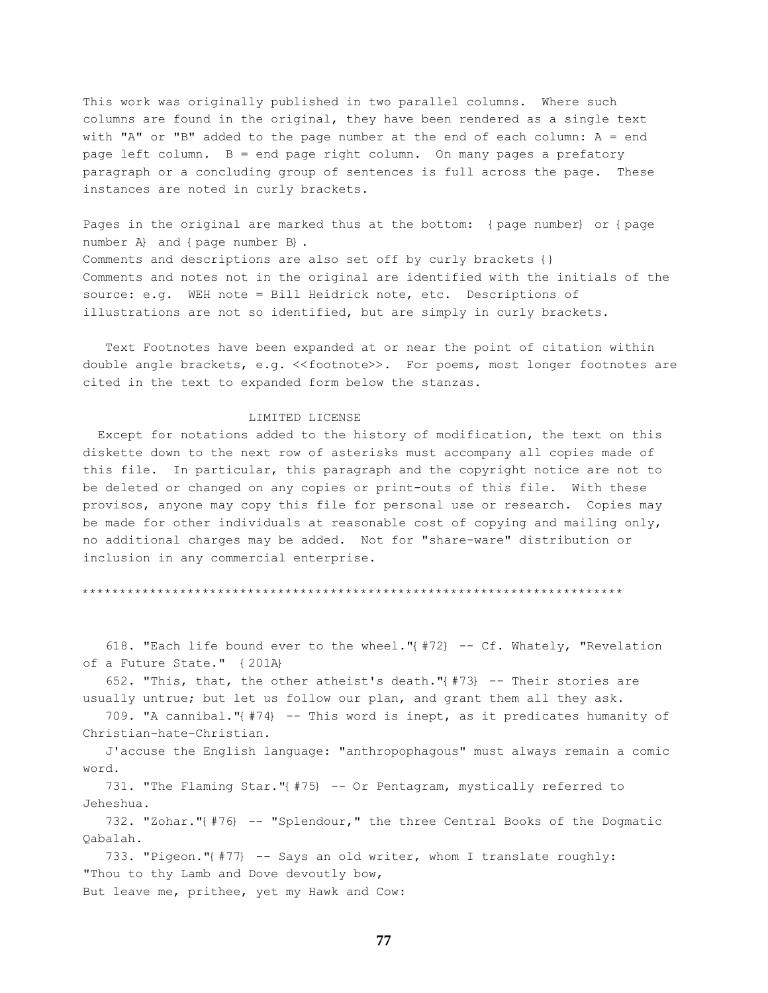This work was originally published in two parallel columns. Where such columns are found in the original, they have been rendered as a single text with "A" or "B" added to the page number at the end of each column:  $A = end$ page left column. B = end page right column. On many pages a prefatory paragraph or a concluding group of sentences is full across the page. These instances are noted in curly brackets.

Pages in the original are marked thus at the bottom: {page number} or {page number A} and {page number B}. Comments and descriptions are also set off by curly brackets {} Comments and notes not in the original are identified with the initials of the source: e.g. WEH note = Bill Heidrick note, etc. Descriptions of illustrations are not so identified, but are simply in curly brackets.

 Text Footnotes have been expanded at or near the point of citation within double angle brackets, e.g. <<footnote>>. For poems, most longer footnotes are cited in the text to expanded form below the stanzas.

### LIMITED LICENSE

 Except for notations added to the history of modification, the text on this diskette down to the next row of asterisks must accompany all copies made of this file. In particular, this paragraph and the copyright notice are not to be deleted or changed on any copies or print-outs of this file. With these provisos, anyone may copy this file for personal use or research. Copies may be made for other individuals at reasonable cost of copying and mailing only, no additional charges may be added. Not for "share-ware" distribution or inclusion in any commercial enterprise.

#### \*\*\*\*\*\*\*\*\*\*\*\*\*\*\*\*\*\*\*\*\*\*\*\*\*\*\*\*\*\*\*\*\*\*\*\*\*\*\*\*\*\*\*\*\*\*\*\*\*\*\*\*\*\*\*\*\*\*\*\*\*\*\*\*\*\*\*\*\*\*\*\*

 618. "Each life bound ever to the wheel."{#72} -- Cf. Whately, "Revelation of a Future State." {201A}

652. "This, that, the other atheist's death." ${473}$  -- Their stories are usually untrue; but let us follow our plan, and grant them all they ask.

 709. "A cannibal."{#74} -- This word is inept, as it predicates humanity of Christian-hate-Christian.

 J'accuse the English language: "anthropophagous" must always remain a comic word.

 731. "The Flaming Star."{#75} -- Or Pentagram, mystically referred to Jeheshua.

 732. "Zohar."{#76} -- "Splendour," the three Central Books of the Dogmatic Qabalah.

 733. "Pigeon."{#77} -- Says an old writer, whom I translate roughly: "Thou to thy Lamb and Dove devoutly bow, But leave me, prithee, yet my Hawk and Cow: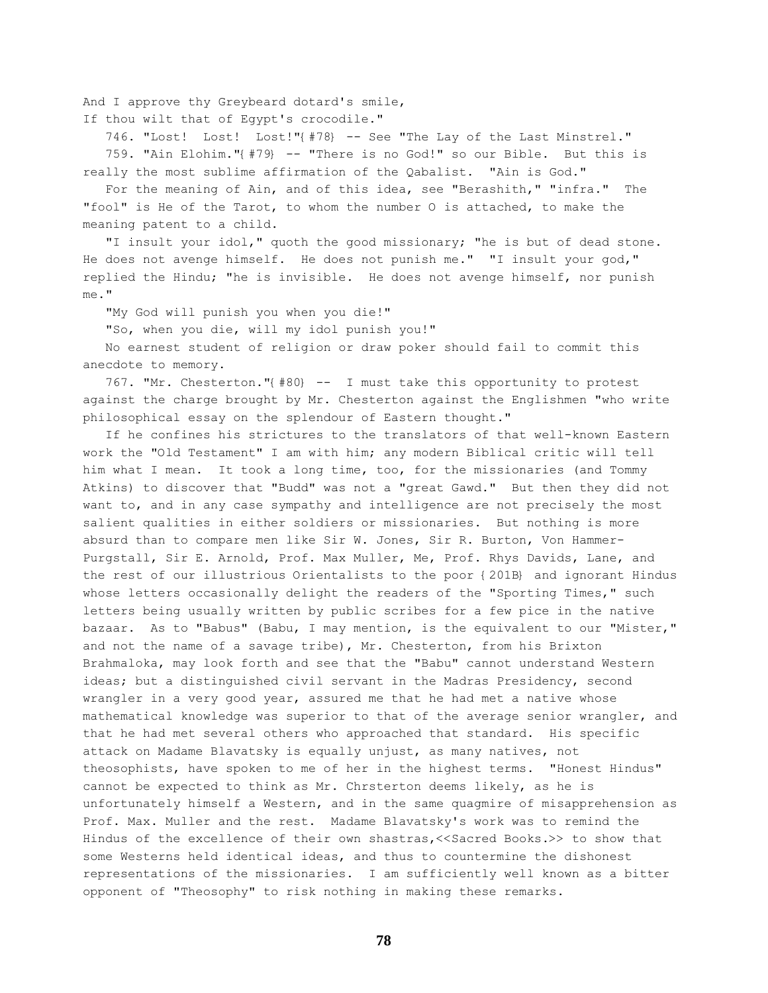And I approve thy Greybeard dotard's smile, If thou wilt that of Egypt's crocodile."

 746. "Lost! Lost! Lost!"{#78} -- See "The Lay of the Last Minstrel." 759. "Ain Elohim."{#79} -- "There is no God!" so our Bible. But this is really the most sublime affirmation of the Qabalist. "Ain is God."

 For the meaning of Ain, and of this idea, see "Berashith," "infra." The "fool" is He of the Tarot, to whom the number O is attached, to make the meaning patent to a child.

 "I insult your idol," quoth the good missionary; "he is but of dead stone. He does not avenge himself. He does not punish me." "I insult your god," replied the Hindu; "he is invisible. He does not avenge himself, nor punish me."

"My God will punish you when you die!"

"So, when you die, will my idol punish you!"

 No earnest student of religion or draw poker should fail to commit this anecdote to memory.

 767. "Mr. Chesterton."{#80} -- I must take this opportunity to protest against the charge brought by Mr. Chesterton against the Englishmen "who write philosophical essay on the splendour of Eastern thought."

 If he confines his strictures to the translators of that well-known Eastern work the "Old Testament" I am with him; any modern Biblical critic will tell him what I mean. It took a long time, too, for the missionaries (and Tommy Atkins) to discover that "Budd" was not a "great Gawd." But then they did not want to, and in any case sympathy and intelligence are not precisely the most salient qualities in either soldiers or missionaries. But nothing is more absurd than to compare men like Sir W. Jones, Sir R. Burton, Von Hammer-Purgstall, Sir E. Arnold, Prof. Max Muller, Me, Prof. Rhys Davids, Lane, and the rest of our illustrious Orientalists to the poor {201B} and ignorant Hindus whose letters occasionally delight the readers of the "Sporting Times," such letters being usually written by public scribes for a few pice in the native bazaar. As to "Babus" (Babu, I may mention, is the equivalent to our "Mister," and not the name of a savage tribe), Mr. Chesterton, from his Brixton Brahmaloka, may look forth and see that the "Babu" cannot understand Western ideas; but a distinguished civil servant in the Madras Presidency, second wrangler in a very good year, assured me that he had met a native whose mathematical knowledge was superior to that of the average senior wrangler, and that he had met several others who approached that standard. His specific attack on Madame Blavatsky is equally unjust, as many natives, not theosophists, have spoken to me of her in the highest terms. "Honest Hindus" cannot be expected to think as Mr. Chrsterton deems likely, as he is unfortunately himself a Western, and in the same quagmire of misapprehension as Prof. Max. Muller and the rest. Madame Blavatsky's work was to remind the Hindus of the excellence of their own shastras,<<Sacred Books.>> to show that some Westerns held identical ideas, and thus to countermine the dishonest representations of the missionaries. I am sufficiently well known as a bitter opponent of "Theosophy" to risk nothing in making these remarks.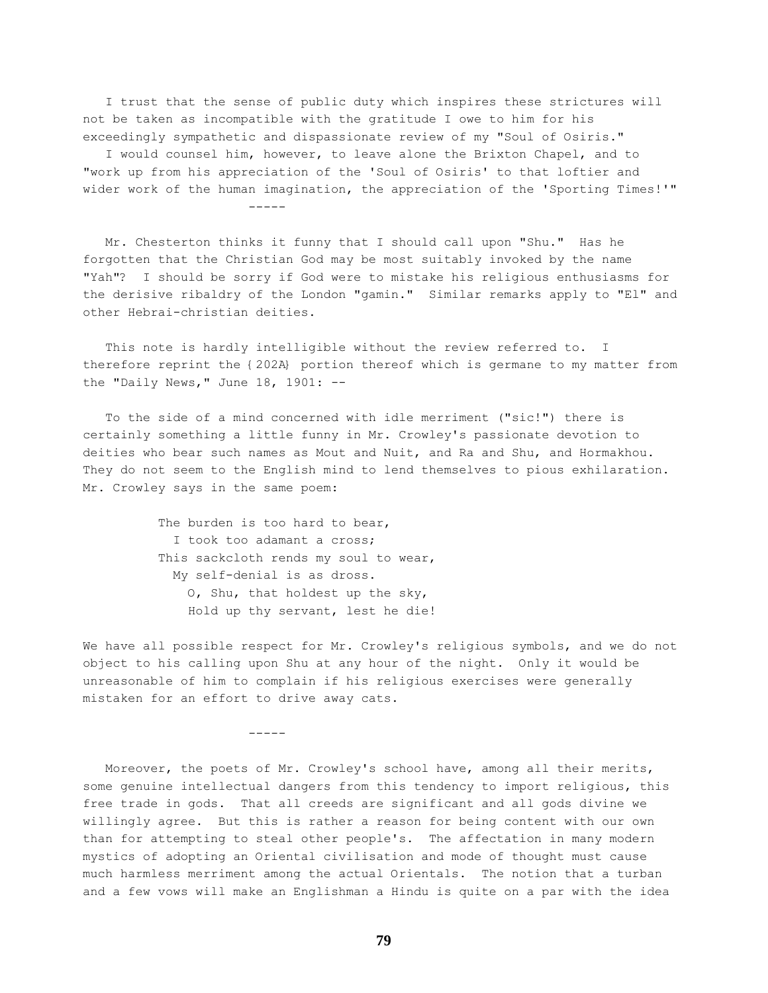I trust that the sense of public duty which inspires these strictures will not be taken as incompatible with the gratitude I owe to him for his exceedingly sympathetic and dispassionate review of my "Soul of Osiris."

 I would counsel him, however, to leave alone the Brixton Chapel, and to "work up from his appreciation of the 'Soul of Osiris' to that loftier and wider work of the human imagination, the appreciation of the 'Sporting Times!'"

 Mr. Chesterton thinks it funny that I should call upon "Shu." Has he forgotten that the Christian God may be most suitably invoked by the name "Yah"? I should be sorry if God were to mistake his religious enthusiasms for the derisive ribaldry of the London "gamin." Similar remarks apply to "El" and other Hebrai-christian deities.

 This note is hardly intelligible without the review referred to. I therefore reprint the {202A} portion thereof which is germane to my matter from the "Daily News," June 18, 1901: --

 To the side of a mind concerned with idle merriment ("sic!") there is certainly something a little funny in Mr. Crowley's passionate devotion to deities who bear such names as Mout and Nuit, and Ra and Shu, and Hormakhou. They do not seem to the English mind to lend themselves to pious exhilaration. Mr. Crowley says in the same poem:

> The burden is too hard to bear, I took too adamant a cross; This sackcloth rends my soul to wear, My self-denial is as dross. O, Shu, that holdest up the sky, Hold up thy servant, lest he die!

> > -----

-----

We have all possible respect for Mr. Crowley's religious symbols, and we do not object to his calling upon Shu at any hour of the night. Only it would be unreasonable of him to complain if his religious exercises were generally mistaken for an effort to drive away cats.

 Moreover, the poets of Mr. Crowley's school have, among all their merits, some genuine intellectual dangers from this tendency to import religious, this free trade in gods. That all creeds are significant and all gods divine we willingly agree. But this is rather a reason for being content with our own than for attempting to steal other people's. The affectation in many modern mystics of adopting an Oriental civilisation and mode of thought must cause much harmless merriment among the actual Orientals. The notion that a turban and a few vows will make an Englishman a Hindu is quite on a par with the idea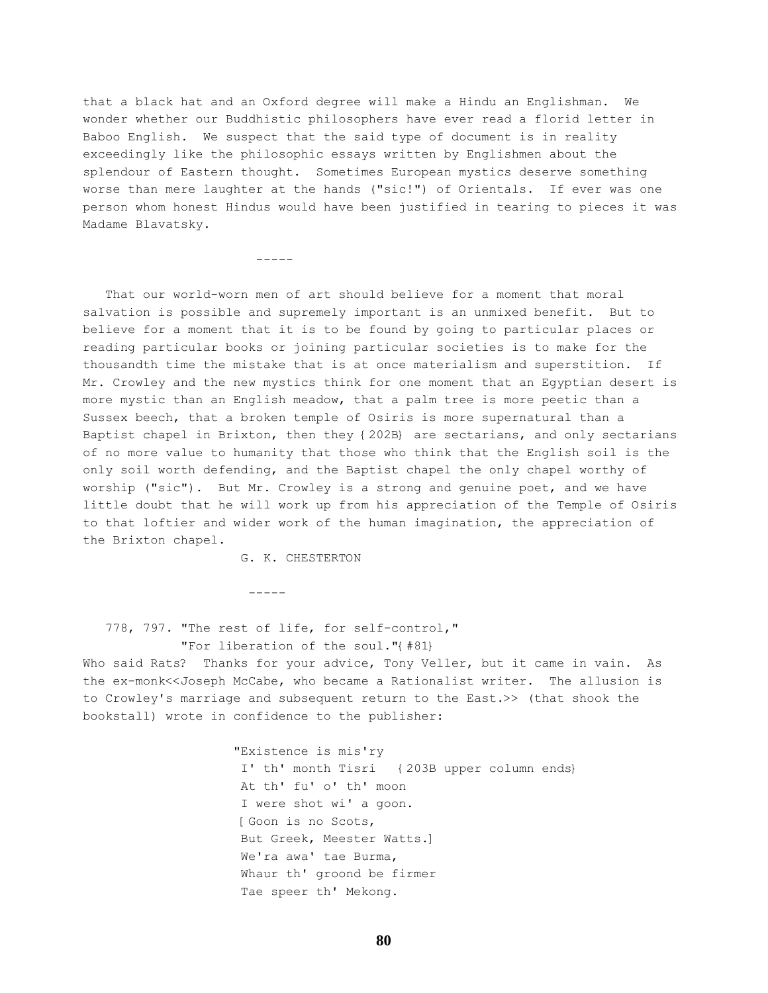that a black hat and an Oxford degree will make a Hindu an Englishman. We wonder whether our Buddhistic philosophers have ever read a florid letter in Baboo English. We suspect that the said type of document is in reality exceedingly like the philosophic essays written by Englishmen about the splendour of Eastern thought. Sometimes European mystics deserve something worse than mere laughter at the hands ("sic!") of Orientals. If ever was one person whom honest Hindus would have been justified in tearing to pieces it was Madame Blavatsky.

 That our world-worn men of art should believe for a moment that moral salvation is possible and supremely important is an unmixed benefit. But to believe for a moment that it is to be found by going to particular places or reading particular books or joining particular societies is to make for the thousandth time the mistake that is at once materialism and superstition. If Mr. Crowley and the new mystics think for one moment that an Egyptian desert is more mystic than an English meadow, that a palm tree is more peetic than a Sussex beech, that a broken temple of Osiris is more supernatural than a Baptist chapel in Brixton, then they {202B} are sectarians, and only sectarians of no more value to humanity that those who think that the English soil is the only soil worth defending, and the Baptist chapel the only chapel worthy of worship ("sic"). But Mr. Crowley is a strong and genuine poet, and we have little doubt that he will work up from his appreciation of the Temple of Osiris to that loftier and wider work of the human imagination, the appreciation of the Brixton chapel.

G. K. CHESTERTON

-----

-----

778, 797. "The rest of life, for self-control,"

"For liberation of the soul."{#81}

Who said Rats? Thanks for your advice, Tony Veller, but it came in vain. As the ex-monk<<Joseph McCabe, who became a Rationalist writer. The allusion is to Crowley's marriage and subsequent return to the East.>> (that shook the bookstall) wrote in confidence to the publisher:

> "Existence is mis'ry I' th' month Tisri {203B upper column ends} At th' fu' o' th' moon I were shot wi' a goon. [Goon is no Scots, But Greek, Meester Watts.] We'ra awa' tae Burma, Whaur th' groond be firmer Tae speer th' Mekong.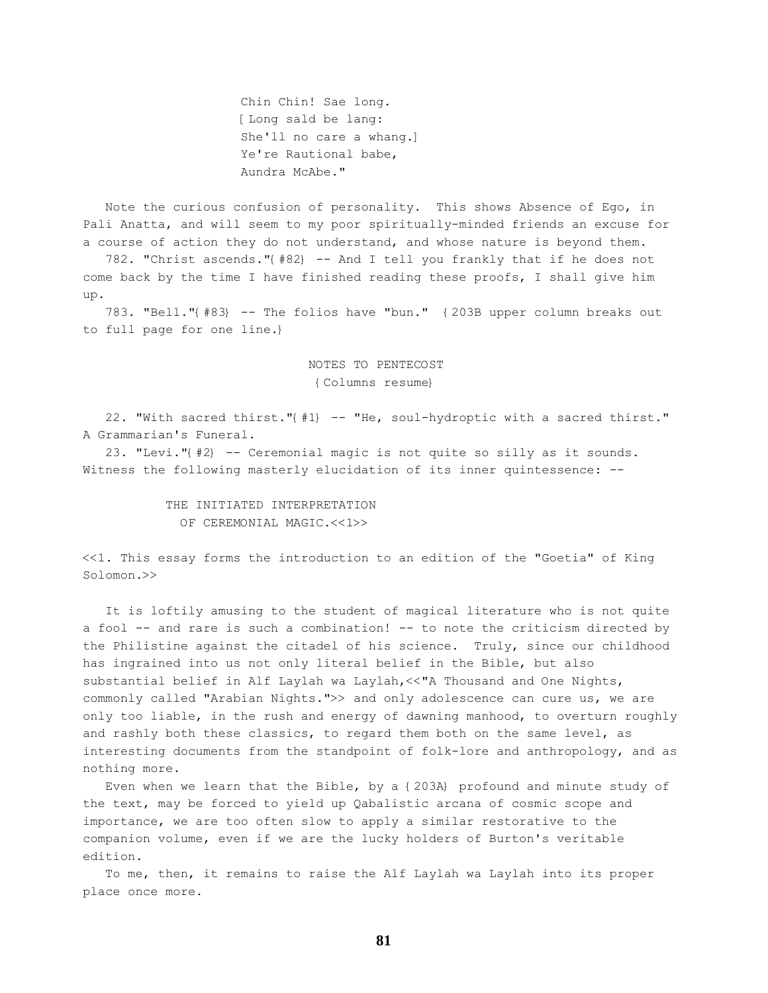Chin Chin! Sae long. [Long sald be lang: She'll no care a whang.] Ye're Rautional babe, Aundra McAbe."

 Note the curious confusion of personality. This shows Absence of Ego, in Pali Anatta, and will seem to my poor spiritually-minded friends an excuse for a course of action they do not understand, and whose nature is beyond them.

 782. "Christ ascends."{#82} -- And I tell you frankly that if he does not come back by the time I have finished reading these proofs, I shall give him up.

 783. "Bell."{#83} -- The folios have "bun." {203B upper column breaks out to full page for one line.}

# NOTES TO PENTECOST {Columns resume}

 22. "With sacred thirst."{#1} -- "He, soul-hydroptic with a sacred thirst." A Grammarian's Funeral.

 23. "Levi."{#2} -- Ceremonial magic is not quite so silly as it sounds. Witness the following masterly elucidation of its inner quintessence: --

> THE INITIATED INTERPRETATION OF CEREMONIAL MAGIC.<<1>>

<<1. This essay forms the introduction to an edition of the "Goetia" of King Solomon.>>

 It is loftily amusing to the student of magical literature who is not quite a fool -- and rare is such a combination! -- to note the criticism directed by the Philistine against the citadel of his science. Truly, since our childhood has ingrained into us not only literal belief in the Bible, but also substantial belief in Alf Laylah wa Laylah, << "A Thousand and One Nights, commonly called "Arabian Nights.">> and only adolescence can cure us, we are only too liable, in the rush and energy of dawning manhood, to overturn roughly and rashly both these classics, to regard them both on the same level, as interesting documents from the standpoint of folk-lore and anthropology, and as nothing more.

 Even when we learn that the Bible, by a {203A} profound and minute study of the text, may be forced to yield up Qabalistic arcana of cosmic scope and importance, we are too often slow to apply a similar restorative to the companion volume, even if we are the lucky holders of Burton's veritable edition.

 To me, then, it remains to raise the Alf Laylah wa Laylah into its proper place once more.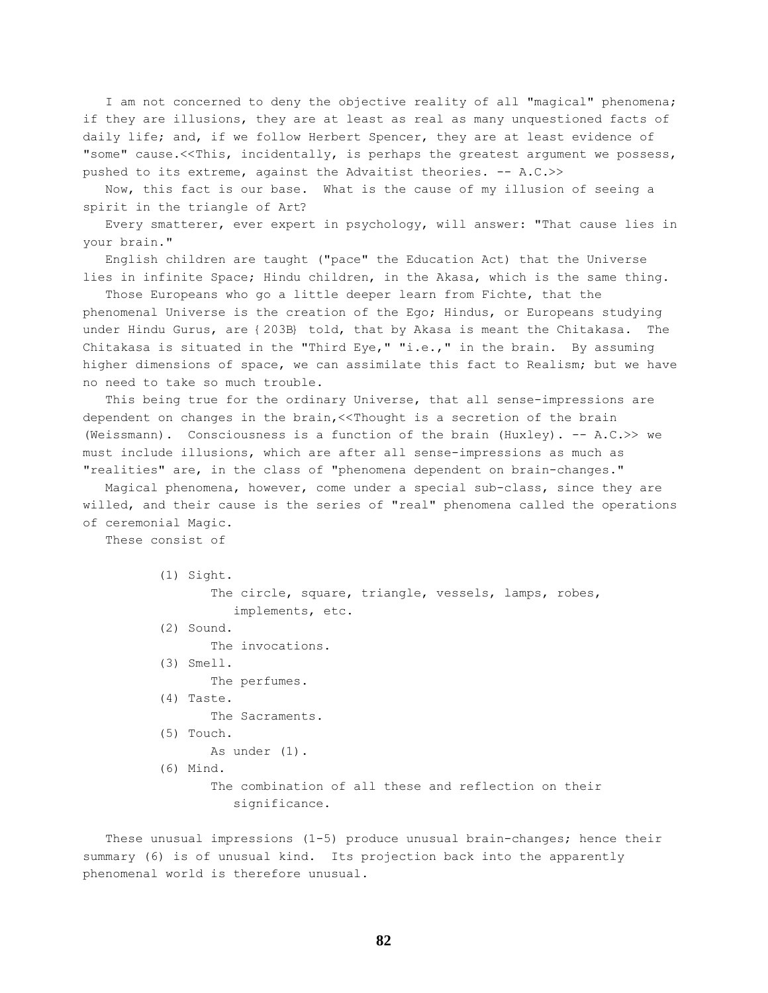I am not concerned to deny the objective reality of all "magical" phenomena; if they are illusions, they are at least as real as many unquestioned facts of daily life; and, if we follow Herbert Spencer, they are at least evidence of "some" cause.<<This, incidentally, is perhaps the greatest argument we possess, pushed to its extreme, against the Advaitist theories. -- A.C.>>

 Now, this fact is our base. What is the cause of my illusion of seeing a spirit in the triangle of Art?

 Every smatterer, ever expert in psychology, will answer: "That cause lies in your brain."

 English children are taught ("pace" the Education Act) that the Universe lies in infinite Space; Hindu children, in the Akasa, which is the same thing.

 Those Europeans who go a little deeper learn from Fichte, that the phenomenal Universe is the creation of the Ego; Hindus, or Europeans studying under Hindu Gurus, are {203B} told, that by Akasa is meant the Chitakasa. The Chitakasa is situated in the "Third Eye," "i.e.," in the brain. By assuming higher dimensions of space, we can assimilate this fact to Realism; but we have no need to take so much trouble.

 This being true for the ordinary Universe, that all sense-impressions are dependent on changes in the brain,<<Thought is a secretion of the brain (Weissmann). Consciousness is a function of the brain (Huxley).  $- - A.C.$  >> we must include illusions, which are after all sense-impressions as much as "realities" are, in the class of "phenomena dependent on brain-changes."

 Magical phenomena, however, come under a special sub-class, since they are willed, and their cause is the series of "real" phenomena called the operations of ceremonial Magic.

These consist of

|  |  | $(1)$ Sight. |
|--|--|--------------|
|--|--|--------------|

The circle, square, triangle, vessels, lamps, robes, implements, etc.

(2) Sound.

The invocations.

- (3) Smell.
	- The perfumes.
- (4) Taste. The Sacraments.
- (5) Touch.

As under (1).

(6) Mind.

 The combination of all these and reflection on their significance.

 These unusual impressions (1-5) produce unusual brain-changes; hence their summary (6) is of unusual kind. Its projection back into the apparently phenomenal world is therefore unusual.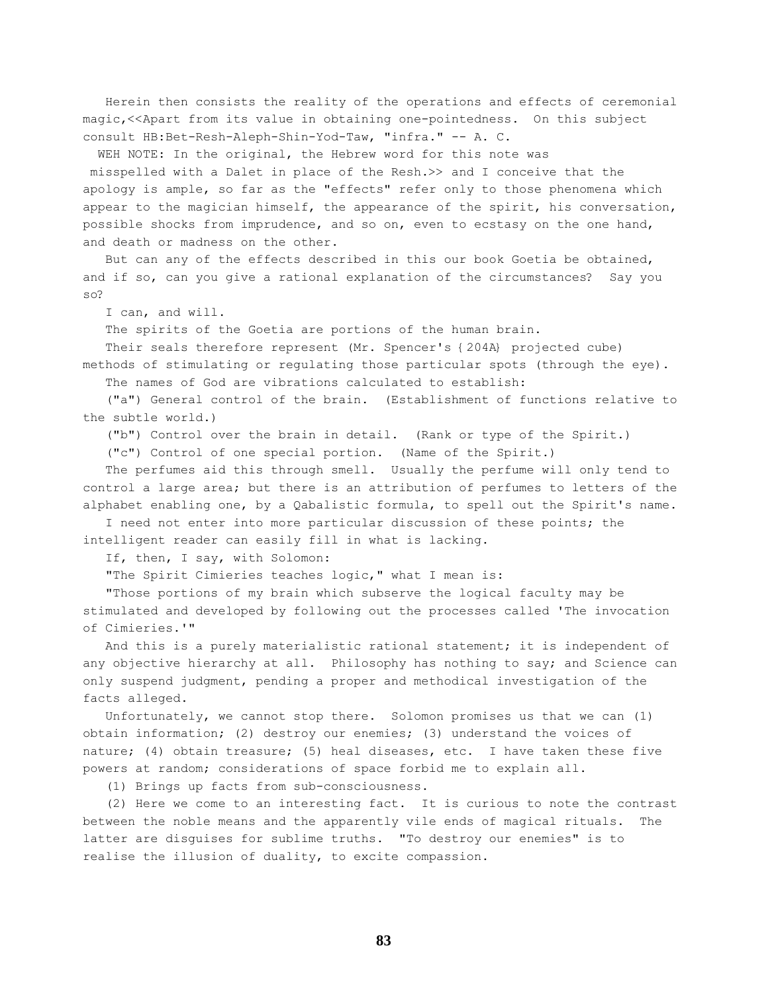Herein then consists the reality of the operations and effects of ceremonial magic,<<Apart from its value in obtaining one-pointedness. On this subject consult HB:Bet-Resh-Aleph-Shin-Yod-Taw, "infra." -- A. C.

WEH NOTE: In the original, the Hebrew word for this note was misspelled with a Dalet in place of the Resh.>> and I conceive that the apology is ample, so far as the "effects" refer only to those phenomena which appear to the magician himself, the appearance of the spirit, his conversation, possible shocks from imprudence, and so on, even to ecstasy on the one hand, and death or madness on the other.

 But can any of the effects described in this our book Goetia be obtained, and if so, can you give a rational explanation of the circumstances? Say you so?

I can, and will.

The spirits of the Goetia are portions of the human brain.

Their seals therefore represent (Mr. Spencer's {204A} projected cube)

methods of stimulating or regulating those particular spots (through the eye). The names of God are vibrations calculated to establish:

 ("a") General control of the brain. (Establishment of functions relative to the subtle world.)

("b") Control over the brain in detail. (Rank or type of the Spirit.)

("c") Control of one special portion. (Name of the Spirit.)

 The perfumes aid this through smell. Usually the perfume will only tend to control a large area; but there is an attribution of perfumes to letters of the alphabet enabling one, by a Qabalistic formula, to spell out the Spirit's name.

 I need not enter into more particular discussion of these points; the intelligent reader can easily fill in what is lacking.

If, then, I say, with Solomon:

"The Spirit Cimieries teaches logic," what I mean is:

 "Those portions of my brain which subserve the logical faculty may be stimulated and developed by following out the processes called 'The invocation of Cimieries.'"

 And this is a purely materialistic rational statement; it is independent of any objective hierarchy at all. Philosophy has nothing to say; and Science can only suspend judgment, pending a proper and methodical investigation of the facts alleged.

 Unfortunately, we cannot stop there. Solomon promises us that we can (1) obtain information; (2) destroy our enemies; (3) understand the voices of nature; (4) obtain treasure; (5) heal diseases, etc. I have taken these five powers at random; considerations of space forbid me to explain all.

(1) Brings up facts from sub-consciousness.

 (2) Here we come to an interesting fact. It is curious to note the contrast between the noble means and the apparently vile ends of magical rituals. The latter are disguises for sublime truths. "To destroy our enemies" is to realise the illusion of duality, to excite compassion.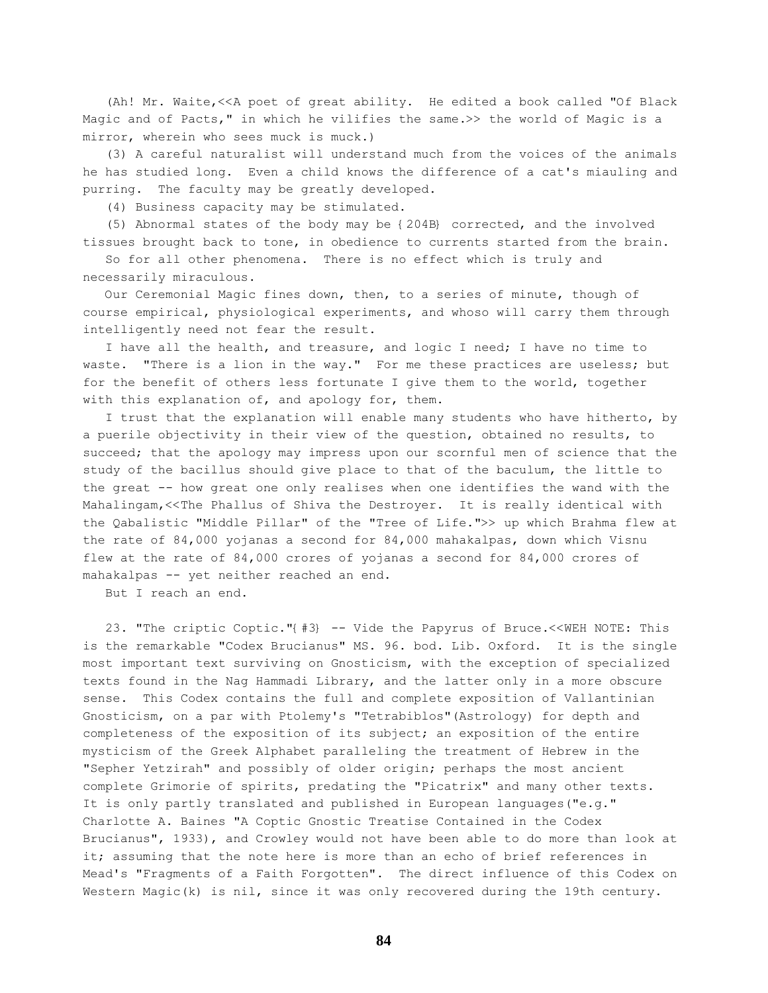(Ah! Mr. Waite,<<A poet of great ability. He edited a book called "Of Black Magic and of Pacts," in which he vilifies the same.>> the world of Magic is a mirror, wherein who sees muck is muck.)

 (3) A careful naturalist will understand much from the voices of the animals he has studied long. Even a child knows the difference of a cat's miauling and purring. The faculty may be greatly developed.

(4) Business capacity may be stimulated.

 (5) Abnormal states of the body may be {204B} corrected, and the involved tissues brought back to tone, in obedience to currents started from the brain.

 So for all other phenomena. There is no effect which is truly and necessarily miraculous.

 Our Ceremonial Magic fines down, then, to a series of minute, though of course empirical, physiological experiments, and whoso will carry them through intelligently need not fear the result.

 I have all the health, and treasure, and logic I need; I have no time to waste. "There is a lion in the way." For me these practices are useless; but for the benefit of others less fortunate I give them to the world, together with this explanation of, and apology for, them.

 I trust that the explanation will enable many students who have hitherto, by a puerile objectivity in their view of the question, obtained no results, to succeed; that the apology may impress upon our scornful men of science that the study of the bacillus should give place to that of the baculum, the little to the great -- how great one only realises when one identifies the wand with the Mahalingam,<<The Phallus of Shiva the Destroyer. It is really identical with the Qabalistic "Middle Pillar" of the "Tree of Life.">> up which Brahma flew at the rate of 84,000 yojanas a second for 84,000 mahakalpas, down which Visnu flew at the rate of 84,000 crores of yojanas a second for 84,000 crores of mahakalpas -- yet neither reached an end.

But I reach an end.

 23. "The criptic Coptic."{#3} -- Vide the Papyrus of Bruce.<<WEH NOTE: This is the remarkable "Codex Brucianus" MS. 96. bod. Lib. Oxford. It is the single most important text surviving on Gnosticism, with the exception of specialized texts found in the Nag Hammadi Library, and the latter only in a more obscure sense. This Codex contains the full and complete exposition of Vallantinian Gnosticism, on a par with Ptolemy's "Tetrabiblos"(Astrology) for depth and completeness of the exposition of its subject; an exposition of the entire mysticism of the Greek Alphabet paralleling the treatment of Hebrew in the "Sepher Yetzirah" and possibly of older origin; perhaps the most ancient complete Grimorie of spirits, predating the "Picatrix" and many other texts. It is only partly translated and published in European languages("e.g." Charlotte A. Baines "A Coptic Gnostic Treatise Contained in the Codex Brucianus", 1933), and Crowley would not have been able to do more than look at it; assuming that the note here is more than an echo of brief references in Mead's "Fragments of a Faith Forgotten". The direct influence of this Codex on Western Magic(k) is nil, since it was only recovered during the 19th century.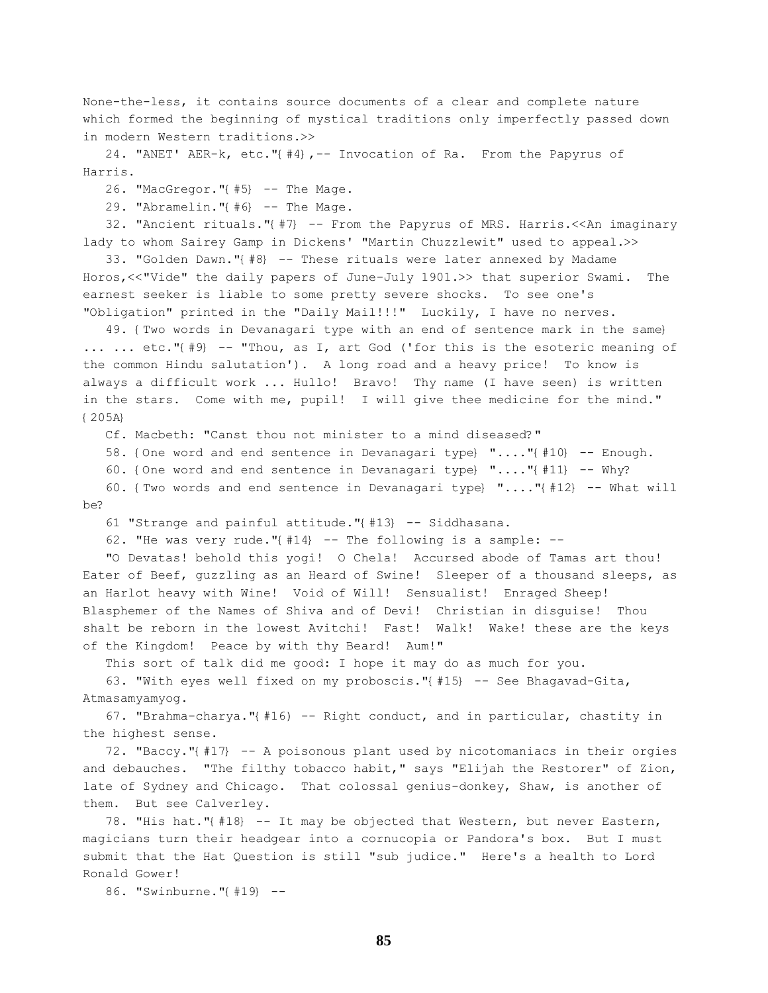None-the-less, it contains source documents of a clear and complete nature which formed the beginning of mystical traditions only imperfectly passed down in modern Western traditions.>>

 24. "ANET' AER-k, etc."{#4},-- Invocation of Ra. From the Papyrus of Harris.

26. "MacGregor."{#5} -- The Mage.

29. "Abramelin."{#6} -- The Mage.

 32. "Ancient rituals."{#7} -- From the Papyrus of MRS. Harris.<<An imaginary lady to whom Sairey Gamp in Dickens' "Martin Chuzzlewit" used to appeal.>>

 33. "Golden Dawn."{#8} -- These rituals were later annexed by Madame Horos,<<"Vide" the daily papers of June-July 1901.>> that superior Swami. The earnest seeker is liable to some pretty severe shocks. To see one's "Obligation" printed in the "Daily Mail!!!" Luckily, I have no nerves.

 49. {Two words in Devanagari type with an end of sentence mark in the same} ... ... etc."{#9} -- "Thou, as I, art God ('for this is the esoteric meaning of the common Hindu salutation'). A long road and a heavy price! To know is always a difficult work ... Hullo! Bravo! Thy name (I have seen) is written in the stars. Come with me, pupil! I will give thee medicine for the mind." {205A}

Cf. Macbeth: "Canst thou not minister to a mind diseased?"

58. {One word and end sentence in Devanagari type} "...."{#10} -- Enough.

60. {One word and end sentence in Devanagari type}  $"...$ ." ${#11}$  -- Why?

 60. {Two words and end sentence in Devanagari type} "...."{#12} -- What will  $h^2$ 

61 "Strange and painful attitude."{#13} -- Siddhasana.

62. "He was very rude."{#14} -- The following is a sample: --

 "O Devatas! behold this yogi! O Chela! Accursed abode of Tamas art thou! Eater of Beef, guzzling as an Heard of Swine! Sleeper of a thousand sleeps, as an Harlot heavy with Wine! Void of Will! Sensualist! Enraged Sheep! Blasphemer of the Names of Shiva and of Devi! Christian in disguise! Thou shalt be reborn in the lowest Avitchi! Fast! Walk! Wake! these are the keys of the Kingdom! Peace by with thy Beard! Aum!"

This sort of talk did me good: I hope it may do as much for you.

 63. "With eyes well fixed on my proboscis."{#15} -- See Bhagavad-Gita, Atmasamyamyog.

 67. "Brahma-charya."{#16) -- Right conduct, and in particular, chastity in the highest sense.

 72. "Baccy."{#17} -- A poisonous plant used by nicotomaniacs in their orgies and debauches. "The filthy tobacco habit," says "Elijah the Restorer" of Zion, late of Sydney and Chicago. That colossal genius-donkey, Shaw, is another of them. But see Calverley.

 78. "His hat."{#18} -- It may be objected that Western, but never Eastern, magicians turn their headgear into a cornucopia or Pandora's box. But I must submit that the Hat Question is still "sub judice." Here's a health to Lord Ronald Gower!

86. "Swinburne."{#19} --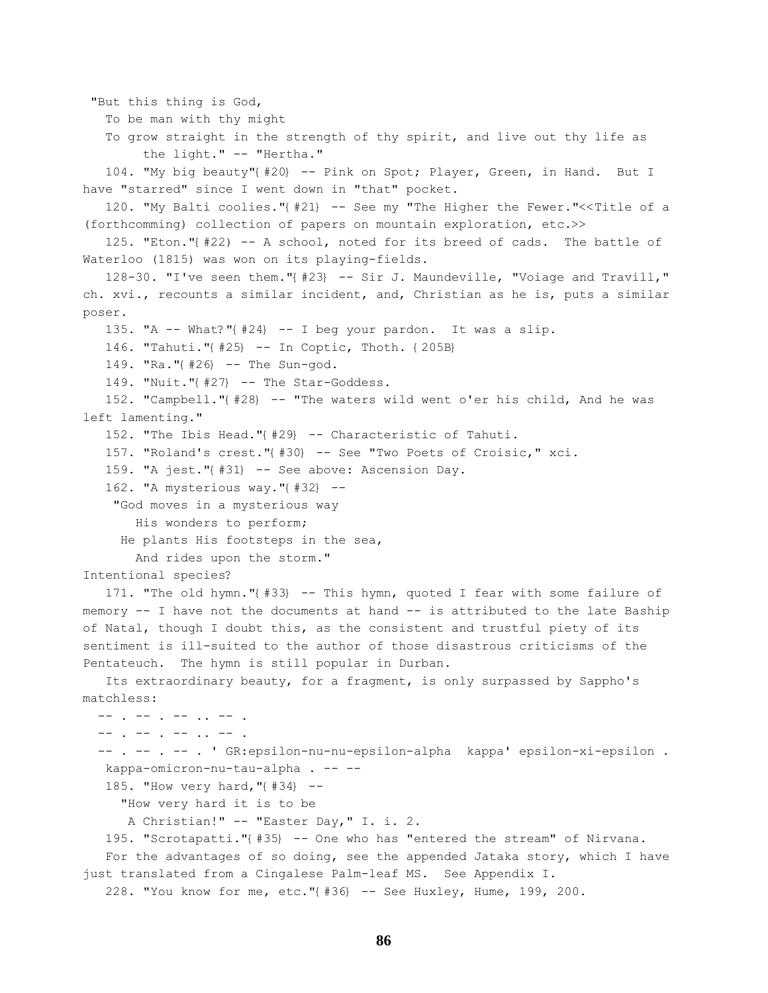```
 "But this thing is God,
    To be man with thy might
    To grow straight in the strength of thy spirit, and live out thy life as
         the light." -- "Hertha."
    104. "My big beauty"{#20} -- Pink on Spot; Player, Green, in Hand. But I
have "starred" since I went down in "that" pocket.
    120. "My Balti coolies."{#21} -- See my "The Higher the Fewer."<<Title of a
(forthcomming) collection of papers on mountain exploration, etc.>>
    125. "Eton."{#22) -- A school, noted for its breed of cads. The battle of
Waterloo (1815) was won on its playing-fields.
    128-30. "I've seen them."{#23} -- Sir J. Maundeville, "Voiage and Travill,"
ch. xvi., recounts a similar incident, and, Christian as he is, puts a similar
poser.
    135. "A -- What?"{#24} -- I beg your pardon. It was a slip.
    146. "Tahuti."{#25} -- In Coptic, Thoth. {205B}
    149. "Ra."{#26} -- The Sun-god.
    149. "Nuit."{#27} -- The Star-Goddess.
    152. "Campbell."{#28} -- "The waters wild went o'er his child, And he was
left lamenting."
    152. "The Ibis Head."{#29} -- Characteristic of Tahuti.
    157. "Roland's crest."{#30} -- See "Two Poets of Croisic," xci.
    159. "A jest."{#31} -- See above: Ascension Day.
    162. "A mysterious way."{#32} --
     "God moves in a mysterious way
        His wonders to perform;
      He plants His footsteps in the sea,
        And rides upon the storm."
Intentional species?
    171. "The old hymn."{#33} -- This hymn, quoted I fear with some failure of
memory -- I have not the documents at hand -- is attributed to the late Baship
of Natal, though I doubt this, as the consistent and trustful piety of its
sentiment is ill-suited to the author of those disastrous criticisms of the
Pentateuch. The hymn is still popular in Durban.
    Its extraordinary beauty, for a fragment, is only surpassed by Sappho's
matchless:
```

```
 -- . -- . -- .. -- .
-- . -- . -- .. -- .
-- . -- . -- . ' GR:epsilon-nu-nu-epsilon-alpha kappa' epsilon-xi-epsilon .
 kappa-omicron-nu-tau-alpha . -- --
 185. "How very hard,"{#34} --
    "How very hard it is to be
```
A Christian!" -- "Easter Day," I. i. 2.

195. "Scrotapatti."{#35} -- One who has "entered the stream" of Nirvana.

 For the advantages of so doing, see the appended Jataka story, which I have just translated from a Cingalese Palm-leaf MS. See Appendix I.

228. "You know for me, etc."{#36} -- See Huxley, Hume, 199, 200.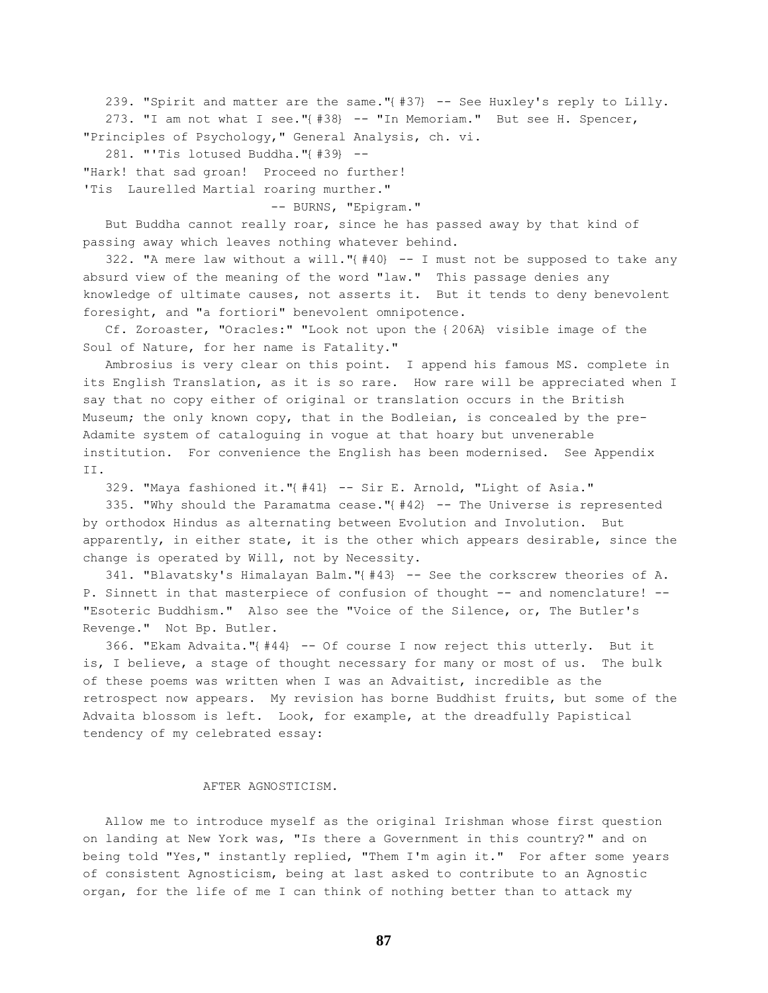239. "Spirit and matter are the same."{#37} -- See Huxley's reply to Lilly. 273. "I am not what I see."{#38} -- "In Memoriam." But see H. Spencer, "Principles of Psychology," General Analysis, ch. vi.

 281. "'Tis lotused Buddha."{#39} -- "Hark! that sad groan! Proceed no further! 'Tis Laurelled Martial roaring murther."

-- BURNS, "Epigram."

 But Buddha cannot really roar, since he has passed away by that kind of passing away which leaves nothing whatever behind.

322. "A mere law without a will." ${40}$  -- I must not be supposed to take any absurd view of the meaning of the word "law." This passage denies any knowledge of ultimate causes, not asserts it. But it tends to deny benevolent foresight, and "a fortiori" benevolent omnipotence.

 Cf. Zoroaster, "Oracles:" "Look not upon the {206A} visible image of the Soul of Nature, for her name is Fatality."

 Ambrosius is very clear on this point. I append his famous MS. complete in its English Translation, as it is so rare. How rare will be appreciated when I say that no copy either of original or translation occurs in the British Museum; the only known copy, that in the Bodleian, is concealed by the pre-Adamite system of cataloguing in vogue at that hoary but unvenerable institution. For convenience the English has been modernised. See Appendix II.

329. "Maya fashioned it."{#41} -- Sir E. Arnold, "Light of Asia."

 335. "Why should the Paramatma cease."{#42} -- The Universe is represented by orthodox Hindus as alternating between Evolution and Involution. But apparently, in either state, it is the other which appears desirable, since the change is operated by Will, not by Necessity.

 341. "Blavatsky's Himalayan Balm."{#43} -- See the corkscrew theories of A. P. Sinnett in that masterpiece of confusion of thought -- and nomenclature! --"Esoteric Buddhism." Also see the "Voice of the Silence, or, The Butler's Revenge." Not Bp. Butler.

 366. "Ekam Advaita."{#44} -- Of course I now reject this utterly. But it is, I believe, a stage of thought necessary for many or most of us. The bulk of these poems was written when I was an Advaitist, incredible as the retrospect now appears. My revision has borne Buddhist fruits, but some of the Advaita blossom is left. Look, for example, at the dreadfully Papistical tendency of my celebrated essay:

## AFTER AGNOSTICISM.

 Allow me to introduce myself as the original Irishman whose first question on landing at New York was, "Is there a Government in this country?" and on being told "Yes," instantly replied, "Them I'm agin it." For after some years of consistent Agnosticism, being at last asked to contribute to an Agnostic organ, for the life of me I can think of nothing better than to attack my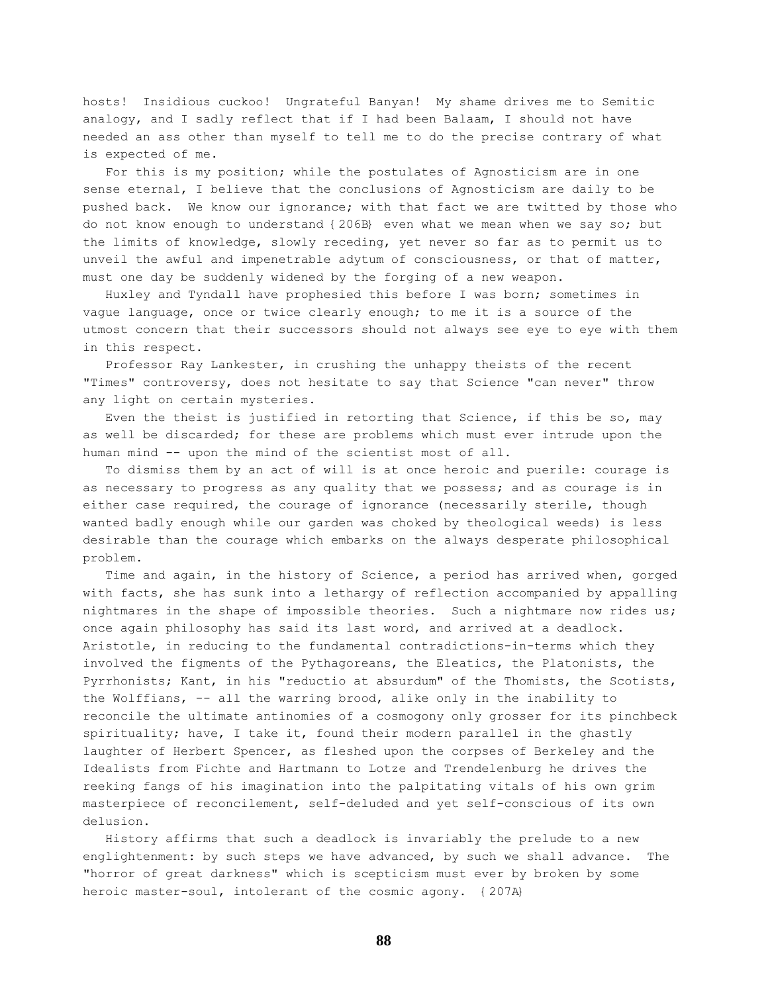hosts! Insidious cuckoo! Ungrateful Banyan! My shame drives me to Semitic analogy, and I sadly reflect that if I had been Balaam, I should not have needed an ass other than myself to tell me to do the precise contrary of what is expected of me.

 For this is my position; while the postulates of Agnosticism are in one sense eternal, I believe that the conclusions of Agnosticism are daily to be pushed back. We know our ignorance; with that fact we are twitted by those who do not know enough to understand {206B} even what we mean when we say so; but the limits of knowledge, slowly receding, yet never so far as to permit us to unveil the awful and impenetrable adytum of consciousness, or that of matter, must one day be suddenly widened by the forging of a new weapon.

 Huxley and Tyndall have prophesied this before I was born; sometimes in vague language, once or twice clearly enough; to me it is a source of the utmost concern that their successors should not always see eye to eye with them in this respect.

 Professor Ray Lankester, in crushing the unhappy theists of the recent "Times" controversy, does not hesitate to say that Science "can never" throw any light on certain mysteries.

 Even the theist is justified in retorting that Science, if this be so, may as well be discarded; for these are problems which must ever intrude upon the human mind -- upon the mind of the scientist most of all.

 To dismiss them by an act of will is at once heroic and puerile: courage is as necessary to progress as any quality that we possess; and as courage is in either case required, the courage of ignorance (necessarily sterile, though wanted badly enough while our garden was choked by theological weeds) is less desirable than the courage which embarks on the always desperate philosophical problem.

 Time and again, in the history of Science, a period has arrived when, gorged with facts, she has sunk into a lethargy of reflection accompanied by appalling nightmares in the shape of impossible theories. Such a nightmare now rides us; once again philosophy has said its last word, and arrived at a deadlock. Aristotle, in reducing to the fundamental contradictions-in-terms which they involved the figments of the Pythagoreans, the Eleatics, the Platonists, the Pyrrhonists; Kant, in his "reductio at absurdum" of the Thomists, the Scotists, the Wolffians, -- all the warring brood, alike only in the inability to reconcile the ultimate antinomies of a cosmogony only grosser for its pinchbeck spirituality; have, I take it, found their modern parallel in the ghastly laughter of Herbert Spencer, as fleshed upon the corpses of Berkeley and the Idealists from Fichte and Hartmann to Lotze and Trendelenburg he drives the reeking fangs of his imagination into the palpitating vitals of his own grim masterpiece of reconcilement, self-deluded and yet self-conscious of its own delusion.

 History affirms that such a deadlock is invariably the prelude to a new englightenment: by such steps we have advanced, by such we shall advance. The "horror of great darkness" which is scepticism must ever by broken by some heroic master-soul, intolerant of the cosmic agony. {207A}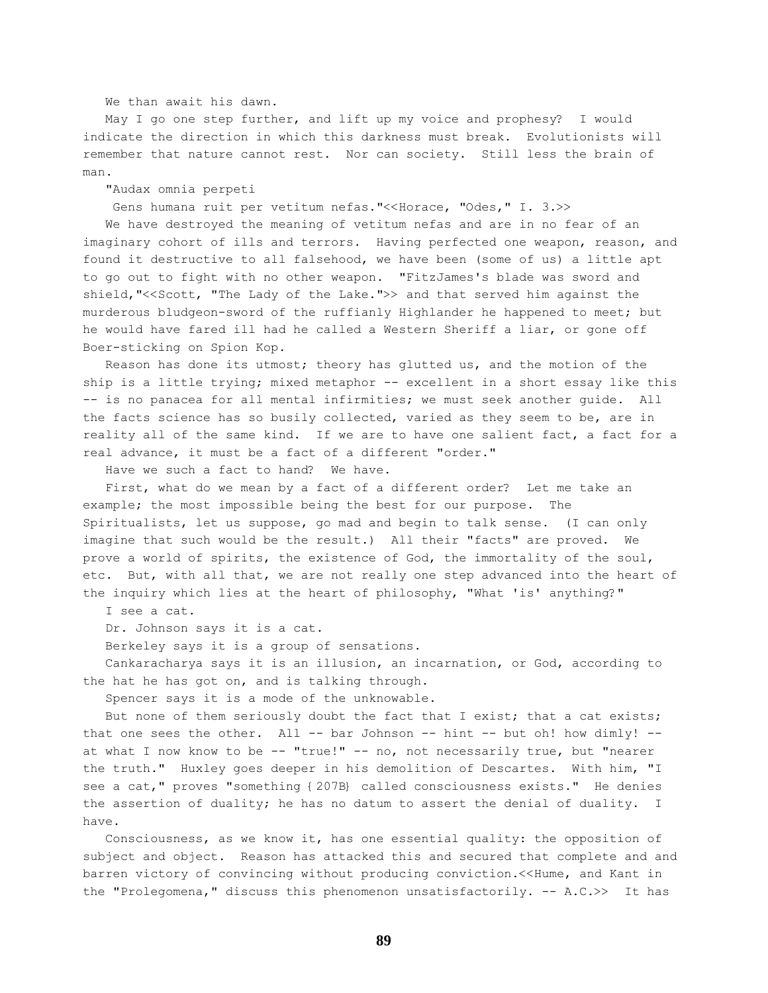We than await his dawn.

 May I go one step further, and lift up my voice and prophesy? I would indicate the direction in which this darkness must break. Evolutionists will remember that nature cannot rest. Nor can society. Still less the brain of man.

"Audax omnia perpeti

Gens humana ruit per vetitum nefas."<<Horace, "Odes," I. 3.>>

 We have destroyed the meaning of vetitum nefas and are in no fear of an imaginary cohort of ills and terrors. Having perfected one weapon, reason, and found it destructive to all falsehood, we have been (some of us) a little apt to go out to fight with no other weapon. "FitzJames's blade was sword and shield, "<< Scott, "The Lady of the Lake.">> and that served him against the murderous bludgeon-sword of the ruffianly Highlander he happened to meet; but he would have fared ill had he called a Western Sheriff a liar, or gone off Boer-sticking on Spion Kop.

 Reason has done its utmost; theory has glutted us, and the motion of the ship is a little trying; mixed metaphor -- excellent in a short essay like this -- is no panacea for all mental infirmities; we must seek another quide. All the facts science has so busily collected, varied as they seem to be, are in reality all of the same kind. If we are to have one salient fact, a fact for a real advance, it must be a fact of a different "order."

Have we such a fact to hand? We have.

 First, what do we mean by a fact of a different order? Let me take an example; the most impossible being the best for our purpose. The Spiritualists, let us suppose, go mad and begin to talk sense. (I can only imagine that such would be the result.) All their "facts" are proved. We prove a world of spirits, the existence of God, the immortality of the soul, etc. But, with all that, we are not really one step advanced into the heart of the inquiry which lies at the heart of philosophy, "What 'is' anything?"

I see a cat.

Dr. Johnson says it is a cat.

Berkeley says it is a group of sensations.

 Cankaracharya says it is an illusion, an incarnation, or God, according to the hat he has got on, and is talking through.

Spencer says it is a mode of the unknowable.

But none of them seriously doubt the fact that I exist; that a cat exists; that one sees the other. All -- bar Johnson -- hint -- but oh! how  $dimly!$  -at what I now know to be -- "true!" -- no, not necessarily true, but "nearer the truth." Huxley goes deeper in his demolition of Descartes. With him, "I see a cat," proves "something {207B} called consciousness exists." He denies the assertion of duality; he has no datum to assert the denial of duality. I have.

 Consciousness, as we know it, has one essential quality: the opposition of subject and object. Reason has attacked this and secured that complete and and barren victory of convincing without producing conviction.<<Hume, and Kant in the "Prolegomena," discuss this phenomenon unsatisfactorily. -- A.C.>> It has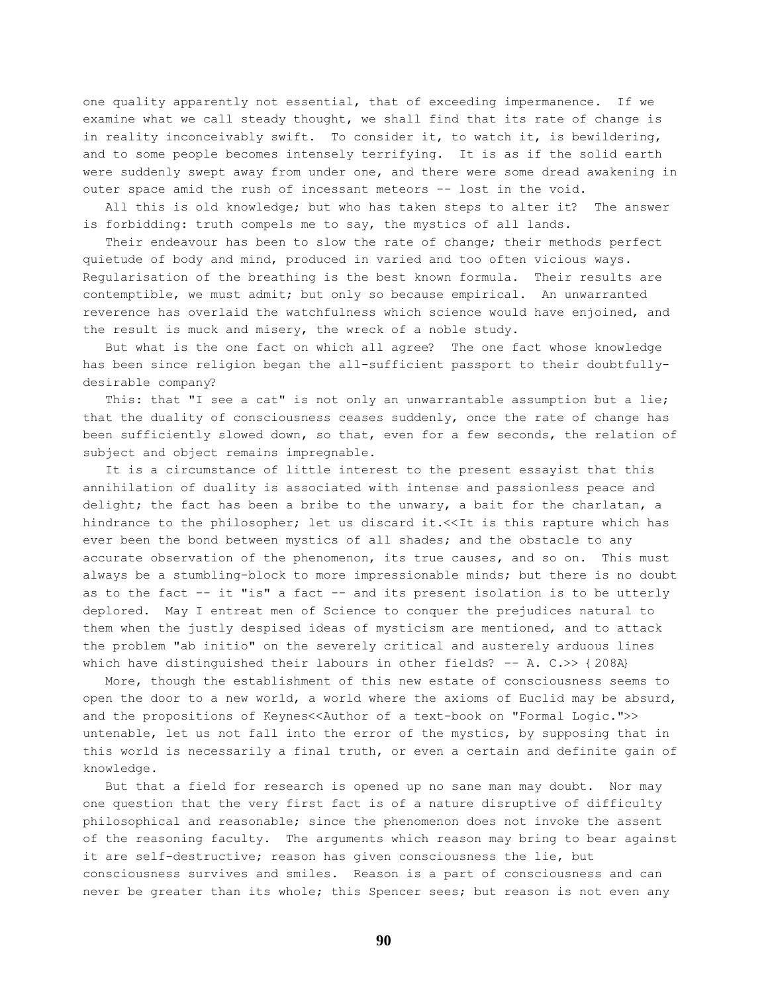one quality apparently not essential, that of exceeding impermanence. If we examine what we call steady thought, we shall find that its rate of change is in reality inconceivably swift. To consider it, to watch it, is bewildering, and to some people becomes intensely terrifying. It is as if the solid earth were suddenly swept away from under one, and there were some dread awakening in outer space amid the rush of incessant meteors -- lost in the void.

 All this is old knowledge; but who has taken steps to alter it? The answer is forbidding: truth compels me to say, the mystics of all lands.

 Their endeavour has been to slow the rate of change; their methods perfect quietude of body and mind, produced in varied and too often vicious ways. Regularisation of the breathing is the best known formula. Their results are contemptible, we must admit; but only so because empirical. An unwarranted reverence has overlaid the watchfulness which science would have enjoined, and the result is muck and misery, the wreck of a noble study.

 But what is the one fact on which all agree? The one fact whose knowledge has been since religion began the all-sufficient passport to their doubtfullydesirable company?

This: that "I see a cat" is not only an unwarrantable assumption but a lie; that the duality of consciousness ceases suddenly, once the rate of change has been sufficiently slowed down, so that, even for a few seconds, the relation of subject and object remains impregnable.

 It is a circumstance of little interest to the present essayist that this annihilation of duality is associated with intense and passionless peace and delight; the fact has been a bribe to the unwary, a bait for the charlatan, a hindrance to the philosopher; let us discard it.<<It is this rapture which has ever been the bond between mystics of all shades; and the obstacle to any accurate observation of the phenomenon, its true causes, and so on. This must always be a stumbling-block to more impressionable minds; but there is no doubt as to the fact -- it "is" a fact -- and its present isolation is to be utterly deplored. May I entreat men of Science to conquer the prejudices natural to them when the justly despised ideas of mysticism are mentioned, and to attack the problem "ab initio" on the severely critical and austerely arduous lines which have distinguished their labours in other fields? -- A. C.>> {  $208A$ }

 More, though the establishment of this new estate of consciousness seems to open the door to a new world, a world where the axioms of Euclid may be absurd, and the propositions of Keynes<<Author of a text-book on "Formal Logic.">> untenable, let us not fall into the error of the mystics, by supposing that in this world is necessarily a final truth, or even a certain and definite gain of knowledge.

 But that a field for research is opened up no sane man may doubt. Nor may one question that the very first fact is of a nature disruptive of difficulty philosophical and reasonable; since the phenomenon does not invoke the assent of the reasoning faculty. The arguments which reason may bring to bear against it are self-destructive; reason has given consciousness the lie, but consciousness survives and smiles. Reason is a part of consciousness and can never be greater than its whole; this Spencer sees; but reason is not even any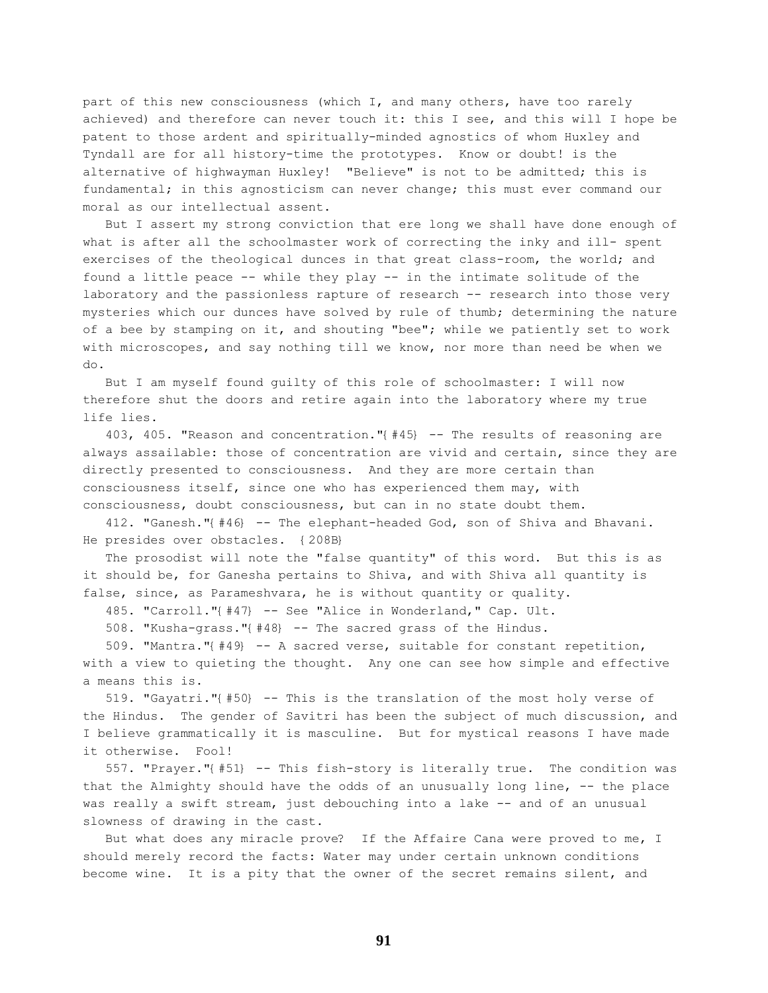part of this new consciousness (which I, and many others, have too rarely achieved) and therefore can never touch it: this I see, and this will I hope be patent to those ardent and spiritually-minded agnostics of whom Huxley and Tyndall are for all history-time the prototypes. Know or doubt! is the alternative of highwayman Huxley! "Believe" is not to be admitted; this is fundamental; in this agnosticism can never change; this must ever command our moral as our intellectual assent.

 But I assert my strong conviction that ere long we shall have done enough of what is after all the schoolmaster work of correcting the inky and ill- spent exercises of the theological dunces in that great class-room, the world; and found a little peace -- while they play -- in the intimate solitude of the laboratory and the passionless rapture of research -- research into those very mysteries which our dunces have solved by rule of thumb; determining the nature of a bee by stamping on it, and shouting "bee"; while we patiently set to work with microscopes, and say nothing till we know, nor more than need be when we do.

 But I am myself found guilty of this role of schoolmaster: I will now therefore shut the doors and retire again into the laboratory where my true life lies.

403, 405. "Reason and concentration."{#45} -- The results of reasoning are always assailable: those of concentration are vivid and certain, since they are directly presented to consciousness. And they are more certain than consciousness itself, since one who has experienced them may, with consciousness, doubt consciousness, but can in no state doubt them.

 412. "Ganesh."{#46} -- The elephant-headed God, son of Shiva and Bhavani. He presides over obstacles. {208B}

 The prosodist will note the "false quantity" of this word. But this is as it should be, for Ganesha pertains to Shiva, and with Shiva all quantity is false, since, as Parameshvara, he is without quantity or quality.

485. "Carroll."{#47} -- See "Alice in Wonderland," Cap. Ult.

508. "Kusha-grass."{#48} -- The sacred grass of the Hindus.

 509. "Mantra."{#49} -- A sacred verse, suitable for constant repetition, with a view to quieting the thought. Any one can see how simple and effective a means this is.

 519. "Gayatri."{#50} -- This is the translation of the most holy verse of the Hindus. The gender of Savitri has been the subject of much discussion, and I believe grammatically it is masculine. But for mystical reasons I have made it otherwise. Fool!

 557. "Prayer."{#51} -- This fish-story is literally true. The condition was that the Almighty should have the odds of an unusually long line, -- the place was really a swift stream, just debouching into a lake -- and of an unusual slowness of drawing in the cast.

 But what does any miracle prove? If the Affaire Cana were proved to me, I should merely record the facts: Water may under certain unknown conditions become wine. It is a pity that the owner of the secret remains silent, and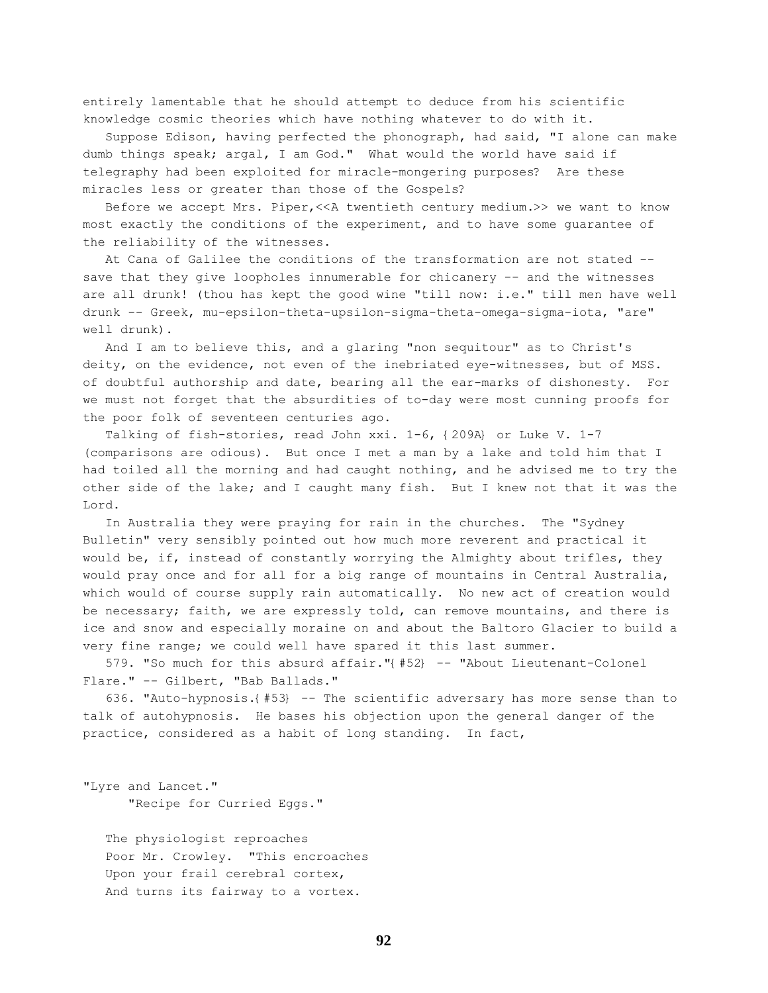entirely lamentable that he should attempt to deduce from his scientific knowledge cosmic theories which have nothing whatever to do with it.

 Suppose Edison, having perfected the phonograph, had said, "I alone can make dumb things speak; argal, I am God." What would the world have said if telegraphy had been exploited for miracle-mongering purposes? Are these miracles less or greater than those of the Gospels?

 Before we accept Mrs. Piper,<<A twentieth century medium.>> we want to know most exactly the conditions of the experiment, and to have some guarantee of the reliability of the witnesses.

 At Cana of Galilee the conditions of the transformation are not stated - save that they give loopholes innumerable for chicanery -- and the witnesses are all drunk! (thou has kept the good wine "till now: i.e." till men have well drunk -- Greek, mu-epsilon-theta-upsilon-sigma-theta-omega-sigma-iota, "are" well drunk).

 And I am to believe this, and a glaring "non sequitour" as to Christ's deity, on the evidence, not even of the inebriated eye-witnesses, but of MSS. of doubtful authorship and date, bearing all the ear-marks of dishonesty. For we must not forget that the absurdities of to-day were most cunning proofs for the poor folk of seventeen centuries ago.

 Talking of fish-stories, read John xxi. 1-6, {209A} or Luke V. 1-7 (comparisons are odious). But once I met a man by a lake and told him that I had toiled all the morning and had caught nothing, and he advised me to try the other side of the lake; and I caught many fish. But I knew not that it was the Lord.

 In Australia they were praying for rain in the churches. The "Sydney Bulletin" very sensibly pointed out how much more reverent and practical it would be, if, instead of constantly worrying the Almighty about trifles, they would pray once and for all for a big range of mountains in Central Australia, which would of course supply rain automatically. No new act of creation would be necessary; faith, we are expressly told, can remove mountains, and there is ice and snow and especially moraine on and about the Baltoro Glacier to build a very fine range; we could well have spared it this last summer.

 579. "So much for this absurd affair."{#52} -- "About Lieutenant-Colonel Flare." -- Gilbert, "Bab Ballads."

 636. "Auto-hypnosis.{#53} -- The scientific adversary has more sense than to talk of autohypnosis. He bases his objection upon the general danger of the practice, considered as a habit of long standing. In fact,

"Lyre and Lancet." "Recipe for Curried Eggs."

 The physiologist reproaches Poor Mr. Crowley. "This encroaches Upon your frail cerebral cortex, And turns its fairway to a vortex.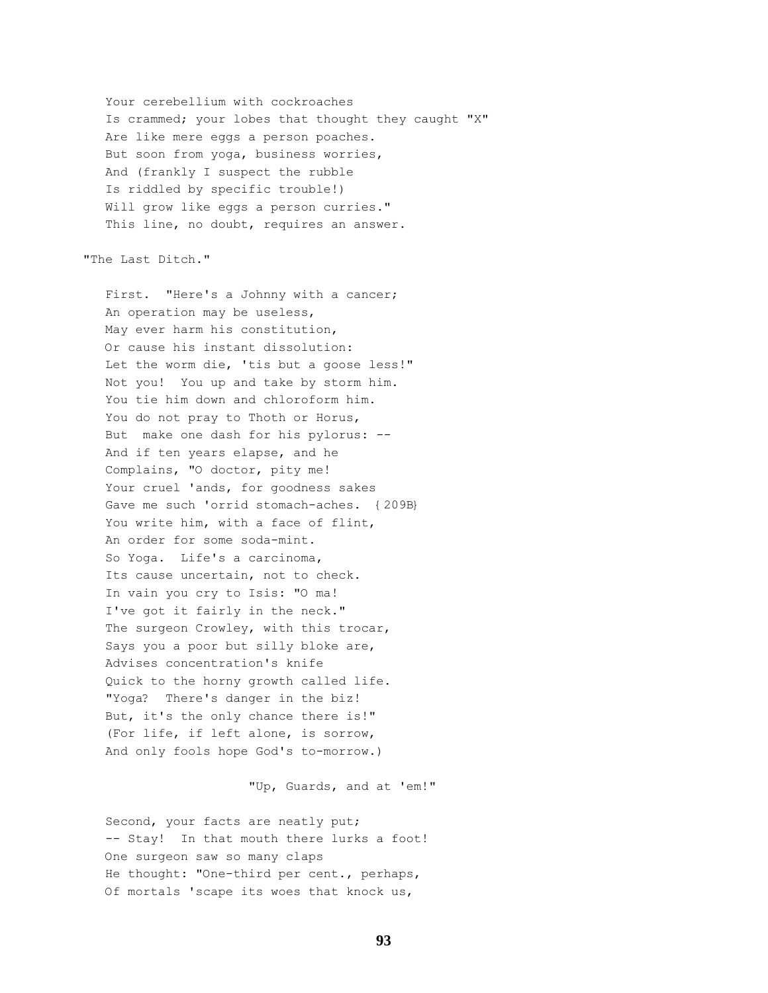Your cerebellium with cockroaches Is crammed; your lobes that thought they caught "X" Are like mere eggs a person poaches. But soon from yoga, business worries, And (frankly I suspect the rubble Is riddled by specific trouble!) Will grow like eggs a person curries." This line, no doubt, requires an answer.

## "The Last Ditch."

First. "Here's a Johnny with a cancer; An operation may be useless, May ever harm his constitution, Or cause his instant dissolution: Let the worm die, 'tis but a goose less!" Not you! You up and take by storm him. You tie him down and chloroform him. You do not pray to Thoth or Horus, But make one dash for his pylorus: -- And if ten years elapse, and he Complains, "O doctor, pity me! Your cruel 'ands, for goodness sakes Gave me such 'orrid stomach-aches. {209B} You write him, with a face of flint, An order for some soda-mint. So Yoga. Life's a carcinoma, Its cause uncertain, not to check. In vain you cry to Isis: "O ma! I've got it fairly in the neck." The surgeon Crowley, with this trocar, Says you a poor but silly bloke are, Advises concentration's knife Quick to the horny growth called life. "Yoga? There's danger in the biz! But, it's the only chance there is!" (For life, if left alone, is sorrow, And only fools hope God's to-morrow.)

## "Up, Guards, and at 'em!"

 Second, your facts are neatly put; -- Stay! In that mouth there lurks a foot! One surgeon saw so many claps He thought: "One-third per cent., perhaps, Of mortals 'scape its woes that knock us,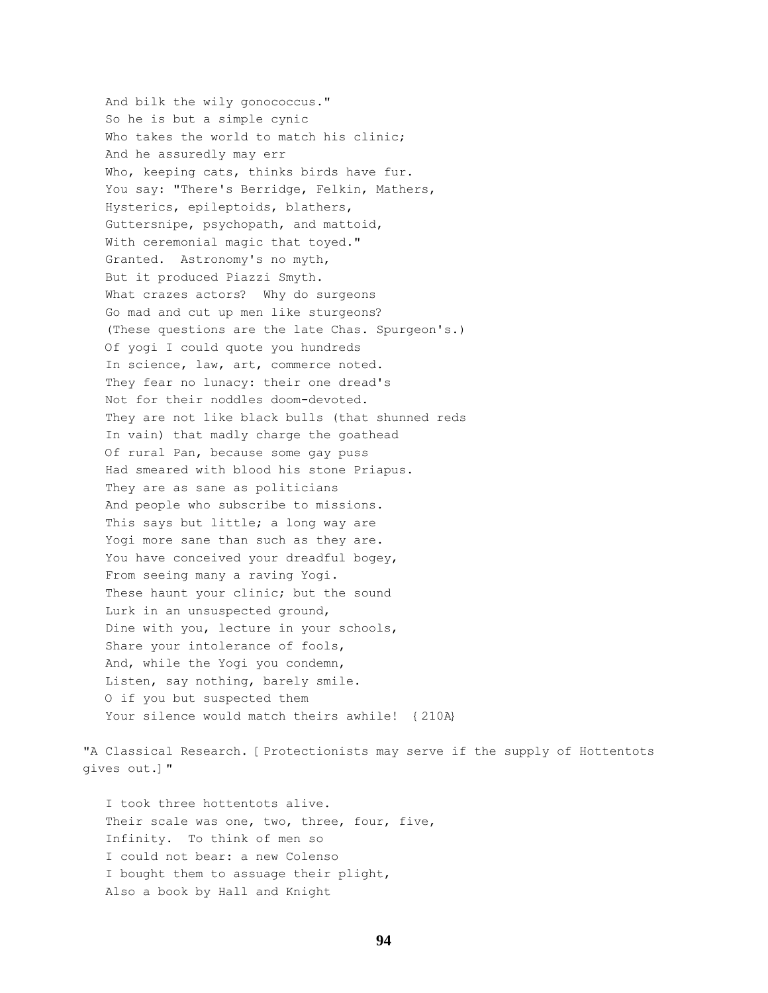And bilk the wily gonococcus." So he is but a simple cynic Who takes the world to match his clinic; And he assuredly may err Who, keeping cats, thinks birds have fur. You say: "There's Berridge, Felkin, Mathers, Hysterics, epileptoids, blathers, Guttersnipe, psychopath, and mattoid, With ceremonial magic that toyed." Granted. Astronomy's no myth, But it produced Piazzi Smyth. What crazes actors? Why do surgeons Go mad and cut up men like sturgeons? (These questions are the late Chas. Spurgeon's.) Of yogi I could quote you hundreds In science, law, art, commerce noted. They fear no lunacy: their one dread's Not for their noddles doom-devoted. They are not like black bulls (that shunned reds In vain) that madly charge the goathead Of rural Pan, because some gay puss Had smeared with blood his stone Priapus. They are as sane as politicians And people who subscribe to missions. This says but little; a long way are Yogi more sane than such as they are. You have conceived your dreadful bogey, From seeing many a raving Yogi. These haunt your clinic; but the sound Lurk in an unsuspected ground, Dine with you, lecture in your schools, Share your intolerance of fools, And, while the Yogi you condemn, Listen, say nothing, barely smile. O if you but suspected them Your silence would match theirs awhile! {210A}

"A Classical Research. [Protectionists may serve if the supply of Hottentots gives out.]"

 I took three hottentots alive. Their scale was one, two, three, four, five, Infinity. To think of men so I could not bear: a new Colenso I bought them to assuage their plight, Also a book by Hall and Knight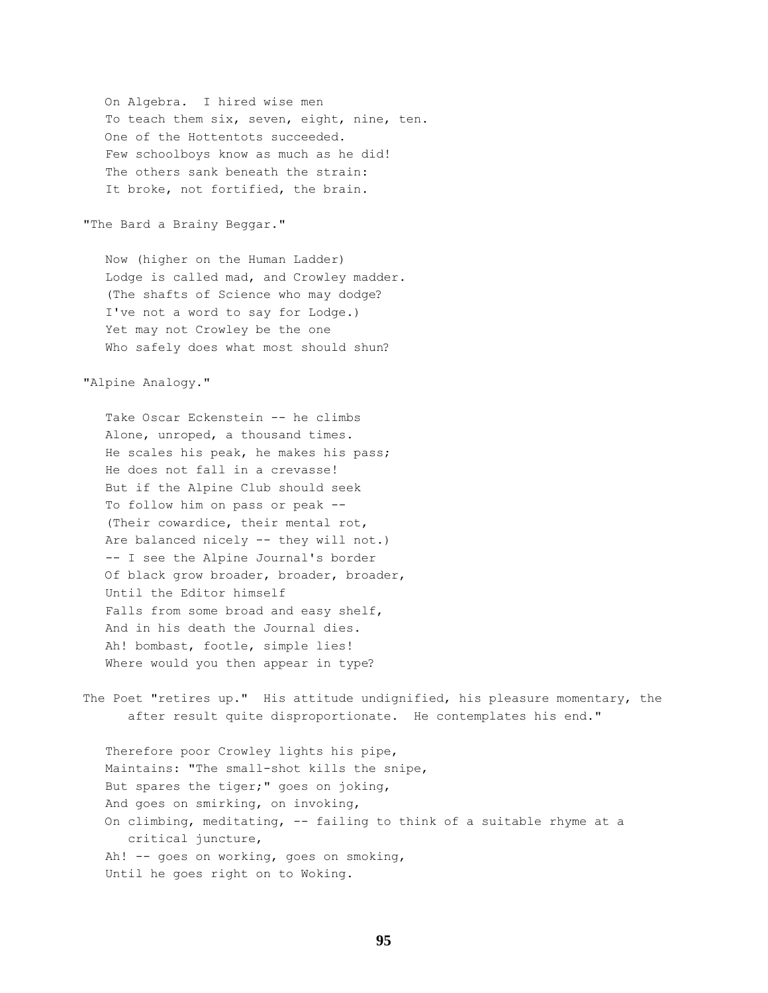On Algebra. I hired wise men To teach them six, seven, eight, nine, ten. One of the Hottentots succeeded. Few schoolboys know as much as he did! The others sank beneath the strain: It broke, not fortified, the brain.

"The Bard a Brainy Beggar."

 Now (higher on the Human Ladder) Lodge is called mad, and Crowley madder. (The shafts of Science who may dodge? I've not a word to say for Lodge.) Yet may not Crowley be the one Who safely does what most should shun?

"Alpine Analogy."

 Take Oscar Eckenstein -- he climbs Alone, unroped, a thousand times. He scales his peak, he makes his pass; He does not fall in a crevasse! But if the Alpine Club should seek To follow him on pass or peak -- (Their cowardice, their mental rot, Are balanced nicely -- they will not.) -- I see the Alpine Journal's border Of black grow broader, broader, broader, Until the Editor himself Falls from some broad and easy shelf, And in his death the Journal dies. Ah! bombast, footle, simple lies! Where would you then appear in type?

The Poet "retires up." His attitude undignified, his pleasure momentary, the after result quite disproportionate. He contemplates his end."

 Therefore poor Crowley lights his pipe, Maintains: "The small-shot kills the snipe, But spares the tiger;" goes on joking, And goes on smirking, on invoking, On climbing, meditating, -- failing to think of a suitable rhyme at a critical juncture, Ah! -- goes on working, goes on smoking, Until he goes right on to Woking.